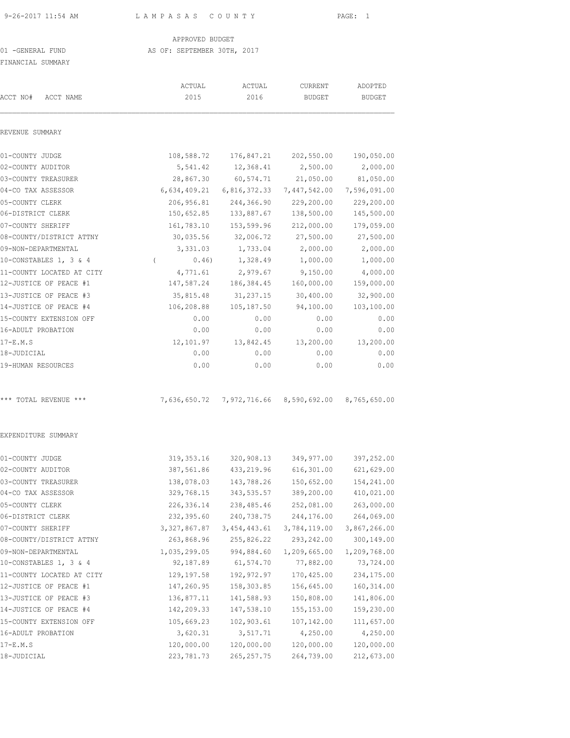9-26-2017 11:54 AM L A M P A S A S C O U N T Y PAGE: 1

APPROVED BUDGET

### 01 -GENERAL FUND AS OF: SEPTEMBER 30TH, 2017

FINANCIAL SUMMARY

| LINUMOTUT OOMMUULI        |                   |                |                                                     |               |
|---------------------------|-------------------|----------------|-----------------------------------------------------|---------------|
|                           | ACTUAL            | ACTUAL         | CURRENT                                             | ADOPTED       |
| ACCT NO#<br>ACCT NAME     | 2015              | 2016           | <b>BUDGET</b>                                       | <b>BUDGET</b> |
| REVENUE SUMMARY           |                   |                |                                                     |               |
| 01-COUNTY JUDGE           | 108,588.72        | 176,847.21     | 202,550.00                                          | 190,050.00    |
| 02-COUNTY AUDITOR         | 5,541.42          | 12,368.41      | 2,500.00                                            | 2,000.00      |
| 03-COUNTY TREASURER       | 28,867.30         | 60,574.71      | 21,050.00                                           | 81,050.00     |
| 04-CO TAX ASSESSOR        | 6,634,409.21      | 6,816,372.33   | 7,447,542.00                                        | 7,596,091.00  |
| 05-COUNTY CLERK           | 206,956.81        | 244,366.90     | 229,200.00                                          | 229,200.00    |
| 06-DISTRICT CLERK         | 150,652.85        | 133,887.67     | 138,500.00                                          | 145,500.00    |
| 07-COUNTY SHERIFF         | 161,783.10        | 153,599.96     | 212,000.00                                          | 179,059.00    |
| 08-COUNTY/DISTRICT ATTNY  | 30,035.56         | 32,006.72      | 27,500.00                                           | 27,500.00     |
| 09-NON-DEPARTMENTAL       | 3,331.03          | 1,733.04       | 2,000.00                                            | 2,000.00      |
| 10-CONSTABLES 1, 3 & 4    | 0.46)<br>$\left($ | 1,328.49       | 1,000.00                                            | 1,000.00      |
| 11-COUNTY LOCATED AT CITY | 4,771.61          | 2,979.67       | 9,150.00                                            | 4,000.00      |
| 12-JUSTICE OF PEACE #1    | 147,587.24        | 186, 384.45    | 160,000.00                                          | 159,000.00    |
| 13-JUSTICE OF PEACE #3    | 35,815.48         | 31,237.15      | 30,400.00                                           | 32,900.00     |
| 14-JUSTICE OF PEACE #4    | 106,208.88        | 105,187.50     | 94,100.00                                           | 103,100.00    |
| 15-COUNTY EXTENSION OFF   | 0.00              | 0.00           | 0.00                                                | 0.00          |
| 16-ADULT PROBATION        | 0.00              | 0.00           | 0.00                                                | 0.00          |
| $17-E.M.S$                | 12,101.97         | 13,842.45      | 13,200.00                                           | 13,200.00     |
| 18-JUDICIAL               | 0.00              | 0.00           | 0.00                                                | 0.00          |
| 19-HUMAN RESOURCES        | 0.00              | 0.00           | 0.00                                                | 0.00          |
| *** TOTAL REVENUE ***     |                   |                | 7,636,650.72 7,972,716.66 8,590,692.00 8,765,650.00 |               |
| EXPENDITURE SUMMARY       |                   |                |                                                     |               |
| 01-COUNTY JUDGE           | 319, 353. 16      | 320,908.13     | 349,977.00                                          | 397,252.00    |
| 02-COUNTY AUDITOR         | 387,561.86        | 433,219.96     | 616, 301.00                                         | 621,629.00    |
| 03-COUNTY TREASURER       | 138,078.03        | 143,788.26     | 150,652.00                                          | 154,241.00    |
| 04-CO TAX ASSESSOR        | 329,768.15        | 343,535.57     | 389,200.00                                          | 410,021.00    |
| 05-COUNTY CLERK           | 226,336.14        | 238,485.46     | 252,081.00                                          | 263,000.00    |
| 06-DISTRICT CLERK         | 232,395.60        | 240,738.75     | 244,176.00                                          | 264,069.00    |
| 07-COUNTY SHERIFF         | 3,327,867.87      | 3, 454, 443.61 | 3,784,119.00                                        | 3,867,266.00  |
| 08-COUNTY/DISTRICT ATTNY  | 263,868.96        | 255,826.22     | 293,242.00                                          | 300,149.00    |
| 09-NON-DEPARTMENTAL       | 1,035,299.05      | 994,884.60     | 1,209,665.00                                        | 1,209,768.00  |
| 10-CONSTABLES 1, 3 & 4    | 92,187.89         | 61,574.70      | 77,882.00                                           | 73,724.00     |
| 11-COUNTY LOCATED AT CITY | 129, 197.58       | 192,972.97     | 170,425.00                                          | 234,175.00    |
| 12-JUSTICE OF PEACE #1    | 147,260.95        | 158,303.85     | 156,645.00                                          | 160, 314.00   |
| 13-JUSTICE OF PEACE #3    | 136,877.11        | 141,588.93     | 150,808.00                                          | 141,806.00    |
| 14-JUSTICE OF PEACE #4    | 142,209.33        | 147,538.10     | 155, 153.00                                         | 159,230.00    |
| 15-COUNTY EXTENSION OFF   | 105,669.23        | 102,903.61     | 107,142.00                                          | 111,657.00    |
| 16-ADULT PROBATION        | 3,620.31          | 3,517.71       | 4,250.00                                            | 4,250.00      |
| $17-E.M.S$                | 120,000.00        | 120,000.00     | 120,000.00                                          | 120,000.00    |
| 18-JUDICIAL               | 223,781.73        | 265, 257.75    | 264,739.00                                          | 212,673.00    |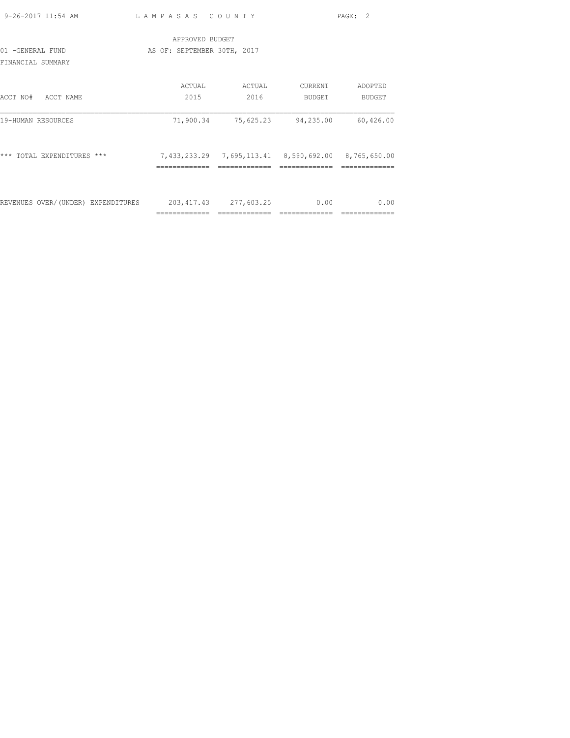| 9-26-2017 11:54 AM                 | LAMPASAS COUNTY             |                                                            |               | PAGE: 2                |
|------------------------------------|-----------------------------|------------------------------------------------------------|---------------|------------------------|
|                                    | APPROVED BUDGET             |                                                            |               |                        |
| 01 -GENERAL FUND                   | AS OF: SEPTEMBER 30TH, 2017 |                                                            |               |                        |
| FINANCIAL SUMMARY                  |                             |                                                            |               |                        |
|                                    | ACTUAL                      | ACTUAL                                                     | CURRENT       | ADOPTED                |
| ACCT NO#<br>ACCT NAME              | 2015                        | 2016                                                       | <b>BUDGET</b> | <b>BUDGET</b>          |
| 19-HUMAN RESOURCES                 | 71,900.34                   | 75,625.23                                                  | 94,235.00     | 60,426.00              |
| *** TOTAL EXPENDITURES ***         |                             | 7,433,233.29 7,695,113.41 8,590,692.00 8,765,650.00        |               |                        |
|                                    |                             |                                                            |               |                        |
| REVENUES OVER/(UNDER) EXPENDITURES | =============               | 203, 417. 43 277, 603. 25<br>============================= | 0.00          | 0.00<br>-------------- |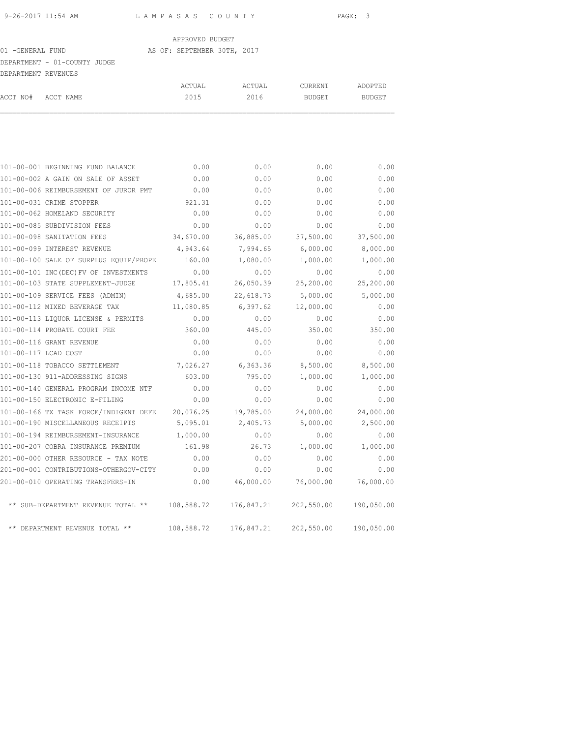### 01 -GENERAL FUND AS OF: SEPTEMBER 30TH, 2017

# DEPARTMENT - 01-COUNTY JUDGE

|          | DEPARTMENT REVENUES |        |        |         |               |
|----------|---------------------|--------|--------|---------|---------------|
|          |                     | ACTUAL | ACTUAL | CURRENT | ADOPTED       |
| ACCT NO# | ACCT NAME           | 2015   | 2016   | BUDGET  | <b>BUDGET</b> |
|          |                     |        |        |         |               |
|          |                     |        |        |         |               |
|          |                     |        |        |         |               |

|                      | 101-00-001 BEGINNING FUND BALANCE      | 0.00       | 0.00       | 0.00       | 0.00       |
|----------------------|----------------------------------------|------------|------------|------------|------------|
|                      | 101-00-002 A GAIN ON SALE OF ASSET     | 0.00       | 0.00       | 0.00       | 0.00       |
|                      | 101-00-006 REIMBURSEMENT OF JUROR PMT  | 0.00       | 0.00       | 0.00       | 0.00       |
|                      | 101-00-031 CRIME STOPPER               | 921.31     | 0.00       | 0.00       | 0.00       |
|                      | 101-00-062 HOMELAND SECURITY           | 0.00       | 0.00       | 0.00       | 0.00       |
|                      | 101-00-085 SUBDIVISION FEES            | 0.00       | 0.00       | 0.00       | 0.00       |
|                      | 101-00-098 SANITATION FEES             | 34,670.00  | 36,885.00  | 37,500.00  | 37,500.00  |
|                      | 101-00-099 INTEREST REVENUE            | 4,943.64   | 7,994.65   | 6,000.00   | 8,000.00   |
|                      | 101-00-100 SALE OF SURPLUS EQUIP/PROPE | 160.00     | 1,080.00   | 1,000.00   | 1,000.00   |
|                      | 101-00-101 INC(DEC) FV OF INVESTMENTS  | 0.00       | 0.00       | 0.00       | 0.00       |
|                      | 101-00-103 STATE SUPPLEMENT-JUDGE      | 17,805.41  | 26,050.39  | 25,200.00  | 25,200.00  |
|                      | 101-00-109 SERVICE FEES (ADMIN)        | 4,685.00   | 22,618.73  | 5,000.00   | 5,000.00   |
|                      | 101-00-112 MIXED BEVERAGE TAX          | 11,080.85  | 6,397.62   | 12,000.00  | 0.00       |
|                      | 101-00-113 LIQUOR LICENSE & PERMITS    | 0.00       | 0.00       | 0.00       | 0.00       |
|                      | 101-00-114 PROBATE COURT FEE           | 360.00     | 445.00     | 350.00     | 350.00     |
|                      | 101-00-116 GRANT REVENUE               | 0.00       | 0.00       | 0.00       | 0.00       |
| 101-00-117 LCAD COST |                                        | 0.00       | 0.00       | 0.00       | 0.00       |
|                      | 101-00-118 TOBACCO SETTLEMENT          | 7,026.27   | 6,363.36   | 8,500.00   | 8,500.00   |
|                      | 101-00-130 911-ADDRESSING SIGNS        | 603.00     | 795.00     | 1,000.00   | 1,000.00   |
|                      | 101-00-140 GENERAL PROGRAM INCOME NTF  | 0.00       | 0.00       | 0.00       | 0.00       |
|                      | 101-00-150 ELECTRONIC E-FILING         | 0.00       | 0.00       | 0.00       | 0.00       |
|                      | 101-00-166 TX TASK FORCE/INDIGENT DEFE | 20,076.25  | 19,785.00  | 24,000.00  | 24,000.00  |
|                      | 101-00-190 MISCELLANEOUS RECEIPTS      | 5,095.01   | 2,405.73   | 5,000.00   | 2,500.00   |
|                      | 101-00-194 REIMBURSEMENT-INSURANCE     | 1,000.00   | 0.00       | 0.00       | 0.00       |
|                      | 101-00-207 COBRA INSURANCE PREMIUM     | 161.98     | 26.73      | 1,000.00   | 1,000.00   |
|                      | 201-00-000 OTHER RESOURCE - TAX NOTE   | 0.00       | 0.00       | 0.00       | 0.00       |
|                      | 201-00-001 CONTRIBUTIONS-OTHERGOV-CITY | 0.00       | 0.00       | 0.00       | 0.00       |
|                      | 201-00-010 OPERATING TRANSFERS-IN      | 0.00       | 46,000.00  | 76,000.00  | 76,000.00  |
|                      | ** SUB-DEPARTMENT REVENUE TOTAL **     | 108,588.72 | 176,847.21 | 202,550.00 | 190,050.00 |
|                      | ** DEPARTMENT REVENUE TOTAL **         | 108,588.72 | 176,847.21 | 202,550.00 | 190,050.00 |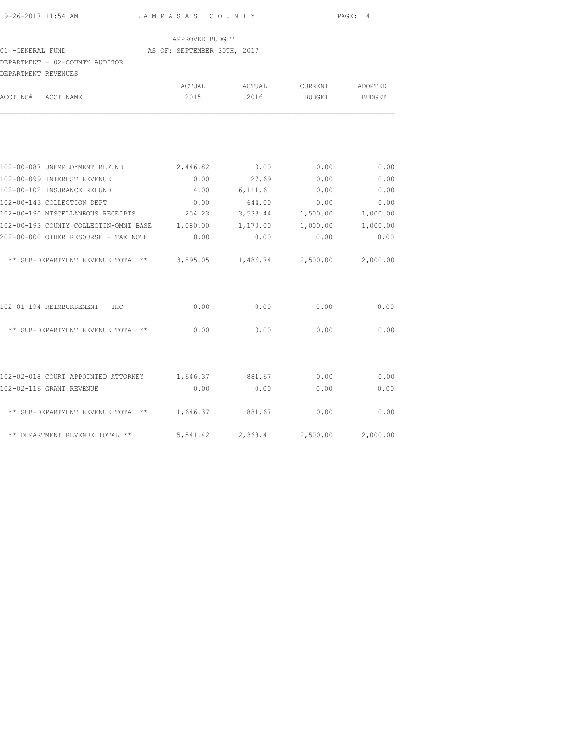|  |  | 9-26-2017 11:54 AM |  |
|--|--|--------------------|--|

L A M P A S A S C O U N T Y PAGE: 4

#### APPROVED BUDGET

#### 01 -GENERAL FUND AS OF: SEPTEMBER 30TH, 2017

# DEPARTMENT - 02-COUNTY AUDITOR

| DEPARTMENT REVENUES |                                                     |                |                 |                    |               |
|---------------------|-----------------------------------------------------|----------------|-----------------|--------------------|---------------|
|                     | ACCT NAME                                           | ACTUAL<br>2015 | ACTUAL<br>2016  | CURRENT<br>BUDGET  | ADOPTED       |
| ACCT NO#            |                                                     |                |                 |                    | <b>BUDGET</b> |
|                     |                                                     |                |                 |                    |               |
|                     | 102-00-087 UNEMPLOYMENT REFUND                      | 2,446.82       | 0.00            | 0.00               | 0.00          |
|                     | 102-00-099 INTEREST REVENUE                         | 0.00           | 27.69           | 0.00               | 0.00          |
|                     | 102-00-102 INSURANCE REFUND                         |                | 114.00 6,111.61 | 0.00               | 0.00          |
|                     | 102-00-143 COLLECTION DEPT                          | 0.00           | 644.00          | 0.00               | 0.00          |
|                     | 102-00-190 MISCELLANEOUS RECEIPTS 254.23            |                | 3,533.44        | 1,500.00           | 1,000.00      |
|                     | 102-00-193 COUNTY COLLECTIN-OMNI BASE 1,080.00      |                | 1,170.00        | 1,000.00           | 1,000.00      |
|                     | 202-00-000 OTHER RESOURSE - TAX NOTE                | 0.00           | 0.00            | 0.00               | 0.00          |
|                     | ** SUB-DEPARTMENT REVENUE TOTAL ** 3,895.05         |                |                 | 11,486.74 2,500.00 | 2,000.00      |
|                     | 102-01-194 REIMBURSEMENT - IHC                      | 0.00           | 0.00            | 0.00               | 0.00          |
|                     | ** SUB-DEPARTMENT REVENUE TOTAL **                  | 0.00           | 0.00            | 0.00               | 0.00          |
|                     |                                                     |                |                 |                    |               |
|                     | 102-02-018 COURT APPOINTED ATTORNEY 1,646.37 881.67 |                |                 | 0.00               | 0.00          |
|                     | 102-02-116 GRANT REVENUE                            | 0.00           | 0.00            | 0.00               | 0.00          |
|                     | ** SUB-DEPARTMENT REVENUE TOTAL ** 1,646.37 881.67  |                |                 | 0.00               | 0.00          |
|                     | ** DEPARTMENT REVENUE TOTAL **                      | 5,541.42       | 12,368.41       | 2,500.00           | 2,000.00      |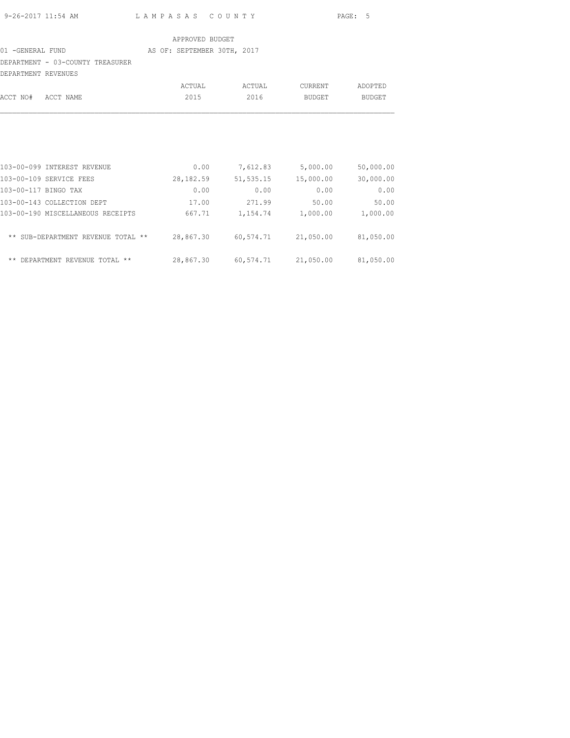| 9-26-2017 11:54 AM | LAMPASAS COUNTY | PAGE: 5 |
|--------------------|-----------------|---------|

### 01 -GENERAL FUND AS OF: SEPTEMBER 30TH, 2017

DEPARTMENT - 03-COUNTY TREASURER

| DEPARTMENT REVENUES |        |        |         |         |
|---------------------|--------|--------|---------|---------|
|                     | ACTUAL | ACTUAL | CURRENT | ADOPTED |
| ACCT NO# ACCT NAME  | 2015   | 2016   | BUDGET  | BUDGET  |
|                     |        |        |         |         |

| 103-00-099 INTEREST REVENUE          | 0.00      | 7,612.83  | 5,000.00  | 50,000.00 |
|--------------------------------------|-----------|-----------|-----------|-----------|
| 103-00-109 SERVICE FEES              | 28,182.59 | 51,535.15 | 15,000.00 | 30,000.00 |
| 103-00-117 BINGO TAX                 | 0.00      | 0.00      | 0.00      | 0.00      |
| 103-00-143 COLLECTION DEPT           | 17.00     | 271.99    | 50.00     | 50.00     |
| 103-00-190 MISCELLANEOUS RECEIPTS    | 667.71    | 1,154.74  | 1,000.00  | 1,000.00  |
| ** SUB-DEPARTMENT REVENUE TOTAL **   | 28,867.30 | 60,574.71 | 21,050.00 | 81,050.00 |
| $***$<br>DEPARTMENT REVENUE TOTAL ** | 28,867.30 | 60,574.71 | 21,050.00 | 81,050.00 |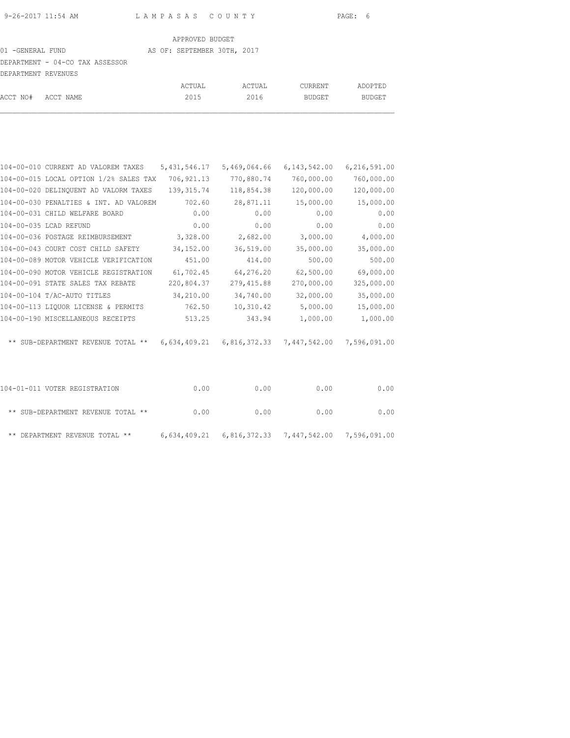# 01 -GENERAL FUND AS OF: SEPTEMBER 30TH, 2017 DEPARTMENT - 04-CO TAX ASSESSOR

| DEPARTMENT REVENUES |        |        |         |         |
|---------------------|--------|--------|---------|---------|
|                     | ACTUAL | ACTUAL | CURRENT | ADOPTED |
| ACCT NO# ACCT NAME  | 2015   | 2016   | BUDGET  | BUDGET  |

| 104-00-010 CURRENT AD VALOREM TAXES    | 5, 431, 546.17 | 5,469,064.66 | 6, 143, 542.00                                              | 6,216,591.00 |
|----------------------------------------|----------------|--------------|-------------------------------------------------------------|--------------|
| 104-00-015 LOCAL OPTION 1/2% SALES TAX | 706,921.13     | 770,880.74   | 760,000.00                                                  | 760,000.00   |
| 104-00-020 DELINQUENT AD VALORM TAXES  | 139,315.74     | 118,854.38   | 120,000.00                                                  | 120,000.00   |
| 104-00-030 PENALTIES & INT. AD VALOREM | 702.60         | 28,871.11    | 15,000.00                                                   | 15,000.00    |
| 104-00-031 CHILD WELFARE BOARD         | 0.00           | 0.00         | 0.00                                                        | 0.00         |
| 104-00-035 LCAD REFUND                 | 0.00           | 0.00         | 0.00                                                        | 0.00         |
| 104-00-036 POSTAGE REIMBURSEMENT       | 3,328.00       | 2,682.00     | 3,000.00                                                    | 4,000.00     |
| 104-00-043 COURT COST CHILD SAFETY     | 34,152.00      | 36,519.00    | 35,000.00                                                   | 35,000.00    |
| 104-00-089 MOTOR VEHICLE VERIFICATION  | 451.00         | 414.00       | 500.00                                                      | 500.00       |
| 104-00-090 MOTOR VEHICLE REGISTRATION  | 61,702.45      | 64,276.20    | 62,500.00                                                   | 69,000.00    |
| 104-00-091 STATE SALES TAX REBATE      | 220,804.37     | 279,415.88   | 270,000.00                                                  | 325,000.00   |
| 104-00-104 T/AC-AUTO TITLES            | 34,210.00      | 34,740.00    | 32,000.00                                                   | 35,000.00    |
| 104-00-113 LIQUOR LICENSE & PERMITS    | 762.50         | 10,310.42    | 5,000.00                                                    | 15,000.00    |
| 104-00-190 MISCELLANEOUS RECEIPTS      | 513.25         | 343.94       | 1,000.00                                                    | 1,000.00     |
| ** SUB-DEPARTMENT REVENUE TOTAL **     |                |              | $6,634,409.21$ $6,816,372.33$ $7,447,542.00$ $7,596,091.00$ |              |
| 104-01-011 VOTER REGISTRATION          | 0.00           | 0.00         | 0.00                                                        | 0.00         |
| ** SUB-DEPARTMENT REVENUE TOTAL **     | 0.00           | 0.00         | 0.00                                                        | 0.00         |
|                                        |                |              |                                                             |              |

\*\* DEPARTMENT REVENUE TOTAL \*\* 6,634,409.21 6,816,372.33 7,447,542.00 7,596,091.00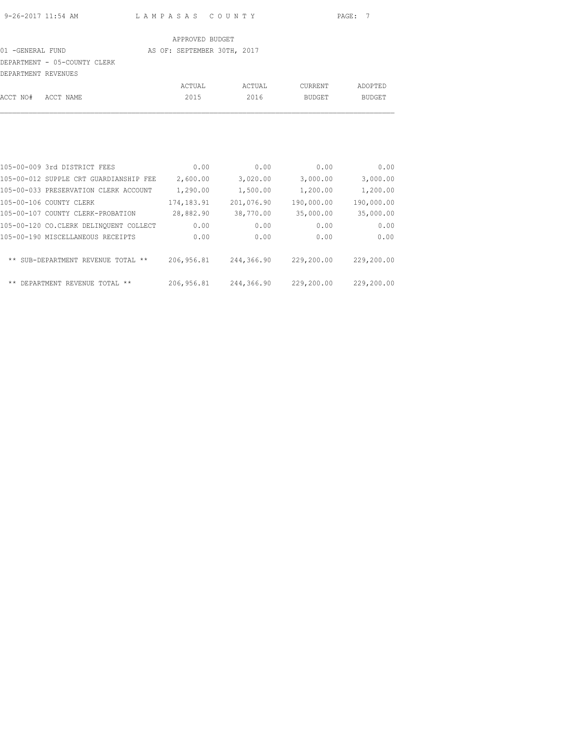#### 01 -GENERAL FUND AS OF: SEPTEMBER 30TH, 2017

# DEPARTMENT - 05-COUNTY CLERK

| DEPARTMENT REVENUES |        |        |         |         |
|---------------------|--------|--------|---------|---------|
|                     | ACTUAL | ACTUAL | CURRENT | ADOPTED |
| ACCT NO# ACCT NAME  | 2015   | 2016   | BUDGET  | BUDGET  |

| 105-00-009 3rd DISTRICT FEES             | 0.00         | 0.00       | 0.00       | 0.00       |
|------------------------------------------|--------------|------------|------------|------------|
| 105-00-012 SUPPLE CRT GUARDIANSHIP FEE   | 2,600.00     | 3,020.00   | 3,000.00   | 3,000.00   |
| 105-00-033 PRESERVATION CLERK ACCOUNT    | 1,290.00     | 1,500.00   | 1,200.00   | 1,200.00   |
| 105-00-106 COUNTY CLERK                  | 174, 183. 91 | 201,076.90 | 190,000.00 | 190,000.00 |
| 105-00-107 COUNTY CLERK-PROBATION        | 28,882.90    | 38,770.00  | 35,000.00  | 35,000.00  |
| 105-00-120 CO.CLERK DELINOUENT COLLECT   | 0.00         | 0.00       | 0.00       | 0.00       |
| 105-00-190 MISCELLANEOUS RECEIPTS        | 0.00         | 0.00       | 0.00       | 0.00       |
| ** SUB-DEPARTMENT REVENUE TOTAL<br>$***$ | 206,956.81   | 244,366.90 | 229,200.00 | 229,200.00 |
| ** DEPARTMENT REVENUE TOTAL **           | 206,956.81   | 244,366.90 | 229,200.00 | 229,200.00 |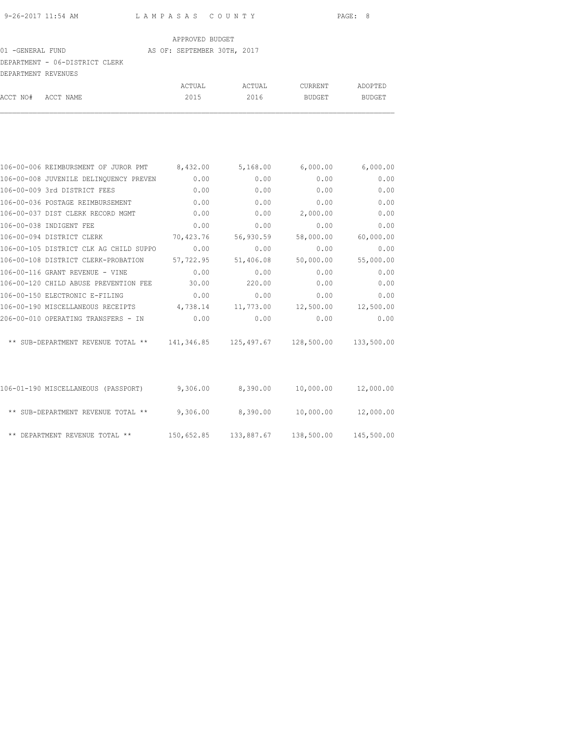### 01 -GENERAL FUND AS OF: SEPTEMBER 30TH, 2017

# DEPARTMENT - 06-DISTRICT CLERK

| DEPARTMENT REVENUES |  |        |        |         |         |  |  |  |
|---------------------|--|--------|--------|---------|---------|--|--|--|
|                     |  | ACTUAL | ACTUAL | CURRENT | ADOPTED |  |  |  |
| ACCT NO# ACCT NAME  |  | 2015   | 2016   | BUDGET  | BUDGET  |  |  |  |

| 106-00-006 REIMBURSMENT OF JUROR PMT 8,432.00                       |           | 5,168.00            | 6,000.00  | 6,000.00   |
|---------------------------------------------------------------------|-----------|---------------------|-----------|------------|
| 106-00-008 JUVENILE DELINQUENCY PREVEN                              | 0.00      | 0.00                | 0.00      | 0.00       |
| 106-00-009 3rd DISTRICT FEES                                        | 0.00      | 0.00                | 0.00      | 0.00       |
| 106-00-036 POSTAGE REIMBURSEMENT                                    | 0.00      | 0.00                | 0.00      | 0.00       |
| 106-00-037 DIST CLERK RECORD MGMT                                   | 0.00      | 0.00                | 2,000.00  | 0.00       |
| 106-00-038 INDIGENT FEE                                             | 0.00      | 0.00                | 0.00      | 0.00       |
| 106-00-094 DISTRICT CLERK                                           | 70,423.76 | 56,930.59           | 58,000.00 | 60,000.00  |
| 106-00-105 DISTRICT CLK AG CHILD SUPPO                              | 0.00      | 0.00                | 0.00      | 0.00       |
| 106-00-108 DISTRICT CLERK-PROBATION                                 | 57,722.95 | 51,406.08           | 50,000.00 | 55,000.00  |
| 106-00-116 GRANT REVENUE - VINE                                     | 0.00      | 0.00                | 0.00      | 0.00       |
| 106-00-120 CHILD ABUSE PREVENTION FEE                               | 30.00     | 220.00              | 0.00      | 0.00       |
| 106-00-150 ELECTRONIC E-FILING                                      | 0.00      | 0.00                | 0.00      | 0.00       |
| 106-00-190 MISCELLANEOUS RECEIPTS                                   | 4,738.14  | 11,773.00           | 12,500.00 | 12,500.00  |
| 206-00-010 OPERATING TRANSFERS - IN                                 | 0.00      | 0.00                | 0.00      | 0.00       |
| ** SUB-DEPARTMENT REVENUE TOTAL ** 141,346.85 125,497.67 128,500.00 |           |                     |           | 133,500.00 |
| 106-01-190 MISCELLANEOUS (PASSPORT)                                 |           | $9,306.00$ 8,390.00 | 10,000.00 | 12,000.00  |
| ** SUB-DEPARTMENT REVENUE TOTAL ** $9,306.00$ 8,390.00              |           |                     | 10,000.00 | 12,000.00  |
|                                                                     |           |                     |           |            |

\*\* DEPARTMENT REVENUE TOTAL \*\* 150,652.85 133,887.67 138,500.00 145,500.00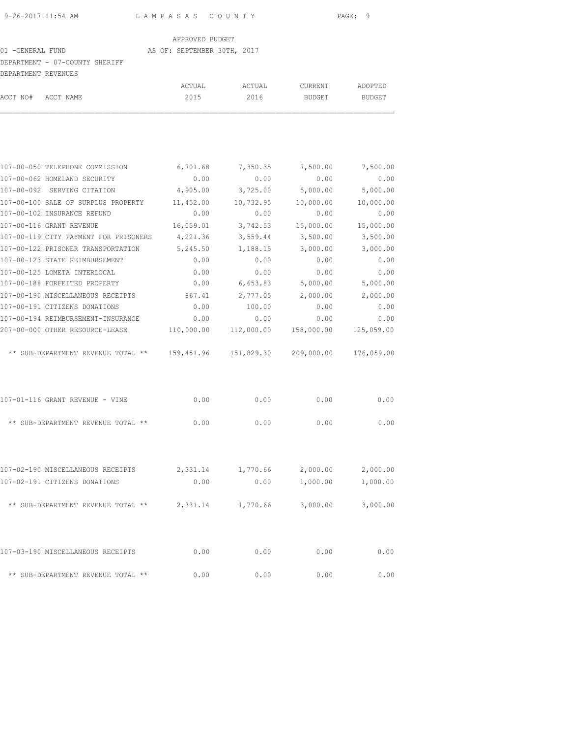#### 01 -GENERAL FUND AS OF: SEPTEMBER 30TH, 2017

# DEPARTMENT - 07-COUNTY SHERIFF

| DEPARTMENT REVENUES |                    |        |        |         |         |
|---------------------|--------------------|--------|--------|---------|---------|
|                     |                    | ACTUAL | ACTUAL | CURRENT | ADOPTED |
|                     | ACCT NO# ACCT NAME | 2015   | 2016   | BUDGET  | BUDGET  |
|                     |                    |        |        |         |         |

| 107-00-050 TELEPHONE COMMISSION                                     | 6,701.68   | 7,350.35   | 7,500.00   | 7,500.00   |
|---------------------------------------------------------------------|------------|------------|------------|------------|
| 107-00-062 HOMELAND SECURITY                                        | 0.00       | 0.00       | 0.00       | 0.00       |
| 107-00-092 SERVING CITATION                                         | 4,905.00   | 3,725.00   | 5,000.00   | 5,000.00   |
| 107-00-100 SALE OF SURPLUS PROPERTY                                 | 11,452.00  | 10,732.95  | 10,000.00  | 10,000.00  |
| 107-00-102 INSURANCE REFUND                                         | 0.00       | 0.00       | 0.00       | 0.00       |
| 107-00-116 GRANT REVENUE                                            | 16,059.01  | 3,742.53   | 15,000.00  | 15,000.00  |
| 107-00-119 CITY PAYMENT FOR PRISONERS                               | 4,221.36   | 3,559.44   | 3,500.00   | 3,500.00   |
| 107-00-122 PRISONER TRANSPORTATION                                  | 5,245.50   | 1,188.15   | 3,000.00   | 3,000.00   |
| 107-00-123 STATE REIMBURSEMENT                                      | 0.00       | 0.00       | 0.00       | 0.00       |
| 107-00-125 LOMETA INTERLOCAL                                        | 0.00       | 0.00       | 0.00       | 0.00       |
| 107-00-188 FORFEITED PROPERTY                                       | 0.00       | 6,653.83   | 5,000.00   | 5,000.00   |
| 107-00-190 MISCELLANEOUS RECEIPTS                                   | 867.41     | 2,777.05   | 2,000.00   | 2,000.00   |
| 107-00-191 CITIZENS DONATIONS                                       | 0.00       | 100.00     | 0.00       | 0.00       |
| 107-00-194 REIMBURSEMENT-INSURANCE                                  | 0.00       | 0.00       | 0.00       | 0.00       |
| 207-00-000 OTHER RESOURCE-LEASE                                     | 110,000.00 | 112,000.00 | 158,000.00 | 125,059.00 |
| ** SUB-DEPARTMENT REVENUE TOTAL ** 159,451.96 151,829.30 209,000.00 |            |            |            | 176,059.00 |
| 107-01-116 GRANT REVENUE - VINE                                     | 0.00       | 0.00       | 0.00       | 0.00       |
| ** SUB-DEPARTMENT REVENUE TOTAL **                                  | 0.00       | 0.00       | 0.00       | 0.00       |
|                                                                     |            |            |            |            |
| 107-02-190 MISCELLANEOUS RECEIPTS                                   | 2,331.14   | 1,770.66   | 2,000.00   | 2,000.00   |
| 107-02-191 CITIZENS DONATIONS                                       | 0.00       | 0.00       | 1,000.00   | 1,000.00   |
| ** SUB-DEPARTMENT REVENUE TOTAL ** $2,331.14$ 1,770.66              |            |            | 3,000.00   | 3,000.00   |
| 107-03-190 MISCELLANEOUS RECEIPTS                                   | 0.00       | 0.00       | 0.00       | 0.00       |
| ** SUB-DEPARTMENT REVENUE TOTAL **                                  | 0.00       | 0.00       | 0.00       | 0.00       |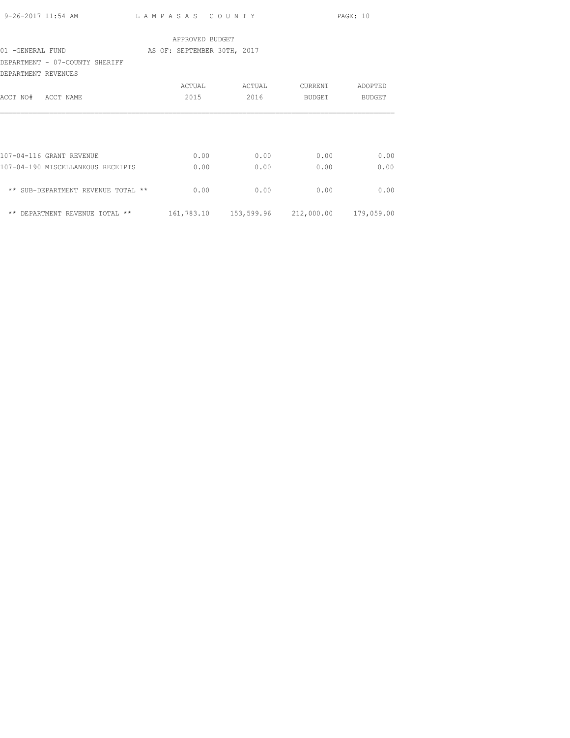|                     | 9-26-2017 11:54 AM                 | LAMPASAS COUNTY                                |        |         | PAGE: 10 |
|---------------------|------------------------------------|------------------------------------------------|--------|---------|----------|
|                     |                                    | APPROVED BUDGET                                |        |         |          |
| 01 -GENERAL FUND    |                                    | AS OF: SEPTEMBER 30TH, 2017                    |        |         |          |
|                     | DEPARTMENT - 07-COUNTY SHERIFF     |                                                |        |         |          |
| DEPARTMENT REVENUES |                                    |                                                |        |         |          |
|                     |                                    | ACTUAL                                         | ACTUAL | CURRENT | ADOPTED  |
| ACCT NO# ACCT NAME  |                                    | 2015                                           | 2016   | BUDGET  | BUDGET   |
|                     |                                    |                                                |        |         |          |
|                     |                                    |                                                |        |         |          |
|                     |                                    |                                                |        |         |          |
|                     | 107-04-116 GRANT REVENUE           | 0.00                                           | 0.00   | 0.00    | 0.00     |
|                     | 107-04-190 MISCELLANEOUS RECEIPTS  | 0.00                                           | 0.00   | 0.00    | 0.00     |
|                     |                                    |                                                |        |         |          |
|                     | ** SUB-DEPARTMENT REVENUE TOTAL ** | 0.00                                           | 0.00   | 0.00    | 0.00     |
|                     |                                    |                                                |        |         |          |
|                     | ** DEPARTMENT REVENUE TOTAL **     | 161,783.10  153,599.96  212,000.00  179,059.00 |        |         |          |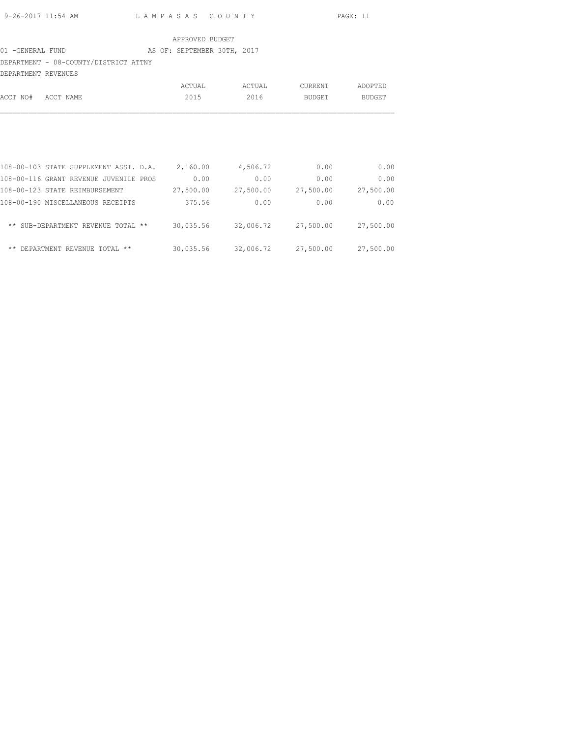## 01 -GENERAL FUND AS OF: SEPTEMBER 30TH, 2017

DEPARTMENT - 08-COUNTY/DISTRICT ATTNY

| DEPARTMENT REVENUES |                                        |           |           |           |               |
|---------------------|----------------------------------------|-----------|-----------|-----------|---------------|
|                     |                                        | ACTUAL    | ACTUAL    | CURRENT   | ADOPTED       |
| ACCT NO#            | ACCT NAME                              | 2015      | 2016      | BUDGET    | <b>BUDGET</b> |
|                     |                                        |           |           |           |               |
|                     | 108-00-103 STATE SUPPLEMENT ASST. D.A. | 2,160.00  | 4,506.72  | 0.00      | 0.00          |
|                     | 108-00-116 GRANT REVENUE JUVENILE PROS | 0.00      | 0.00      | 0.00      | 0.00          |
|                     | 108-00-123 STATE REIMBURSEMENT         | 27,500.00 | 27,500.00 | 27,500.00 | 27,500.00     |
|                     | 108-00-190 MISCELLANEOUS RECEIPTS      | 375.56    | 0.00      | 0.00      | 0.00          |
|                     | ** SUB-DEPARTMENT REVENUE TOTAL **     | 30,035.56 | 32,006.72 | 27,500.00 | 27,500.00     |
| ** DEPARTMENT       | REVENUE TOTAL **                       | 30,035.56 | 32,006.72 | 27,500.00 | 27,500.00     |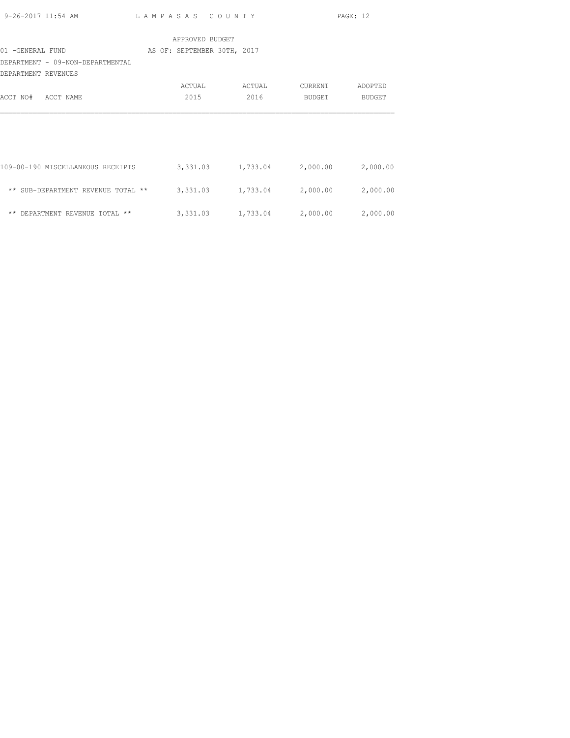| 9-26-2017 11:54 AM                 | LAMPASAS COUNTY             |                            |                   | PAGE: 12      |
|------------------------------------|-----------------------------|----------------------------|-------------------|---------------|
|                                    | APPROVED BUDGET             |                            |                   |               |
| 01 - GENERAL FUND                  | AS OF: SEPTEMBER 30TH, 2017 |                            |                   |               |
| DEPARTMENT - 09-NON-DEPARTMENTAL   |                             |                            |                   |               |
| DEPARTMENT REVENUES                |                             |                            |                   |               |
|                                    | ACTUAL                      | ACTUAL                     | CURRENT           | ADOPTED       |
| ACCT NO#<br>ACCT NAME              | 2015                        | 2016                       | BUDGET            | <b>BUDGET</b> |
|                                    |                             |                            |                   |               |
|                                    |                             |                            |                   |               |
|                                    |                             |                            |                   |               |
|                                    |                             |                            |                   |               |
| 109-00-190 MISCELLANEOUS RECEIPTS  |                             | 3,331.03 1,733.04 2,000.00 |                   | 2,000.00      |
|                                    |                             |                            |                   |               |
| ** SUB-DEPARTMENT REVENUE TOTAL ** | 3,331.03                    |                            | 1,733.04 2,000.00 | 2,000.00      |
|                                    |                             |                            |                   |               |
| ** DEPARTMENT REVENUE TOTAL **     | 3,331.03                    |                            | 1,733.04 2,000.00 | 2,000.00      |
|                                    |                             |                            |                   |               |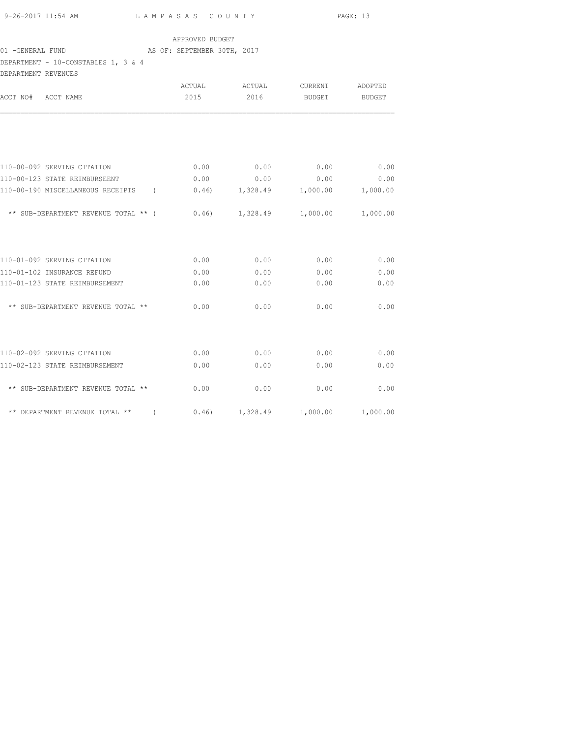| 9-26-2017 11:54 AM | LAMPASAS COUNTY | PAGE: 13 |
|--------------------|-----------------|----------|
|                    |                 |          |

# 01 -GENERAL FUND AS OF: SEPTEMBER 30TH, 2017

DEPARTMENT - 10-CONSTABLES 1, 3 & 4 DEPARTMENT REVENUES

| DEFARTMENT KEVENUES                           |        |                  |                          |               |
|-----------------------------------------------|--------|------------------|--------------------------|---------------|
|                                               | ACTUAL | ACTUAL           | CURRENT                  | ADOPTED       |
| ACCT NO# ACCT NAME                            | 2015   | 2016             | <b>BUDGET</b>            | <b>BUDGET</b> |
|                                               |        |                  |                          |               |
| 110-00-092 SERVING CITATION                   | 0.00   | 0.00             | 0.00                     | 0.00          |
| 110-00-123 STATE REIMBURSEENT                 | 0.00   | 0.00             | 0.00                     | 0.00          |
| 110-00-190 MISCELLANEOUS RECEIPTS<br>$\left($ |        | $0.46$ 1, 328.49 | 1,000.00                 | 1,000.00      |
| ** SUB-DEPARTMENT REVENUE TOTAL ** (          |        | $0.46$ 1, 328.49 | 1,000.00                 | 1,000.00      |
| 110-01-092 SERVING CITATION                   | 0.00   | 0.00             | 0.00                     | 0.00          |
| 110-01-102 INSURANCE REFUND                   | 0.00   | 0.00             | 0.00                     | 0.00          |
| 110-01-123 STATE REIMBURSEMENT                | 0.00   | 0.00             | 0.00                     | 0.00          |
| ** SUB-DEPARTMENT REVENUE TOTAL **            | 0.00   | 0.00             | 0.00                     | 0.00          |
| 110-02-092 SERVING CITATION                   | 0.00   | 0.00             | 0.00                     | 0.00          |
| 110-02-123 STATE REIMBURSEMENT                | 0.00   | 0.00             | 0.00                     | 0.00          |
| ** SUB-DEPARTMENT REVENUE TOTAL **            | 0.00   | 0.00             | 0.00                     | 0.00          |
| ** DEPARTMENT REVENUE TOTAL ** (              |        |                  | $0.46$ 1,328.49 1,000.00 | 1,000.00      |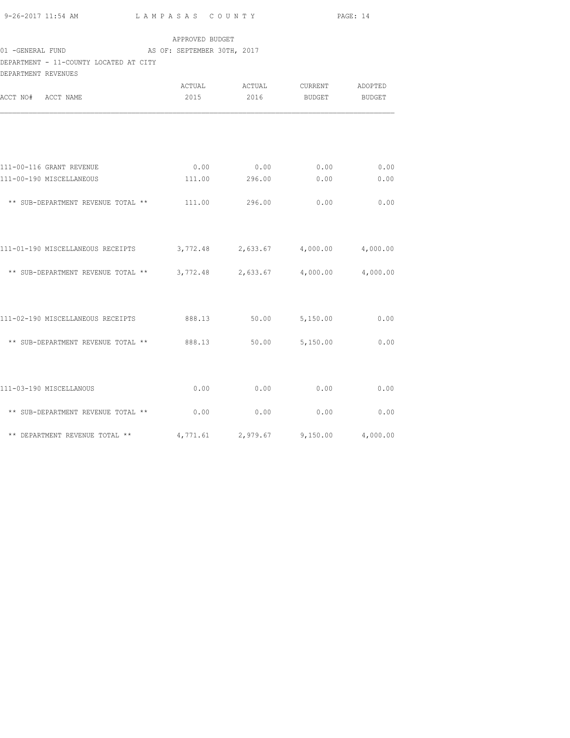|                                                                                                                       |                 |                               |             | PAGE: 14 |  |
|-----------------------------------------------------------------------------------------------------------------------|-----------------|-------------------------------|-------------|----------|--|
|                                                                                                                       | APPROVED BUDGET |                               |             |          |  |
| 01 -GENERAL FUND AS OF: SEPTEMBER 30TH, 2017                                                                          |                 |                               |             |          |  |
| DEPARTMENT - 11-COUNTY LOCATED AT CITY<br>DEPARTMENT REVENUES                                                         |                 |                               |             |          |  |
|                                                                                                                       |                 | ACTUAL ACTUAL CURRENT ADOPTED |             |          |  |
| ACCT NO# ACCT NAME                                                                                                    |                 | 2015 2016 BUDGET BUDGET       |             |          |  |
|                                                                                                                       |                 |                               |             |          |  |
| 111-00-116 GRANT REVENUE                                                                                              |                 | $0.00$ 0.00 0.00 0.00 0.00    |             |          |  |
| 111-00-190 MISCELLANEOUS                                                                                              |                 | 111.00  296.00  0.00  0.00    |             |          |  |
|                                                                                                                       |                 |                               |             |          |  |
| ** SUB-DEPARTMENT REVENUE TOTAL ** $111.00$ 296.00                                                                    |                 |                               | 0.00        | 0.00     |  |
|                                                                                                                       |                 |                               |             |          |  |
| 111-01-190 MISCELLANEOUS RECEIPTS 3,772.48 2,633.67 4,000.00 4,000.00                                                 |                 |                               |             |          |  |
| ** SUB-DEPARTMENT REVENUE TOTAL ** 3,772.48 2,633.67 4,000.00 4,000.00                                                |                 |                               |             |          |  |
|                                                                                                                       |                 |                               |             |          |  |
|                                                                                                                       |                 |                               |             |          |  |
| 111-02-190 MISCELLANEOUS RECEIPTS 688.13 50.00 5,150.00 0.00                                                          |                 |                               |             |          |  |
|                                                                                                                       |                 |                               |             |          |  |
| ** SUB-DEPARTMENT REVENUE TOTAL ** 888.13 50.00 5,150.00 0.00                                                         |                 |                               |             |          |  |
|                                                                                                                       |                 |                               |             |          |  |
| 111-03-190 MISCELLANOUS                                                                                               | 0.00            | 0.00                          | $0.00$ 0.00 |          |  |
| $\star\star$ SUB-DEPARTMENT REVENUE TOTAL $\star\star$ $\qquad \qquad 0.00$ $\qquad \qquad 0.00$ $\qquad \qquad 0.00$ |                 |                               |             |          |  |
|                                                                                                                       |                 |                               |             |          |  |

\*\* DEPARTMENT REVENUE TOTAL \*\*  $4,771.61$  2,979.67 9,150.00  $4,000.00$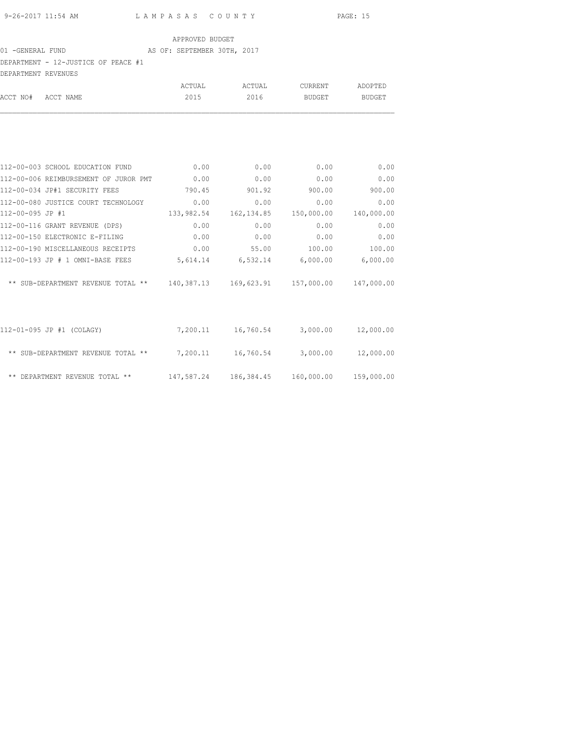# 01 -GENERAL FUND AS OF: SEPTEMBER 30TH, 2017 DEPARTMENT - 12-JUSTICE OF PEACE #1

| DEPARTMENT - 12-JUSTICE OF PEACE #1                                            |               |                                             |                       |            |
|--------------------------------------------------------------------------------|---------------|---------------------------------------------|-----------------------|------------|
| DEPARTMENT REVENUES                                                            |               |                                             |                       |            |
|                                                                                |               | ACTUAL ACTUAL                               | <b>CURRENT</b>        | ADOPTED    |
| ACCT NO# ACCT NAME                                                             | 2015          | 2016                                        | BUDGET                | BUDGET     |
|                                                                                |               |                                             |                       |            |
| 112-00-003 SCHOOL EDUCATION FUND 0.00                                          |               | 0.00                                        | $0.00$ 0.00           |            |
| 112-00-006 REIMBURSEMENT OF JUROR PMT 0.00                                     |               | 0.00                                        | 0.00                  | 0.00       |
| 112-00-034 JP#1 SECURITY FEES                                                  | 790.45 901.92 |                                             | 900.00                | 900.00     |
| 112-00-080 JUSTICE COURT TECHNOLOGY 0.00                                       |               | 0.00                                        | 0.00                  | 0.00       |
| 112-00-095 JP #1                                                               |               | 133,982.54 162,134.85 150,000.00 140,000.00 |                       |            |
| 112-00-116 GRANT REVENUE (DPS)                                                 | 0.00          | 0.00                                        | 0.00                  | 0.00       |
| 112-00-150 ELECTRONIC E-FILING                                                 | 0.00          | $0.00$ 0.00                                 |                       | 0.00       |
| 112-00-190 MISCELLANEOUS RECEIPTS 0.00 55.00 100.00                            |               |                                             |                       | 100.00     |
| 112-00-193 JP # 1 OMNI-BASE FEES 5,614.14 6,532.14 6,000.00 6,000.00           |               |                                             |                       |            |
| ** SUB-DEPARTMENT REVENUE TOTAL ** 140,387.13 169,623.91 157,000.00 147,000.00 |               |                                             |                       |            |
| 112-01-095 JP #1 (COLAGY)                                                      |               | 7,200.11  16,760.54  3,000.00  12,000.00    |                       |            |
| ** SUB-DEPARTMENT REVENUE TOTAL ** $7,200.11$ $16,760.54$ $3,000.00$           |               |                                             |                       | 12,000.00  |
| ** DEPARTMENT REVENUE TOTAL **                                                 | 147,587.24    |                                             | 186,384.45 160,000.00 | 159,000.00 |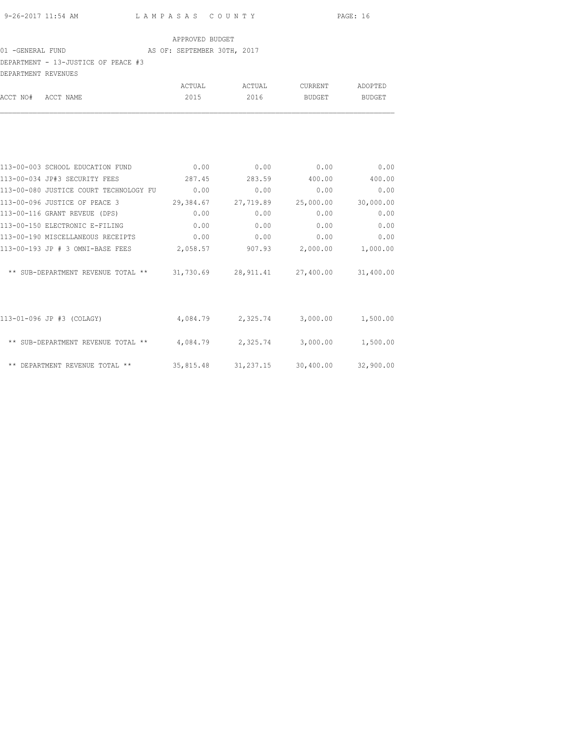# 01 -GENERAL FUND **AS OF: SEPTEMBER 30TH, 2017**

DEPARTMENT - 13-JUSTICE OF PEACE #3

| DEPARTMENT REVENUES |                                                                            |           |           |           |           |
|---------------------|----------------------------------------------------------------------------|-----------|-----------|-----------|-----------|
|                     |                                                                            | ACTUAL    | ACTUAL    | CURRENT   | ADOPTED   |
| ACCT NO#            | ACCT NAME                                                                  | 2015      | 2016      | BUDGET    | BUDGET    |
|                     |                                                                            |           |           |           |           |
|                     | 113-00-003 SCHOOL EDUCATION FUND                                           | 0.00      | 0.00      | 0.00      | 0.00      |
|                     | 113-00-034 JP#3 SECURITY FEES                                              | 287.45    | 283.59    | 400.00    | 400.00    |
|                     | 113-00-080 JUSTICE COURT TECHNOLOGY FU                                     | 0.00      | 0.00      | 0.00      | 0.00      |
|                     | 113-00-096 JUSTICE OF PEACE 3                                              | 29,384.67 | 27,719.89 | 25,000.00 | 30,000.00 |
|                     | 113-00-116 GRANT REVEUE (DPS)                                              | 0.00      | 0.00      | 0.00      | 0.00      |
|                     | 113-00-150 ELECTRONIC E-FILING                                             | 0.00      | 0.00      | 0.00      | 0.00      |
|                     | 113-00-190 MISCELLANEOUS RECEIPTS                                          | 0.00      | 0.00      | 0.00      | 0.00      |
|                     | 113-00-193 JP # 3 OMNI-BASE FEES                                           | 2,058.57  | 907.93    | 2,000.00  | 1,000.00  |
|                     | ** SUB-DEPARTMENT REVENUE TOTAL ** 31,730.69 28,911.41 27,400.00 31,400.00 |           |           |           |           |

| 113-01-096 JP #3 (COLAGY)          | 4,084.79  | 2,325.74  | 3,000.00  | 1,500.00  |
|------------------------------------|-----------|-----------|-----------|-----------|
| ** SUB-DEPARTMENT REVENUE TOTAL ** | 4,084.79  | 2,325.74  | 3,000.00  | 1,500.00  |
| ** DEPARTMENT REVENUE TOTAL **     | 35,815.48 | 31,237.15 | 30,400.00 | 32,900.00 |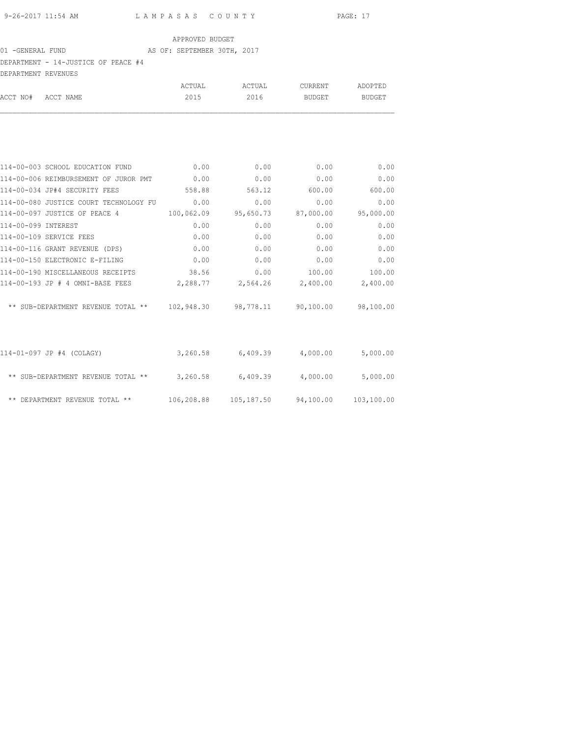# 01 -GENERAL FUND AS OF: SEPTEMBER 30TH, 2017

|                     | DEPARTMENT - 14-JUSTICE OF PEACE #4                               |             |                                            |           |           |
|---------------------|-------------------------------------------------------------------|-------------|--------------------------------------------|-----------|-----------|
| DEPARTMENT REVENUES |                                                                   |             |                                            |           |           |
|                     |                                                                   | ACTUAL      | ACTUAL                                     | CURRENT   | ADOPTED   |
| ACCT NO# ACCT NAME  |                                                                   | 2015        | 2016                                       | BUDGET    | BUDGET    |
|                     |                                                                   |             |                                            |           |           |
|                     | 114-00-003 SCHOOL EDUCATION FUND                                  | $\sim$ 0.00 | 0.00                                       | 0.00      | 0.00      |
|                     | 114-00-006 REIMBURSEMENT OF JUROR PMT 0.00                        |             | 0.00                                       | 0.00      | 0.00      |
|                     | 114-00-034 JP#4 SECURITY FEES                                     | 558.88      | 563.12 600.00                              |           | 600.00    |
|                     | 114-00-080 JUSTICE COURT TECHNOLOGY FU 0.00                       |             | 0.00                                       | 0.00      | 0.00      |
|                     | 114-00-097 JUSTICE OF PEACE 4                                     | 100,062.09  | 95,650.73                                  | 87,000.00 | 95,000.00 |
| 114-00-099 INTEREST |                                                                   | 0.00        | 0.00                                       | 0.00      | 0.00      |
|                     | 114-00-109 SERVICE FEES                                           | 0.00        | 0.00                                       | 0.00      | 0.00      |
|                     | 114-00-116 GRANT REVENUE (DPS)                                    | 0.00        | 0.00                                       | 0.00      | 0.00      |
|                     | 114-00-150 ELECTRONIC E-FILING                                    | $\sim$ 0.00 | 0.00                                       | 0.00      | 0.00      |
|                     | 114-00-190 MISCELLANEOUS RECEIPTS 38.56                           |             | 0.00                                       | 100.00    | 100.00    |
|                     | $114-00-193$ JP # 4 OMNI-BASE FEES 2,288.77 2,564.26 2,400.00     |             |                                            |           | 2,400.00  |
|                     | ** SUB-DEPARTMENT REVENUE TOTAL ** 102,948.30 98,778.11 90,100.00 |             |                                            |           | 98,100.00 |
|                     | 114-01-097 JP #4 (COLAGY)                                         |             | $3,260.58$ 6,409.39 4,000.00               |           | 5,000.00  |
|                     | ** SUB-DEPARTMENT REVENUE TOTAL ** 3,260.58 6,409.39 4,000.00     |             |                                            |           | 5,000.00  |
|                     | ** DEPARTMENT REVENUE TOTAL **                                    |             | 106,208.88 105,187.50 94,100.00 103,100.00 |           |           |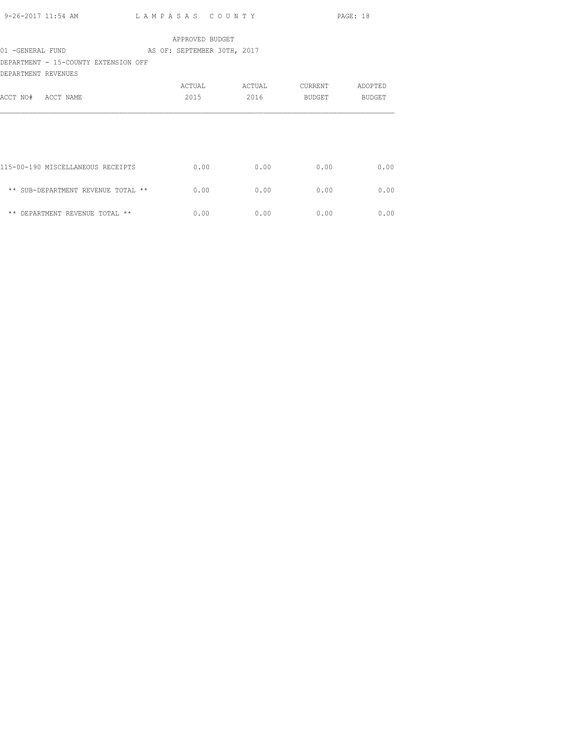|                     |                                               |  |                 |      |  |      |      | PAGE: 18      |      |      |                               |
|---------------------|-----------------------------------------------|--|-----------------|------|--|------|------|---------------|------|------|-------------------------------|
|                     |                                               |  | APPROVED BUDGET |      |  |      |      |               |      |      |                               |
|                     | 01 - GENERAL FUND AS OF: SEPTEMBER 30TH, 2017 |  |                 |      |  |      |      |               |      |      |                               |
|                     | DEPARTMENT - 15-COUNTY EXTENSION OFF          |  |                 |      |  |      |      |               |      |      |                               |
| DEPARTMENT REVENUES |                                               |  |                 |      |  |      |      |               |      |      |                               |
|                     |                                               |  |                 |      |  |      |      |               |      |      | ACTUAL ACTUAL CURRENT ADOPTED |
| ACCT NO# ACCT NAME  |                                               |  |                 | 2015 |  | 2016 |      | <b>BUDGET</b> |      |      | BUDGET                        |
|                     |                                               |  |                 |      |  |      |      |               |      |      |                               |
|                     |                                               |  |                 |      |  |      |      |               |      |      |                               |
|                     |                                               |  |                 |      |  |      |      |               |      |      |                               |
|                     |                                               |  |                 |      |  |      |      |               |      |      |                               |
|                     | 115-00-190 MISCELLANEOUS RECEIPTS             |  |                 | 0.00 |  |      | 0.00 |               | 0.00 |      | 0.00                          |
|                     |                                               |  |                 |      |  |      |      |               |      |      |                               |
|                     | ** SUB-DEPARTMENT REVENUE TOTAL **            |  |                 | 0.00 |  |      | 0.00 |               | 0.00 |      | 0.00                          |
|                     |                                               |  |                 |      |  |      |      |               |      |      |                               |
|                     | ** DEPARTMENT REVENUE TOTAL **                |  |                 | 0.00 |  |      | 0.00 |               |      | 0.00 | 0.00                          |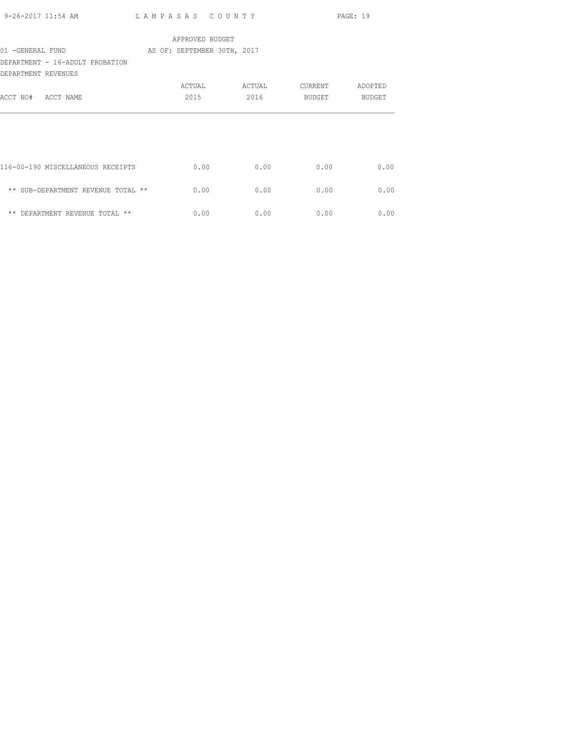| 9-26-2017 11:54 AM                                     | LAMPASAS COUNTY             |                 |         | PAGE: 19 |
|--------------------------------------------------------|-----------------------------|-----------------|---------|----------|
|                                                        |                             | APPROVED BUDGET |         |          |
| 01 -GENERAL FUND                                       | AS OF: SEPTEMBER 30TH, 2017 |                 |         |          |
| DEPARTMENT - 16-ADULT PROBATION<br>DEPARTMENT REVENUES |                             |                 |         |          |
|                                                        | ACTUAL                      | ACTUAL          | CURRENT | ADOPTED  |
| ACCT NO# ACCT NAME                                     | 2015                        | 2016            | BUDGET  | BUDGET   |
|                                                        |                             |                 |         |          |
| 116-00-190 MISCELLANEOUS RECEIPTS                      |                             | 0.00<br>0.00    | 0.00    | 0.00     |
| ** SUB-DEPARTMENT REVENUE TOTAL **                     |                             | 0.00<br>0.00    | 0.00    | 0.00     |
| ** DEPARTMENT REVENUE TOTAL **                         |                             | 0.00<br>0.00    | 0.00    | 0.00     |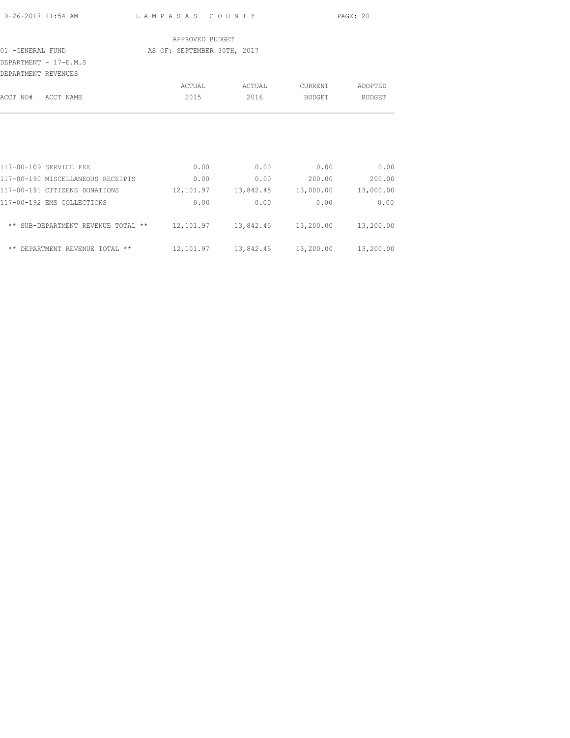|                     | 9-26-2017 11:54 AM LAMPASAS COUNTY                                         |                             |                 |        |      |                    | PAGE: 20                                        |
|---------------------|----------------------------------------------------------------------------|-----------------------------|-----------------|--------|------|--------------------|-------------------------------------------------|
|                     |                                                                            |                             | APPROVED BUDGET |        |      |                    |                                                 |
| 01 -GENERAL FUND    |                                                                            | AS OF: SEPTEMBER 30TH, 2017 |                 |        |      |                    |                                                 |
|                     | DEPARTMENT - 17-E.M.S                                                      |                             |                 |        |      |                    |                                                 |
| DEPARTMENT REVENUES |                                                                            |                             | ACTUAL          | ACTUAL |      | <b>CURRENT</b>     | ADOPTED                                         |
|                     | ACCT NO# ACCT NAME                                                         |                             | 2015            |        |      | 2016 BUDGET BUDGET |                                                 |
|                     |                                                                            |                             |                 |        |      |                    |                                                 |
|                     |                                                                            |                             |                 |        |      |                    |                                                 |
|                     |                                                                            |                             |                 |        |      |                    |                                                 |
|                     | 117-00-109 SERVICE FEE                                                     |                             | 0.00            |        |      | $0.00$ 0.00        | 0.00                                            |
|                     | 117-00-190 MISCELLANEOUS RECEIPTS                                          |                             | 0.00            |        |      | $0.00$ 200.00      | 200.00                                          |
|                     | 117-00-191 CITIZENS DONATIONS                                              |                             |                 |        |      |                    | $12,101.97$ $13,842.45$ $13,000.00$ $13,000.00$ |
|                     | 117-00-192 EMS COLLECTIONS                                                 |                             | 0.00            |        | 0.00 | 0.00               | 0.00                                            |
|                     | ** SUB-DEPARTMENT REVENUE TOTAL ** 12,101.97 13,842.45 13,200.00 13,200.00 |                             |                 |        |      |                    |                                                 |

\*\* DEPARTMENT REVENUE TOTAL \*\* 12,101.97 13,842.45 13,200.00 13,200.00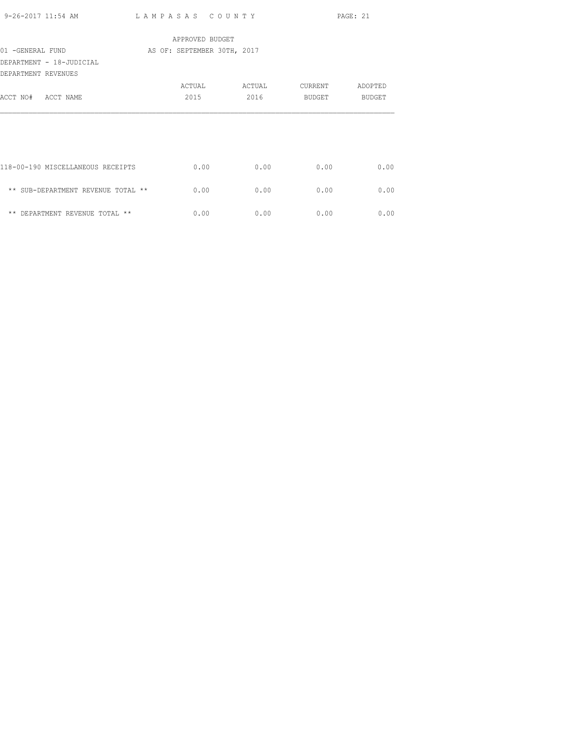| 9-26-2017 11:54 AM                 | LAMPASAS COUNTY             |        |         | PAGE: 21 |
|------------------------------------|-----------------------------|--------|---------|----------|
|                                    | APPROVED BUDGET             |        |         |          |
| 01 -GENERAL FUND                   | AS OF: SEPTEMBER 30TH, 2017 |        |         |          |
| DEPARTMENT - 18-JUDICIAL           |                             |        |         |          |
| DEPARTMENT REVENUES                |                             |        |         |          |
|                                    | ACTUAL                      | ACTUAL | CURRENT | ADOPTED  |
| ACCT NO# ACCT NAME                 | 2015                        | 2016   | BUDGET  | BUDGET   |
|                                    |                             |        |         |          |
|                                    |                             |        |         |          |
|                                    |                             |        |         |          |
|                                    |                             |        |         |          |
| 118-00-190 MISCELLANEOUS RECEIPTS  | 0.00                        | 0.00   | 0.00    | 0.00     |
| ** SUB-DEPARTMENT REVENUE TOTAL ** | 0.00                        | 0.00   | 0.00    | 0.00     |
|                                    |                             |        |         |          |
| ** DEPARTMENT REVENUE TOTAL **     | 0.00                        | 0.00   | 0.00    | 0.00     |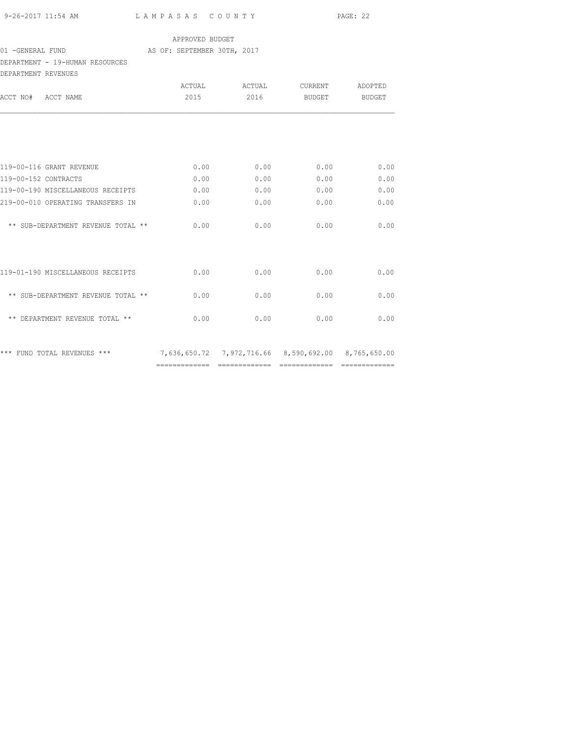| 9-26-2017 11:54 AM |  |  |
|--------------------|--|--|

L A M P A S A S C O U N T Y PAGE: 22

### APPROVED BUDGET

# 01 -GENERAL FUND **AS OF: SEPTEMBER 30TH, 2017**

## DEPARTMENT - 19-HUMAN RESOURCES

| DEPARTMENT REVENUES  |                                    |               |        |                                                                                       |               |
|----------------------|------------------------------------|---------------|--------|---------------------------------------------------------------------------------------|---------------|
|                      |                                    | ACTUAL        | ACTUAL | CURRENT                                                                               | ADOPTED       |
| ACCT NO# ACCT NAME   |                                    | 2015          | 2016   | BUDGET                                                                                | <b>BUDGET</b> |
|                      |                                    |               |        |                                                                                       |               |
|                      | 119-00-116 GRANT REVENUE           | 0.00          | 0.00   | 0.00                                                                                  | 0.00          |
| 119-00-152 CONTRACTS |                                    | 0.00          | 0.00   | 0.00                                                                                  | 0.00          |
|                      | 119-00-190 MISCELLANEOUS RECEIPTS  | 0.00          | 0.00   | 0.00                                                                                  | 0.00          |
|                      | 219-00-010 OPERATING TRANSFERS IN  | 0.00          | 0.00   | 0.00                                                                                  | 0.00          |
|                      | ** SUB-DEPARTMENT REVENUE TOTAL ** | 0.00          | 0.00   | 0.00                                                                                  | 0.00          |
|                      | 119-01-190 MISCELLANEOUS RECEIPTS  | 0.00          | 0.00   | 0.00                                                                                  | 0.00          |
|                      | ** SUB-DEPARTMENT REVENUE TOTAL ** | 0.00          | 0.00   | 0.00                                                                                  | 0.00          |
|                      | ** DEPARTMENT REVENUE TOTAL **     | 0.00          | 0.00   | 0.00                                                                                  | 0.00          |
|                      | *** FUND TOTAL REVENUES ***        | ============= |        | 7,636,650.72 7,972,716.66 8,590,692.00 8,765,650.00<br>------------------------------ |               |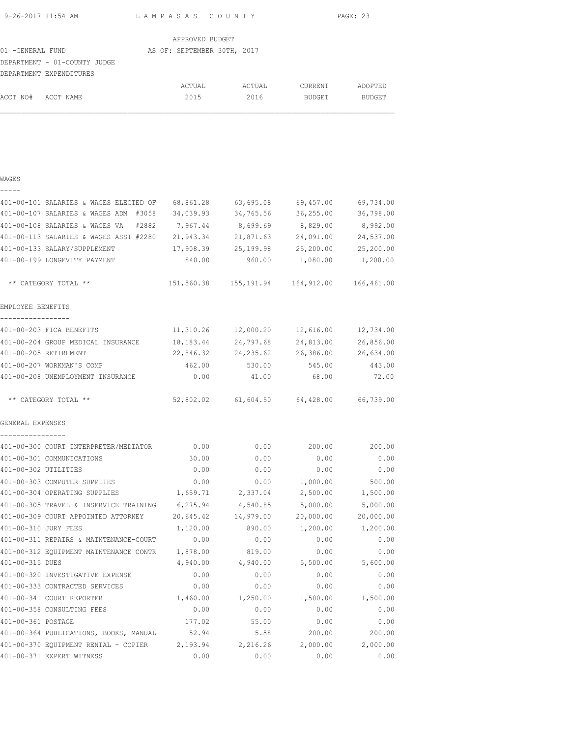| 9-26-2017 11:54 AM | LAMPASAS COUNTY | PAGE: 23 |
|--------------------|-----------------|----------|
|                    |                 |          |

|                              | APPROVED BUDGET             |        |                |               |
|------------------------------|-----------------------------|--------|----------------|---------------|
| 01 -GENERAL FUND             | AS OF: SEPTEMBER 30TH, 2017 |        |                |               |
| DEPARTMENT - 01-COUNTY JUDGE |                             |        |                |               |
| DEPARTMENT EXPENDITURES      |                             |        |                |               |
|                              | ACTUAL                      | ACTUAL | <b>CURRENT</b> | ADOPTED       |
| ACCT NO# ACCT NAME           | 2015                        | 2016   | <b>BUDGET</b>  | <b>BUDGET</b> |

### WAGES

| 401-00-101 SALARIES & WAGES ELECTED OF                                   | 68,861.28 | 63,695.08                                      | 69,457.00  | 69,734.00 |
|--------------------------------------------------------------------------|-----------|------------------------------------------------|------------|-----------|
| 401-00-107 SALARIES & WAGES ADM #3058                                    | 34,039.93 | 34,765.56                                      | 36, 255.00 | 36,798.00 |
| 401-00-108 SALARIES & WAGES VA<br>#2882                                  | 7,967.44  | 8,699.69                                       | 8,829.00   | 8,992.00  |
| 401-00-113 SALARIES & WAGES ASST #2280                                   | 21,943.34 | 21,871.63                                      | 24,091.00  | 24,537.00 |
| 401-00-133 SALARY/SUPPLEMENT                                             | 17,908.39 | 25,199.98                                      | 25,200.00  | 25,200.00 |
| 401-00-199 LONGEVITY PAYMENT                                             | 840.00    | 960.00                                         | 1,080.00   | 1,200.00  |
| ** CATEGORY TOTAL **                                                     |           | 151,560.38  155,191.94  164,912.00  166,461.00 |            |           |
| EMPLOYEE BENEFITS<br>. _ _ _ _ _ _ _ _ _ _ _ _ _ _ _ _                   |           |                                                |            |           |
| 401-00-203 FICA BENEFITS                                                 | 11,310.26 | 12,000.20                                      | 12,616.00  | 12,734.00 |
| 401-00-204 GROUP MEDICAL INSURANCE                                       | 18,183.44 | 24,797.68                                      | 24,813.00  | 26,856.00 |
| 401-00-205 RETIREMENT                                                    | 22,846.32 | 24, 235.62                                     | 26,386.00  | 26,634.00 |
| 401-00-207 WORKMAN'S COMP                                                | 462.00    | 530.00                                         | 545.00     | 443.00    |
| 401-00-208 UNEMPLOYMENT INSURANCE                                        | 0.00      | 41.00                                          | 68.00      | 72.00     |
| ** CATEGORY TOTAL **                                                     |           | 52,802.02 61,604.50 64,428.00 66,739.00        |            |           |
| GENERAL EXPENSES                                                         |           |                                                |            |           |
| ----------------<br>401-00-300 COURT INTERPRETER/MEDIATOR 0.00           |           | 0.00                                           | 200.00     | 200.00    |
| 401-00-301 COMMUNICATIONS                                                | 30.00     | 0.00                                           | 0.00       | 0.00      |
| 401-00-302 UTILITIES                                                     | 0.00      | 0.00                                           | 0.00       | 0.00      |
| 401-00-303 COMPUTER SUPPLIES                                             | 0.00      | 0.00                                           | 1,000.00   | 500.00    |
| 401-00-304 OPERATING SUPPLIES                                            | 1,659.71  | 2,337.04                                       | 2,500.00   | 1,500.00  |
| 401-00-305 TRAVEL & INSERVICE TRAINING                                   | 6,275.94  | 4,540.85                                       | 5,000.00   | 5,000.00  |
| 401-00-309 COURT APPOINTED ATTORNEY                                      | 20,645.42 | 14,979.00                                      | 20,000.00  | 20,000.00 |
| 401-00-310 JURY FEES                                                     | 1,120.00  | 890.00                                         | 1,200.00   | 1,200.00  |
| 401-00-311 REPAIRS & MAINTENANCE-COURT                                   | 0.00      | 0.00                                           | 0.00       | 0.00      |
| 401-00-312 EQUIPMENT MAINTENANCE CONTR 1,878.00                          |           | 819.00                                         | 0.00       | 0.00      |
| 401-00-315 DUES                                                          | 4,940.00  | 4,940.00                                       | 5,500.00   | 5,600.00  |
| 401-00-320 INVESTIGATIVE EXPENSE                                         | 0.00      | 0.00                                           | 0.00       | 0.00      |
| 401-00-333 CONTRACTED SERVICES                                           | 0.00      | 0.00                                           | 0.00       | 0.00      |
| 401-00-341 COURT REPORTER                                                | 1,460.00  | 1,250.00                                       | 1,500.00   | 1,500.00  |
| 401-00-358 CONSULTING FEES                                               | 0.00      | 0.00                                           | 0.00       | 0.00      |
| 401-00-361 POSTAGE                                                       | 177.02    | 55.00                                          | 0.00       | 0.00      |
| 401-00-364 PUBLICATIONS, BOOKS, MANUAL                                   | 52.94     | 5.58                                           | 200.00     | 200.00    |
| 401-00-370 EQUIPMENT RENTAL - COPIER 2,193.94 2,216.26 2,000.00 2,000.00 |           |                                                |            |           |
| 401-00-371 EXPERT WITNESS                                                | 0.00      | 0.00                                           | 0.00       | 0.00      |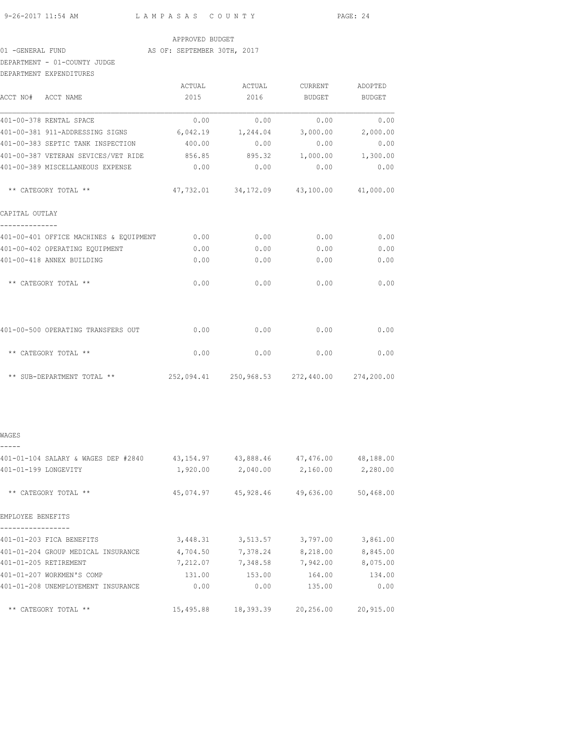9-26-2017 11:54 AM L A M P A S A S C O U N T Y PAGE: 24

### APPROVED BUDGET

### 01 -GENERAL FUND AS OF: SEPTEMBER 30TH, 2017

### DEPARTMENT - 01-COUNTY JUDGE DEPARTMENT EXPENDITURES

|                | DELARIMENI PYLEMDIIOKES                     |        |                                         |              |                                                |
|----------------|---------------------------------------------|--------|-----------------------------------------|--------------|------------------------------------------------|
|                |                                             | ACTUAL | ACTUAL                                  | CURRENT      | ADOPTED                                        |
|                | ACCT NO# ACCT NAME                          | 2015   | 2016                                    | BUDGET       | <b>BUDGET</b>                                  |
|                | 401-00-378 RENTAL SPACE                     | 0.00   | 0.00                                    | 0.00         | 0.00                                           |
|                | 401-00-381 911-ADDRESSING SIGNS             |        | 6,042.19 1,244.04                       | 3,000.00     | 2,000.00                                       |
|                | 401-00-383 SEPTIC TANK INSPECTION           | 400.00 | 0.00                                    | 0.00         | 0.00                                           |
|                | 401-00-387 VETERAN SEVICES/VET RIDE 856.85  |        | 895.32                                  | 1,000.00     | 1,300.00                                       |
|                | 401-00-389 MISCELLANEOUS EXPENSE            | 0.00   | 0.00                                    | 0.00         | 0.00                                           |
|                | ** CATEGORY TOTAL **                        |        | 47,732.01 34,172.09 43,100.00 41,000.00 |              |                                                |
| CAPITAL OUTLAY |                                             |        |                                         |              |                                                |
|                | 401-00-401 OFFICE MACHINES & EQUIPMENT 0.00 |        |                                         | 0.00<br>0.00 | 0.00                                           |
|                | 401-00-402 OPERATING EQUIPMENT              | 0.00   | 0.00                                    | 0.00         | 0.00                                           |
|                | 401-00-418 ANNEX BUILDING                   | 0.00   | 0.00                                    | 0.00         | 0.00                                           |
|                | ** CATEGORY TOTAL **                        | 0.00   | 0.00                                    | 0.00         | 0.00                                           |
|                | 401-00-500 OPERATING TRANSFERS OUT          | 0.00   | 0.00                                    | 0.00         | 0.00                                           |
|                | ** CATEGORY TOTAL **                        | 0.00   | 0.00                                    | 0.00         | 0.00                                           |
|                |                                             |        |                                         |              | 252,094.41  250,968.53  272,440.00  274,200.00 |

### WAGES

| 401-01-104 SALARY & WAGES DEP #2840 | 43,154.97 | 43,888.46 | 47,476.00 | 48,188.00 |
|-------------------------------------|-----------|-----------|-----------|-----------|
| 401-01-199 LONGEVITY                | 1,920.00  | 2,040.00  | 2,160.00  | 2,280.00  |
| ** CATEGORY TOTAL **                | 45,074.97 | 45,928.46 | 49,636.00 | 50,468.00 |
| EMPLOYEE BENEFITS                   |           |           |           |           |
| 401-01-203 FICA BENEFITS            | 3,448.31  | 3,513.57  | 3,797.00  | 3,861.00  |
| 401-01-204 GROUP MEDICAL INSURANCE  | 4,704.50  | 7,378.24  | 8,218.00  | 8,845.00  |
| 401-01-205 RETIREMENT               | 7,212.07  | 7,348.58  | 7,942.00  | 8,075.00  |
| 401-01-207 WORKMEN'S COMP           | 131.00    | 153.00    | 164.00    | 134.00    |
| 401-01-208 UNEMPLOYEMENT INSURANCE  | 0.00      | 0.00      | 135.00    | 0.00      |
| ** CATEGORY TOTAL **                | 15,495.88 | 18,393.39 | 20,256.00 | 20,915.00 |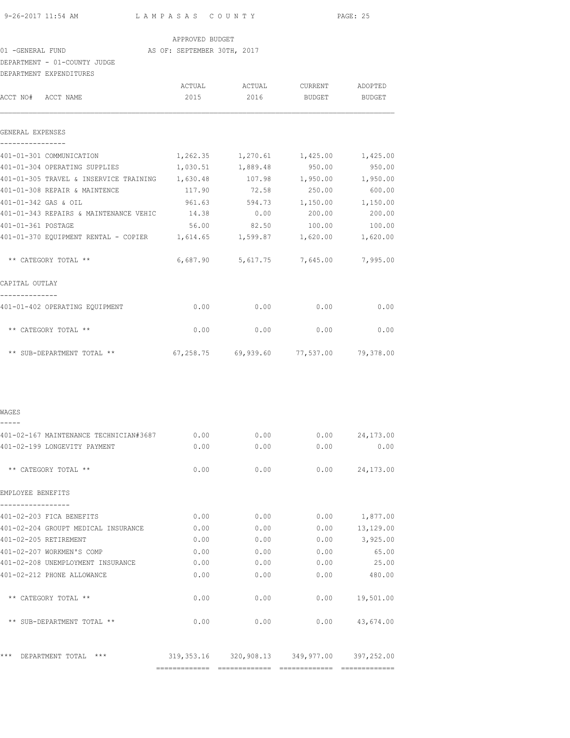| 9-26-2017 11:54 AM |  |  |
|--------------------|--|--|

4 AM L A M P A S A S C O U N T Y PAGE: 25

APPROVED BUDGET

01 -GENERAL FUND AS OF: SEPTEMBER 30TH, 2017

DEPARTMENT - 01-COUNTY JUDGE

| DEPARTMENT EXPENDITURES                                                                 |                |                                             |                    |                          |
|-----------------------------------------------------------------------------------------|----------------|---------------------------------------------|--------------------|--------------------------|
| ACCT NO# ACCT NAME                                                                      | ACTUAL<br>2015 | ACTUAL<br>2016                              | CURRENT<br>BUDGET  | ADOPTED<br><b>BUDGET</b> |
| GENERAL EXPENSES                                                                        |                |                                             |                    |                          |
|                                                                                         |                |                                             |                    |                          |
| 401-01-301 COMMUNICATION                                                                | 1,262.35       | 1,270.61                                    | 1,425.00           | 1,425.00                 |
| 401-01-304 OPERATING SUPPLIES                                                           | 1,030.51       | 1,889.48                                    | 950.00             | 950.00                   |
| 401-01-305 TRAVEL & INSERVICE TRAINING 1,630.48<br>401-01-308 REPAIR & MAINTENCE        | 117.90         | 107.98<br>72.58                             | 1,950.00<br>250.00 | 1,950.00<br>600.00       |
|                                                                                         |                |                                             |                    |                          |
| 401-01-342 GAS & OIL                                                                    | 961.63         | 594.73                                      | 1,150.00           | 1,150.00                 |
| 401-01-343 REPAIRS & MAINTENANCE VEHIC                                                  | 14.38          | 0.00                                        | 200.00             | 200.00                   |
| 401-01-361 POSTAGE<br>401-01-370 EQUIPMENT RENTAL - COPIER $1,614.65$ 1,599.87 1,620.00 | 56.00          | 82.50                                       | 100.00             | 100.00<br>1,620.00       |
| ** CATEGORY TOTAL **                                                                    |                | $6,687.90$ $5,617.75$ $7,645.00$            |                    | 7,995.00                 |
| CAPITAL OUTLAY                                                                          |                |                                             |                    |                          |
| 401-01-402 OPERATING EQUIPMENT                                                          | 0.00           | 0.00                                        | 0.00               | 0.00                     |
| ** CATEGORY TOTAL **                                                                    | 0.00           | 0.00                                        | 0.00               | 0.00                     |
| ** SUB-DEPARTMENT TOTAL **                                                              |                |                                             |                    |                          |
| WAGES                                                                                   |                |                                             |                    |                          |
|                                                                                         |                |                                             |                    |                          |
| 401-02-167 MAINTENANCE TECHNICIAN#3687                                                  | 0.00           | 0.00                                        | 0.00               | 24,173.00                |
| 401-02-199 LONGEVITY PAYMENT                                                            | 0.00           | 0.00                                        | 0.00               | 0.00                     |
| ** CATEGORY TOTAL **                                                                    | 0.00           | 0.00                                        | 0.00               | 24,173.00                |
| EMPLOYEE BENEFITS                                                                       |                |                                             |                    |                          |
| 401-02-203 FICA BENEFITS                                                                |                | 0.00                                        | 0.00               | $0.00$ 1,877.00          |
| 401-02-204 GROUPT MEDICAL INSURANCE                                                     |                | 0.00                                        | 0.00<br>0.00       | 13,129.00                |
| 401-02-205 RETIREMENT                                                                   |                | 0.00                                        | 0.00               | $0.00$ $3,925.00$        |
| 401-02-207 WORKMEN'S COMP                                                               | 0.00           | 0.00                                        | 0.00               | 65.00                    |
| 401-02-208 UNEMPLOYMENT INSURANCE                                                       | 0.00           | 0.00                                        | 0.00               | 25.00                    |
| 401-02-212 PHONE ALLOWANCE                                                              | 0.00           | 0.00                                        | 0.00               | 480.00                   |
| ** CATEGORY TOTAL **                                                                    | 0.00           | 0.00                                        | 0.00               | 19,501.00                |
| ** SUB-DEPARTMENT TOTAL **                                                              | 0.00           | 0.00                                        |                    | $0.00$ $43,674.00$       |
| ***<br>DEPARTMENT TOTAL ***                                                             |                | 319,353.16 320,908.13 349,977.00 397,252.00 |                    |                          |
|                                                                                         |                |                                             |                    |                          |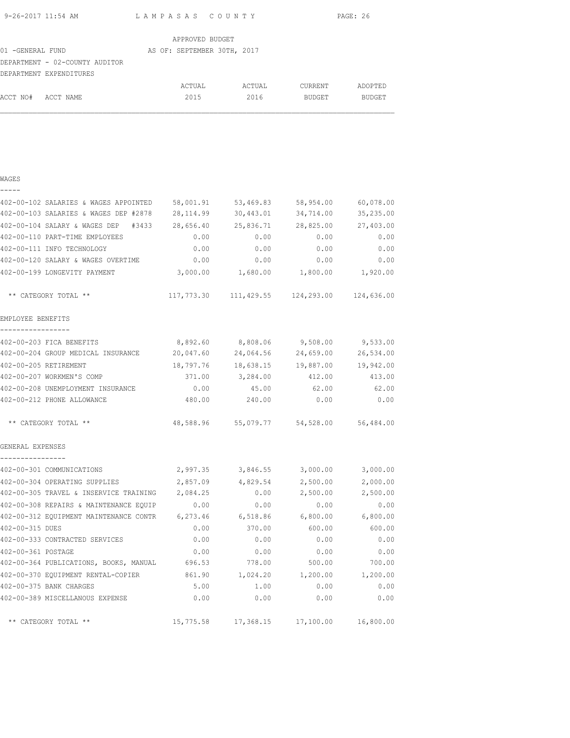| 9-26-2017 11:54 AM | LAMPASAS COUNTY | PAGE: 26 |
|--------------------|-----------------|----------|
|                    |                 |          |

ACCT NO# ACCT NAME  $2015$  2016 BUDGET BUDGET

|                                | APPROVED BUDGET             |        |         |         |
|--------------------------------|-----------------------------|--------|---------|---------|
| 01 -GENERAL FUND               | AS OF: SEPTEMBER 30TH, 2017 |        |         |         |
| DEPARTMENT - 02-COUNTY AUDITOR |                             |        |         |         |
| DEPARTMENT EXPENDITURES        |                             |        |         |         |
|                                | ACTUAL                      | ACTUAL | CURRENT | ADOPTED |

| WAGES                                                                      |           |                 |                                                     |           |
|----------------------------------------------------------------------------|-----------|-----------------|-----------------------------------------------------|-----------|
| -----                                                                      |           |                 |                                                     |           |
| 402-00-102 SALARIES & WAGES APPOINTED                                      | 58,001.91 | 53,469.83       | 58,954.00                                           | 60,078.00 |
| 402-00-103 SALARIES & WAGES DEP #2878                                      | 28,114.99 | 30,443.01       | 34,714.00                                           | 35,235.00 |
| 402-00-104 SALARY & WAGES DEP #3433                                        | 28,656.40 | 25,836.71       | 28,825.00                                           | 27,403.00 |
| 402-00-110 PART-TIME EMPLOYEES                                             | 0.00      | 0.00            | 0.00                                                | 0.00      |
| 402-00-111 INFO TECHNOLOGY                                                 | 0.00      | 0.00            | 0.00                                                | 0.00      |
| 402-00-120 SALARY & WAGES OVERTIME                                         | 0.00      | 0.00            | 0.00                                                | 0.00      |
| 402-00-199 LONGEVITY PAYMENT                                               |           |                 | $3,000.00$ $1,680.00$ $1,800.00$ $1,920.00$         |           |
| ** CATEGORY TOTAL **                                                       |           |                 | $117,773.30$ $111,429.55$ $124,293.00$ $124,636.00$ |           |
| EMPLOYEE BENEFITS                                                          |           |                 |                                                     |           |
| -----------------<br>402-00-203 FICA BENEFITS                              | 8,892.60  | 8,808.06        | 9,508.00                                            | 9,533.00  |
| 402-00-204 GROUP MEDICAL INSURANCE                                         | 20,047.60 | 24,064.56       | 24,659.00                                           | 26,534.00 |
| 402-00-205 RETIREMENT                                                      | 18,797.76 | 18,638.15       | 19,887.00                                           | 19,942.00 |
| 402-00-207 WORKMEN'S COMP                                                  |           | 371.00 3,284.00 | 412.00                                              | 413.00    |
| 402-00-208 UNEMPLOYMENT INSURANCE                                          | 0.00      | 45.00           | 62.00                                               | 62.00     |
| 402-00-212 PHONE ALLOWANCE                                                 | 480.00    | 240.00          | 0.00                                                | 0.00      |
| ** CATEGORY TOTAL **                                                       |           |                 | 48,588.96 55,079.77 54,528.00 56,484.00             |           |
| GENERAL EXPENSES                                                           |           |                 |                                                     |           |
| ----------------<br>402-00-301 COMMUNICATIONS                              | 2,997.35  |                 | $3,846.55$ $3,000.00$                               | 3,000.00  |
| 402-00-304 OPERATING SUPPLIES                                              | 2,857.09  | 4,829.54        | 2,500.00                                            | 2,000.00  |
| 402-00-305 TRAVEL & INSERVICE TRAINING                                     | 2,084.25  | 0.00            | 2,500.00                                            | 2,500.00  |
| 402-00-308 REPAIRS & MAINTENANCE EQUIP                                     | 0.00      | 0.00            | 0.00                                                | 0.00      |
| 402-00-312 EQUIPMENT MAINTENANCE CONTR 6,273.46 6,518.86 6,800.00 6,800.00 |           |                 |                                                     |           |
| 402-00-315 DUES                                                            | 0.00      | 370.00          | 600.00                                              | 600.00    |
| 402-00-333 CONTRACTED SERVICES                                             | 0.00      | 0.00            | 0.00                                                | 0.00      |
| 402-00-361 POSTAGE                                                         | 0.00      | 0.00            | 0.00                                                | 0.00      |
| 402-00-364 PUBLICATIONS, BOOKS, MANUAL                                     | 696.53    | 778.00          | 500.00                                              | 700.00    |
| 402-00-370 EQUIPMENT RENTAL-COPIER                                         | 861.90    | 1,024.20        | 1,200.00                                            | 1,200.00  |
| 402-00-375 BANK CHARGES                                                    | 5.00      | 1.00            | 0.00                                                | 0.00      |
| 402-00-389 MISCELLANOUS EXPENSE                                            | 0.00      | 0.00            | 0.00                                                | 0.00      |
| ** CATEGORY TOTAL **                                                       | 15,775.58 | 17,368.15       | 17,100.00                                           | 16,800.00 |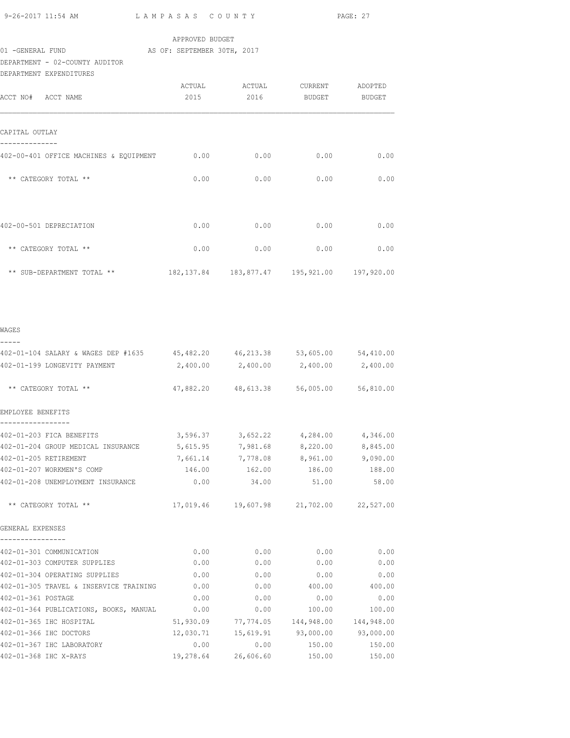9-26-2017 11:54 AM L A M P A S A S C O U N T Y PAGE: 27

### APPROVED BUDGET

### 01 -GENERAL FUND AS OF: SEPTEMBER 30TH, 2017

DEPARTMENT - 02-COUNTY AUDITOR

| DEPARTMENT EXPENDITURES                |        |        |                                                    |         |
|----------------------------------------|--------|--------|----------------------------------------------------|---------|
|                                        | ACTUAL | ACTUAL | CURRENT                                            | ADOPTED |
| ACCT NO# ACCT NAME                     | 2015   | 2016   | BUDGET                                             | BUDGET  |
|                                        |        |        |                                                    |         |
|                                        |        |        |                                                    |         |
| CAPITAL OUTLAY                         |        |        |                                                    |         |
|                                        |        |        |                                                    |         |
| 402-00-401 OFFICE MACHINES & EQUIPMENT | 0.00   | 0.00   | 0.00                                               | 0.00    |
|                                        |        |        |                                                    |         |
| ** CATEGORY TOTAL **                   | 0.00   | 0.00   | 0.00                                               | 0.00    |
|                                        |        |        |                                                    |         |
|                                        |        |        |                                                    |         |
| 402-00-501 DEPRECIATION                | 0.00   | 0.00   | 0.00                                               | 0.00    |
|                                        |        |        |                                                    |         |
| ** CATEGORY TOTAL **                   | 0.00   | 0.00   | 0.00                                               | 0.00    |
|                                        |        |        |                                                    |         |
| ** SUB-DEPARTMENT TOTAL **             |        |        | 182, 137.84  183, 877.47  195, 921.00  197, 920.00 |         |
|                                        |        |        |                                                    |         |

| ۰,<br>۰, |  |
|----------|--|

| 402-01-104 SALARY & WAGES DEP #1635 45,482.20 46,213.38 53,605.00 54,410.00         |      |      |                                                   |        |
|-------------------------------------------------------------------------------------|------|------|---------------------------------------------------|--------|
| 402-01-199 LONGEVITY PAYMENT $2,400.00$ $2,400.00$ $2,400.00$ $2,400.00$ $2,400.00$ |      |      |                                                   |        |
| ** CATEGORY TOTAL **                                                                |      |      | 47,882.20 48,613.38 56,005.00 56,810.00           |        |
| EMPLOYEE BENEFITS                                                                   |      |      |                                                   |        |
|                                                                                     |      |      |                                                   |        |
| 402-01-203 FICA BENEFITS                                                            |      |      | $3,596.37$ $3,652.22$ $4,284.00$ $4,346.00$       |        |
| 402-01-204 GROUP MEDICAL INSURANCE 5,615.95 7,981.68 8,220.00 8,845.00              |      |      |                                                   |        |
| 402-01-205 RETIREMENT                                                               |      |      | 7,661.14 7,778.08 8,961.00 9,090.00               |        |
| 402-01-207 WORKMEN'S COMP                                                           |      |      |                                                   |        |
| 402-01-208 UNEMPLOYMENT INSURANCE $0.00$ 34.00 51.00 58.00                          |      |      |                                                   |        |
| ** CATEGORY TOTAL **                                                                |      |      | 17,019.46  19,607.98  21,702.00  22,527.00        |        |
| GENERAL EXPENSES                                                                    |      |      |                                                   |        |
| 402-01-301 COMMUNICATION                                                            |      | 0.00 | $0.00$ 0.00                                       | 0.00   |
| 402-01-303 COMPUTER SUPPLIES                                                        | 0.00 | 0.00 | 0.00                                              | 0.00   |
| 402-01-304 OPERATING SUPPLIES                                                       | 0.00 |      | $0.00$ 0.00                                       | 0.00   |
| 402-01-305 TRAVEL & INSERVICE TRAINING                                              | 0.00 |      | $0.00$ 400.00 400.00                              |        |
| 402-01-361 POSTAGE                                                                  | 0.00 |      | 0.00<br>0.00                                      | 0.00   |
| 402-01-364 PUBLICATIONS, BOOKS, MANUAL                                              | 0.00 | 0.00 | 100.00                                            | 100.00 |
| 402-01-365 IHC HOSPITAL                                                             |      |      | $51,930.09$ $77,774.05$ $144,948.00$ $144,948.00$ |        |
| 402-01-366 IHC DOCTORS                                                              |      |      | 12,030.71  15,619.91  93,000.00  93,000.00        |        |
| 402-01-367 IHC LABORATORY                                                           |      | 0.00 | $0.00$ 150.00 150.00                              |        |
| 402-01-368 IHC X-RAYS                                                               |      |      | 19,278.64 26,606.60 150.00                        | 150.00 |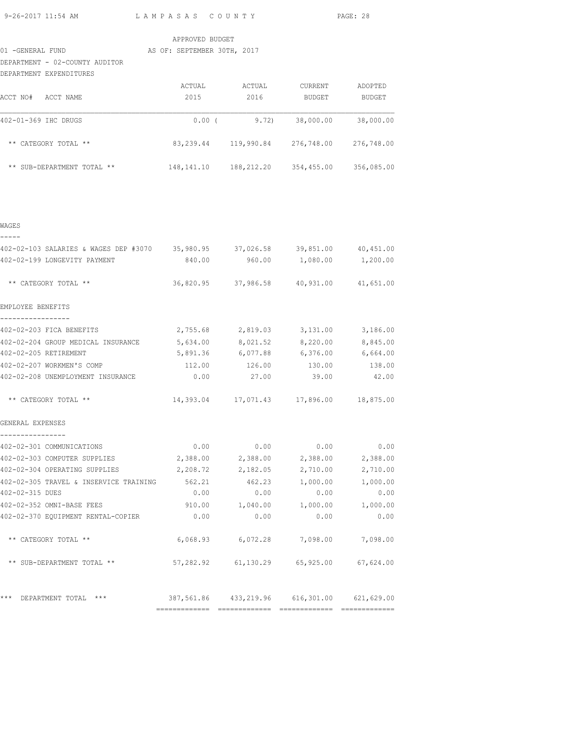9-26-2017 11:54 AM L A M P A S A S C O U N T Y PAGE: 28

### APPROVED BUDGET

#### 01 -GENERAL FUND AS OF: SEPTEMBER 30TH, 2017

DEPARTMENT - 02-COUNTY AUDITOR

| DEPARTMENT | EXPENDITURES |
|------------|--------------|

| ACCT NO#<br>ACCT NAME      | ACTUAL<br>2015 | ACTUAL<br>2016 | <b>CURRENT</b><br>BUDGET | ADOPTED<br><b>BUDGET</b> |
|----------------------------|----------------|----------------|--------------------------|--------------------------|
| 402-01-369 IHC DRUGS       | $0.00$ (       | 9.72)          | 38,000.00                | 38,000.00                |
| ** CATEGORY TOTAL **       | 83, 239.44     | 119,990.84     | 276,748.00               | 276,748.00               |
| ** SUB-DEPARTMENT TOTAL ** | 148, 141. 10   | 188,212.20     | 354,455.00               | 356,085.00               |

WAGES

| 402-02-103 SALARIES & WAGES DEP #3070 35,980.95 37,026.58 39,851.00 40,451.00 |             |                                                  |          |
|-------------------------------------------------------------------------------|-------------|--------------------------------------------------|----------|
| 402-02-199 LONGEVITY PAYMENT                                                  |             | 840.00  960.00  1,080.00  1,200.00               |          |
| ** CATEGORY TOTAL **                                                          |             | 36,820.95 37,986.58 40,931.00 41,651.00          |          |
| EMPLOYEE BENEFITS                                                             |             |                                                  |          |
| -----------------                                                             |             |                                                  |          |
| 402-02-203 FICA BENEFITS                                                      |             | $2,755.68$ $2,819.03$ $3,131.00$ $3,186.00$      |          |
| 402-02-204 GROUP MEDICAL INSURANCE 5,634.00 8,021.52 8,220.00 8,845.00        |             |                                                  |          |
| 402-02-205 RETIREMENT                                                         |             | 5,891.36 6,077.88 6,376.00 6,664.00              |          |
| 402-02-207 WORKMEN'S COMP                                                     |             | 112.00   126.00   130.00   138.00                |          |
| 402-02-208 UNEMPLOYMENT INSURANCE $0.00$ 27.00 39.00 42.00                    |             |                                                  |          |
| ** CATEGORY TOTAL **                                                          |             | 14,393.04    17,071.43    17,896.00    18,875.00 |          |
| GENERAL EXPENSES                                                              |             |                                                  |          |
| --------------<br>402-02-301 COMMUNICATIONS                                   |             | $0.00$ $0.00$ $0.00$ $0.00$ $0.00$               |          |
| 402-02-303 COMPUTER SUPPLIES 2,388.00 2,388.00 2,388.00 2,388.00              |             |                                                  |          |
| 402-02-304 OPERATING SUPPLIES                                                 |             | 2,208.72 2,182.05 2,710.00                       | 2,710.00 |
| 402-02-305 TRAVEL & INSERVICE TRAINING 562.21 462.23 1,000.00                 |             |                                                  | 1,000.00 |
| 402-02-315 DUES                                                               | $0.00$ 0.00 | 0.00                                             | 0.00     |
| 402-02-352 OMNI-BASE FEES                                                     |             | $910.00$ $1,040.00$ $1,000.00$ $1,000.00$        |          |
| 402-02-370 EQUIPMENT RENTAL-COPIER 0.00                                       | 0.00        | 0.00                                             | 0.00     |
| ** CATEGORY TOTAL **                                                          |             | 6,068.93 6,072.28 7,098.00 7,098.00              |          |
| ** SUB-DEPARTMENT TOTAL **                                                    |             | $57,282.92$ $61,130.29$ $65,925.00$ $67,624.00$  |          |
| *** DEPARTMENT TOTAL ***                                                      |             | 387,561.86 433,219.96 616,301.00 621,629.00      |          |
|                                                                               |             |                                                  |          |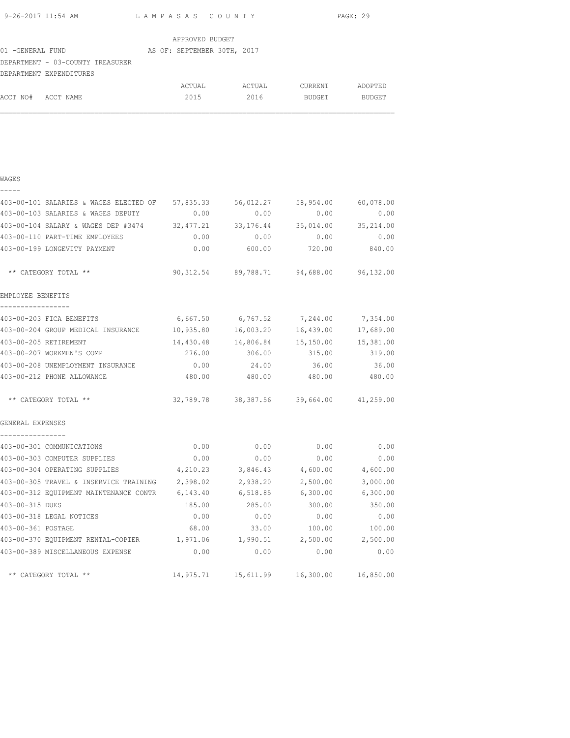|                    |                                                                                    |                 |                                                 |                                       | PAGE: 29    |
|--------------------|------------------------------------------------------------------------------------|-----------------|-------------------------------------------------|---------------------------------------|-------------|
|                    |                                                                                    | APPROVED BUDGET |                                                 |                                       |             |
| 01 -GENERAL FUND   | AS OF: SEPTEMBER 30TH, 2017                                                        |                 |                                                 |                                       |             |
|                    | DEPARTMENT - 03-COUNTY TREASURER                                                   |                 |                                                 |                                       |             |
|                    | DEPARTMENT EXPENDITURES                                                            |                 |                                                 |                                       |             |
| ACCT NO# ACCT NAME |                                                                                    | ACTUAL<br>2015  | <b>ACTUAL</b>                                   | CURRENT ADOPTED<br>2016 BUDGET BUDGET |             |
|                    |                                                                                    |                 |                                                 |                                       |             |
|                    |                                                                                    |                 |                                                 |                                       |             |
| WAGES              |                                                                                    |                 |                                                 |                                       |             |
| -----              |                                                                                    |                 |                                                 |                                       |             |
|                    | 403-00-101 SALARIES & WAGES ELECTED OF 57,835.33 56,012.27 58,954.00 60,078.00     |                 |                                                 |                                       |             |
|                    | 403-00-103 SALARIES & WAGES DEPUTY                                                 | 0.00            | 0.00                                            | 0.00                                  | 0.00        |
|                    | $403-00-104$ SALARY & WAGES DEP #3474 32,477.21 33,176.44 35,014.00 35,214.00      |                 |                                                 |                                       |             |
|                    | 403-00-110 PART-TIME EMPLOYEES                                                     | 0.00            | 0.00                                            | 0.00                                  | 0.00        |
|                    | 403-00-199 LONGEVITY PAYMENT                                                       | 0.00            | 600.00                                          | 720.00                                | 840.00      |
|                    | ** CATEGORY TOTAL **                                                               |                 | 90,312.54 89,788.71 94,688.00 96,132.00         |                                       |             |
| EMPLOYEE BENEFITS  |                                                                                    |                 |                                                 |                                       |             |
|                    | 403-00-203 FICA BENEFITS 6,667.50 6,767.52 7,244.00 7,354.00                       |                 |                                                 |                                       |             |
|                    | 403-00-204 GROUP MEDICAL INSURANCE $10,935.80$ $16,003.20$ $16,439.00$ $17,689.00$ |                 |                                                 |                                       |             |
|                    | 403-00-205 RETIREMENT                                                              |                 | $14,430.48$ $14,806.84$ $15,150.00$ $15,381.00$ |                                       |             |
|                    | 403-00-207 WORKMEN'S COMP                                                          | 276.00          | 306.00                                          | 315.00                                | 319.00      |
|                    | 403-00-208 UNEMPLOYMENT INSURANCE                                                  | 0.00            | 24.00                                           | 36.00                                 | 36.00       |
|                    | 403-00-212 PHONE ALLOWANCE                                                         |                 | 480.00 480.00 480.00 480.00                     |                                       |             |
|                    | ** CATEGORY TOTAL **                                                               |                 | 32,789.78 38,387.56 39,664.00 41,259.00         |                                       |             |
| GENERAL EXPENSES   |                                                                                    |                 |                                                 |                                       |             |
| ----------------   |                                                                                    |                 |                                                 |                                       |             |
|                    | 403-00-301 COMMUNICATIONS                                                          | 0.00            | 0.00                                            |                                       | $0.00$ 0.00 |
|                    | 403-00-303 COMPUTER SUPPLIES                                                       | 0.00            | 0.00                                            | 0.00                                  | 0.00        |
|                    | 403-00-304 OPERATING SUPPLIES                                                      | 4,210.23        | 3,846.43                                        | 4,600.00                              | 4,600.00    |
|                    | 403-00-305 TRAVEL & INSERVICE TRAINING 2,398.02                                    |                 | 2,938.20                                        | 2,500.00                              | 3,000.00    |

403-00-305 TRAVEL & INSERVICE TRAINING 2,398.02 2,938.20 2,500.00 3,000.00 403-00-312 EQUIPMENT MAINTENANCE CONTR 6,143.40 6,518.85 6,300.00 6,300.00 403-00-315 DUES 185.00 285.00 300.00 350.00 403-00-318 LEGAL NOTICES 0.00 0.00 0.00 0.00 403-00-361 POSTAGE 68.00 33.00 100.00 100.00 403-00-370 EQUIPMENT RENTAL-COPIER 1,971.06 1,990.51 2,500.00 2,500.00 403-00-389 MISCELLANEOUS EXPENSE 0.00 0.00 0.00 0.00

\*\* CATEGORY TOTAL \*\* 14,975.71 15,611.99 16,300.00 16,850.00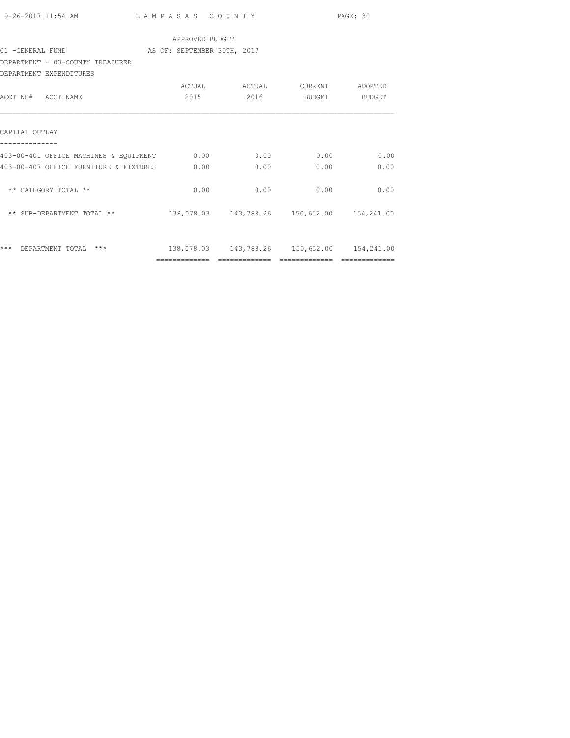|                                                                        |                 |                                                |             | PAGE: 30                                                                                                                                                                                                                                                                                                                                                                                                                                                                               |
|------------------------------------------------------------------------|-----------------|------------------------------------------------|-------------|----------------------------------------------------------------------------------------------------------------------------------------------------------------------------------------------------------------------------------------------------------------------------------------------------------------------------------------------------------------------------------------------------------------------------------------------------------------------------------------|
|                                                                        | APPROVED BUDGET |                                                |             |                                                                                                                                                                                                                                                                                                                                                                                                                                                                                        |
| 01 - GENERAL FUND AS OF: SEPTEMBER 30TH, 2017                          |                 |                                                |             |                                                                                                                                                                                                                                                                                                                                                                                                                                                                                        |
| DEPARTMENT - 03-COUNTY TREASURER<br>DEPARTMENT EXPENDITURES            |                 |                                                |             |                                                                                                                                                                                                                                                                                                                                                                                                                                                                                        |
|                                                                        |                 |                                                |             |                                                                                                                                                                                                                                                                                                                                                                                                                                                                                        |
| ACCT NO# ACCT NAME                                                     | 2015 70         |                                                | 2016 BUDGET | BUDGET                                                                                                                                                                                                                                                                                                                                                                                                                                                                                 |
| CAPITAL OUTLAY                                                         |                 |                                                |             |                                                                                                                                                                                                                                                                                                                                                                                                                                                                                        |
| 403-00-401 OFFICE MACHINES & EQUIPMENT 0.00 0.00 0.00 0.00 0.00        |                 |                                                |             | 0.00                                                                                                                                                                                                                                                                                                                                                                                                                                                                                   |
| 403-00-407 OFFICE FURNITURE & FIXTURES 0.00                            |                 | 0.00                                           | 0.00        | 0.00                                                                                                                                                                                                                                                                                                                                                                                                                                                                                   |
| ** CATEGORY TOTAL **                                                   | 0.00            |                                                | $0.00$ 0.00 | 0.00                                                                                                                                                                                                                                                                                                                                                                                                                                                                                   |
| ** SUB-DEPARTMENT TOTAL ** 138,078.03 143,788.26 150,652.00 154,241.00 |                 |                                                |             |                                                                                                                                                                                                                                                                                                                                                                                                                                                                                        |
|                                                                        |                 |                                                |             |                                                                                                                                                                                                                                                                                                                                                                                                                                                                                        |
| *** DEPARTMENT TOTAL ***                                               |                 | 138,078.03  143,788.26  150,652.00  154,241.00 |             |                                                                                                                                                                                                                                                                                                                                                                                                                                                                                        |
|                                                                        |                 |                                                |             | $\begin{array}{cccccccccccccc} \multicolumn{2}{c}{} & \multicolumn{2}{c}{} & \multicolumn{2}{c}{} & \multicolumn{2}{c}{} & \multicolumn{2}{c}{} & \multicolumn{2}{c}{} & \multicolumn{2}{c}{} & \multicolumn{2}{c}{} & \multicolumn{2}{c}{} & \multicolumn{2}{c}{} & \multicolumn{2}{c}{} & \multicolumn{2}{c}{} & \multicolumn{2}{c}{} & \multicolumn{2}{c}{} & \multicolumn{2}{c}{} & \multicolumn{2}{c}{} & \multicolumn{2}{c}{} & \multicolumn{2}{c}{} & \multicolumn{2}{c}{} & \$ |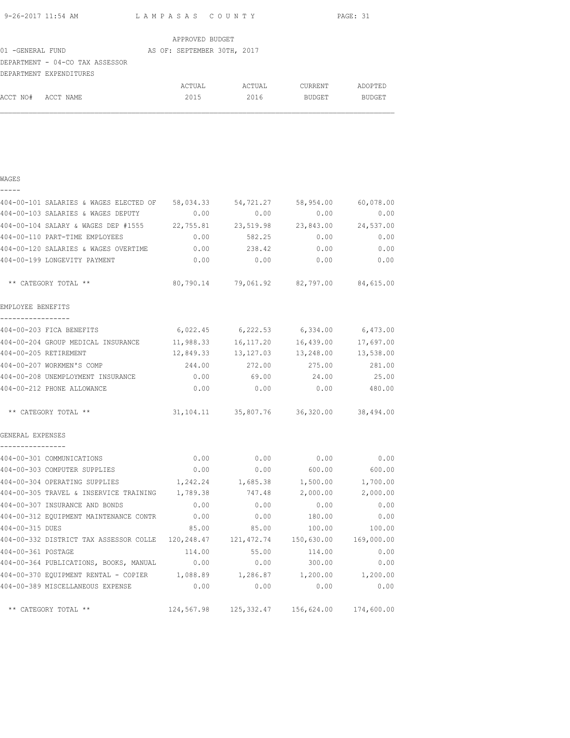| 9-26-2017 11:54 AM | LAMPASAS COUNTY | PAGE: 31 |
|--------------------|-----------------|----------|
|                    |                 |          |

ACCT NO# ACCT NAME  $2015$  2016 BUDGET BUDGET

|                                 | APPROVED BUDGET             |        |         |         |
|---------------------------------|-----------------------------|--------|---------|---------|
| 01 -GENERAL FUND                | AS OF: SEPTEMBER 30TH, 2017 |        |         |         |
| DEPARTMENT - 04-CO TAX ASSESSOR |                             |        |         |         |
| DEPARTMENT EXPENDITURES         |                             |        |         |         |
|                                 | ACTUAL                      | ACTUAL | CURRENT | ADOPTED |

|  | ò,<br>×<br>I |  |  |
|--|--------------|--|--|
|  |              |  |  |

| 404-00-101 SALARIES & WAGES ELECTED OF 58,034.33 54,721.27               |        |                   |                                                | 58,954.00 60,078.00 |
|--------------------------------------------------------------------------|--------|-------------------|------------------------------------------------|---------------------|
| 404-00-103 SALARIES & WAGES DEPUTY                                       | 0.00   | 0.00              | 0.00                                           | 0.00                |
| 404-00-104 SALARY & WAGES DEP #1555 22,755.81 23,519.98 23,843.00        |        |                   |                                                | 24,537.00           |
| 404-00-110 PART-TIME EMPLOYEES                                           |        | $0.00$ 582.25     | 0.00                                           | 0.00                |
| 404-00-120 SALARIES & WAGES OVERTIME 0.00 238.42                         |        |                   |                                                | 0.00<br>0.00        |
| 404-00-199 LONGEVITY PAYMENT                                             | 0.00   | 0.00              | 0.00                                           | 0.00                |
| ** CATEGORY TOTAL **                                                     |        |                   | 80,790.14 79,061.92 82,797.00 84,615.00        |                     |
| EMPLOYEE BENEFITS                                                        |        |                   |                                                |                     |
| -----------------<br>404-00-203 FICA BENEFITS                            |        | 6,022.45 6,222.53 |                                                | 6,334.00 6,473.00   |
| 404-00-204 GROUP MEDICAL INSURANCE 11,988.33 16,117.20                   |        |                   |                                                | 16,439.00 17,697.00 |
| 404-00-205 RETIREMENT                                                    |        |                   | 12,849.33  13,127.03  13,248.00  13,538.00     |                     |
| 404-00-207 WORKMEN'S COMP                                                | 244.00 | 272.00            | 275.00                                         | 281.00              |
| 404-00-208 UNEMPLOYMENT INSURANCE 0.00 69.00 24.00                       |        |                   |                                                | 25.00               |
| 404-00-212 PHONE ALLOWANCE                                               |        |                   | $0.00$ $0.00$ $0.00$ $0.00$ $480.00$           |                     |
| ** CATEGORY TOTAL **                                                     |        |                   |                                                |                     |
| GENERAL EXPENSES<br>----------------                                     |        |                   |                                                |                     |
| 404-00-301 COMMUNICATIONS                                                | 0.00   | 0.00              | 0.00                                           | 0.00                |
| 404-00-303 COMPUTER SUPPLIES                                             | 0.00   | 0.00              | 600.00                                         | 600.00              |
| 404-00-304 OPERATING SUPPLIES                                            |        | 1,242.24 1,685.38 | 1,500.00                                       | 1,700.00            |
| 404-00-305 TRAVEL & INSERVICE TRAINING 1,789.38                          |        | 747.48            | 2,000.00                                       | 2,000.00            |
| 404-00-307 INSURANCE AND BONDS                                           | 0.00   | 0.00              | 0.00                                           | 0.00                |
| 404-00-312 EQUIPMENT MAINTENANCE CONTR 0.00                              |        | 0.00              | 180.00                                         | 0.00                |
| 404-00-315 DUES                                                          |        | 85.00 85.00       | 100.00                                         | 100.00              |
| 404-00-332 DISTRICT TAX ASSESSOR COLLE 120,248.47 121,472.74 150,630.00  |        |                   |                                                | 169,000.00          |
| 404-00-361 POSTAGE                                                       | 114.00 | 55.00             | 114.00                                         | 0.00                |
| 404-00-364 PUBLICATIONS, BOOKS, MANUAL 0.00                              |        | 0.00              | 300.00                                         | 0.00                |
| 404-00-370 EQUIPMENT RENTAL - COPIER 1,088.89 1,286.87 1,200.00 1,200.00 |        |                   |                                                |                     |
| 404-00-389 MISCELLANEOUS EXPENSE                                         | 0.00   | 0.00              | 0.00                                           | 0.00                |
| ** CATEGORY TOTAL **                                                     |        |                   | 124,567.98  125,332.47  156,624.00  174,600.00 |                     |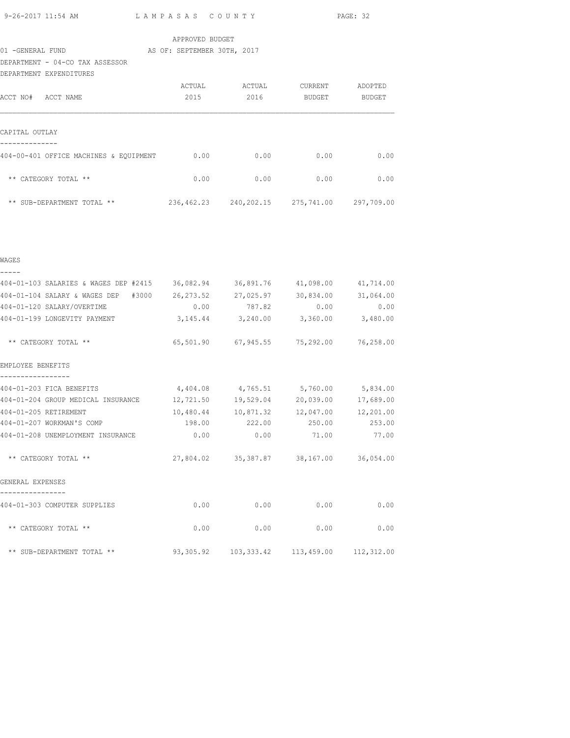|  | 9-26-2017 11:54 AM |  |
|--|--------------------|--|
|  |                    |  |

L A M P A S A S C O U N T Y PAGE: 32

| APPROVED BUDGET |  |
|-----------------|--|
|-----------------|--|

# 01 -GENERAL FUND **AS OF: SEPTEMBER 30TH, 2017**

DEPARTMENT - 04-CO TAX ASSESSOR

| DEPARTMENT EXPENDITURES                |            |            |            |            |
|----------------------------------------|------------|------------|------------|------------|
|                                        | ACTUAL     | ACTUAL     | CURRENT    | ADOPTED    |
| ACCT NO#<br>ACCT NAME                  | 2015       | 2016       | BUDGET     | BUDGET     |
|                                        |            |            |            |            |
| CAPITAL OUTLAY                         |            |            |            |            |
| 404-00-401 OFFICE MACHINES & EQUIPMENT | 0.00       | 0.00       | 0.00       | 0.00       |
| ** CATEGORY TOTAL **                   | 0.00       | 0.00       | 0.00       | 0.00       |
| ** SUB-DEPARTMENT TOTAL **             | 236,462.23 | 240,202.15 | 275,741.00 | 297,709.00 |

| WAGES                                                                         |           |                                             |                                         |           |
|-------------------------------------------------------------------------------|-----------|---------------------------------------------|-----------------------------------------|-----------|
| 404-01-103 SALARIES & WAGES DEP #2415 36,082.94 36,891.76 41,098.00 41,714.00 |           |                                             |                                         |           |
| 404-01-104 SALARY & WAGES DEP #3000 26,273.52 27,025.97                       |           |                                             | 30,834.00                               | 31,064.00 |
| 404-01-120 SALARY/OVERTIME                                                    |           | $0.00$ $787.82$ $0.00$                      |                                         | 0.00      |
| 404-01-199 LONGEVITY PAYMENT                                                  |           | $3,145.44$ $3,240.00$ $3,360.00$ $3,480.00$ |                                         |           |
| ** CATEGORY TOTAL **                                                          |           |                                             |                                         |           |
| EMPLOYEE BENEFITS                                                             |           |                                             |                                         |           |
| 404-01-203 FICA BENEFITS                                                      |           | $4,404.08$ $4,765.51$ $5,760.00$ $5,834.00$ |                                         |           |
| 404-01-204 GROUP MEDICAL INSURANCE 12,721.50 19,529.04 20,039.00              |           |                                             |                                         | 17,689.00 |
| 404-01-205 RETIREMENT                                                         |           | 10,480.44 10,871.32                         | 12,047.00                               | 12,201.00 |
| 404-01-207 WORKMAN'S COMP                                                     |           | 198.00  222.00  250.00  253.00              |                                         |           |
| 404-01-208 UNEMPLOYMENT INSURANCE 0.00                                        |           |                                             | $0.00$ 71.00                            | 77.00     |
| ** CATEGORY TOTAL **                                                          |           | 27,804.02 35,387.87 38,167.00 36,054.00     |                                         |           |
| GENERAL EXPENSES<br>---------------                                           |           |                                             |                                         |           |
| 404-01-303 COMPUTER SUPPLIES                                                  | 0.00      | 0.00                                        | 0.00                                    | 0.00      |
| ** CATEGORY TOTAL **                                                          |           | $0.00$ 0.00                                 | 0.00                                    | 0.00      |
| ** SUB-DEPARTMENT TOTAL **                                                    | 93,305.92 |                                             | 103, 333.42   113, 459.00   112, 312.00 |           |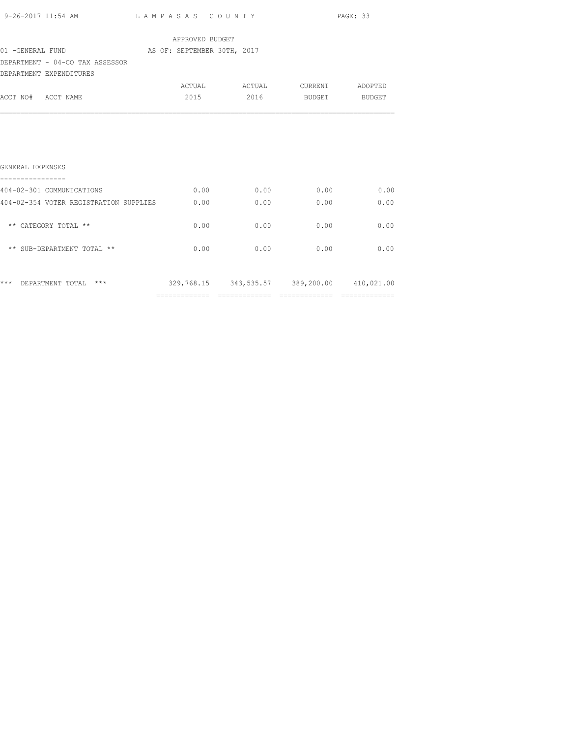|                                                                   |                 |                                             |      | PAGE: 33 |
|-------------------------------------------------------------------|-----------------|---------------------------------------------|------|----------|
|                                                                   | APPROVED BUDGET |                                             |      |          |
| 01 -GENERAL FUND AS OF: SEPTEMBER 30TH, 2017                      |                 |                                             |      |          |
| DEPARTMENT - 04-CO TAX ASSESSOR                                   |                 |                                             |      |          |
| DEPARTMENT EXPENDITURES                                           |                 |                                             |      |          |
|                                                                   |                 | ACTUAL ACTUAL CURRENT ADOPTED               |      |          |
| ACCT NO# ACCT NAME                                                |                 | 2015 2016 BUDGET BUDGET                     |      |          |
| GENERAL EXPENSES<br>----------------                              |                 |                                             |      |          |
| 404-02-301 COMMUNICATIONS                                         |                 | $0.00$ $0.00$ $0.00$ $0.00$ $0.00$          |      |          |
| 404-02-354 VOTER REGISTRATION SUPPLIES $0.00$ 0.00 0.00 0.00 0.00 |                 |                                             |      | 0.00     |
| ** CATEGORY TOTAL **                                              | 0.00            | 0.00                                        | 0.00 | 0.00     |
| ** SUB-DEPARTMENT TOTAL **                                        |                 | $0.00$ 0.00 0.00                            |      | 0.00     |
| *** DEPARTMENT TOTAL ***                                          |                 | 329,768.15 343,535.57 389,200.00 410,021.00 |      |          |
|                                                                   |                 |                                             |      |          |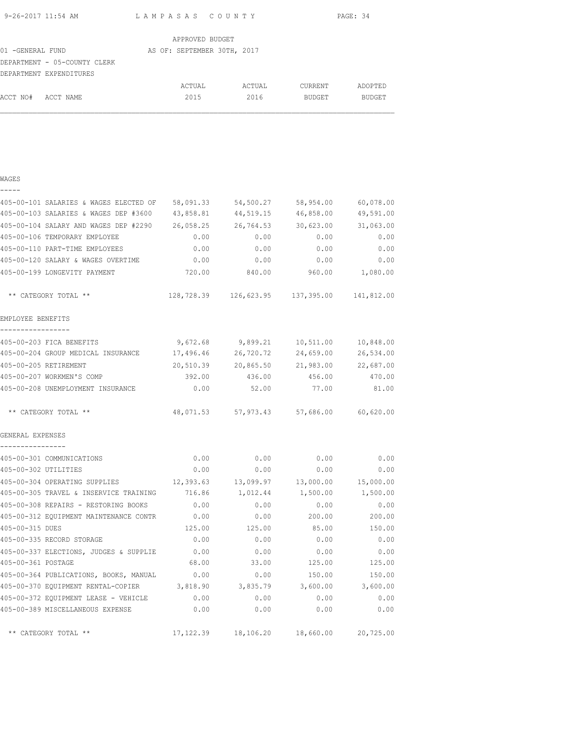| 9-26-2017 11:54 AM |                 | LAMPASAS COUNTY | PAGE: 34 |
|--------------------|-----------------|-----------------|----------|
|                    | APPROVED BUDGET |                 |          |

|                                                                                                   | ACTUAL | ACTUAL | CURRENT                     | ADOPTED       |
|---------------------------------------------------------------------------------------------------|--------|--------|-----------------------------|---------------|
|                                                                                                   | 2015   | 2016   | BUDGET                      | <b>BUDGET</b> |
| 01 -GENERAL FUND<br>DEPARTMENT - 05-COUNTY CLERK<br>DEPARTMENT EXPENDITURES<br>ACCT NO# ACCT NAME |        |        | AS OF: SEPTEMBER 30TH, 2017 |               |

### WAGES -----

| 405-00-101 SALARIES & WAGES ELECTED OF | 58,091.33  | 54,500.27 | 58,954.00                                         | 60,078.00 |
|----------------------------------------|------------|-----------|---------------------------------------------------|-----------|
| 405-00-103 SALARIES & WAGES DEP #3600  | 43,858.81  | 44,519.15 | 46,858.00                                         | 49,591.00 |
| 405-00-104 SALARY AND WAGES DEP #2290  | 26,058.25  | 26,764.53 | 30,623.00                                         | 31,063.00 |
| 405-00-106 TEMPORARY EMPLOYEE          | 0.00       | 0.00      | 0.00                                              | 0.00      |
| 405-00-110 PART-TIME EMPLOYEES         | 0.00       | 0.00      | 0.00                                              | 0.00      |
| 405-00-120 SALARY & WAGES OVERTIME     | 0.00       | 0.00      | 0.00                                              | 0.00      |
| 405-00-199 LONGEVITY PAYMENT           | 720.00     | 840.00    | 960.00                                            | 1,080.00  |
| ** CATEGORY TOTAL **                   |            |           | 128,728.39   126,623.95   137,395.00   141,812.00 |           |
| EMPLOYEE BENEFITS                      |            |           |                                                   |           |
| 405-00-203 FICA BENEFITS               | 9,672.68   | 9,899.21  | 10,511.00                                         | 10,848.00 |
| 405-00-204 GROUP MEDICAL INSURANCE     | 17,496.46  | 26,720.72 | 24,659.00                                         | 26,534.00 |
| 405-00-205 RETIREMENT                  | 20,510.39  | 20,865.50 | 21,983.00                                         | 22,687.00 |
| 405-00-207 WORKMEN'S COMP              | 392.00     | 436.00    | 456.00                                            | 470.00    |
| 405-00-208 UNEMPLOYMENT INSURANCE      | 0.00       | 52.00     | 77.00                                             | 81.00     |
| ** CATEGORY TOTAL **                   | 48,071.53  |           | 57,973.43 57,686.00                               | 60,620.00 |
| GENERAL EXPENSES                       |            |           |                                                   |           |
| ----------------                       |            |           |                                                   |           |
| 405-00-301 COMMUNICATIONS              | 0.00       | 0.00      | 0.00                                              | 0.00      |
| 405-00-302 UTILITIES                   | 0.00       | 0.00      | 0.00                                              | 0.00      |
| 405-00-304 OPERATING SUPPLIES          | 12,393.63  | 13,099.97 | 13,000.00                                         | 15,000.00 |
| 405-00-305 TRAVEL & INSERVICE TRAINING | 716.86     | 1,012.44  | 1,500.00                                          | 1,500.00  |
| 405-00-308 REPAIRS - RESTORING BOOKS   | 0.00       | 0.00      | 0.00                                              | 0.00      |
| 405-00-312 EQUIPMENT MAINTENANCE CONTR | 0.00       | 0.00      | 200.00                                            | 200.00    |
| 405-00-315 DUES                        | 125.00     | 125.00    | 85.00                                             | 150.00    |
| 405-00-335 RECORD STORAGE              | 0.00       | 0.00      | 0.00                                              | 0.00      |
| 405-00-337 ELECTIONS, JUDGES & SUPPLIE | 0.00       | 0.00      | 0.00                                              | 0.00      |
| 405-00-361 POSTAGE                     | 68.00      | 33.00     | 125.00                                            | 125.00    |
| 405-00-364 PUBLICATIONS, BOOKS, MANUAL | 0.00       | 0.00      | 150.00                                            | 150.00    |
| 405-00-370 EQUIPMENT RENTAL-COPIER     | 3,818.90   | 3,835.79  | 3,600.00                                          | 3,600.00  |
| 405-00-372 EQUIPMENT LEASE - VEHICLE   | 0.00       | 0.00      | 0.00                                              | 0.00      |
| 405-00-389 MISCELLANEOUS EXPENSE       | 0.00       | 0.00      | 0.00                                              | 0.00      |
| ** CATEGORY TOTAL **                   | 17, 122.39 |           | 18,106.20 18,660.00                               | 20,725.00 |
|                                        |            |           |                                                   |           |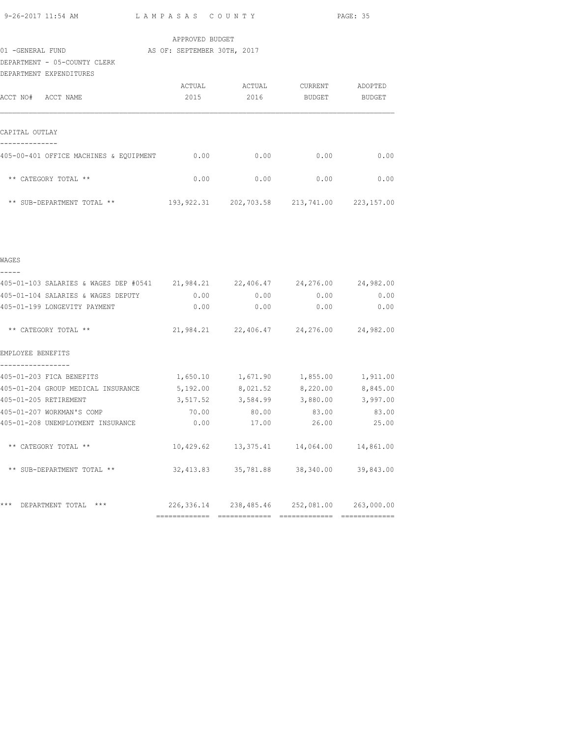| 9-26-2017 11:54 AM |
|--------------------|
|--------------------|

L A M P A S A S C O U N T Y PAGE: 35

| APPROVED BUDGET |  |
|-----------------|--|
|                 |  |

01 -GENERAL FUND **AS OF: SEPTEMBER 30TH, 2017** 

DEPARTMENT - 05-COUNTY CLERK

| DEPARTMENT EXPENDITURES                 |            |            |            |            |
|-----------------------------------------|------------|------------|------------|------------|
|                                         | ACTUAL     | ACTUAL     | CURRENT    | ADOPTED    |
| ACCT NO#<br>ACCT NAME                   | 2015       | 2016       | BUDGET     | BUDGET     |
| CAPITAL OUTLAY                          |            |            |            |            |
|                                         |            |            |            |            |
| 405-00-401 OFFICE MACHINES & EQUIPMENT  | 0.00       | 0.00       | 0.00       | 0.00       |
| CATEGORY TOTAL **<br>$***$              | 0.00       | 0.00       | 0.00       | 0.00       |
| $\star\star$<br>SUB-DEPARTMENT TOTAL ** | 193,922.31 | 202,703.58 | 213,741.00 | 223,157.00 |

| <b>WAGES</b>                                                                  |               |              |                                                 |          |
|-------------------------------------------------------------------------------|---------------|--------------|-------------------------------------------------|----------|
|                                                                               |               |              |                                                 |          |
| 405-01-103 SALARIES & WAGES DEP #0541 21,984.21 22,406.47 24,276.00 24,982.00 |               |              |                                                 |          |
| 405-01-104 SALARIES & WAGES DEPUTY                                            |               | 0.00<br>0.00 | 0.00                                            | 0.00     |
| 405-01-199 LONGEVITY PAYMENT                                                  |               | $0.00$ 0.00  | 0.00                                            | 0.00     |
| ** CATEGORY TOTAL **                                                          |               |              | 21,984.21 22,406.47 24,276.00 24,982.00         |          |
| EMPLOYEE BENEFITS                                                             |               |              |                                                 |          |
| 405-01-203 FICA BENEFITS                                                      |               |              | 1,650.10 1,671.90 1,855.00                      | 1,911.00 |
| 405-01-204 GROUP MEDICAL INSURANCE                                            |               |              | 5,192.00 8,021.52 8,220.00                      | 8,845.00 |
| 405-01-205 RETIREMENT                                                         |               |              | 3,517.52 3,584.99 3,880.00                      | 3,997.00 |
| 405-01-207 WORKMAN'S COMP                                                     |               |              | 70.00 80.00 83.00                               | 83.00    |
| 405-01-208 UNEMPLOYMENT INSURANCE                                             | 0.00          | 17.00        | 26.00                                           | 25.00    |
| ** CATEGORY TOTAL **                                                          |               |              | $10,429.62$ $13,375.41$ $14,064.00$ $14,861.00$ |          |
| ** SUB-DEPARTMENT TOTAL **                                                    |               |              | 32,413.83 35,781.88 38,340.00 39,843.00         |          |
| ***<br>***<br>DEPARTMENT TOTAL                                                |               |              | 226,336.14 238,485.46 252,081.00 263,000.00     |          |
|                                                                               | ============= | seesseessees |                                                 |          |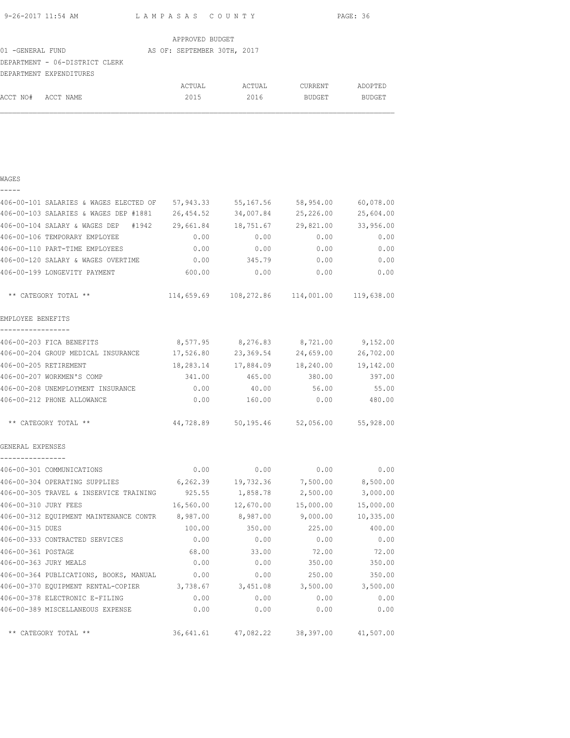| 9-26-2017 11:54 AM | LAMPASAS COUNTY | PAGE: 36 |
|--------------------|-----------------|----------|
|                    |                 |          |

|                  |                                | APPROVED BUDGET             |        |               |               |
|------------------|--------------------------------|-----------------------------|--------|---------------|---------------|
| 01 -GENERAL FUND |                                | AS OF: SEPTEMBER 30TH, 2017 |        |               |               |
|                  | DEPARTMENT - 06-DISTRICT CLERK |                             |        |               |               |
|                  | DEPARTMENT EXPENDITURES        |                             |        |               |               |
|                  |                                | ACTUAL                      | ACTUAL | CURRENT       | ADOPTED       |
| ACCT NO#         | ACCT NAME                      | 2015                        | 2016   | <b>BUDGET</b> | <b>BUDGET</b> |

| WAGES                                  |            |            |            |            |
|----------------------------------------|------------|------------|------------|------------|
| 406-00-101 SALARIES & WAGES ELECTED OF | 57,943.33  | 55,167.56  | 58,954.00  | 60,078.00  |
| 406-00-103 SALARIES & WAGES DEP #1881  | 26, 454.52 | 34,007.84  | 25,226.00  | 25,604.00  |
| 406-00-104 SALARY & WAGES DEP<br>#1942 | 29,661.84  | 18,751.67  | 29,821.00  | 33,956.00  |
| 406-00-106 TEMPORARY EMPLOYEE          | 0.00       | 0.00       | 0.00       | 0.00       |
| 406-00-110 PART-TIME EMPLOYEES         | 0.00       | 0.00       | 0.00       | 0.00       |
| 406-00-120 SALARY & WAGES OVERTIME     | 0.00       | 345.79     | 0.00       | 0.00       |
| 406-00-199 LONGEVITY PAYMENT           | 600.00     | 0.00       | 0.00       | 0.00       |
| ** CATEGORY TOTAL **                   | 114,659.69 | 108,272.86 | 114,001.00 | 119,638.00 |
| EMPLOYEE BENEFITS                      |            |            |            |            |
| 406-00-203 FICA BENEFITS               | 8,577.95   | 8,276.83   | 8,721.00   | 9,152.00   |
| 406-00-204 GROUP MEDICAL INSURANCE     | 17,526.80  | 23,369.54  | 24,659.00  | 26,702.00  |
| 406-00-205 RETIREMENT                  | 18,283.14  | 17,884.09  | 18,240.00  | 19,142.00  |
| 406-00-207 WORKMEN'S COMP              | 341.00     | 465.00     | 380.00     | 397.00     |
| 406-00-208 UNEMPLOYMENT INSURANCE      | 0.00       | 40.00      | 56.00      | 55.00      |
| 406-00-212 PHONE ALLOWANCE             | 0.00       | 160.00     | 0.00       | 480.00     |
| ** CATEGORY TOTAL **                   | 44,728.89  | 50,195.46  | 52,056.00  | 55,928.00  |
| GENERAL EXPENSES                       |            |            |            |            |
| 406-00-301 COMMUNICATIONS              | 0.00       | 0.00       | 0.00       | 0.00       |
| 406-00-304 OPERATING SUPPLIES          | 6,262.39   | 19,732.36  | 7,500.00   | 8,500.00   |
| 406-00-305 TRAVEL & INSERVICE TRAINING | 925.55     | 1,858.78   | 2,500.00   | 3,000.00   |
| 406-00-310 JURY FEES                   | 16,560.00  | 12,670.00  | 15,000.00  | 15,000.00  |
| 406-00-312 EQUIPMENT MAINTENANCE CONTR | 8,987.00   | 8,987.00   | 9,000.00   | 10,335.00  |
| 406-00-315 DUES                        | 100.00     | 350.00     | 225.00     | 400.00     |
| 406-00-333 CONTRACTED SERVICES         | 0.00       | 0.00       | 0.00       | 0.00       |
| 406-00-361 POSTAGE                     | 68.00      | 33.00      | 72.00      | 72.00      |
| 406-00-363 JURY MEALS                  | 0.00       | 0.00       | 350.00     | 350.00     |
| 406-00-364 PUBLICATIONS, BOOKS, MANUAL | 0.00       | 0.00       | 250.00     | 350.00     |
| 406-00-370 EQUIPMENT RENTAL-COPIER     | 3,738.67   | 3,451.08   | 3,500.00   | 3,500.00   |
| 406-00-378 ELECTRONIC E-FILING         | 0.00       | 0.00       | 0.00       | 0.00       |
| 406-00-389 MISCELLANEOUS EXPENSE       | 0.00       | 0.00       | 0.00       | 0.00       |
| ** CATEGORY TOTAL **                   | 36,641.61  | 47,082.22  | 38,397.00  | 41,507.00  |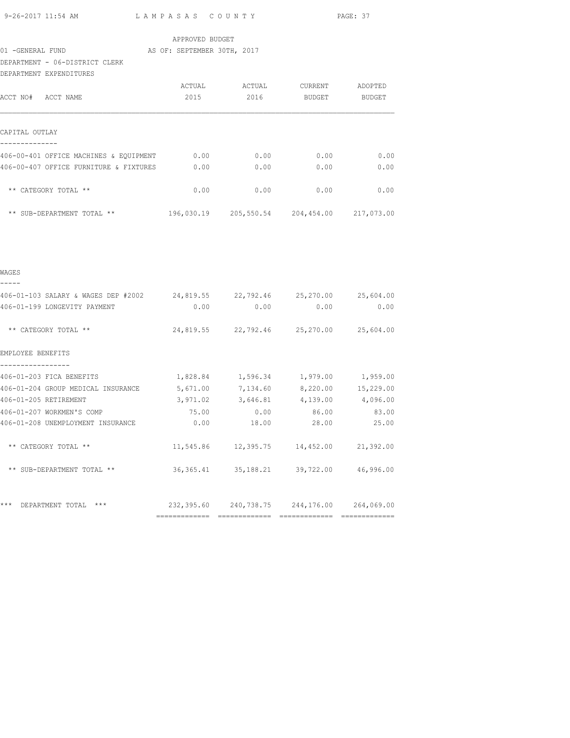|                                        |                                                                             |                 |             |                                              | PAGE: 37           |
|----------------------------------------|-----------------------------------------------------------------------------|-----------------|-------------|----------------------------------------------|--------------------|
|                                        |                                                                             | APPROVED BUDGET |             |                                              |                    |
| 01 -GENERAL FUND                       | AS OF: SEPTEMBER 30TH, 2017                                                 |                 |             |                                              |                    |
|                                        | DEPARTMENT - 06-DISTRICT CLERK                                              |                 |             |                                              |                    |
|                                        | DEPARTMENT EXPENDITURES                                                     |                 |             |                                              |                    |
|                                        |                                                                             |                 |             | ACTUAL ACTUAL CURRENT ADOPTED                |                    |
| ACCT NO# ACCT NAME                     |                                                                             | 2015            | 2016        | BUDGET                                       | BUDGET             |
| CAPITAL OUTLAY                         |                                                                             |                 |             |                                              |                    |
| --------------                         | 406-00-401 OFFICE MACHINES & EQUIPMENT 0.00 0.00 0.00 0.00 0.00             |                 |             |                                              |                    |
|                                        | 406-00-407 OFFICE FURNITURE & FIXTURES $0.00$ 0.00 0.00 0.00 0.00           |                 |             |                                              |                    |
|                                        | ** CATEGORY TOTAL **                                                        |                 |             | $0.00$ 0.00 0.00 0.00 0.00                   |                    |
|                                        |                                                                             |                 |             |                                              |                    |
|                                        |                                                                             |                 |             |                                              |                    |
| WAGES<br>-----                         |                                                                             |                 |             |                                              |                    |
|                                        | 406-01-103 SALARY & WAGES DEP #2002 24,819.55 22,792.46 25,270.00 25,604.00 |                 |             |                                              |                    |
|                                        | 406-01-199 LONGEVITY PAYMENT                                                |                 |             | $0.00$ $0.00$ $0.00$ $0.00$                  | 0.00               |
|                                        | ** CATEGORY TOTAL **                                                        |                 |             | 24,819.55 22,792.46 25,270.00 25,604.00      |                    |
| EMPLOYEE BENEFITS<br>----------------- |                                                                             |                 |             |                                              |                    |
|                                        | 406-01-203 FICA BENEFITS                                                    |                 |             | 1,828.84    1,596.34    1,979.00    1,959.00 |                    |
|                                        | 406-01-204 GROUP MEDICAL INSURANCE                                          | 5,671.00        | 7,134.60    |                                              | 8,220.00 15,229.00 |
|                                        | 406-01-205 RETIREMENT                                                       | 3,971.02        | 3,646.81    | 4,139.00                                     | 4,096.00           |
|                                        | 406-01-207 WORKMEN'S COMP                                                   | 75.00           | 0.00        | 86.00                                        | 83.00              |
|                                        | 406-01-208 UNEMPLOYMENT INSURANCE 0.00                                      |                 | 18.00       | 28.00                                        | 25.00              |
|                                        | ** CATEGORY TOTAL **                                                        |                 |             | 11,545.86 12,395.75 14,452.00                | 21,392.00          |
|                                        | ** SUB-DEPARTMENT TOTAL **                                                  | 36, 365.41      | 35, 188. 21 | 39,722.00                                    | 46,996.00          |
|                                        | *** DEPARTMENT TOTAL ***                                                    | 232,395.60      | 240,738.75  | 244,176.00                                   | 264,069.00         |
|                                        |                                                                             |                 |             |                                              |                    |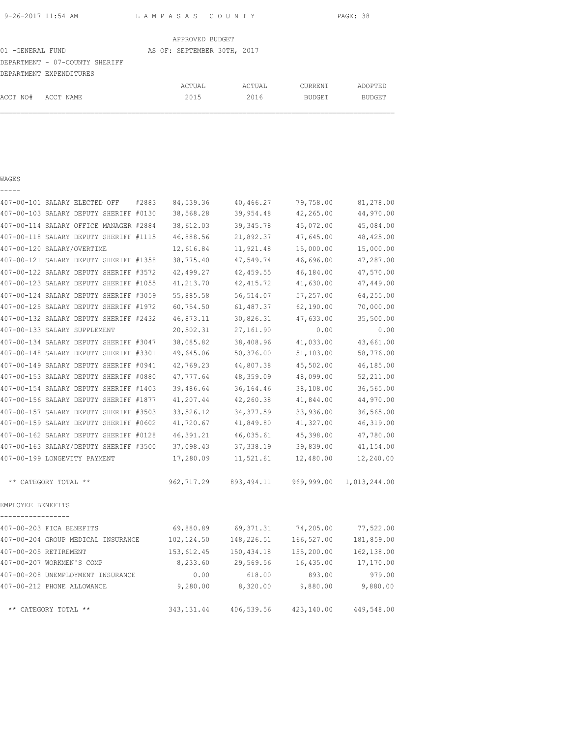| 9-26-2017 11:54 AM | LAMPASAS COUNTY                           | PAGE: 38 |
|--------------------|-------------------------------------------|----------|
|                    | $\sim$ $\sim$ $\sim$ $\sim$ $\sim$ $\sim$ |          |

|                   |                                | APPROVED BUDGET             |        |               |               |
|-------------------|--------------------------------|-----------------------------|--------|---------------|---------------|
| 01 - GENERAL FUND |                                | AS OF: SEPTEMBER 30TH, 2017 |        |               |               |
|                   | DEPARTMENT - 07-COUNTY SHERIFF |                             |        |               |               |
|                   | DEPARTMENT EXPENDITURES        |                             |        |               |               |
|                   |                                | ACTUAL                      | ACTUAL | CURRENT       | ADOPTED       |
| ACCT NO#          | ACCT NAME                      | 2015                        | 2016   | <b>BUDGET</b> | <b>BUDGET</b> |

| _ |  | ___ |  |
|---|--|-----|--|
|   |  |     |  |

|                   | 407-00-101 SALARY ELECTED OFF          | #2883<br>84,539.36 | 40,466.27   | 79,758.00  | 81,278.00    |
|-------------------|----------------------------------------|--------------------|-------------|------------|--------------|
|                   | 407-00-103 SALARY DEPUTY SHERIFF #0130 | 38,568.28          | 39,954.48   | 42,265.00  | 44,970.00    |
|                   | 407-00-114 SALARY OFFICE MANAGER #2884 | 38,612.03          | 39, 345.78  | 45,072.00  | 45,084.00    |
|                   | 407-00-118 SALARY DEPUTY SHERIFF #1115 | 46,888.56          | 21,892.37   | 47,645.00  | 48,425.00    |
|                   | 407-00-120 SALARY/OVERTIME             | 12,616.84          | 11,921.48   | 15,000.00  | 15,000.00    |
|                   | 407-00-121 SALARY DEPUTY SHERIFF #1358 | 38,775.40          | 47,549.74   | 46,696.00  | 47,287.00    |
|                   | 407-00-122 SALARY DEPUTY SHERIFF #3572 | 42,499.27          | 42,459.55   | 46,184.00  | 47,570.00    |
|                   | 407-00-123 SALARY DEPUTY SHERIFF #1055 | 41,213.70          | 42, 415.72  | 41,630.00  | 47,449.00    |
|                   | 407-00-124 SALARY DEPUTY SHERIFF #3059 | 55,885.58          | 56,514.07   | 57,257.00  | 64,255.00    |
|                   | 407-00-125 SALARY DEPUTY SHERIFF #1972 | 60,754.50          | 61,487.37   | 62,190.00  | 70,000.00    |
|                   | 407-00-132 SALARY DEPUTY SHERIFF #2432 | 46,873.11          | 30,826.31   | 47,633.00  | 35,500.00    |
|                   | 407-00-133 SALARY SUPPLEMENT           | 20,502.31          | 27,161.90   | 0.00       | 0.00         |
|                   | 407-00-134 SALARY DEPUTY SHERIFF #3047 | 38,085.82          | 38,408.96   | 41,033.00  | 43,661.00    |
|                   | 407-00-148 SALARY DEPUTY SHERIFF #3301 | 49,645.06          | 50,376.00   | 51,103.00  | 58,776.00    |
|                   | 407-00-149 SALARY DEPUTY SHERIFF #0941 | 42,769.23          | 44,807.38   | 45,502.00  | 46,185.00    |
|                   | 407-00-153 SALARY DEPUTY SHERIFF #0880 | 47,777.64          | 48,359.09   | 48,099.00  | 52,211.00    |
|                   | 407-00-154 SALARY DEPUTY SHERIFF #1403 | 39,486.64          | 36, 164.46  | 38,108.00  | 36,565.00    |
|                   | 407-00-156 SALARY DEPUTY SHERIFF #1877 | 41,207.44          | 42,260.38   | 41,844.00  | 44,970.00    |
|                   | 407-00-157 SALARY DEPUTY SHERIFF #3503 | 33,526.12          | 34, 377.59  | 33,936.00  | 36,565.00    |
|                   | 407-00-159 SALARY DEPUTY SHERIFF #0602 | 41,720.67          | 41,849.80   | 41,327.00  | 46,319.00    |
|                   | 407-00-162 SALARY DEPUTY SHERIFF #0128 | 46,391.21          | 46,035.61   | 45,398.00  | 47,780.00    |
|                   | 407-00-163 SALARY/DEPUTY SHERIFF #3500 | 37,098.43          | 37, 338.19  | 39,839.00  | 41,154.00    |
|                   | 407-00-199 LONGEVITY PAYMENT           | 17,280.09          | 11,521.61   | 12,480.00  | 12,240.00    |
|                   | ** CATEGORY TOTAL **                   | 962,717.29         | 893, 494.11 | 969,999.00 | 1,013,244.00 |
| EMPLOYEE BENEFITS |                                        |                    |             |            |              |
|                   | 407-00-203 FICA BENEFITS               | 69,880.89          | 69, 371.31  | 74,205.00  | 77,522.00    |
|                   | 407-00-204 GROUP MEDICAL INSURANCE     | 102,124.50         | 148,226.51  | 166,527.00 | 181,859.00   |
|                   | 407-00-205 RETIREMENT                  | 153,612.45         | 150,434.18  | 155,200.00 | 162,138.00   |
|                   | 407-00-207 WORKMEN'S COMP              | 8,233.60           | 29,569.56   | 16,435.00  | 17,170.00    |
|                   | 407-00-208 UNEMPLOYMENT INSURANCE      | 0.00               | 618.00      | 893.00     | 979.00       |
|                   | 407-00-212 PHONE ALLOWANCE             | 9,280.00           | 8,320.00    | 9,880.00   | 9,880.00     |
|                   | ** CATEGORY TOTAL **                   | 343, 131.44        | 406,539.56  | 423,140.00 | 449,548.00   |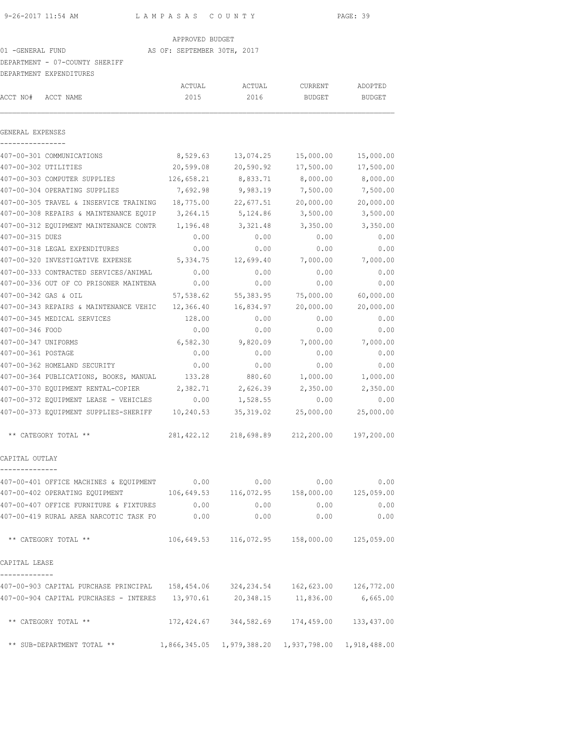#### APPROVED BUDGET

## 01 -GENERAL FUND **AS OF: SEPTEMBER 30TH, 2017**

## DEPARTMENT - 07-COUNTY SHERIFF

|                      | DEPARTMENT EXPENDITURES                                                           |                |                                                        |                   |                   |  |
|----------------------|-----------------------------------------------------------------------------------|----------------|--------------------------------------------------------|-------------------|-------------------|--|
| ACCT NO#             | ACCT NAME                                                                         | ACTUAL<br>2015 | ACTUAL<br>2016                                         | CURRENT<br>BUDGET | ADOPTED<br>BUDGET |  |
| GENERAL EXPENSES     |                                                                                   |                |                                                        |                   |                   |  |
|                      | 407-00-301 COMMUNICATIONS                                                         | 8,529.63       | 13,074.25                                              | 15,000.00         | 15,000.00         |  |
| 407-00-302 UTILITIES |                                                                                   | 20,599.08      | 20,590.92                                              | 17,500.00         | 17,500.00         |  |
|                      | 407-00-303 COMPUTER SUPPLIES                                                      | 126,658.21     | 8,833.71                                               | 8,000.00          | 8,000.00          |  |
|                      | 407-00-304 OPERATING SUPPLIES                                                     | 7,692.98       | 9,983.19                                               | 7,500.00          | 7,500.00          |  |
|                      | 407-00-305 TRAVEL & INSERVICE TRAINING                                            | 18,775.00      | 22,677.51                                              | 20,000.00         | 20,000.00         |  |
|                      | 407-00-308 REPAIRS & MAINTENANCE EQUIP                                            | 3,264.15       | 5,124.86                                               | 3,500.00          | 3,500.00          |  |
|                      | 407-00-312 EQUIPMENT MAINTENANCE CONTR                                            | 1,196.48       | 3,321.48                                               | 3,350.00          | 3,350.00          |  |
| 407-00-315 DUES      |                                                                                   | 0.00           | 0.00                                                   | 0.00              | 0.00              |  |
|                      | 407-00-318 LEGAL EXPENDITURES                                                     | 0.00           | 0.00                                                   | 0.00              | 0.00              |  |
|                      | 407-00-320 INVESTIGATIVE EXPENSE                                                  | 5,334.75       | 12,699.40                                              | 7,000.00          | 7,000.00          |  |
|                      | 407-00-333 CONTRACTED SERVICES/ANIMAL                                             | 0.00           | 0.00                                                   | 0.00              | 0.00              |  |
|                      | 407-00-336 OUT OF CO PRISONER MAINTENA                                            | 0.00           | 0.00                                                   | 0.00              | 0.00              |  |
| 407-00-342 GAS & OIL |                                                                                   | 57,538.62      | 55,383.95                                              | 75,000.00         | 60,000.00         |  |
|                      | 407-00-343 REPAIRS & MAINTENANCE VEHIC                                            | 12,366.40      | 16,834.97                                              | 20,000.00         | 20,000.00         |  |
|                      | 407-00-345 MEDICAL SERVICES                                                       | 128.00         | 0.00                                                   | 0.00              | 0.00              |  |
| 407-00-346 FOOD      |                                                                                   | 0.00           | 0.00                                                   | 0.00              | 0.00              |  |
| 407-00-347 UNIFORMS  |                                                                                   | 6,582.30       | 9,820.09                                               | 7,000.00          | 7,000.00          |  |
| 407-00-361 POSTAGE   |                                                                                   | 0.00           | 0.00                                                   | 0.00              | 0.00              |  |
|                      | 407-00-362 HOMELAND SECURITY                                                      | 0.00           | 0.00                                                   | 0.00              | 0.00              |  |
|                      | 407-00-364 PUBLICATIONS, BOOKS, MANUAL                                            | 133.28         | 880.60                                                 | 1,000.00          | 1,000.00          |  |
|                      | 407-00-370 EQUIPMENT RENTAL-COPIER                                                | 2,382.71       | 2,626.39                                               | 2,350.00          | 2,350.00          |  |
|                      | 407-00-372 EQUIPMENT LEASE - VEHICLES                                             | 0.00           | 1,528.55                                               | 0.00              | 0.00              |  |
|                      | 407-00-373 EQUIPMENT SUPPLIES-SHERIFF                                             | 10,240.53      | 35, 319.02                                             | 25,000.00         | 25,000.00         |  |
|                      | ** CATEGORY TOTAL **                                                              | 281,422.12     | 218,698.89                                             | 212,200.00        | 197,200.00        |  |
| CAPITAL OUTLAY       |                                                                                   |                |                                                        |                   |                   |  |
|                      | 407-00-401 OFFICE MACHINES & EQUIPMENT                                            | 0.00           | 0.00                                                   | 0.00              | 0.00              |  |
|                      | 407-00-402 OPERATING EQUIPMENT                                                    |                | $106,649.53$ $116,072.95$ $158,000.00$ $125,059.00$    |                   |                   |  |
|                      | 407-00-407 OFFICE FURNITURE & FIXTURES                                            | 0.00           | 0.00                                                   | 0.00              | 0.00              |  |
|                      | 407-00-419 RURAL AREA NARCOTIC TASK FO                                            | 0.00           | 0.00                                                   | 0.00              | 0.00              |  |
|                      | ** CATEGORY TOTAL **                                                              |                | 106,649.53 116,072.95 158,000.00 125,059.00            |                   |                   |  |
| CAPITAL LEASE        |                                                                                   |                |                                                        |                   |                   |  |
|                      | 407-00-903 CAPITAL PURCHASE PRINCIPAL 158,454.06 324,234.54 162,623.00 126,772.00 |                |                                                        |                   |                   |  |
|                      | 407-00-904 CAPITAL PURCHASES - INTERES 13,970.61 20,348.15 11,836.00              |                |                                                        |                   | 6,665.00          |  |
|                      | ** CATEGORY TOTAL **                                                              |                | 172,424.67 344,582.69 174,459.00                       |                   | 133,437.00        |  |
|                      | ** SUB-DEPARTMENT TOTAL **                                                        |                | 1,866,345.05  1,979,388.20  1,937,798.00  1,918,488.00 |                   |                   |  |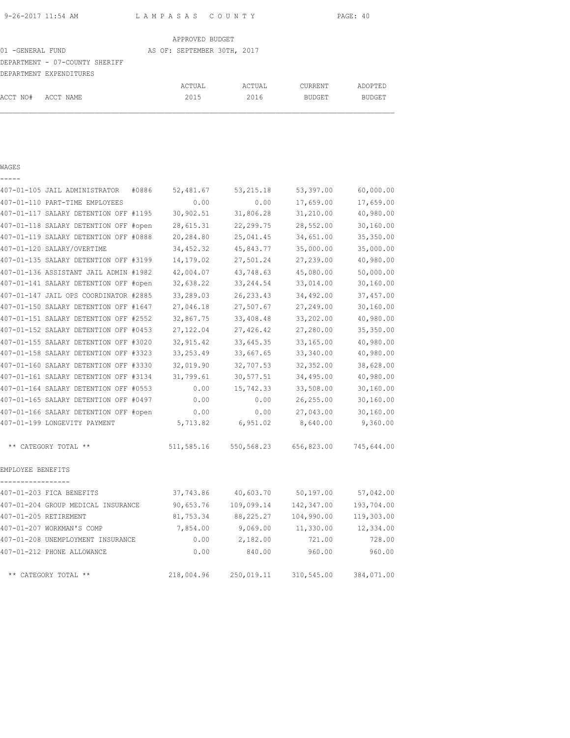| 9-26-2017 11:54 AM |  |  |
|--------------------|--|--|
|                    |  |  |

9-26-2017 11:54 AM L A M P A S A S C O U N T Y PAGE: 40

| APPROVED BUDGET                |  |                             |  |        |                |               |  |  |  |
|--------------------------------|--|-----------------------------|--|--------|----------------|---------------|--|--|--|
| 01 - GENERAL FUND              |  | AS OF: SEPTEMBER 30TH, 2017 |  |        |                |               |  |  |  |
| DEPARTMENT - 07-COUNTY SHERIFF |  |                             |  |        |                |               |  |  |  |
| DEPARTMENT EXPENDITURES        |  |                             |  |        |                |               |  |  |  |
|                                |  | ACTUAL                      |  | ACTUAL | <b>CURRENT</b> | ADOPTED       |  |  |  |
| ACCT NO#<br>ACCT NAME          |  | 2015                        |  | 2016   | <b>BUDGET</b>  | <b>BUDGET</b> |  |  |  |

| -----                                  |       |            |            |            |            |
|----------------------------------------|-------|------------|------------|------------|------------|
| 407-01-105 JAIL ADMINISTRATOR          | #0886 | 52,481.67  | 53, 215.18 | 53,397.00  | 60,000.00  |
| 407-01-110 PART-TIME EMPLOYEES         |       | 0.00       | 0.00       | 17,659.00  | 17,659.00  |
| 407-01-117 SALARY DETENTION OFF #1195  |       | 30,902.51  | 31,806.28  | 31,210.00  | 40,980.00  |
| 407-01-118 SALARY DETENTION OFF #open  |       | 28,615.31  | 22,299.75  | 28,552.00  | 30,160.00  |
| 407-01-119 SALARY DETENTION OFF #0888  |       | 20,284.80  | 25,041.45  | 34,651.00  | 35,350.00  |
| 407-01-120 SALARY/OVERTIME             |       | 34,452.32  | 45,843.77  | 35,000.00  | 35,000.00  |
| 407-01-135 SALARY DETENTION OFF #3199  |       | 14,179.02  | 27,501.24  | 27,239.00  | 40,980.00  |
| 407-01-136 ASSISTANT JAIL ADMIN #1982  |       | 42,004.07  | 43,748.63  | 45,080.00  | 50,000.00  |
| 407-01-141 SALARY DETENTION OFF #open  |       | 32,638.22  | 33, 244.54 | 33,014.00  | 30,160.00  |
| 407-01-147 JAIL OPS COORDINATOR #2885  |       | 33,289.03  | 26, 233.43 | 34,492.00  | 37,457.00  |
| 407-01-150 SALARY DETENTION OFF #1647  |       | 27,046.18  | 27,507.67  | 27,249.00  | 30, 160.00 |
| 407-01-151 SALARY DETENTION OFF #2552  |       | 32,867.75  | 33,408.48  | 33,202.00  | 40,980.00  |
| 407-01-152 SALARY DETENTION OFF #0453  |       | 27,122.04  | 27,426.42  | 27,280.00  | 35,350.00  |
| 407-01-155 SALARY DETENTION OFF #3020  |       | 32, 915.42 | 33,645.35  | 33,165.00  | 40,980.00  |
| 407-01-158 SALARY DETENTION OFF #3323  |       | 33, 253.49 | 33,667.65  | 33,340.00  | 40,980.00  |
| 407-01-160 SALARY DETENTION OFF #3330  |       | 32,019.90  | 32,707.53  | 32,352.00  | 38,628.00  |
| 407-01-161 SALARY DETENTION OFF #3134  |       | 31,799.61  | 30,577.51  | 34,495.00  | 40,980.00  |
| 407-01-164 SALARY DETENTION OFF #0553  |       | 0.00       | 15,742.33  | 33,508.00  | 30,160.00  |
| 407-01-165 SALARY DETENTION OFF #0497  |       | 0.00       | 0.00       | 26,255.00  | 30,160.00  |
| 407-01-166 SALARY DETENTION OFF #open  |       | 0.00       | 0.00       | 27,043.00  | 30,160.00  |
| 407-01-199 LONGEVITY PAYMENT           |       | 5,713.82   | 6,951.02   | 8,640.00   | 9,360.00   |
| ** CATEGORY TOTAL **                   |       | 511,585.16 | 550,568.23 | 656,823.00 | 745,644.00 |
| EMPLOYEE BENEFITS<br>----------------- |       |            |            |            |            |
| 407-01-203 FICA BENEFITS               |       | 37,743.86  | 40,603.70  | 50,197.00  | 57,042.00  |
| 407-01-204 GROUP MEDICAL INSURANCE     |       | 90,653.76  | 109,099.14 | 142,347.00 | 193,704.00 |
| 407-01-205 RETIREMENT                  |       | 81,753.34  | 88,225.27  | 104,990.00 | 119,303.00 |
| 407-01-207 WORKMAN'S COMP              |       | 7,854.00   | 9,069.00   | 11,330.00  | 12,334.00  |
| 407-01-208 UNEMPLOYMENT INSURANCE      |       | 0.00       | 2,182.00   | 721.00     | 728.00     |
| 407-01-212 PHONE ALLOWANCE             |       | 0.00       | 840.00     | 960.00     | 960.00     |
| ** CATEGORY TOTAL **                   |       | 218,004.96 | 250,019.11 | 310,545.00 | 384,071.00 |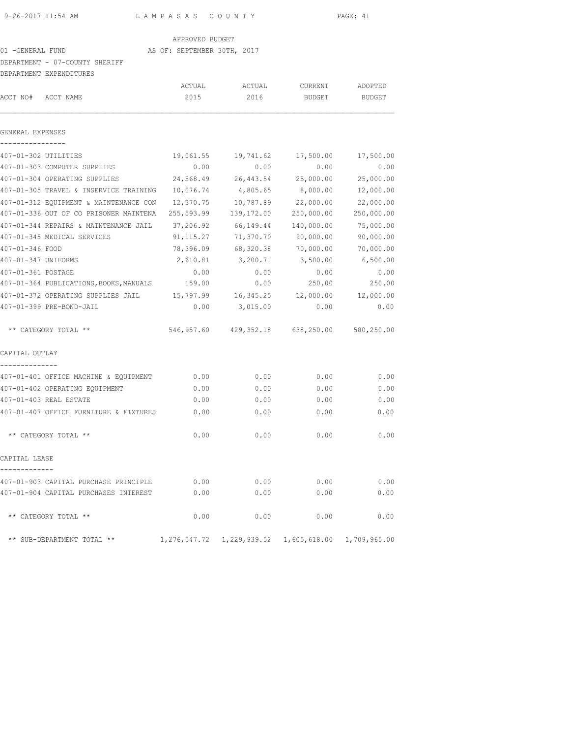APPROVED BUDGET

## 01 -GENERAL FUND AS OF: SEPTEMBER 30TH, 2017

### DEPARTMENT - 07-COUNTY SHERIFF

|                      | DEPARTMENT EXPENDITURES                      |             |                                                        |            |               |
|----------------------|----------------------------------------------|-------------|--------------------------------------------------------|------------|---------------|
|                      |                                              | ACTUAL      | ACTUAL                                                 | CURRENT    | ADOPTED       |
| ACCT NO#             | ACCT NAME                                    | 2015        | 2016                                                   | BUDGET     | <b>BUDGET</b> |
| GENERAL EXPENSES     |                                              |             |                                                        |            |               |
|                      |                                              |             |                                                        |            |               |
| 407-01-302 UTILITIES |                                              | 19,061.55   | 19,741.62                                              | 17,500.00  | 17,500.00     |
|                      | 407-01-303 COMPUTER SUPPLIES                 | 0.00        | 0.00                                                   | 0.00       | 0.00          |
|                      | 407-01-304 OPERATING SUPPLIES                | 24,568.49   | 26,443.54                                              | 25,000.00  | 25,000.00     |
|                      | 407-01-305 TRAVEL & INSERVICE TRAINING       | 10,076.74   | 4,805.65                                               | 8,000.00   | 12,000.00     |
|                      | 407-01-312 EOUIPMENT & MAINTENANCE CON       | 12,370.75   | 10,787.89                                              | 22,000.00  | 22,000.00     |
|                      | 407-01-336 OUT OF CO PRISONER MAINTENA       | 255,593.99  | 139,172.00                                             | 250,000.00 | 250,000.00    |
|                      | 407-01-344 REPAIRS & MAINTENANCE JAIL        | 37,206.92   | 66,149.44                                              | 140,000.00 | 75,000.00     |
|                      | 407-01-345 MEDICAL SERVICES                  | 91, 115. 27 | 71,370.70                                              | 90,000.00  | 90,000.00     |
| 407-01-346 FOOD      |                                              | 78,396.09   | 68,320.38                                              | 70,000.00  | 70,000.00     |
| 407-01-347 UNIFORMS  |                                              | 2,610.81    | 3,200.71                                               | 3,500.00   | 6,500.00      |
| 407-01-361 POSTAGE   |                                              | 0.00        | 0.00                                                   | 0.00       | 0.00          |
|                      | 407-01-364 PUBLICATIONS, BOOKS, MANUALS      | 159.00      | 0.00                                                   | 250.00     | 250.00        |
|                      | 407-01-372 OPERATING SUPPLIES JAIL 15,797.99 |             | 16,345.25                                              | 12,000.00  | 12,000.00     |
|                      | 407-01-399 PRE-BOND-JAIL                     | 0.00        | 3,015.00                                               | 0.00       | 0.00          |
|                      | ** CATEGORY TOTAL **                         |             | 546,957.60 429,352.18 638,250.00                       |            | 580,250.00    |
| CAPITAL OUTLAY       |                                              |             |                                                        |            |               |
|                      | 407-01-401 OFFICE MACHINE & EQUIPMENT        | 0.00        | 0.00                                                   | 0.00       | 0.00          |
|                      | 407-01-402 OPERATING EQUIPMENT               | 0.00        | 0.00                                                   | 0.00       | 0.00          |
|                      | 407-01-403 REAL ESTATE                       | 0.00        | 0.00                                                   | 0.00       | 0.00          |
|                      | 407-01-407 OFFICE FURNITURE & FIXTURES       | 0.00        | 0.00                                                   | 0.00       | 0.00          |
|                      | ** CATEGORY TOTAL **                         | 0.00        | 0.00                                                   | 0.00       | 0.00          |
| CAPITAL LEASE        |                                              |             |                                                        |            |               |
|                      | 407-01-903 CAPITAL PURCHASE PRINCIPLE        | 0.00        | 0.00                                                   | 0.00       | 0.00          |
|                      | 407-01-904 CAPITAL PURCHASES INTEREST        | 0.00        | 0.00                                                   | 0.00       | 0.00          |
|                      | ** CATEGORY TOTAL **                         | 0.00        | 0.00                                                   | 0.00       | 0.00          |
|                      | ** SUB-DEPARTMENT TOTAL **                   |             | 1,276,547.72  1,229,939.52  1,605,618.00  1,709,965.00 |            |               |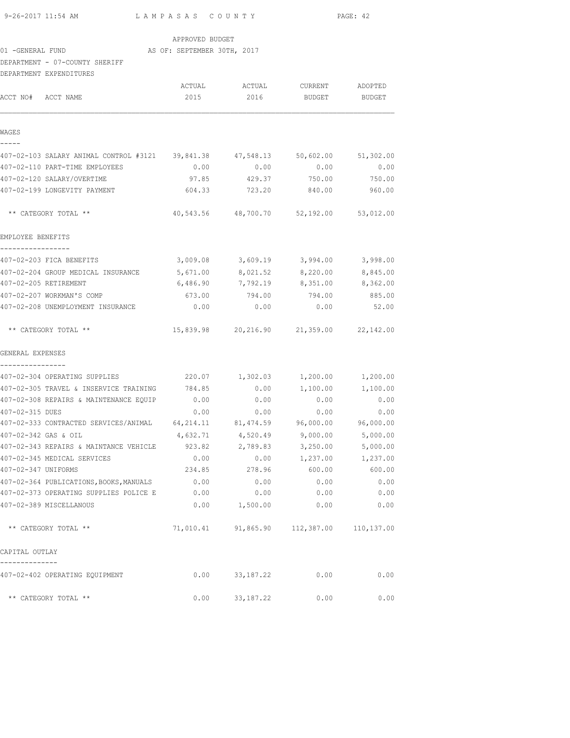| 9-26-2017 11:54 AM |  |  |  | LAMPASAS COUNTY             |  |  |  | PAGE: 42 |  |
|--------------------|--|--|--|-----------------------------|--|--|--|----------|--|
|                    |  |  |  | APPROVED BUDGET             |  |  |  |          |  |
| 01 -GENERAL FUND   |  |  |  | AS OF: SEPTEMBER 30TH, 2017 |  |  |  |          |  |

DEPARTMENT - 07-COUNTY SHERIFF DEPARTMENT EXPENDITURES

|                                                                                | ACTUAL    | ACTUAL          | CURRENT                                 | ADOPTED       |
|--------------------------------------------------------------------------------|-----------|-----------------|-----------------------------------------|---------------|
| ACCT NO#<br>ACCT NAME                                                          | 2015      | 2016            | <b>BUDGET</b>                           | <b>BUDGET</b> |
| WAGES                                                                          |           |                 |                                         |               |
|                                                                                |           |                 |                                         |               |
| 407-02-103 SALARY ANIMAL CONTROL #3121 39,841.38 47,548.13 50,602.00 51,302.00 |           |                 |                                         |               |
| 407-02-110 PART-TIME EMPLOYEES                                                 | 0.00      | 0.00            | 0.00                                    | 0.00          |
| 407-02-120 SALARY/OVERTIME                                                     | 97.85     | 429.37          | 750.00                                  | 750.00        |
| 407-02-199 LONGEVITY PAYMENT                                                   | 604.33    | 723.20          | 840.00                                  | 960.00        |
| ** CATEGORY TOTAL **                                                           |           |                 | 40,543.56 48,700.70 52,192.00 53,012.00 |               |
| EMPLOYEE BENEFITS                                                              |           |                 |                                         |               |
| -----------------<br>407-02-203 FICA BENEFITS                                  |           |                 | $3,009.08$ $3,609.19$ $3,994.00$        | 3,998.00      |
| 407-02-204 GROUP MEDICAL INSURANCE 5,671.00 8,021.52 8,220.00                  |           |                 |                                         | 8,845.00      |
| 407-02-205 RETIREMENT                                                          | 6,486.90  | 7,792.19        | 8,351.00                                | 8,362.00      |
| 407-02-207 WORKMAN'S COMP                                                      | 673.00    | 794.00          | 794.00                                  | 885.00        |
| 407-02-208 UNEMPLOYMENT INSURANCE                                              | 0.00      | 0.00            | 0.00                                    | 52.00         |
| ** CATEGORY TOTAL **                                                           |           |                 | 15,839.98 20,216.90 21,359.00 22,142.00 |               |
| GENERAL EXPENSES                                                               |           |                 |                                         |               |
| 407-02-304 OPERATING SUPPLIES                                                  |           | 220.07 1,302.03 | 1,200.00                                | 1,200.00      |
| 407-02-305 TRAVEL & INSERVICE TRAINING                                         | 784.85    | 0.00            | 1,100.00                                | 1,100.00      |
| 407-02-308 REPAIRS & MAINTENANCE EQUIP                                         | 0.00      | 0.00            | 0.00                                    | 0.00          |
| 407-02-315 DUES                                                                | 0.00      | 0.00            | 0.00                                    | 0.00          |
| 407-02-333 CONTRACTED SERVICES/ANIMAL 64,214.11 81,474.59 96,000.00            |           |                 |                                         | 96,000.00     |
| 407-02-342 GAS & OIL                                                           | 4,632.71  | 4,520.49        | 9,000.00                                | 5,000.00      |
| 407-02-343 REPAIRS & MAINTANCE VEHICLE                                         | 923.82    | 2,789.83        | 3,250.00                                | 5,000.00      |
| 407-02-345 MEDICAL SERVICES                                                    | 0.00      | 0.00            | 1,237.00                                | 1,237.00      |
| 407-02-347 UNIFORMS                                                            | 234.85    | 278.96          | 600.00                                  | 600.00        |
| 407-02-364 PUBLICATIONS, BOOKS, MANUALS                                        | 0.00      | 0.00            | 0.00                                    | 0.00          |
| 407-02-373 OPERATING SUPPLIES POLICE E                                         | 0.00      | 0.00            | 0.00                                    | 0.00          |
| 407-02-389 MISCELLANOUS                                                        | 0.00      | 1,500.00        | 0.00                                    | 0.00          |
| ** CATEGORY TOTAL **                                                           | 71,010.41 |                 | 91,865.90 112,387.00                    | 110,137.00    |
| CAPITAL OUTLAY                                                                 |           |                 |                                         |               |
| 407-02-402 OPERATING EQUIPMENT                                                 | 0.00      | 33, 187. 22     | 0.00                                    | 0.00          |
| ** CATEGORY TOTAL **                                                           | 0.00      | 33,187.22       | 0.00                                    | 0.00          |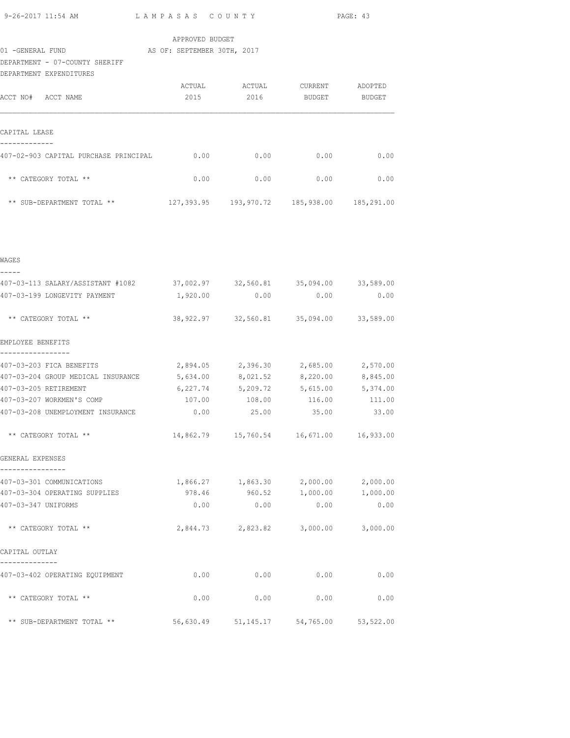|  |  | 9-26-2017 11:54 AM |  |  |  |  |
|--|--|--------------------|--|--|--|--|
|--|--|--------------------|--|--|--|--|

01 -GENERAL FUND AS OF: SEPTEMBER 30TH, 2017

DEPARTMENT - 07-COUNTY SHERIFF

| DEPARTMENT EXPENDITURES               |        |                       |            |            |
|---------------------------------------|--------|-----------------------|------------|------------|
|                                       | ACTUAL | ACTUAL                | CURRENT    | ADOPTED    |
| ACCT NO#<br>ACCT NAME                 | 2015   | 2016                  | BUDGET     | BUDGET     |
|                                       |        |                       |            |            |
| CAPITAL LEASE                         |        |                       |            |            |
| 407-02-903 CAPITAL PURCHASE PRINCIPAL | 0.00   | 0.00                  | 0.00       | 0.00       |
| ** CATEGORY TOTAL **                  | 0.00   | 0.00                  | 0.00       | 0.00       |
| ** SUB-DEPARTMENT TOTAL **            |        | 127,393.95 193,970.72 | 185,938.00 | 185,291.00 |

| WAGES                                                                     |                                             |                                            |                  |      |
|---------------------------------------------------------------------------|---------------------------------------------|--------------------------------------------|------------------|------|
| 407-03-113 SALARY/ASSISTANT #1082 37,002.97 32,560.81 35,094.00 33,589.00 |                                             |                                            |                  |      |
| 407-03-199 LONGEVITY PAYMENT                                              |                                             | $1,920.00$ 0.00 0.00                       |                  | 0.00 |
| ** CATEGORY TOTAL **                                                      |                                             | 38,922.97 32,560.81 35,094.00 33,589.00    |                  |      |
| EMPLOYEE BENEFITS                                                         |                                             |                                            |                  |      |
| 407-03-203 FICA BENEFITS                                                  |                                             | 2,894.05 2,396.30 2,685.00 2,570.00        |                  |      |
| 407-03-204 GROUP MEDICAL INSURANCE 5,634.00 8,021.52 8,220.00 8,845.00    |                                             |                                            |                  |      |
| 407-03-205 RETIREMENT                                                     |                                             | 6,227.74 5,209.72 5,615.00 5,374.00        |                  |      |
| 407-03-207 WORKMEN'S COMP                                                 |                                             | 107.00   108.00   116.00   111.00          |                  |      |
| 407-03-208 UNEMPLOYMENT INSURANCE                                         | $0.00$ $25.00$ $35.00$ $33.00$              |                                            |                  |      |
| ** CATEGORY TOTAL **                                                      |                                             | 14,862.79  15,760.54  16,671.00  16,933.00 |                  |      |
| GENERAL EXPENSES                                                          |                                             |                                            |                  |      |
| 407-03-301 COMMUNICATIONS                                                 | $1,866.27$ $1,863.30$ $2,000.00$ $2,000.00$ |                                            |                  |      |
| 407-03-304 OPERATING SUPPLIES                                             |                                             | 978.46 960.52 1,000.00 1,000.00            |                  |      |
| 407-03-347 UNIFORMS                                                       | 0.00                                        | 0.00                                       | 0.00             | 0.00 |
| ** CATEGORY TOTAL **                                                      |                                             | 2,844.73 2,823.82 3,000.00 3,000.00        |                  |      |
| CAPITAL OUTLAY                                                            |                                             |                                            |                  |      |
| 407-03-402 OPERATING EQUIPMENT                                            | 0.00                                        | 0.00                                       | 0.00             | 0.00 |
| ** CATEGORY TOTAL **                                                      | 0.00                                        |                                            | $0.00$ 0.00 0.00 |      |
| ** SUB-DEPARTMENT TOTAL **                                                |                                             | 56,630.49 51,145.17 54,765.00 53,522.00    |                  |      |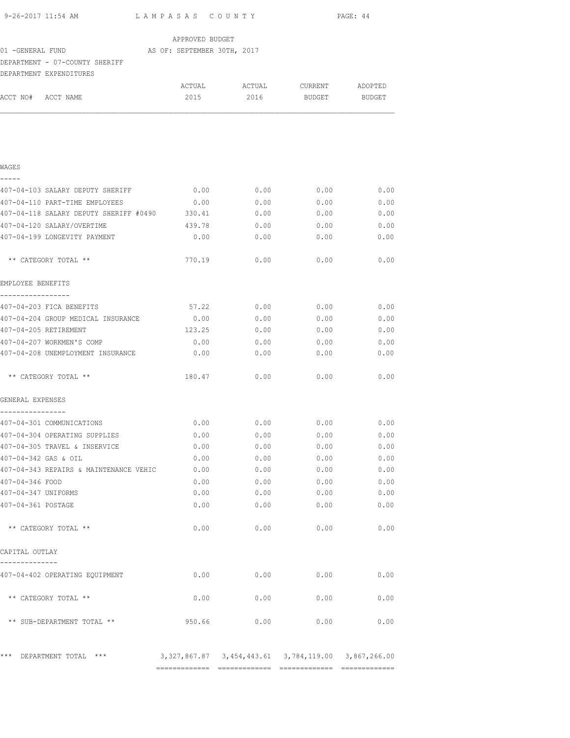|                                                                      |                  |                        |               | PAGE: 44      |
|----------------------------------------------------------------------|------------------|------------------------|---------------|---------------|
|                                                                      | APPROVED BUDGET  |                        |               |               |
| 01 -GENERAL FUND AS OF: SEPTEMBER 30TH, 2017                         |                  |                        |               |               |
| DEPARTMENT - 07-COUNTY SHERIFF                                       |                  |                        |               |               |
| DEPARTMENT EXPENDITURES                                              |                  |                        |               |               |
| ACCT NO# ACCT NAME                                                   | 2015             | 2016                   | <b>BUDGET</b> | <b>BUDGET</b> |
|                                                                      |                  |                        |               |               |
|                                                                      |                  |                        |               |               |
|                                                                      |                  |                        |               |               |
|                                                                      |                  |                        |               |               |
| WAGES                                                                |                  |                        |               |               |
| -----                                                                |                  |                        |               |               |
| 407-04-103 SALARY DEPUTY SHERIFF 0.00                                |                  | 0.00                   |               | $0.00$ 0.00   |
| 407-04-110 PART-TIME EMPLOYEES                                       | 0.00             | 0.00                   | 0.00          | 0.00          |
| 407-04-118 SALARY DEPUTY SHERIFF #0490<br>407-04-120 SALARY/OVERTIME | 330.41<br>439.78 | 0.00<br>0.00           | 0.00<br>0.00  | 0.00          |
| 407-04-199 LONGEVITY PAYMENT                                         | 0.00             | 0.00                   | 0.00          | 0.00<br>0.00  |
|                                                                      |                  |                        |               |               |
| ** CATEGORY TOTAL **                                                 | 770.19           | 0.00                   | 0.00          | 0.00          |
| EMPLOYEE BENEFITS                                                    |                  |                        |               |               |
| -----------------                                                    |                  |                        |               |               |
| 407-04-203 FICA BENEFITS<br>407-04-204 GROUP MEDICAL INSURANCE       | 0.00             | $57.22$ 0.00 0.00 0.00 |               | $0.00$ 0.00   |
| 407-04-205 RETIREMENT                                                | 123.25           | 0.00<br>0.00           | 0.00          | 0.00          |
| 407-04-207 WORKMEN'S COMP                                            | 0.00             | 0.00                   | 0.00          | 0.00          |
| 407-04-208 UNEMPLOYMENT INSURANCE                                    | 0.00             | 0.00                   | 0.00          | 0.00          |
|                                                                      |                  |                        |               |               |
| ** CATEGORY TOTAL **                                                 | 180.47           | 0.00                   | 0.00          | 0.00          |
| GENERAL EXPENSES<br>----------------                                 |                  |                        |               |               |
| 407-04-301 COMMUNICATIONS                                            | 0.00             | 0.00                   | 0.00          | 0.00          |
| 407-04-304 OPERATING SUPPLIES                                        | 0.00             | 0.00                   | 0.00          | 0.00          |
| 407-04-305 TRAVEL & INSERVICE                                        | 0.00             | 0.00                   | 0.00          | 0.00          |
| 407-04-342 GAS & OIL                                                 | 0.00             | 0.00                   | 0.00          | 0.00          |
| 407-04-343 REPAIRS & MAINTENANCE VEHIC                               | 0.00             | 0.00                   | 0.00          | 0.00          |
| 407-04-346 FOOD                                                      | 0.00             | 0.00                   | 0.00          | 0.00          |
| 407-04-347 UNIFORMS                                                  | 0.00             | 0.00                   | 0.00          | 0.00          |
| 407-04-361 POSTAGE                                                   | 0.00             | 0.00                   | 0.00          | 0.00          |
| ** CATEGORY TOTAL **                                                 | 0.00             | 0.00                   | 0.00          | 0.00          |
| CAPITAL OUTLAY                                                       |                  |                        |               |               |
| --------------                                                       |                  |                        |               |               |
| 407-04-402 OPERATING EQUIPMENT                                       | 0.00             | 0.00                   | 0.00          | 0.00          |
| ** CATEGORY TOTAL **                                                 | 0.00             | 0.00                   | 0.00          | 0.00          |
| ** SUB-DEPARTMENT TOTAL **                                           | 950.66           | 0.00                   | 0.00          | 0.00          |
|                                                                      |                  |                        |               |               |
| *** DEPARTMENT TOTAL ***                                             |                  |                        |               |               |

============= ============= ============= =============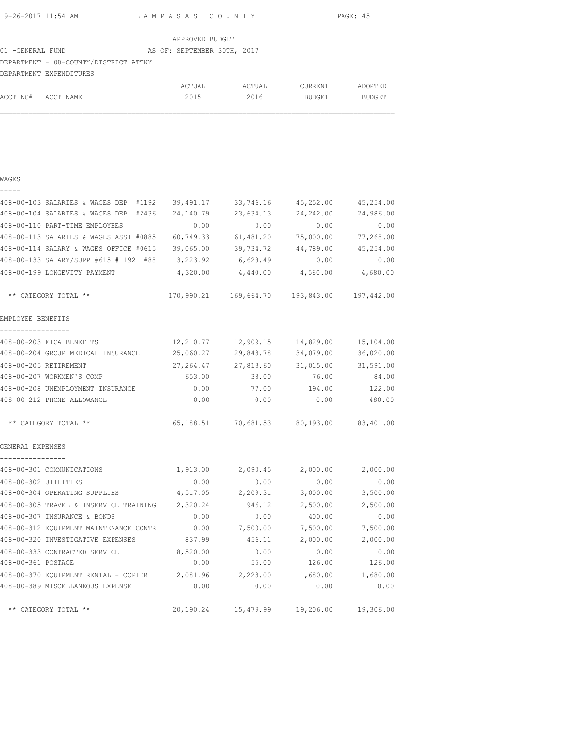| 9-26-2017 11:54 AM | LAMPASAS COUNTY | PAGE: 45 |
|--------------------|-----------------|----------|

| APPROVED BUDGET |
|-----------------|
|-----------------|

#### 01 -GENERAL FUND AS OF: SEPTEMBER 30TH, 2017

## DEPARTMENT - 08-COUNTY/DISTRICT ATTNY

|                    | DEPARTMENT EXPENDITURES |        |        |         |         |
|--------------------|-------------------------|--------|--------|---------|---------|
|                    |                         | ACTUAL | ACTUAL | CURRENT | ADOPTED |
| ACCT NO# ACCT NAME |                         | 2015   | 2016   | BUDGET  | BUDGET  |

|                                        | 408-00-103 SALARIES & WAGES DEP #1192 39,491.17                   |            | 33,746.16                                      | 45,252.00    | 45,254.00 |
|----------------------------------------|-------------------------------------------------------------------|------------|------------------------------------------------|--------------|-----------|
|                                        | 408-00-104 SALARIES & WAGES DEP #2436                             | 24,140.79  | 23,634.13                                      | 24,242.00    | 24,986.00 |
| 408-00-110 PART-TIME EMPLOYEES         |                                                                   | 0.00       | 0.00                                           | 0.00         | 0.00      |
|                                        | 408-00-113 SALARIES & WAGES ASST #0885                            | 60,749.33  | 61,481.20                                      | 75,000.00    | 77,268.00 |
|                                        | 408-00-114 SALARY & WAGES OFFICE #0615                            |            | 39,065.00 39,734.72                            | 44,789.00    | 45,254.00 |
|                                        | 408-00-133 SALARY/SUPP #615 #1192 #88                             |            | 3,223.92 6,628.49                              | 0.00         | 0.00      |
| 408-00-199 LONGEVITY PAYMENT           |                                                                   |            | $4,320.00$ $4,440.00$ $4,560.00$ $4,680.00$    |              |           |
| ** CATEGORY TOTAL **                   |                                                                   |            | 170,990.21  169,664.70  193,843.00  197,442.00 |              |           |
| EMPLOYEE BENEFITS<br>_________________ |                                                                   |            |                                                |              |           |
| 408-00-203 FICA BENEFITS               |                                                                   |            | 12,210.77 12,909.15                            | 14,829.00    | 15,104.00 |
|                                        | 408-00-204 GROUP MEDICAL INSURANCE                                | 25,060.27  | 29,843.78                                      | 34,079.00    | 36,020.00 |
| 408-00-205 RETIREMENT                  |                                                                   | 27, 264.47 | 27,813.60                                      | 31,015.00    | 31,591.00 |
| 408-00-207 WORKMEN'S COMP              |                                                                   | 653.00     | 38.00                                          | 76.00        | 84.00     |
|                                        | 408-00-208 UNEMPLOYMENT INSURANCE 0.00 77.00 194.00               |            |                                                |              | 122.00    |
| 408-00-212 PHONE ALLOWANCE             |                                                                   | 0.00       | 0.00                                           | 0.00         | 480.00    |
| ** CATEGORY TOTAL **                   |                                                                   |            | 65,188.51 70,681.53 80,193.00 83,401.00        |              |           |
| GENERAL EXPENSES<br>----------------   |                                                                   |            |                                                |              |           |
| 408-00-301 COMMUNICATIONS              |                                                                   |            | 1,913.00 2,090.45 2,000.00                     |              | 2,000.00  |
| 408-00-302 UTILITIES                   |                                                                   | 0.00       | 0.00                                           | 0.00         | 0.00      |
| 408-00-304 OPERATING SUPPLIES          |                                                                   | 4,517.05   | 2,209.31                                       | 3,000.00     | 3,500.00  |
|                                        | 408-00-305 TRAVEL & INSERVICE TRAINING 2,320.24                   |            | 946.12                                         | 2,500.00     | 2,500.00  |
| 408-00-307 INSURANCE & BONDS           |                                                                   | 0.00       | 0.00                                           | 400.00       | 0.00      |
|                                        | 408-00-312 EQUIPMENT MAINTENANCE CONTR                            | 0.00       | 7,500.00                                       | 7,500.00     | 7,500.00  |
|                                        | 408-00-320 INVESTIGATIVE EXPENSES                                 | 837.99     | 456.11                                         | 2,000.00     | 2,000.00  |
| 408-00-333 CONTRACTED SERVICE          |                                                                   | 8,520.00   | 0.00                                           | 0.00         | 0.00      |
| 408-00-361 POSTAGE                     |                                                                   | 0.00       |                                                | 55.00 126.00 | 126.00    |
|                                        | $408-00-370$ EQUIPMENT RENTAL - COPIER 2,081.96 2,223.00 1,680.00 |            |                                                |              | 1,680.00  |
|                                        | 408-00-389 MISCELLANEOUS EXPENSE 0.00 0.00 0.00                   |            |                                                | 0.00         | 0.00      |
| ** CATEGORY TOTAL **                   |                                                                   |            | 20,190.24 15,479.99 19,206.00 19,306.00        |              |           |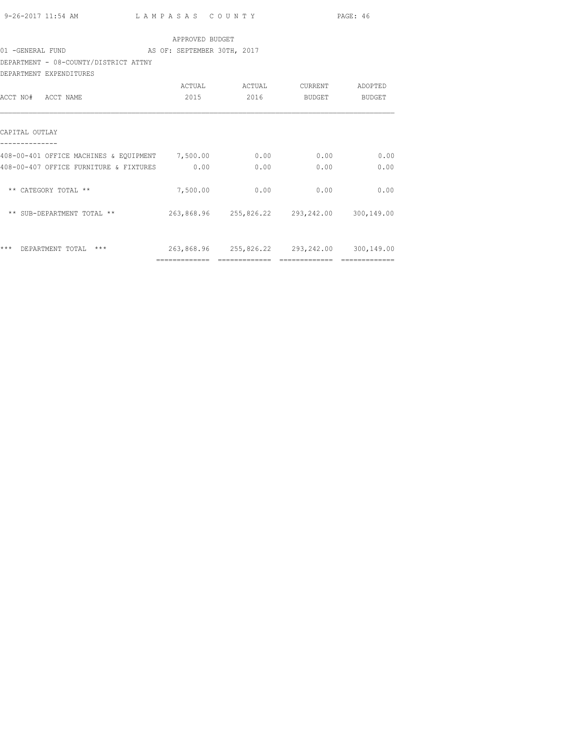|                    |                                                                |                                             |               |                                             | PAGE: 46 |
|--------------------|----------------------------------------------------------------|---------------------------------------------|---------------|---------------------------------------------|----------|
|                    |                                                                |                                             |               |                                             |          |
|                    |                                                                | APPROVED BUDGET                             |               |                                             |          |
|                    | 01 - GENERAL FUND AS OF: SEPTEMBER 30TH, 2017                  |                                             |               |                                             |          |
|                    | DEPARTMENT - 08-COUNTY/DISTRICT ATTNY                          |                                             |               |                                             |          |
|                    | DEPARTMENT EXPENDITURES                                        |                                             |               |                                             |          |
|                    |                                                                | ACTUAL                                      | ACTUAL        | CURRENT                                     | ADOPTED  |
| ACCT NO# ACCT NAME |                                                                | 2015                                        | 2016 BUDGET   |                                             | BUDGET   |
|                    |                                                                |                                             |               |                                             |          |
|                    |                                                                |                                             |               |                                             |          |
| CAPITAL OUTLAY     |                                                                |                                             |               |                                             |          |
|                    |                                                                |                                             |               |                                             |          |
|                    | 408-00-401 OFFICE MACHINES & EQUIPMENT 7,500.00 0.00 0.00 0.00 |                                             |               |                                             | 0.00     |
|                    | 408-00-407 OFFICE FURNITURE & FIXTURES 0.00                    |                                             | 0.00          | 0.00                                        | 0.00     |
|                    |                                                                |                                             |               |                                             |          |
|                    | ** CATEGORY TOTAL **                                           |                                             | 7,500.00 0.00 | 0.00                                        | 0.00     |
|                    |                                                                |                                             |               |                                             |          |
|                    | ** SUB-DEPARTMENT TOTAL **                                     | 263,868.96 255,826.22 293,242.00 300,149.00 |               |                                             |          |
|                    |                                                                |                                             |               |                                             |          |
|                    |                                                                |                                             |               |                                             |          |
|                    | *** DEPARTMENT TOTAL ***                                       |                                             |               | 263,868.96 255,826.22 293,242.00 300,149.00 |          |

============= ============= ============= =============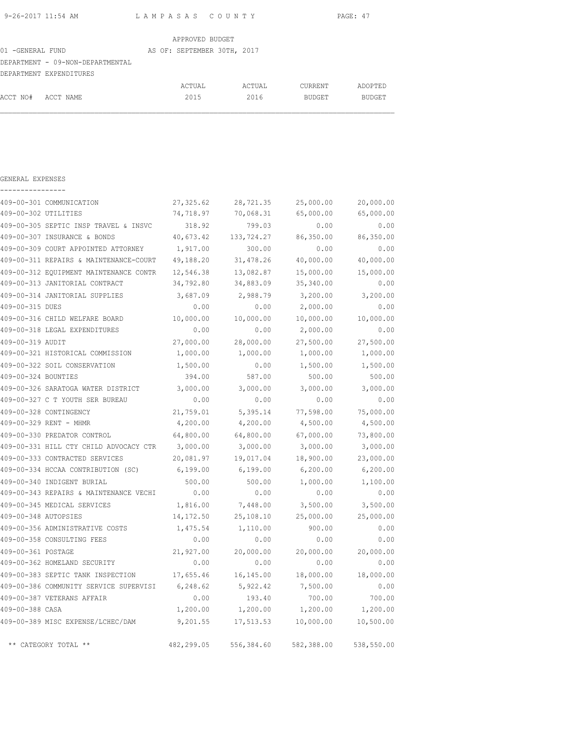| 9-26-2017 11:54 AM | LAMPASAS COUNTY | PAGE: 47 |
|--------------------|-----------------|----------|
|                    |                 |          |

|                                  | APPROVED BUDGET             |        |                |               |
|----------------------------------|-----------------------------|--------|----------------|---------------|
| 01 -GENERAL FUND                 | AS OF: SEPTEMBER 30TH, 2017 |        |                |               |
| DEPARTMENT - 09-NON-DEPARTMENTAL |                             |        |                |               |
| DEPARTMENT EXPENDITURES          |                             |        |                |               |
|                                  | ACTUAL                      | ACTUAL | <b>CURRENT</b> | ADOPTED       |
| ACCT NO# ACCT NAME               | 2015                        | 2016   | <b>BUDGET</b>  | <b>BUDGET</b> |

GENERAL EXPENSES

|                      | 409-00-301 COMMUNICATION                        | 27,325.62 | 28,721.35                        | 25,000.00 | 20,000.00  |
|----------------------|-------------------------------------------------|-----------|----------------------------------|-----------|------------|
| 409-00-302 UTILITIES |                                                 | 74,718.97 | 70,068.31                        | 65,000.00 | 65,000.00  |
|                      | 409-00-305 SEPTIC INSP TRAVEL & INSVC           | 318.92    | 799.03                           | 0.00      | 0.00       |
|                      | 409-00-307 INSURANCE & BONDS                    | 40,673.42 | 133,724.27                       | 86,350.00 | 86,350.00  |
|                      | 409-00-309 COURT APPOINTED ATTORNEY             | 1,917.00  | 300.00                           | 0.00      | 0.00       |
|                      | 409-00-311 REPAIRS & MAINTENANCE-COURT          | 49,188.20 | 31,478.26                        | 40,000.00 | 40,000.00  |
|                      | 409-00-312 EQUIPMENT MAINTENANCE CONTR          | 12,546.38 | 13,082.87                        | 15,000.00 | 15,000.00  |
|                      | 409-00-313 JANITORIAL CONTRACT                  | 34,792.80 | 34,883.09                        | 35,340.00 | 0.00       |
|                      | 409-00-314 JANITORIAL SUPPLIES                  | 3,687.09  | 2,988.79                         | 3,200.00  | 3,200.00   |
| 409-00-315 DUES      |                                                 | 0.00      | 0.00                             | 2,000.00  | 0.00       |
|                      | 409-00-316 CHILD WELFARE BOARD                  | 10,000.00 | 10,000.00                        | 10,000.00 | 10,000.00  |
|                      | 409-00-318 LEGAL EXPENDITURES                   | 0.00      | 0.00                             | 2,000.00  | 0.00       |
| 409-00-319 AUDIT     |                                                 | 27,000.00 | 28,000.00                        | 27,500.00 | 27,500.00  |
|                      | 409-00-321 HISTORICAL COMMISSION                | 1,000.00  | 1,000.00                         | 1,000.00  | 1,000.00   |
|                      | 409-00-322 SOIL CONSERVATION                    | 1,500.00  | 0.00                             | 1,500.00  | 1,500.00   |
| 409-00-324 BOUNTIES  |                                                 | 394.00    | 587.00                           | 500.00    | 500.00     |
|                      | 409-00-326 SARATOGA WATER DISTRICT 3,000.00     |           | 3,000.00                         | 3,000.00  | 3,000.00   |
|                      | 409-00-327 C T YOUTH SER BUREAU                 | 0.00      | 0.00                             | 0.00      | 0.00       |
|                      | 409-00-328 CONTINGENCY                          | 21,759.01 | 5,395.14                         | 77,598.00 | 75,000.00  |
|                      | 409-00-329 RENT - MHMR                          | 4,200.00  | 4,200.00                         | 4,500.00  | 4,500.00   |
|                      | 409-00-330 PREDATOR CONTROL                     | 64,800.00 | 64,800.00                        | 67,000.00 | 73,800.00  |
|                      | 409-00-331 HILL CTY CHILD ADVOCACY CTR 3,000.00 |           | 3,000.00                         | 3,000.00  | 3,000.00   |
|                      | 409-00-333 CONTRACTED SERVICES                  | 20,081.97 | 19,017.04                        | 18,900.00 | 23,000.00  |
|                      | 409-00-334 HCCAA CONTRIBUTION (SC) 6,199.00     |           | 6,199.00                         | 6,200.00  | 6,200.00   |
|                      | 409-00-340 INDIGENT BURIAL                      | 500.00    | 500.00                           | 1,000.00  | 1,100.00   |
|                      | 409-00-343 REPAIRS & MAINTENANCE VECHI          | 0.00      | 0.00                             | 0.00      | 0.00       |
|                      | 409-00-345 MEDICAL SERVICES                     | 1,816.00  | 7,448.00                         | 3,500.00  | 3,500.00   |
| 409-00-348 AUTOPSIES |                                                 | 14,172.50 | 25,108.10                        | 25,000.00 | 25,000.00  |
|                      | 409-00-356 ADMINISTRATIVE COSTS                 | 1,475.54  | 1,110.00                         | 900.00    | 0.00       |
|                      | 409-00-358 CONSULTING FEES                      | 0.00      | 0.00                             | 0.00      | 0.00       |
| 409-00-361 POSTAGE   |                                                 | 21,927.00 | 20,000.00                        | 20,000.00 | 20,000.00  |
|                      | 409-00-362 HOMELAND SECURITY                    | 0.00      | 0.00                             | 0.00      | 0.00       |
|                      | 409-00-383 SEPTIC TANK INSPECTION               | 17,655.46 | 16,145.00                        | 18,000.00 | 18,000.00  |
|                      | 409-00-386 COMMUNITY SERVICE SUPERVISI 6,248.62 |           | 5,922.42                         | 7,500.00  | 0.00       |
|                      | 409-00-387 VETERANS AFFAIR                      | 0.00      | 193.40                           | 700.00    | 700.00     |
| 409-00-388 CASA      |                                                 | 1,200.00  | 1,200.00                         | 1,200.00  | 1,200.00   |
|                      | 409-00-389 MISC EXPENSE/LCHEC/DAM               | 9,201.55  | 17,513.53                        | 10,000.00 | 10,500.00  |
|                      | ** CATEGORY TOTAL **                            |           | 482,299.05 556,384.60 582,388.00 |           | 538,550.00 |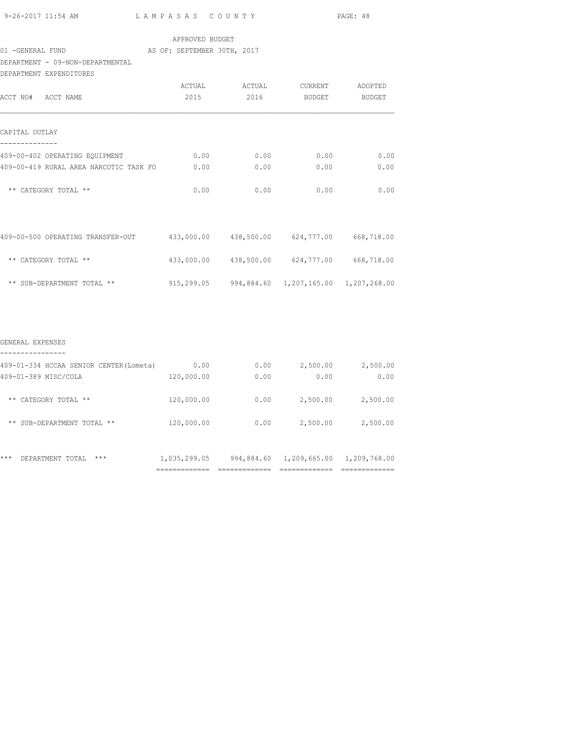| 9-26-2017 11:54 AM |  |  |
|--------------------|--|--|
|                    |  |  |

## APPROVED BUDGET

# 01 -GENERAL FUND AS OF: SEPTEMBER 30TH, 2017

## DEPARTMENT - 09-NON-DEPARTMENTAL

| DEPARTMENT EXPENDITURES                |            |        |                                             |         |
|----------------------------------------|------------|--------|---------------------------------------------|---------|
|                                        | ACTUAL     | ACTUAL | CURRENT                                     | ADOPTED |
| ACCT NO# ACCT NAME                     | 2015       | 2016   | BUDGET                                      | BUDGET  |
|                                        |            |        |                                             |         |
| CAPITAL OUTLAY                         |            |        |                                             |         |
| 409-00-402 OPERATING EQUIPMENT         | 0.00       | 0.00   | 0.00                                        | 0.00    |
| 409-00-419 RURAL AREA NARCOTIC TASK FO | 0.00       | 0.00   | 0.00                                        | 0.00    |
| ** CATEGORY TOTAL **                   | 0.00       | 0.00   | 0.00                                        | 0.00    |
|                                        |            |        |                                             |         |
| 409-00-500 OPERATING TRANSFER-OUT      |            |        | 433,000.00 438,500.00 624,777.00 668,718.00 |         |
| ** CATEGORY TOTAL **                   |            |        | 433,000.00 438,500.00 624,777.00 668,718.00 |         |
| ** SUB-DEPARTMENT TOTAL **             | 915,299.05 |        | 994,884.60  1,207,165.00  1,207,268.00      |         |

#### GENERAL EXPENSES

| 0.00         | 0.00       | 2,500.00     | 2,500.00     |
|--------------|------------|--------------|--------------|
| 120,000.00   | 0.00       | 0.00         | 0.00         |
| 120,000.00   | 0.00       | 2,500.00     | 2,500.00     |
| 120,000.00   | 0.00       | 2,500.00     | 2,500.00     |
| 1,035,299.05 | 994,884.60 | 1,209,665.00 | 1,209,768.00 |
|              |            |              |              |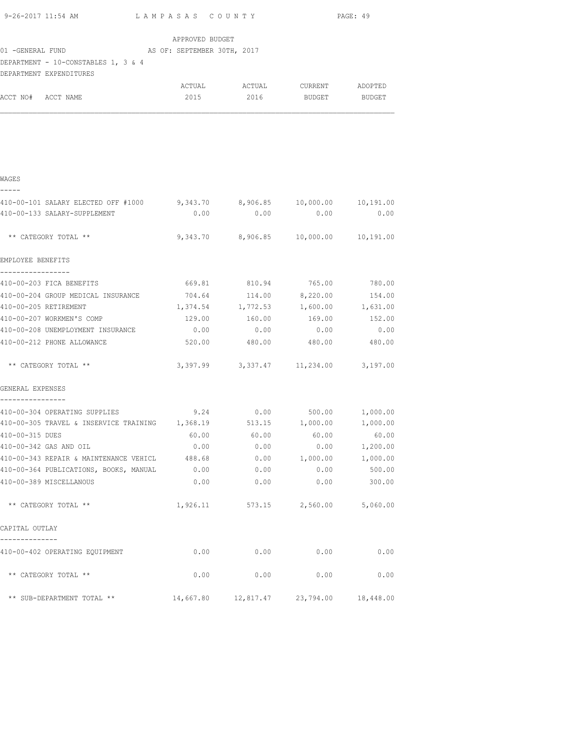|                                                                                                  |                                             |               |                                          | PAGE: 49          |
|--------------------------------------------------------------------------------------------------|---------------------------------------------|---------------|------------------------------------------|-------------------|
|                                                                                                  | APPROVED BUDGET                             |               |                                          |                   |
| AS OF: SEPTEMBER 30TH, 2017<br>01 -GENERAL FUND                                                  |                                             |               |                                          |                   |
| DEPARTMENT - 10-CONSTABLES 1, 3 & 4                                                              |                                             |               |                                          |                   |
| DEPARTMENT EXPENDITURES                                                                          |                                             |               |                                          |                   |
|                                                                                                  | ACTUAL                                      |               | ACTUAL CURRENT ADOPTED                   |                   |
| ACCT NO# ACCT NAME                                                                               | 2015                                        | 2016          | BUDGET                                   | BUDGET            |
|                                                                                                  |                                             |               |                                          |                   |
|                                                                                                  |                                             |               |                                          |                   |
|                                                                                                  |                                             |               |                                          |                   |
|                                                                                                  |                                             |               |                                          |                   |
| WAGES                                                                                            |                                             |               |                                          |                   |
| -----                                                                                            |                                             |               |                                          |                   |
| 410-00-101 SALARY ELECTED OFF #1000 9,343.70 8,906.85 10,000.00 10,191.00                        |                                             |               |                                          |                   |
| 410-00-133 SALARY-SUPPLEMENT                                                                     | 0.00                                        | 0.00          | 0.00                                     | 0.00              |
| ** CATEGORY TOTAL **                                                                             |                                             |               | 9,343.70 8,906.85 10,000.00 10,191.00    |                   |
|                                                                                                  |                                             |               |                                          |                   |
| EMPLOYEE BENEFITS                                                                                |                                             |               |                                          |                   |
| -----------------                                                                                |                                             |               | 765.00                                   |                   |
| 410-00-203 FICA BENEFITS<br>410-00-204 GROUP MEDICAL INSURANCE $704.64$ 114.00 $8,220.00$ 154.00 |                                             | 669.81 810.94 |                                          | 780.00            |
| 410-00-205 RETIREMENT                                                                            | $1,374.54$ $1,772.53$ $1,600.00$ $1,631.00$ |               |                                          |                   |
| 410-00-207 WORKMEN'S COMP                                                                        |                                             |               | 129.00   160.00   169.00   152.00        |                   |
| 410-00-208 UNEMPLOYMENT INSURANCE $0.00$ 0.00 0.00 0.00 0.00 0.00                                |                                             |               |                                          |                   |
| 410-00-212 PHONE ALLOWANCE                                                                       |                                             |               | 520.00 480.00 480.00 480.00              |                   |
| ** CATEGORY TOTAL **                                                                             |                                             |               | 3, 397.99 3, 337.47 11, 234.00 3, 197.00 |                   |
| GENERAL EXPENSES                                                                                 |                                             |               |                                          |                   |
|                                                                                                  |                                             |               |                                          |                   |
| 410-00-304 OPERATING SUPPLIES<br>9.24 0.00 500.00 1,000.00                                       |                                             |               |                                          |                   |
| 410-00-305 TRAVEL & INSERVICE TRAINING 1,368.19                                                  |                                             |               | 513.15 1,000.00                          | 1,000.00<br>60.00 |
| 410-00-315 DUES<br>410-00-342 GAS AND OIL                                                        | 60.00<br>0.00                               | 60.00<br>0.00 | 60.00<br>0.00                            | 1,200.00          |
| 410-00-343 REPAIR & MAINTENANCE VEHICL 488.68                                                    |                                             | 0.00          | 1,000.00                                 | 1,000.00          |
| 410-00-364 PUBLICATIONS, BOOKS, MANUAL 0.00                                                      |                                             | 0.00          | 0.00                                     | 500.00            |
| 410-00-389 MISCELLANOUS                                                                          | 0.00                                        | 0.00          | 0.00                                     | 300.00            |
| ** CATEGORY TOTAL **                                                                             | 1,926.11                                    |               | 573.15 2,560.00                          | 5,060.00          |
| CAPITAL OUTLAY                                                                                   |                                             |               |                                          |                   |
|                                                                                                  |                                             |               |                                          |                   |
| 410-00-402 OPERATING EQUIPMENT                                                                   | 0.00                                        | 0.00          | 0.00                                     | 0.00              |

\*\* CATEGORY TOTAL \*\* 0.00 0.00 0.00 0.00

\*\* SUB-DEPARTMENT TOTAL \*\* 14,667.80 12,817.47 23,794.00 18,448.00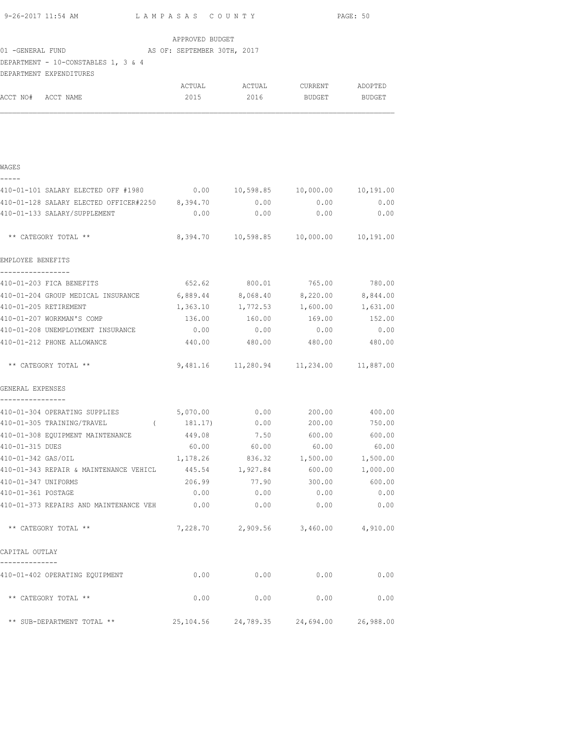| 9-26-2017 11:54 AM                                                                                       | LAMPASAS COUNTY               |                                           |               | PAGE: 50  |
|----------------------------------------------------------------------------------------------------------|-------------------------------|-------------------------------------------|---------------|-----------|
|                                                                                                          | APPROVED BUDGET               |                                           |               |           |
|                                                                                                          |                               |                                           |               |           |
| DEPARTMENT - 10-CONSTABLES 1, 3 & 4                                                                      |                               |                                           |               |           |
| DEPARTMENT EXPENDITURES                                                                                  |                               |                                           |               |           |
|                                                                                                          |                               | ACTUAL ACTUAL CURRENT ADOPTED             |               |           |
| ACCT NO# ACCT NAME                                                                                       |                               | 2015 2016 BUDGET BUDGET                   |               |           |
| WAGES                                                                                                    |                               |                                           |               |           |
| -----                                                                                                    |                               |                                           |               |           |
| 410-01-101 SALARY ELECTED OFF #1980 0.00 10,598.85 10,000.00 10,191.00                                   |                               |                                           |               |           |
| 410-01-128 SALARY ELECTED OFFICER#2250 8,394.70 0.00 0.00 0.00 0.00 0.00<br>410-01-133 SALARY/SUPPLEMENT |                               | $0.00$ 0.00                               | 0.00          | 0.00      |
|                                                                                                          |                               |                                           |               |           |
| ** CATEGORY TOTAL **                                                                                     |                               | 8,394.70  10,598.85  10,000.00  10,191.00 |               |           |
| EMPLOYEE BENEFITS                                                                                        |                               |                                           |               |           |
| -----------------<br>410-01-203 FICA BENEFITS                                                            | 652.62                        |                                           | 800.01 765.00 | 780.00    |
| 410-01-204 GROUP MEDICAL INSURANCE 6,889.44                                                              |                               | 8,068.40                                  | 8,220.00      | 8,844.00  |
| 410-01-205 RETIREMENT                                                                                    | 1,363.10                      | 1,772.53                                  | 1,600.00      | 1,631.00  |
| 410-01-207 WORKMAN'S COMP                                                                                | 136.00                        | 160.00                                    | 169.00        | 152.00    |
| 410-01-208 UNEMPLOYMENT INSURANCE                                                                        | 0.00                          | 0.00                                      | 0.00          | 0.00      |
| 410-01-212 PHONE ALLOWANCE                                                                               |                               | 440.00 480.00 480.00 480.00               |               |           |
| ** CATEGORY TOTAL **                                                                                     |                               | 9,481.16  11,280.94  11,234.00  11,887.00 |               |           |
| GENERAL EXPENSES<br>----------------                                                                     |                               |                                           |               |           |
| 410-01-304 OPERATING SUPPLIES                                                                            | $5,070.00$ 0.00 200.00 400.00 |                                           |               |           |
| 410-01-305 TRAINING/TRAVEL (                                                                             | 181.17)                       | 0.00                                      | 200.00        | 750.00    |
| 410-01-308 EQUIPMENT MAINTENANCE                                                                         | 449.08                        | 7.50                                      | 600.00        | 600.00    |
| 410-01-315 DUES                                                                                          | 60.00                         | 60.00                                     | 60.00         | 60.00     |
| 410-01-342 GAS/OIL                                                                                       | 1,178.26                      | 836.32                                    | 1,500.00      | 1,500.00  |
| 410-01-343 REPAIR & MAINTENANCE VEHICL                                                                   | 445.54                        | 1,927.84                                  | 600.00        | 1,000.00  |
| 410-01-347 UNIFORMS                                                                                      | 206.99                        | 77.90                                     | 300.00        | 600.00    |
| 410-01-361 POSTAGE                                                                                       | 0.00                          | 0.00                                      | 0.00          | 0.00      |
| 410-01-373 REPAIRS AND MAINTENANCE VEH 0.00                                                              |                               | 0.00                                      | 0.00          | 0.00      |
| ** CATEGORY TOTAL **                                                                                     |                               | 7,228.70 2,909.56 3,460.00 4,910.00       |               |           |
| CAPITAL OUTLAY<br>--------------                                                                         |                               |                                           |               |           |
| 410-01-402 OPERATING EQUIPMENT                                                                           | 0.00                          | 0.00                                      | 0.00          | 0.00      |
| ** CATEGORY TOTAL **                                                                                     | 0.00                          | 0.00                                      | 0.00          | 0.00      |
| ** SUB-DEPARTMENT TOTAL **                                                                               | 25,104.56                     | 24,789.35                                 | 24,694.00     | 26,988.00 |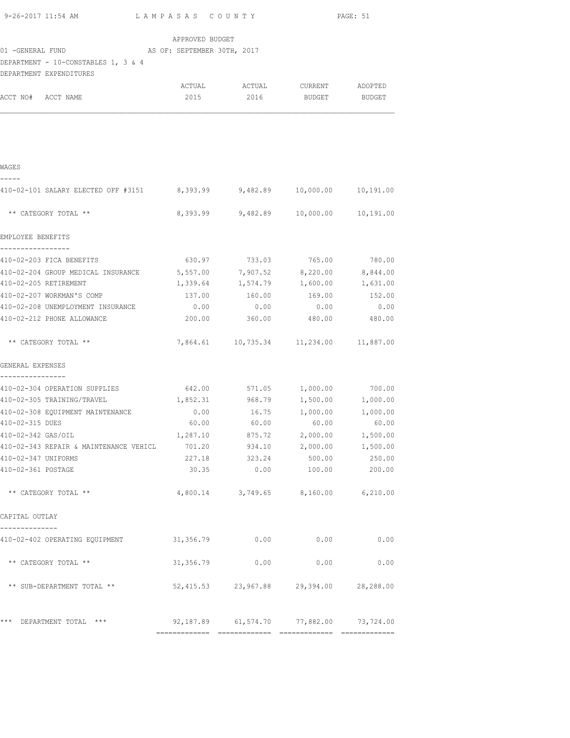| 9-26-2017 11:54 AM<br>LAMPASAS COUNTY                                    |                               |                                             | PAGE: 51 |           |
|--------------------------------------------------------------------------|-------------------------------|---------------------------------------------|----------|-----------|
|                                                                          | APPROVED BUDGET               |                                             |          |           |
|                                                                          |                               |                                             |          |           |
| DEPARTMENT - 10-CONSTABLES 1, 3 & 4                                      |                               |                                             |          |           |
| DEPARTMENT EXPENDITURES                                                  |                               |                                             |          |           |
|                                                                          |                               | ACTUAL ACTUAL CURRENT ADOPTED               |          |           |
| ACCT NO# ACCT NAME                                                       |                               | 2015 2016 BUDGET BUDGET                     |          |           |
|                                                                          |                               |                                             |          |           |
| WAGES                                                                    |                               |                                             |          |           |
| -----<br>410-02-101 SALARY ELECTED OFF #3151 8,393.99 9,482.89 10,000.00 |                               |                                             |          | 10,191.00 |
| ** CATEGORY TOTAL **                                                     |                               | 8,393.99 9,482.89 10,000.00 10,191.00       |          |           |
| EMPLOYEE BENEFITS                                                        |                               |                                             |          |           |
| -----------------<br>410-02-203 FICA BENEFITS                            |                               | 630.97 733.03 765.00 780.00                 |          |           |
| 410-02-204 GROUP MEDICAL INSURANCE 5,557.00 7,907.52 8,220.00 8,844.00   |                               |                                             |          |           |
| 410-02-205 RETIREMENT                                                    |                               | $1,339.64$ $1,574.79$ $1,600.00$ $1,631.00$ |          |           |
| 410-02-207 WORKMAN'S COMP                                                |                               | 137.00 160.00                               | 169.00   | 152.00    |
| 410-02-208 UNEMPLOYMENT INSURANCE                                        | 0.00                          | 0.00                                        | 0.00     | 0.00      |
| 410-02-212 PHONE ALLOWANCE                                               | 200.00                        | 360.00                                      | 480.00   | 480.00    |
| ** CATEGORY TOTAL **                                                     |                               | 7,864.61  10,735.34  11,234.00  11,887.00   |          |           |
| GENERAL EXPENSES                                                         |                               |                                             |          |           |
| ----------------<br>410-02-304 OPERATION SUPPLIES                        | 642.00 571.05 1,000.00 700.00 |                                             |          |           |
| 410-02-305 TRAINING/TRAVEL 1,852.31 968.79 1,500.00 1,000.00             |                               |                                             |          |           |
| 410-02-308 EQUIPMENT MAINTENANCE                                         |                               | $0.00$ 16.75 1,000.00 1,000.00              |          |           |
| 410-02-315 DUES                                                          |                               | $60.00$ $60.00$ $60.00$ $60.00$ $60.00$     |          |           |
| 410-02-342 GAS/OIL                                                       | 1,287.10                      | 875.72                                      | 2,000.00 | 1,500.00  |
| 410-02-343 REPAIR & MAINTENANCE VEHICL                                   | 701.20                        | 934.10                                      | 2,000.00 | 1,500.00  |
| 410-02-347 UNIFORMS                                                      | 227.18                        | 323.24                                      | 500.00   | 250.00    |
| 410-02-361 POSTAGE                                                       | 30.35                         | 0.00                                        | 100.00   | 200.00    |
| ** CATEGORY TOTAL **                                                     |                               | 4,800.14 3,749.65 8,160.00 6,210.00         |          |           |
| CAPITAL OUTLAY                                                           |                               |                                             |          |           |
| ---------<br>410-02-402 OPERATING EQUIPMENT                              | 31,356.79                     | 0.00                                        | 0.00     | 0.00      |
| ** CATEGORY TOTAL **                                                     | 31,356.79                     | 0.00                                        | 0.00     | 0.00      |
| ** SUB-DEPARTMENT TOTAL **                                               |                               | 52,415.53 23,967.88 29,394.00 28,288.00     |          |           |
| *** DEPARTMENT TOTAL ***                                                 |                               | 92,187.89 61,574.70 77,882.00 73,724.00     |          |           |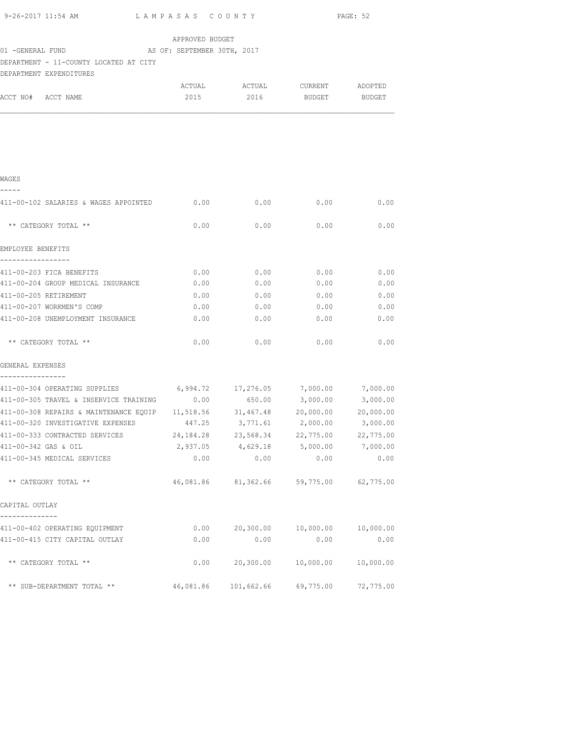| 9-26-2017 11:54 AM                                                                     | LAMPASAS COUNTY |                               |             | PAGE: 52  |
|----------------------------------------------------------------------------------------|-----------------|-------------------------------|-------------|-----------|
|                                                                                        | APPROVED BUDGET |                               |             |           |
| 01 -GENERAL FUND MAS OF: SEPTEMBER 30TH, 2017                                          |                 |                               |             |           |
| DEPARTMENT - 11-COUNTY LOCATED AT CITY                                                 |                 |                               |             |           |
| DEPARTMENT EXPENDITURES                                                                |                 |                               |             |           |
|                                                                                        |                 | ACTUAL ACTUAL CURRENT ADOPTED |             |           |
| ACCT NO# ACCT NAME                                                                     |                 | 2015 2016 BUDGET BUDGET       |             |           |
|                                                                                        |                 |                               |             |           |
|                                                                                        |                 |                               |             |           |
| WAGES                                                                                  |                 |                               |             |           |
|                                                                                        |                 |                               |             |           |
| 411-00-102 SALARIES & WAGES APPOINTED 0.00                                             |                 | 0.00                          | 0.00        | 0.00      |
| ** CATEGORY TOTAL **                                                                   | 0.00            | 0.00                          | 0.00        | 0.00      |
| EMPLOYEE BENEFITS                                                                      |                 |                               |             |           |
| 411-00-203 FICA BENEFITS                                                               | 0.00            | 0.00                          | 0.00        | 0.00      |
| 411-00-204 GROUP MEDICAL INSURANCE                                                     | 0.00            |                               | $0.00$ 0.00 | 0.00      |
| 411-00-205 RETIREMENT                                                                  | 0.00            | 0.00                          | 0.00        | 0.00      |
| 411-00-207 WORKMEN'S COMP                                                              | 0.00            | 0.00                          | 0.00        | 0.00      |
| 411-00-208 UNEMPLOYMENT INSURANCE                                                      | 0.00            | 0.00                          | 0.00        | 0.00      |
| ** CATEGORY TOTAL **                                                                   | 0.00            | 0.00                          | 0.00        | 0.00      |
| GENERAL EXPENSES                                                                       |                 |                               |             |           |
| ----------------<br>411-00-304 OPERATING SUPPLIES 6,994.72 17,276.05 7,000.00 7,000.00 |                 |                               |             |           |
| 411-00-305 TRAVEL & INSERVICE TRAINING $0.00$ 650.00 3,000.00 3,000.00                 |                 |                               |             |           |
| 411-00-308 REPAIRS & MAINTENANCE EQUIP 11,518.56 31,467.48 20,000.00 20,000.00         |                 |                               |             |           |
| 411-00-320 INVESTIGATIVE EXPENSES 447.25 3,771.61 2,000.00 3,000.00                    |                 |                               |             |           |
| 411-00-333 CONTRACTED SERVICES                                                         | 24, 184. 28     | 23,568.34                     | 22,775.00   | 22,775.00 |
| 411-00-342 GAS & OIL                                                                   | 2,937.05        | 4,629.18                      | 5,000.00    | 7,000.00  |
| 411-00-345 MEDICAL SERVICES                                                            | 0.00            | 0.00                          | 0.00        | 0.00      |
| ** CATEGORY TOTAL **                                                                   |                 | 46,081.86 81,362.66           | 59,775.00   | 62,775.00 |
| CAPITAL OUTLAY                                                                         |                 |                               |             |           |
| --------------                                                                         |                 |                               |             |           |
| 411-00-402 OPERATING EQUIPMENT                                                         | 0.00            | 20, 300.00                    | 10,000.00   | 10,000.00 |
| 411-00-415 CITY CAPITAL OUTLAY                                                         | 0.00            | 0.00                          | 0.00        | 0.00      |
| ** CATEGORY TOTAL **                                                                   | 0.00            | 20, 300.00                    | 10,000.00   | 10,000.00 |
| ** SUB-DEPARTMENT TOTAL **                                                             | 46,081.86       | 101,662.66                    | 69,775.00   | 72,775.00 |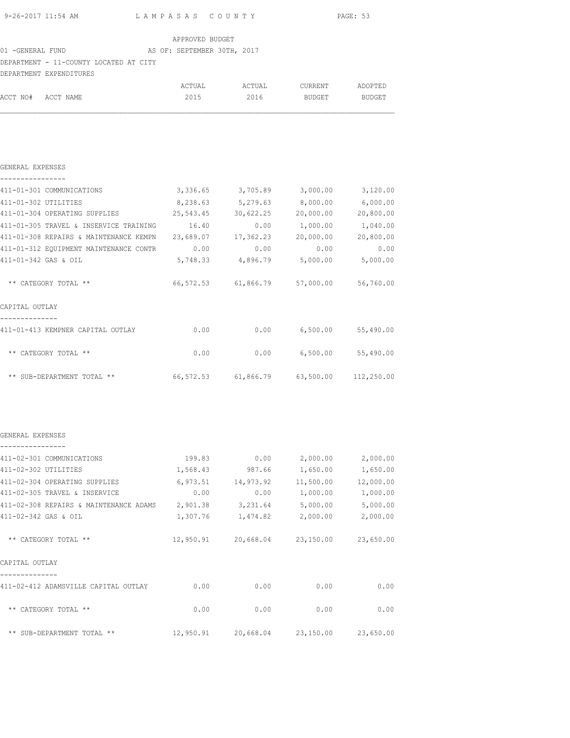| 9-26-2017 11:54 AM | LAMPASAS COUNTY | PAGE: 53 |
|--------------------|-----------------|----------|

| APPROVED BUDGET |  |
|-----------------|--|
|                 |  |

#### 01 -GENERAL FUND AS OF: SEPTEMBER 30TH, 2017

## DEPARTMENT - 11-COUNTY LOCATED AT CITY

|                    | DEPARTMENT EXPENDITURES |        |        |         |         |
|--------------------|-------------------------|--------|--------|---------|---------|
|                    |                         | ACTUAL | ACTUAL | CURRENT | ADOPTED |
| ACCT NO# ACCT NAME |                         | 2015   | 2016   | BUDGET  | BUDGET  |

#### GENERAL EXPENSES

|  |  |  |  |  | ---------------- |  |  |  |
|--|--|--|--|--|------------------|--|--|--|

| 411-01-301 COMMUNICATIONS              | 3,336.65  | 3,705.89  | 3,000.00  | 3,120.00   |
|----------------------------------------|-----------|-----------|-----------|------------|
| 411-01-302 UTILITIES                   | 8,238.63  | 5,279.63  | 8,000.00  | 6,000.00   |
| 411-01-304 OPERATING SUPPLIES          | 25,543.45 | 30,622.25 | 20,000.00 | 20,800.00  |
| 411-01-305 TRAVEL & INSERVICE TRAINING | 16.40     | 0.00      | 1,000.00  | 1,040.00   |
| 411-01-308 REPAIRS & MAINTENANCE KEMPN | 23,689.07 | 17,362.23 | 20,000.00 | 20,800.00  |
| 411-01-312 EQUIPMENT MAINTENANCE CONTR | 0.00      | 0.00      | 0.00      | 0.00       |
| 411-01-342 GAS & OIL                   | 5,748.33  | 4,896.79  | 5,000.00  | 5,000.00   |
| ** CATEGORY TOTAL **                   | 66,572.53 | 61,866.79 | 57,000.00 | 56,760.00  |
| CAPITAL OUTLAY                         |           |           |           |            |
| 411-01-413 KEMPNER CAPITAL OUTLAY      | 0.00      | 0.00      | 6,500.00  | 55,490.00  |
| ** CATEGORY TOTAL **                   | 0.00      | 0.00      | 6,500.00  | 55,490.00  |
| ** SUB-DEPARTMENT TOTAL **             | 66,572.53 | 61,866.79 | 63,500.00 | 112,250.00 |

#### GENERAL EXPENSES ----------------

| 411-02-301 COMMUNICATIONS               | 199.83    | 0.00      | 2,000.00  | 2,000.00  |
|-----------------------------------------|-----------|-----------|-----------|-----------|
| 411-02-302 UTILITIES                    | 1,568.43  | 987.66    | 1,650.00  | 1,650.00  |
| 411-02-304 OPERATING SUPPLIES           | 6,973.51  | 14,973.92 | 11,500.00 | 12,000.00 |
| 411-02-305 TRAVEL &<br><b>TNSERVICE</b> | 0.00      | 0.00      | 1,000.00  | 1,000.00  |
| 411-02-308 REPAIRS & MAINTENANCE ADAMS  | 2,901.38  | 3,231.64  | 5,000.00  | 5,000.00  |
| 411-02-342 GAS & OIL                    | 1,307.76  | 1,474.82  | 2,000.00  | 2,000.00  |
| ** CATEGORY TOTAL **                    | 12,950.91 | 20,668.04 | 23,150.00 | 23,650.00 |
| CAPITAL OUTLAY                          |           |           |           |           |
| 411-02-412 ADAMSVILLE CAPITAL OUTLAY    | 0.00      | 0.00      | 0.00      | 0.00      |
| ** CATEGORY TOTAL **                    | 0.00      | 0.00      | 0.00      | 0.00      |
| ** SUB-DEPARTMENT TOTAL<br>$***$        | 12,950.91 | 20,668.04 | 23,150.00 | 23,650.00 |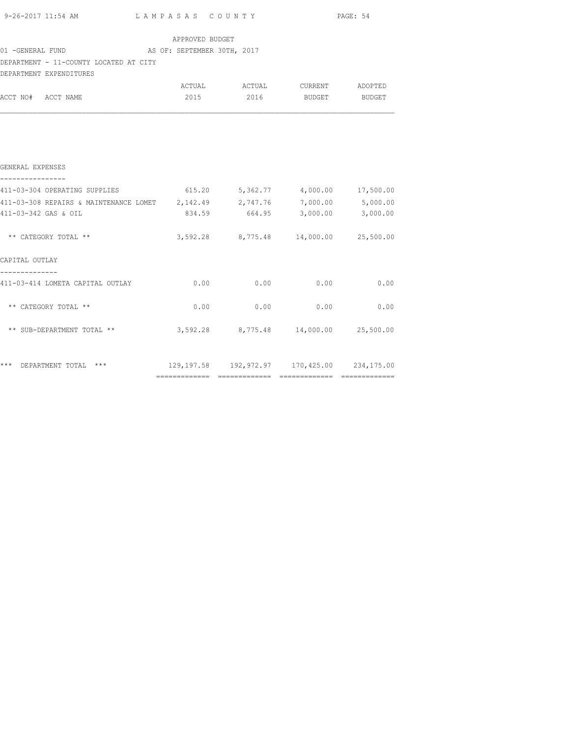|                                                                                  | $9-26-2017$ 11:54 AM $L$ AMPASAS COUNTY PAGE: 54 |                                       |  |
|----------------------------------------------------------------------------------|--------------------------------------------------|---------------------------------------|--|
|                                                                                  | APPROVED BUDGET                                  |                                       |  |
| 01 -GENERAL FUND AS OF: SEPTEMBER 30TH, 2017                                     |                                                  |                                       |  |
| DEPARTMENT - 11-COUNTY LOCATED AT CITY                                           |                                                  |                                       |  |
| DEPARTMENT EXPENDITURES                                                          |                                                  |                                       |  |
|                                                                                  |                                                  | ACTUAL ACTUAL CURRENT ADOPTED         |  |
| ACCT NO# ACCT NAME                                                               |                                                  | 2015 2016 BUDGET BUDGET               |  |
|                                                                                  |                                                  |                                       |  |
| GENERAL EXPENSES<br>----------------                                             |                                                  |                                       |  |
| 411-03-304 OPERATING SUPPLIES 615.20 5,362.77 4,000.00 17,500.00                 |                                                  |                                       |  |
| 411-03-308 REPAIRS & MAINTENANCE LOMET 2,142.49 2,747.76 7,000.00 5,000.00       |                                                  |                                       |  |
| 411-03-342 GAS & OIL                                                             |                                                  | 834.59 664.95 3,000.00 3,000.00       |  |
| ** CATEGORY TOTAL **                                                             |                                                  | 3,592.28 8,775.48 14,000.00 25,500.00 |  |
| CAPITAL OUTLAY                                                                   |                                                  |                                       |  |
| --------------<br>411-03-414 LOMETA CAPITAL OUTLAY 6.00 0.00 0.00 0.00 0.00 0.00 |                                                  |                                       |  |
| ** CATEGORY TOTAL **                                                             |                                                  | $0.00$ 0.00 0.00 0.00                 |  |
| ** SUB-DEPARTMENT TOTAL ** 3,592.28 8,775.48 14,000.00 25,500.00                 |                                                  |                                       |  |
|                                                                                  |                                                  |                                       |  |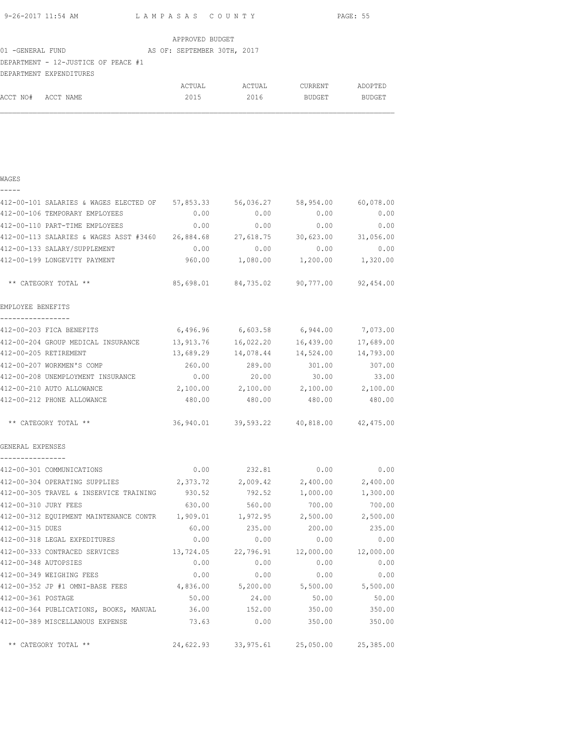| 9-26-2017 11:54 AM | LAMPASAS COUNTY | PAGE: 55 |
|--------------------|-----------------|----------|

|                                     |  | APPROVED BUDGET             |  |
|-------------------------------------|--|-----------------------------|--|
| 01 -GENERAL FUND                    |  | AS OF: SEPTEMBER 30TH, 2017 |  |
| DEPARTMENT - 12-JUSTICE OF PEACE #1 |  |                             |  |
| DEPARTMENT EXPENDITURES             |  |                             |  |
|                                     |  |                             |  |

|                    | ACTUAL | ACTUAL | CURRENT       | ADOPTED |
|--------------------|--------|--------|---------------|---------|
| ACCT NO# ACCT NAME | 2015   | 2016   | <b>BUDGET</b> | BUDGET  |
|                    |        |        |               |         |

| 412-00-101 SALARIES & WAGES ELECTED OF 57,853.33                     |           |                                             | 56,036.27 58,954.00 | 60,078.00 |
|----------------------------------------------------------------------|-----------|---------------------------------------------|---------------------|-----------|
| 412-00-106 TEMPORARY EMPLOYEES                                       | 0.00      | 0.00                                        | 0.00                | 0.00      |
| 412-00-110 PART-TIME EMPLOYEES                                       | 0.00      | 0.00                                        | 0.00                | 0.00      |
| 412-00-113 SALARIES & WAGES ASST #3460 26,884.68 27,618.75 30,623.00 |           |                                             |                     | 31,056.00 |
| 412-00-133 SALARY/SUPPLEMENT                                         | 0.00      | 0.00                                        | 0.00                | 0.00      |
| 412-00-199 LONGEVITY PAYMENT                                         |           |                                             |                     |           |
| ** CATEGORY TOTAL **                                                 |           | 85,698.01 84,735.02 90,777.00 92,454.00     |                     |           |
| EMPLOYEE BENEFITS<br>_________________                               |           |                                             |                     |           |
| 412-00-203 FICA BENEFITS                                             | 6,496.96  | 6,603.58                                    | 6,944.00            | 7,073.00  |
| 412-00-204 GROUP MEDICAL INSURANCE                                   | 13,913.76 | 16,022.20                                   | 16,439.00           | 17,689.00 |
| 412-00-205 RETIREMENT                                                | 13,689.29 | 14,078.44                                   | 14,524.00           | 14,793.00 |
| 412-00-207 WORKMEN'S COMP                                            | 260.00    | 289.00                                      | 301.00              | 307.00    |
| 412-00-208 UNEMPLOYMENT INSURANCE 0.00                               |           | 20.00                                       | 30.00               | 33.00     |
| 412-00-210 AUTO ALLOWANCE                                            |           | $2,100.00$ $2,100.00$ $2,100.00$ $2,100.00$ |                     |           |
| 412-00-212 PHONE ALLOWANCE                                           |           | 480.00 480.00 480.00                        |                     | 480.00    |
| ** CATEGORY TOTAL **                                                 |           | 36,940.01 39,593.22 40,818.00 42,475.00     |                     |           |
| GENERAL EXPENSES                                                     |           |                                             |                     |           |
| 412-00-301 COMMUNICATIONS                                            |           | $0.00$ 232.81                               | 0.00                | 0.00      |
| 412-00-304 OPERATING SUPPLIES                                        | 2,373.72  | 2,009.42                                    | 2,400.00            | 2,400.00  |
| 412-00-305 TRAVEL & INSERVICE TRAINING                               | 930.52    | 792.52                                      | 1,000.00            | 1,300.00  |
| 412-00-310 JURY FEES                                                 | 630.00    | 560.00                                      | 700.00              | 700.00    |
| 412-00-312 EQUIPMENT MAINTENANCE CONTR 1,909.01                      |           | 1,972.95                                    | 2,500.00            | 2,500.00  |
| 412-00-315 DUES                                                      | 60.00     | 235.00                                      | 200.00              | 235.00    |
| 412-00-318 LEGAL EXPEDITURES                                         | 0.00      | 0.00                                        | 0.00                | 0.00      |
| 412-00-333 CONTRACED SERVICES 13,724.05 22,796.91                    |           |                                             | 12,000.00           | 12,000.00 |
| 412-00-348 AUTOPSIES                                                 | 0.00      | 0.00                                        | 0.00                | 0.00      |
| 412-00-349 WEIGHING FEES                                             | 0.00      | 0.00                                        | 0.00                | 0.00      |
| 412-00-352 JP #1 OMNI-BASE FEES 4,836.00 5,200.00 5,500.00 5,500.00  |           |                                             |                     |           |
| 412-00-361 POSTAGE                                                   | 50.00     | 24.00                                       | 50.00               | 50.00     |
| 412-00-364 PUBLICATIONS, BOOKS, MANUAL 36.00                         |           | 152.00                                      | 350.00              | 350.00    |
| 412-00-389 MISCELLANOUS EXPENSE                                      | 73.63     | 0.00                                        | 350.00              | 350.00    |
| ** CATEGORY TOTAL **                                                 |           | 24,622.93 33,975.61 25,050.00 25,385.00     |                     |           |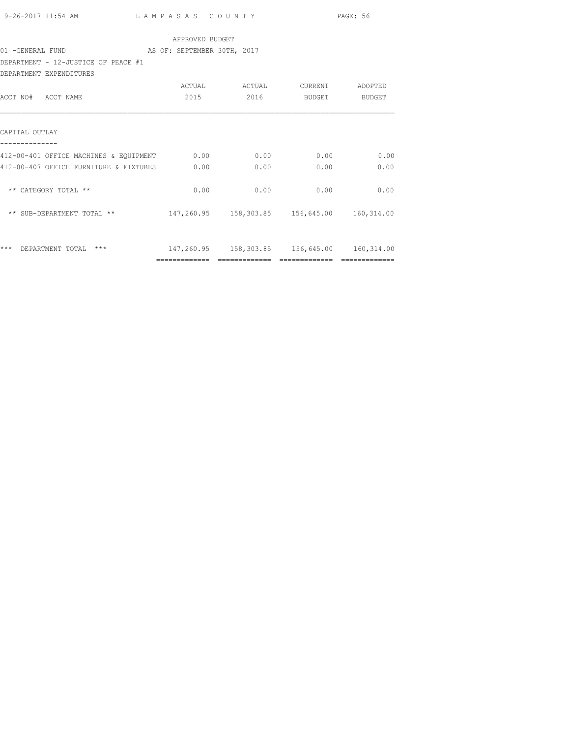|                                                                |                 |                                                |             | PAGE: 56                                                                                                                                                                                                                                                                                                                                                                                                                                                                               |
|----------------------------------------------------------------|-----------------|------------------------------------------------|-------------|----------------------------------------------------------------------------------------------------------------------------------------------------------------------------------------------------------------------------------------------------------------------------------------------------------------------------------------------------------------------------------------------------------------------------------------------------------------------------------------|
|                                                                | APPROVED BUDGET |                                                |             |                                                                                                                                                                                                                                                                                                                                                                                                                                                                                        |
| 01 - GENERAL FUND AS OF: SEPTEMBER 30TH, 2017                  |                 |                                                |             |                                                                                                                                                                                                                                                                                                                                                                                                                                                                                        |
| DEPARTMENT - 12-JUSTICE OF PEACE #1<br>DEPARTMENT EXPENDITURES |                 |                                                |             |                                                                                                                                                                                                                                                                                                                                                                                                                                                                                        |
|                                                                |                 |                                                |             |                                                                                                                                                                                                                                                                                                                                                                                                                                                                                        |
| ACCT NO# ACCT NAME                                             | 2015 70         |                                                | 2016 BUDGET | BUDGET                                                                                                                                                                                                                                                                                                                                                                                                                                                                                 |
| CAPITAL OUTLAY                                                 |                 |                                                |             |                                                                                                                                                                                                                                                                                                                                                                                                                                                                                        |
| 412-00-401 OFFICE MACHINES & EQUIPMENT 0.00 0.00 0.00 0.00     |                 |                                                |             | 0.00                                                                                                                                                                                                                                                                                                                                                                                                                                                                                   |
| 412-00-407 OFFICE FURNITURE & FIXTURES 0.00                    |                 | 0.00                                           | 0.00        | 0.00                                                                                                                                                                                                                                                                                                                                                                                                                                                                                   |
| ** CATEGORY TOTAL **                                           | 0.00            | $0.00$ 0.00                                    |             | 0.00                                                                                                                                                                                                                                                                                                                                                                                                                                                                                   |
|                                                                |                 |                                                |             |                                                                                                                                                                                                                                                                                                                                                                                                                                                                                        |
| *** DEPARTMENT TOTAL ***                                       |                 | 147,260.95  158,303.85  156,645.00  160,314.00 |             |                                                                                                                                                                                                                                                                                                                                                                                                                                                                                        |
|                                                                |                 |                                                |             | $\begin{array}{cccccccccccccc} \multicolumn{2}{c}{} & \multicolumn{2}{c}{} & \multicolumn{2}{c}{} & \multicolumn{2}{c}{} & \multicolumn{2}{c}{} & \multicolumn{2}{c}{} & \multicolumn{2}{c}{} & \multicolumn{2}{c}{} & \multicolumn{2}{c}{} & \multicolumn{2}{c}{} & \multicolumn{2}{c}{} & \multicolumn{2}{c}{} & \multicolumn{2}{c}{} & \multicolumn{2}{c}{} & \multicolumn{2}{c}{} & \multicolumn{2}{c}{} & \multicolumn{2}{c}{} & \multicolumn{2}{c}{} & \multicolumn{2}{c}{} & \$ |
|                                                                |                 |                                                |             |                                                                                                                                                                                                                                                                                                                                                                                                                                                                                        |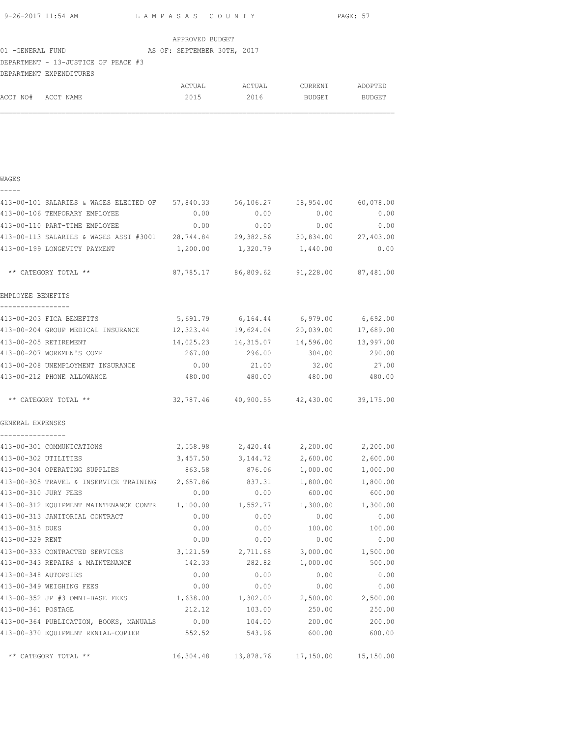| 9-26-2017 11:54 AM | LAMPASAS COUNTY | PAGE: 57 |
|--------------------|-----------------|----------|

|                  |                                     |  | APPROVED BUDGET |  |                             |  |  |  |
|------------------|-------------------------------------|--|-----------------|--|-----------------------------|--|--|--|
| 01 -GENERAL FUND |                                     |  |                 |  | AS OF: SEPTEMBER 30TH, 2017 |  |  |  |
|                  | DEPARTMENT - 13-JUSTICE OF PEACE #3 |  |                 |  |                             |  |  |  |
|                  | DEPARTMENT EXPENDITURES             |  |                 |  |                             |  |  |  |

|                    | ACTUAL | ACTUAL | CURRENT       | ADOPTED |
|--------------------|--------|--------|---------------|---------|
| ACCT NO# ACCT NAME | 2015   | 2016   | <b>BUDGET</b> | BUDGET  |
|                    |        |        |               |         |

| 413-00-101 SALARIES & WAGES ELECTED OF 57,840.33                     |           | 56,106.27                               | 58,954.00 | 60,078.00 |
|----------------------------------------------------------------------|-----------|-----------------------------------------|-----------|-----------|
| 413-00-106 TEMPORARY EMPLOYEE                                        | 0.00      | 0.00                                    | 0.00      | 0.00      |
| 413-00-110 PART-TIME EMPLOYEE                                        | 0.00      | 0.00                                    | 0.00      | 0.00      |
| 413-00-113 SALARIES & WAGES ASST #3001 28,744.84 29,382.56 30,834.00 |           |                                         |           | 27,403.00 |
| 413-00-199 LONGEVITY PAYMENT                                         |           | 1,200.00    1,320.79    1,440.00        |           | 0.00      |
| ** CATEGORY TOTAL **                                                 |           | 87,785.17 86,809.62 91,228.00 87,481.00 |           |           |
| EMPLOYEE BENEFITS                                                    |           |                                         |           |           |
| -----------------<br>413-00-203 FICA BENEFITS                        | 5,691.79  | 6,164.44                                | 6,979.00  | 6,692.00  |
| 413-00-204 GROUP MEDICAL INSURANCE 12,323.44                         |           | 19,624.04                               | 20,039.00 | 17,689.00 |
| 413-00-205 RETIREMENT                                                | 14,025.23 | 14,315.07                               | 14,596.00 | 13,997.00 |
| 413-00-207 WORKMEN'S COMP                                            | 267.00    | 296.00                                  | 304.00    | 290.00    |
| 413-00-208 UNEMPLOYMENT INSURANCE                                    | 0.00      | 21.00                                   | 32.00     | 27.00     |
| 413-00-212 PHONE ALLOWANCE                                           | 480.00    | 480.00                                  | 480.00    | 480.00    |
| ** CATEGORY TOTAL **                                                 |           | 32,787.46 40,900.55 42,430.00 39,175.00 |           |           |
| GENERAL EXPENSES                                                     |           |                                         |           |           |
| ----------------<br>413-00-301 COMMUNICATIONS                        |           | 2,558.98 2,420.44 2,200.00              |           | 2,200.00  |
| 413-00-302 UTILITIES                                                 |           | 3,457.50 3,144.72                       | 2,600.00  | 2,600.00  |
| 413-00-304 OPERATING SUPPLIES                                        | 863.58    | 876.06                                  | 1,000.00  | 1,000.00  |
| 413-00-305 TRAVEL & INSERVICE TRAINING                               | 2,657.86  | 837.31                                  | 1,800.00  | 1,800.00  |
| 413-00-310 JURY FEES                                                 | 0.00      | 0.00                                    | 600.00    | 600.00    |
| 413-00-312 EQUIPMENT MAINTENANCE CONTR 1,100.00                      |           | 1,552.77                                | 1,300.00  | 1,300.00  |
| 413-00-313 JANITORIAL CONTRACT                                       | 0.00      | 0.00                                    | 0.00      | 0.00      |
| 413-00-315 DUES                                                      | 0.00      | 0.00                                    | 100.00    | 100.00    |
| 413-00-329 RENT                                                      | 0.00      | 0.00                                    | 0.00      | 0.00      |
| 413-00-333 CONTRACTED SERVICES                                       |           | 3, 121.59 2, 711.68                     | 3,000.00  | 1,500.00  |
| 413-00-343 REPAIRS & MAINTENANCE                                     | 142.33    | 282.82                                  | 1,000.00  | 500.00    |
| 413-00-348 AUTOPSIES                                                 | 0.00      | 0.00                                    | 0.00      | 0.00      |
| 413-00-349 WEIGHING FEES                                             | 0.00      | 0.00                                    | 0.00      | 0.00      |
| 413-00-352 JP #3 OMNI-BASE FEES                                      | 1,638.00  | 1,302.00                                | 2,500.00  | 2,500.00  |
| 413-00-361 POSTAGE                                                   | 212.12    | 103.00                                  | 250.00    | 250.00    |
| 413-00-364 PUBLICATION, BOOKS, MANUALS                               | 0.00      | 104.00                                  | 200.00    | 200.00    |
| 413-00-370 EQUIPMENT RENTAL-COPIER 552.52                            |           | 543.96                                  | 600.00    | 600.00    |
| ** CATEGORY TOTAL **                                                 | 16,304.48 | 13,878.76                               | 17,150.00 | 15,150.00 |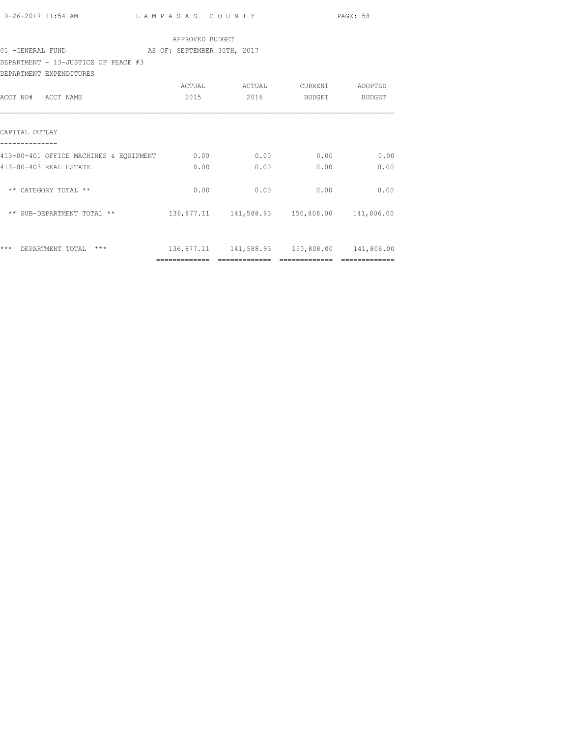|                                                  |                                             |                              |                                                | PAGE: 58      |
|--------------------------------------------------|---------------------------------------------|------------------------------|------------------------------------------------|---------------|
|                                                  | APPROVED BUDGET                             |                              |                                                |               |
| 01 - GENERAL FUND AS OF: SEPTEMBER 30TH, 2017    |                                             |                              |                                                |               |
| DEPARTMENT - 13-JUSTICE OF PEACE #3              |                                             |                              |                                                |               |
| DEPARTMENT EXPENDITURES                          |                                             |                              |                                                |               |
|                                                  |                                             |                              | ACTUAL ACTUAL CURRENT ADOPTED                  |               |
| ACCT NO# ACCT NAME                               |                                             | 2015 2016                    |                                                | BUDGET BUDGET |
|                                                  |                                             |                              |                                                |               |
|                                                  |                                             |                              |                                                |               |
| CAPITAL OUTLAY                                   |                                             |                              |                                                |               |
|                                                  |                                             |                              |                                                |               |
| 413-00-401 OFFICE MACHINES & EQUIPMENT 0.00 0.00 |                                             |                              | 0.00                                           | 0.00          |
| 413-00-403 REAL ESTATE                           |                                             | $0.00$ 0.00                  | 0.00                                           | 0.00          |
|                                                  |                                             |                              |                                                |               |
| ** CATEGORY TOTAL **                             | 0.00                                        | 0.00                         | 0.00                                           | 0.00          |
|                                                  |                                             |                              |                                                |               |
| ** SUB-DEPARTMENT TOTAL **                       | 136,877.11 141,588.93 150,808.00 141,806.00 |                              |                                                |               |
|                                                  |                                             |                              |                                                |               |
|                                                  |                                             |                              |                                                |               |
| *** DEPARTMENT TOTAL ***                         |                                             |                              | 136,877.11  141,588.93  150,808.00  141,806.00 |               |
|                                                  |                                             | ============================ | =============                                  | ============= |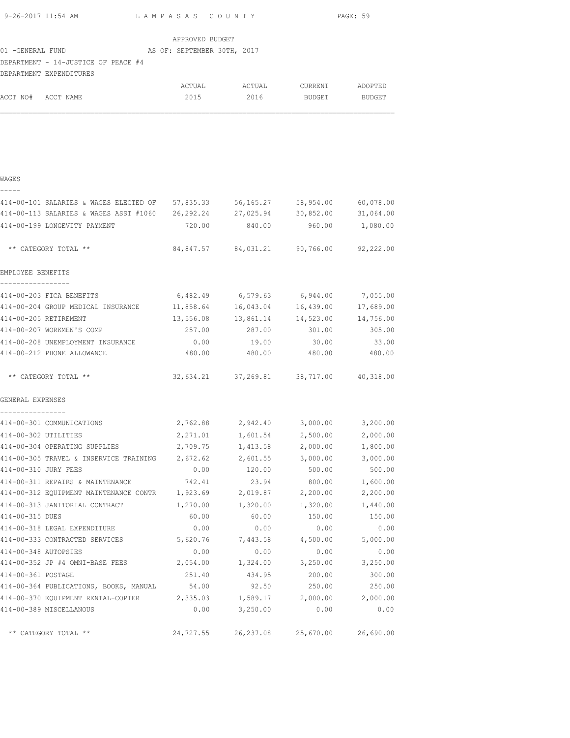|                      | 9-26-2017 11:54 AM                                                                 | LAMPASAS COUNTY |                                             |                 | PAGE: 59  |
|----------------------|------------------------------------------------------------------------------------|-----------------|---------------------------------------------|-----------------|-----------|
|                      |                                                                                    | APPROVED BUDGET |                                             |                 |           |
|                      |                                                                                    |                 |                                             |                 |           |
|                      | DEPARTMENT - 14-JUSTICE OF PEACE #4<br>DEPARTMENT EXPENDITURES                     |                 |                                             |                 |           |
|                      |                                                                                    |                 |                                             |                 |           |
| ACCT NO# ACCT NAME   |                                                                                    |                 | 2015 2016 BUDGET BUDGET                     |                 |           |
|                      |                                                                                    |                 |                                             |                 |           |
|                      |                                                                                    |                 |                                             |                 |           |
| WAGES<br>-----       |                                                                                    |                 |                                             |                 |           |
|                      | 414-00-101 SALARIES & WAGES ELECTED OF 57,835.33 56,165.27 58,954.00 60,078.00     |                 |                                             |                 |           |
|                      | 414-00-113 SALARIES & WAGES ASST #1060  26,292.24  27,025.94  30,852.00  31,064.00 |                 |                                             |                 |           |
|                      | 414-00-199 LONGEVITY PAYMENT                                                       |                 | 720.00 840.00                               | 960.00 1,080.00 |           |
|                      | ** CATEGORY TOTAL **                                                               |                 | 84,847.57 84,031.21 90,766.00 92,222.00     |                 |           |
| EMPLOYEE BENEFITS    |                                                                                    |                 |                                             |                 |           |
|                      | 414-00-203 FICA BENEFITS                                                           |                 | $6,482.49$ $6,579.63$ $6,944.00$ $7,055.00$ |                 |           |
|                      | 414-00-204 GROUP MEDICAL INSURANCE                                                 |                 | 11,858.64 16,043.04                         | 16,439.00       | 17,689.00 |
|                      | 414-00-205 RETIREMENT                                                              |                 | 13,556.08 13,861.14                         | 14,523.00       | 14,756.00 |
|                      | 414-00-207 WORKMEN'S COMP                                                          | 257.00          | 287.00                                      | 301.00          | 305.00    |
|                      | 414-00-208 UNEMPLOYMENT INSURANCE                                                  | 0.00            | 19.00                                       | 30.00           | 33.00     |
|                      | 414-00-212 PHONE ALLOWANCE                                                         | 480.00          | 480.00                                      | 480.00 480.00   |           |
|                      | ** CATEGORY TOTAL **                                                               |                 | 32,634.21 37,269.81 38,717.00 40,318.00     |                 |           |
| GENERAL EXPENSES     |                                                                                    |                 |                                             |                 |           |
| ----------------     | 414-00-301 COMMUNICATIONS                                                          |                 | 2,762.88 2,942.40 3,000.00 3,200.00         |                 |           |
| 414-00-302 UTILITIES |                                                                                    | 2,271.01        | 1,601.54                                    | 2,500.00        | 2,000.00  |
|                      | 414-00-304 OPERATING SUPPLIES                                                      | 2,709.75        | 1,413.58                                    | 2,000.00        | 1,800.00  |
|                      | 414-00-305 TRAVEL & INSERVICE TRAINING                                             | 2,672.62        | 2,601.55                                    | 3,000.00        | 3,000.00  |
| 414-00-310 JURY FEES |                                                                                    | 0.00            | 120.00                                      | 500.00          | 500.00    |
|                      | 414-00-311 REPAIRS & MAINTENANCE                                                   | 742.41          | 23.94                                       | 800.00          | 1,600.00  |
|                      | 414-00-312 EQUIPMENT MAINTENANCE CONTR                                             | 1,923.69        | 2,019.87                                    | 2,200.00        | 2,200.00  |
|                      | 414-00-313 JANITORIAL CONTRACT                                                     | 1,270.00        | 1,320.00                                    | 1,320.00        | 1,440.00  |
| 414-00-315 DUES      |                                                                                    | 60.00           | 60.00                                       | 150.00          | 150.00    |
|                      | 414-00-318 LEGAL EXPENDITURE                                                       | 0.00            | 0.00                                        | 0.00            | 0.00      |
|                      | 414-00-333 CONTRACTED SERVICES                                                     | 5,620.76        | 7,443.58                                    | 4,500.00        | 5,000.00  |
| 414-00-348 AUTOPSIES |                                                                                    | 0.00            | 0.00                                        | 0.00            | 0.00      |
|                      | 414-00-352 JP #4 OMNI-BASE FEES                                                    | 2,054.00        | 1,324.00                                    | 3,250.00        | 3,250.00  |
| 414-00-361 POSTAGE   |                                                                                    | 251.40          | 434.95                                      | 200.00          | 300.00    |
|                      | 414-00-364 PUBLICATIONS, BOOKS, MANUAL                                             | 54.00           | 92.50                                       | 250.00          | 250.00    |
|                      | 414-00-370 EQUIPMENT RENTAL-COPIER 2,335.03                                        |                 | 1,589.17                                    | 2,000.00        | 2,000.00  |
|                      | 414-00-389 MISCELLANOUS                                                            | 0.00            | 3,250.00                                    | 0.00            | 0.00      |
|                      | ** CATEGORY TOTAL **                                                               | 24,727.55       | 26, 237.08                                  | 25,670.00       | 26,690.00 |
|                      |                                                                                    |                 |                                             |                 |           |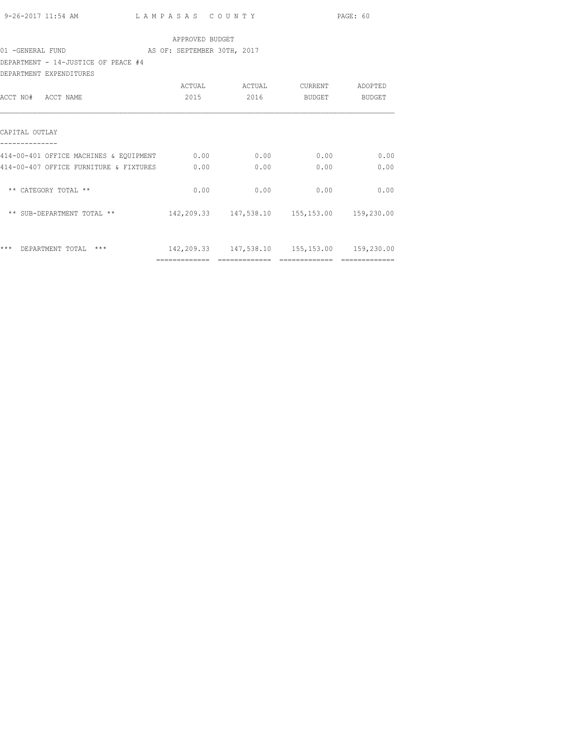|                                                                |                                             |                               |                    | PAGE: 60      |
|----------------------------------------------------------------|---------------------------------------------|-------------------------------|--------------------|---------------|
|                                                                | APPROVED BUDGET                             |                               |                    |               |
| 01 - GENERAL FUND AS OF: SEPTEMBER 30TH, 2017                  |                                             |                               |                    |               |
| DEPARTMENT - 14-JUSTICE OF PEACE #4                            |                                             |                               |                    |               |
| DEPARTMENT EXPENDITURES                                        |                                             |                               |                    |               |
|                                                                |                                             | ACTUAL ACTUAL CURRENT ADOPTED |                    |               |
| ACCT NO# ACCT NAME                                             | 2015 70                                     |                               | 2016 BUDGET BUDGET |               |
| CAPITAL OUTLAY                                                 |                                             |                               |                    |               |
|                                                                |                                             |                               |                    |               |
| $414-00-401$ OFFICE MACHINES & EQUIPMENT $0.00$ 0.00 0.00 0.00 |                                             |                               |                    | 0.00          |
| 414-00-407 OFFICE FURNITURE & FIXTURES 0.00                    |                                             | 0.00                          | 0.00               | 0.00          |
| ** CATEGORY TOTAL **                                           | 0.00                                        |                               | $0.00$ 0.00        | 0.00          |
|                                                                |                                             |                               |                    |               |
| *** DEPARTMENT TOTAL ***                                       | 142,209.33 147,538.10 155,153.00 159,230.00 |                               |                    |               |
|                                                                |                                             |                               |                    | ============= |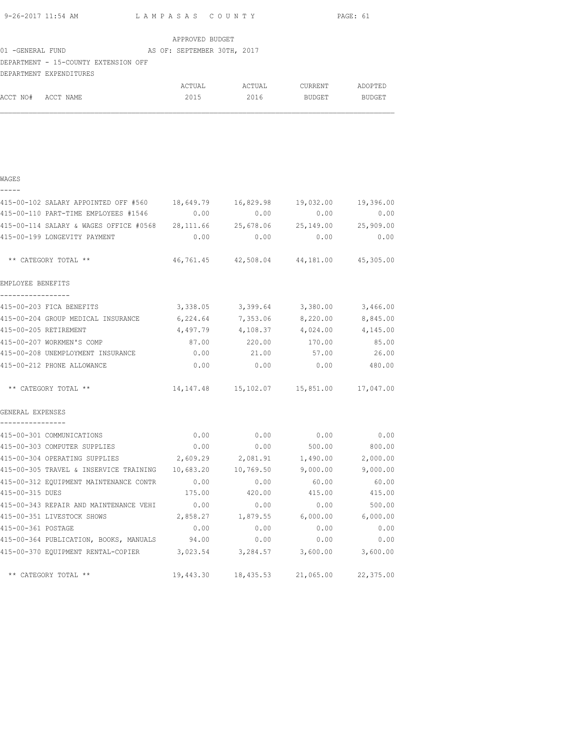|                    | 9-26-2017 11:54 AM LAMPASAS COUNTY                                                      |                 |           |                                                | PAGE: 61      |
|--------------------|-----------------------------------------------------------------------------------------|-----------------|-----------|------------------------------------------------|---------------|
|                    |                                                                                         | APPROVED BUDGET |           |                                                |               |
|                    |                                                                                         |                 |           |                                                |               |
|                    | DEPARTMENT - 15-COUNTY EXTENSION OFF                                                    |                 |           |                                                |               |
|                    | DEPARTMENT EXPENDITURES                                                                 |                 |           |                                                |               |
|                    |                                                                                         |                 |           | ACTUAL ACTUAL CURRENT ADOPTED                  |               |
| ACCT NO# ACCT NAME |                                                                                         | 2015            |           | 2016 BUDGET BUDGET                             |               |
|                    |                                                                                         |                 |           |                                                |               |
|                    |                                                                                         |                 |           |                                                |               |
|                    |                                                                                         |                 |           |                                                |               |
|                    |                                                                                         |                 |           |                                                |               |
|                    |                                                                                         |                 |           |                                                |               |
| WAGES              |                                                                                         |                 |           |                                                |               |
| -----              |                                                                                         |                 |           |                                                |               |
|                    | 415-00-102 SALARY APPOINTED OFF #560 18,649.79 16,829.98 19,032.00 19,396.00            |                 |           |                                                |               |
|                    | 415-00-110 PART-TIME EMPLOYEES #1546 0.00 0.00 0.00                                     |                 |           | 0.00                                           | 0.00          |
|                    | 415-00-114 SALARY & WAGES OFFICE #0568 28,111.66 25,678.06 25,149.00 25,909.00          |                 |           |                                                |               |
|                    | 415-00-199 LONGEVITY PAYMENT                                                            | 0.00            | 0.00      | 0.00                                           | 0.00          |
|                    |                                                                                         |                 |           | 46,761.45 42,508.04 44,181.00 45,305.00        |               |
|                    | ** CATEGORY TOTAL **                                                                    |                 |           |                                                |               |
| EMPLOYEE BENEFITS  |                                                                                         |                 |           |                                                |               |
| -----------------  |                                                                                         |                 |           |                                                |               |
|                    | 415-00-203 FICA BENEFITS                                                                |                 |           | $3,338.05$ $3,399.64$ $3,380.00$ $3,466.00$    |               |
|                    | 415-00-204 GROUP MEDICAL INSURANCE      6,224.64     7,353.06     8,220.00     8,845.00 |                 |           |                                                |               |
|                    | 415-00-205 RETIREMENT                                                                   |                 |           | $4,497.79$ $4,108.37$ $4,024.00$ $4,145.00$    |               |
|                    | 415-00-207 WORKMEN'S COMP                                                               |                 |           | 87.00  220.00  170.00  85.00                   |               |
|                    | 415-00-208 UNEMPLOYMENT INSURANCE $0.00$ 21.00 57.00 26.00                              |                 |           |                                                |               |
|                    | 415-00-212 PHONE ALLOWANCE                                                              | 0.00            | 0.00      |                                                | $0.00$ 480.00 |
|                    |                                                                                         |                 |           |                                                |               |
|                    | ** CATEGORY TOTAL **                                                                    |                 |           | 14, 147.48  15, 102.07  15, 851.00  17, 047.00 |               |
|                    |                                                                                         |                 |           |                                                |               |
| GENERAL EXPENSES   |                                                                                         |                 |           |                                                |               |
|                    | 415-00-301 COMMUNICATIONS                                                               | 0.00            | 0.00      | 0.00                                           | 0.00          |
|                    | 415-00-303 COMPUTER SUPPLIES                                                            | 0.00            | 0.00      | 500.00                                         | 800.00        |
|                    | 415-00-304 OPERATING SUPPLIES                                                           | 2,609.29        | 2,081.91  | 1,490.00                                       | 2,000.00      |
|                    | 415-00-305 TRAVEL & INSERVICE TRAINING                                                  | 10,683.20       | 10,769.50 | 9,000.00                                       | 9,000.00      |
|                    | 415-00-312 EQUIPMENT MAINTENANCE CONTR                                                  | 0.00            | 0.00      | 60.00                                          | 60.00         |
| 415-00-315 DUES    |                                                                                         | 175.00          | 420.00    | 415.00                                         | 415.00        |
|                    | 415-00-343 REPAIR AND MAINTENANCE VEHI                                                  | 0.00            | 0.00      | 0.00                                           | 500.00        |
|                    | 415-00-351 LIVESTOCK SHOWS                                                              | 2,858.27        | 1,879.55  | 6,000.00                                       | 6,000.00      |
| 415-00-361 POSTAGE |                                                                                         | 0.00            | 0.00      | 0.00                                           | 0.00          |
|                    | 415-00-364 PUBLICATION, BOOKS, MANUALS                                                  | 94.00           | 0.00      | 0.00                                           | 0.00          |
|                    | 415-00-370 EQUIPMENT RENTAL-COPIER                                                      | 3,023.54        | 3,284.57  | 3,600.00                                       | 3,600.00      |
|                    |                                                                                         |                 |           |                                                |               |
|                    | ** CATEGORY TOTAL **                                                                    | 19,443.30       | 18,435.53 | 21,065.00                                      | 22,375.00     |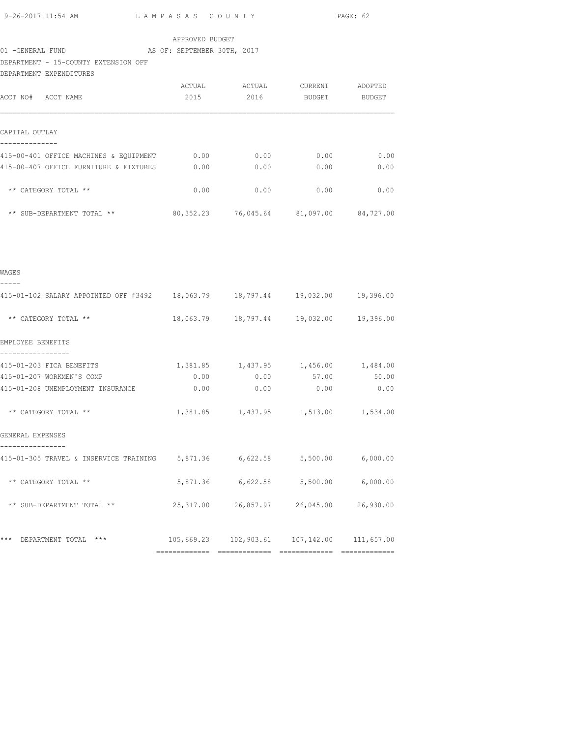|                                                                                                                     |                 |      |                                                              | PAGE: 62      |
|---------------------------------------------------------------------------------------------------------------------|-----------------|------|--------------------------------------------------------------|---------------|
| 01 -GENERAL FUND AS OF: SEPTEMBER 30TH, 2017                                                                        | APPROVED BUDGET |      |                                                              |               |
| DEPARTMENT - 15-COUNTY EXTENSION OFF<br>DEPARTMENT EXPENDITURES                                                     |                 |      |                                                              |               |
| ACCT NO# ACCT NAME                                                                                                  | 2015            |      | ACTUAL ACTUAL CURRENT ADOPTED<br>2016 BUDGET BUDGET          |               |
| CAPITAL OUTLAY<br>--------------                                                                                    |                 |      |                                                              |               |
| 415-00-401 OFFICE MACHINES & EQUIPMENT 0.00 0.00 0.00 0.00 0.00 0.00<br>415-00-407 OFFICE FURNITURE & FIXTURES 0.00 |                 |      | $0.00$ 0.00                                                  | 0.00          |
| ** CATEGORY TOTAL **                                                                                                | 0.00            | 0.00 | 0.00                                                         | 0.00          |
| ** SUB-DEPARTMENT TOTAL ** 80,352.23 76,045.64 81,097.00 84,727.00                                                  |                 |      |                                                              |               |
| WAGES<br>-----                                                                                                      |                 |      |                                                              |               |
| 415-01-102 SALARY APPOINTED OFF #3492 18,063.79 18,797.44 19,032.00 19,396.00                                       |                 |      |                                                              |               |
| ** CATEGORY TOTAL **                                                                                                |                 |      | 18,063.79  18,797.44  19,032.00  19,396.00                   |               |
| EMPLOYEE BENEFITS<br>-----------------                                                                              |                 |      |                                                              |               |
| 415-01-203 FICA BENEFITS<br>415-01-207 WORKMEN'S COMP<br>415-01-208 UNEMPLOYMENT INSURANCE 0.00 0.00 0.00           | 0.00            | 0.00 | $1,381.85$ $1,437.95$ $1,456.00$ $1,484.00$<br>57.00<br>0.00 | 50.00<br>0.00 |
| ** CATEGORY TOTAL **                                                                                                |                 |      | 1,381.85    1,437.95    1,513.00    1,534.00                 |               |
| GENERAL EXPENSES                                                                                                    |                 |      |                                                              |               |
| ----------------<br>415-01-305 TRAVEL & INSERVICE TRAINING 5,871.36 6,622.58 5,500.00 6,000.00                      |                 |      |                                                              |               |
| ** CATEGORY TOTAL **                                                                                                |                 |      | 5,871.36 6,622.58 5,500.00 6,000.00                          |               |
| ** SUB-DEPARTMENT TOTAL **                                                                                          |                 |      | 25,317.00 26,857.97 26,045.00 26,930.00                      |               |
| *** DEPARTMENT TOTAL ***                                                                                            |                 |      | 105,669.23  102,903.61  107,142.00  111,657.00               |               |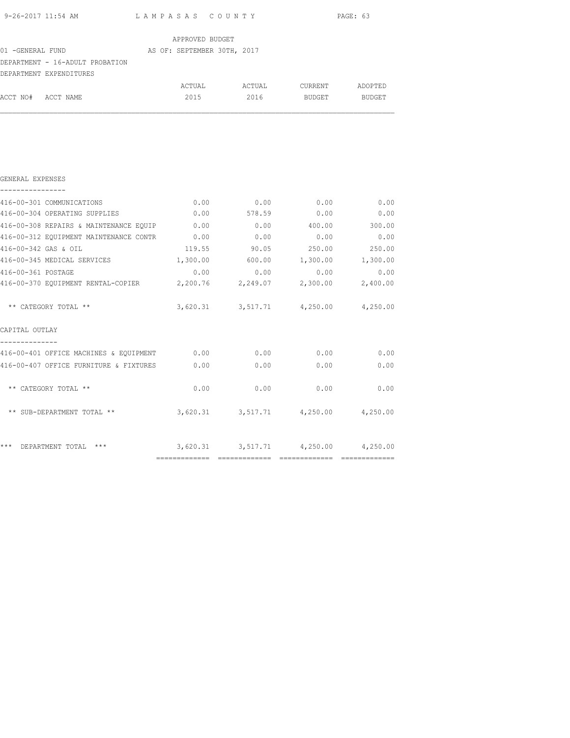|                                                                        |                                             |                                     |               | PAGE: 63 |
|------------------------------------------------------------------------|---------------------------------------------|-------------------------------------|---------------|----------|
|                                                                        | APPROVED BUDGET                             |                                     |               |          |
| 01 -GENERAL FUND (2017) AS OF: SEPTEMBER 30TH, 2017                    |                                             |                                     |               |          |
| DEPARTMENT - 16-ADULT PROBATION                                        |                                             |                                     |               |          |
| DEPARTMENT EXPENDITURES                                                |                                             |                                     |               |          |
|                                                                        |                                             |                                     |               |          |
| ACCT NO# ACCT NAME                                                     | 2015                                        | 2016                                | <b>BUDGET</b> | BUDGET   |
|                                                                        |                                             |                                     |               |          |
|                                                                        |                                             |                                     |               |          |
|                                                                        |                                             |                                     |               |          |
|                                                                        |                                             |                                     |               |          |
| GENERAL EXPENSES<br>----------------                                   |                                             |                                     |               |          |
| 416-00-301 COMMUNICATIONS                                              | 0.00                                        | 0.00                                | 0.00          | 0.00     |
| 416-00-304 OPERATING SUPPLIES                                          |                                             | $0.00$ 578.59                       | 0.00          | 0.00     |
| 416-00-308 REPAIRS & MAINTENANCE EQUIP                                 | 0.00                                        | 0.00                                | 400.00        | 300.00   |
| 416-00-312 EQUIPMENT MAINTENANCE CONTR                                 | 0.00                                        | 0.00                                | 0.00          | 0.00     |
| 416-00-342 GAS & OIL                                                   | 119.55                                      | 90.05                               | 250.00        | 250.00   |
| 416-00-345 MEDICAL SERVICES                                            | 1,300.00                                    | 600.00                              | 1,300.00      | 1,300.00 |
| 416-00-361 POSTAGE                                                     | 0.00                                        | 0.00                                | 0.00          | 0.00     |
| 416-00-370 EQUIPMENT RENTAL-COPIER 2,200.76 2,249.07 2,300.00 2,400.00 |                                             |                                     |               |          |
| ** CATEGORY TOTAL **                                                   |                                             | 3,620.31 3,517.71 4,250.00 4,250.00 |               |          |
| CAPITAL OUTLAY                                                         |                                             |                                     |               |          |
| --------------<br>416-00-401 OFFICE MACHINES & EQUIPMENT 0.00          |                                             |                                     | $0.00$ 0.00   | 0.00     |
| 416-00-407 OFFICE FURNITURE & FIXTURES                                 | 0.00                                        | 0.00                                | 0.00          | 0.00     |
|                                                                        |                                             |                                     |               |          |
|                                                                        |                                             |                                     |               | 0.00     |
| ** CATEGORY TOTAL **                                                   | 0.00                                        | 0.00                                | 0.00          |          |
| ** SUB-DEPARTMENT TOTAL **                                             | $3,620.31$ $3,517.71$ $4,250.00$ $4,250.00$ |                                     |               |          |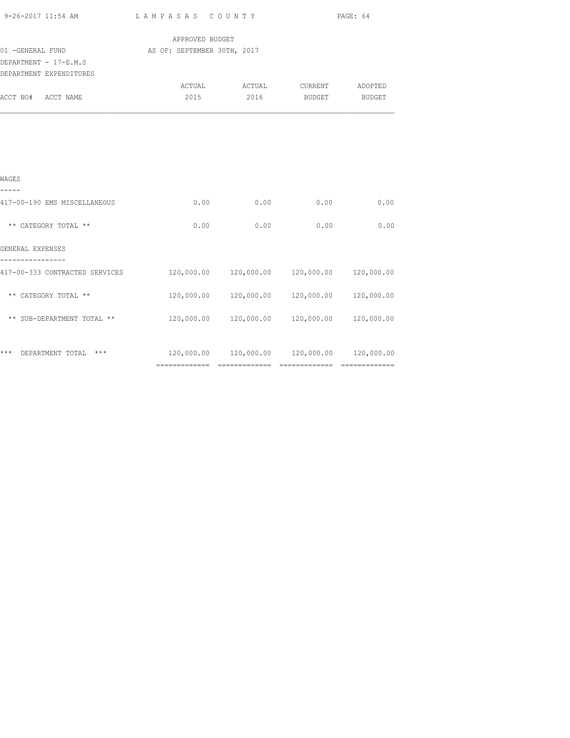|                                                                                                 |                                                |      | PAGE: 64                                                 |      |  |  |
|-------------------------------------------------------------------------------------------------|------------------------------------------------|------|----------------------------------------------------------|------|--|--|
| 01 - GENERAL FUND<br>DEPARTMENT - 17-E.M.S                                                      | APPROVED BUDGET<br>AS OF: SEPTEMBER 30TH, 2017 |      |                                                          |      |  |  |
| DEPARTMENT EXPENDITURES<br>ACCT NO# ACCT NAME                                                   |                                                |      | ACTUAL ACTUAL CURRENT ADOPTED<br>2015 2016 BUDGET BUDGET |      |  |  |
|                                                                                                 |                                                |      |                                                          |      |  |  |
|                                                                                                 |                                                |      |                                                          |      |  |  |
|                                                                                                 |                                                |      |                                                          |      |  |  |
| WAGES<br>-----                                                                                  |                                                |      |                                                          |      |  |  |
| 417-00-190 EMS MISCELLANEOUS                                                                    |                                                |      | $0.00$ 0.00 0.00 0.00 0.00                               |      |  |  |
| ** CATEGORY TOTAL **                                                                            | 0.00                                           | 0.00 | 0.00                                                     | 0.00 |  |  |
| GENERAL EXPENSES                                                                                |                                                |      |                                                          |      |  |  |
| 417-00-333 CONTRACTED SERVICES $120,000.00$ $120,000.00$ $120,000.00$ $120,000.00$ $120,000.00$ |                                                |      |                                                          |      |  |  |
| ** CATEGORY TOTAL **                                                                            |                                                |      | 120,000.00  120,000.00  120,000.00  120,000.00           |      |  |  |
| ** SUB-DEPARTMENT TOTAL **                                                                      |                                                |      | 120,000.00  120,000.00  120,000.00  120,000.00           |      |  |  |
| *** DEPARTMENT TOTAL ***                                                                        |                                                |      | $120,000.00$ $120,000.00$ $120,000.00$ $120,000.00$      |      |  |  |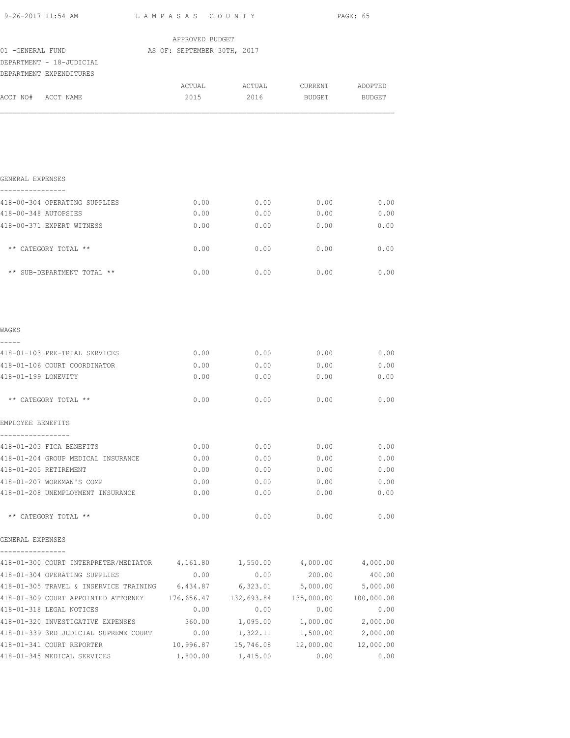| 9-26-2017 11:54 AM                                                              | LAMPASAS COUNTY                                 |                            | PAGE: 65          |          |  |
|---------------------------------------------------------------------------------|-------------------------------------------------|----------------------------|-------------------|----------|--|
|                                                                                 | APPROVED BUDGET                                 |                            |                   |          |  |
| 01 -GENERAL FUND                                                                | AS OF: SEPTEMBER 30TH, 2017                     |                            |                   |          |  |
| DEPARTMENT - 18-JUDICIAL                                                        |                                                 |                            |                   |          |  |
| DEPARTMENT EXPENDITURES                                                         |                                                 |                            |                   |          |  |
|                                                                                 |                                                 |                            |                   |          |  |
| ACCT NO# ACCT NAME                                                              | 2015                                            | 2016                       | BUDGET            | BUDGET   |  |
| GENERAL EXPENSES                                                                |                                                 |                            |                   |          |  |
| ----------------<br>418-00-304 OPERATING SUPPLIES                               | 0.00                                            | 0.00                       | 0.00              | 0.00     |  |
| 418-00-348 AUTOPSIES                                                            | 0.00                                            | 0.00                       | 0.00              | 0.00     |  |
| 418-00-371 EXPERT WITNESS                                                       | 0.00                                            | 0.00                       | 0.00              | 0.00     |  |
| ** CATEGORY TOTAL **                                                            | 0.00                                            | 0.00                       | 0.00              | 0.00     |  |
| ** SUB-DEPARTMENT TOTAL **                                                      | 0.00                                            | 0.00                       | 0.00              | 0.00     |  |
| WAGES                                                                           |                                                 |                            |                   |          |  |
| 418-01-103 PRE-TRIAL SERVICES                                                   | 0.00                                            | 0.00                       | 0.00              | 0.00     |  |
| 418-01-106 COURT COORDINATOR                                                    | 0.00                                            | 0.00                       | 0.00              | 0.00     |  |
| 418-01-199 LONEVITY                                                             | 0.00                                            | 0.00                       | 0.00              | 0.00     |  |
| ** CATEGORY TOTAL **                                                            | 0.00                                            | 0.00                       | 0.00              | 0.00     |  |
| EMPLOYEE BENEFITS                                                               |                                                 |                            |                   |          |  |
| 418-01-203 FICA BENEFITS                                                        | 0.00                                            | 0.00                       | 0.00              | 0.00     |  |
| 418-01-204 GROUP MEDICAL INSURANCE                                              | 0.00                                            | 0.00                       | 0.00              | 0.00     |  |
| 418-01-205 RETIREMENT                                                           | 0.00                                            | 0.00                       | 0.00              | 0.00     |  |
| 418-01-207 WORKMAN'S COMP                                                       | 0.00                                            | 0.00                       | 0.00              | 0.00     |  |
| 418-01-208 UNEMPLOYMENT INSURANCE                                               | 0.00                                            | 0.00                       | 0.00              | 0.00     |  |
| ** CATEGORY TOTAL **                                                            | 0.00                                            | 0.00                       | 0.00              | 0.00     |  |
| GENERAL EXPENSES                                                                |                                                 |                            |                   |          |  |
| 418-01-300 COURT INTERPRETER/MEDIATOR 4,161.80 1,550.00 4,000.00 4,000.00       |                                                 |                            |                   |          |  |
| 418-01-304 OPERATING SUPPLIES                                                   | 0.00                                            | 0.00                       | 200.00            | 400.00   |  |
| 418-01-305 TRAVEL & INSERVICE TRAINING 6,434.87                                 |                                                 |                            | 6,323.01 5,000.00 | 5,000.00 |  |
| 418-01-309 COURT APPOINTED ATTORNEY 176,656.47 132,693.84 135,000.00 100,000.00 |                                                 |                            |                   |          |  |
| 418-01-318 LEGAL NOTICES                                                        | 0.00                                            | 0.00                       | 0.00              | 0.00     |  |
| 418-01-320 INVESTIGATIVE EXPENSES 360.00 1,095.00 1,000.00 2,000.00             |                                                 |                            |                   |          |  |
| 418-01-339 3RD JUDICIAL SUPREME COURT 0.00                                      |                                                 | 1,322.11 1,500.00 2,000.00 |                   |          |  |
| 418-01-341 COURT REPORTER                                                       | $10,996.87$ $15,746.08$ $12,000.00$ $12,000.00$ |                            |                   |          |  |
| 418-01-345 MEDICAL SERVICES                                                     |                                                 | 1,800.00 1,415.00          | 0.00              | 0.00     |  |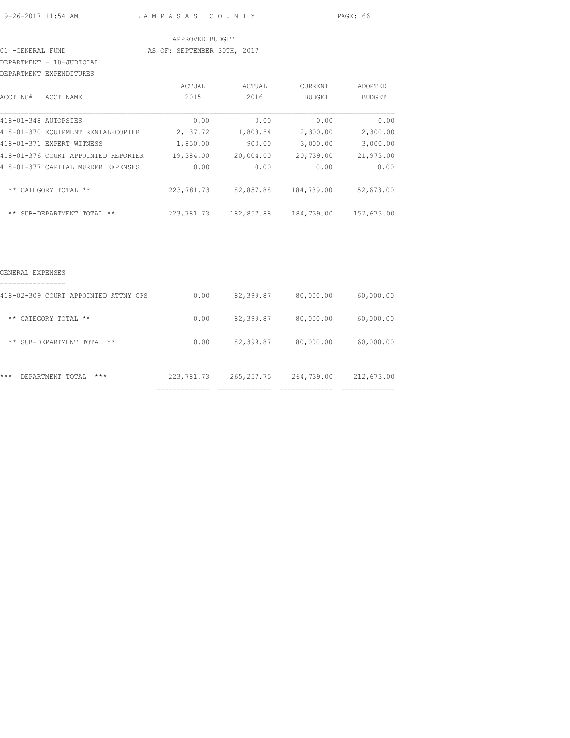9-26-2017 11:54 AM L A M P A S A S C O U N T Y PAGE: 66

#### APPROVED BUDGET

# 01 -GENERAL FUND AS OF: SEPTEMBER 30TH, 2017

DEPARTMENT - 18-JUDICIAL DEPARTMENT EXPENDITURES

| ACCT NO#             | ACCT NAME                           | ACTUAL<br>2015 | ACTUAL<br>2016 | <b>CURRENT</b><br><b>BUDGET</b> | ADOPTED<br><b>BUDGET</b> |
|----------------------|-------------------------------------|----------------|----------------|---------------------------------|--------------------------|
| 418-01-348 AUTOPSIES |                                     | 0.00           | 0.00           | 0.00                            | 0.00                     |
|                      | 418-01-370 EOUIPMENT RENTAL-COPIER  | 2,137.72       | 1,808.84       | 2,300.00                        | 2,300.00                 |
|                      | 418-01-371 EXPERT WITNESS           | 1,850.00       | 900.00         | 3,000.00                        | 3,000.00                 |
|                      | 418-01-376 COURT APPOINTED REPORTER | 19,384.00      | 20,004.00      | 20,739.00                       | 21,973.00                |
|                      | 418-01-377 CAPITAL MURDER EXPENSES  | 0.00           | 0.00           | 0.00                            | 0.00                     |
| $***$                | CATEGORY TOTAL<br>$***$             | 223, 781.73    | 182,857.88     | 184,739.00                      | 152,673.00               |
| $***$                | SUB-DEPARTMENT TOTAL<br>$***$       | 223,781.73     | 182,857.88     | 184,739.00                      | 152,673.00               |

| $***$<br>$***$<br>DEPARTMENT TOTAL   | 223,781.73 | 265, 257. 75 | 264,739.00 | 212,673.00 |
|--------------------------------------|------------|--------------|------------|------------|
| ** SUB-DEPARTMENT TOTAL **           | 0.00       | 82,399.87    | 80,000.00  | 60,000.00  |
| CATEGORY TOTAL **<br>$***$           | 0.00       | 82,399.87    | 80,000.00  | 60,000.00  |
| 418-02-309 COURT APPOINTED ATTNY CPS | 0.00       | 82,399.87    | 80,000.00  | 60,000.00  |
| GENERAL EXPENSES                     |            |              |            |            |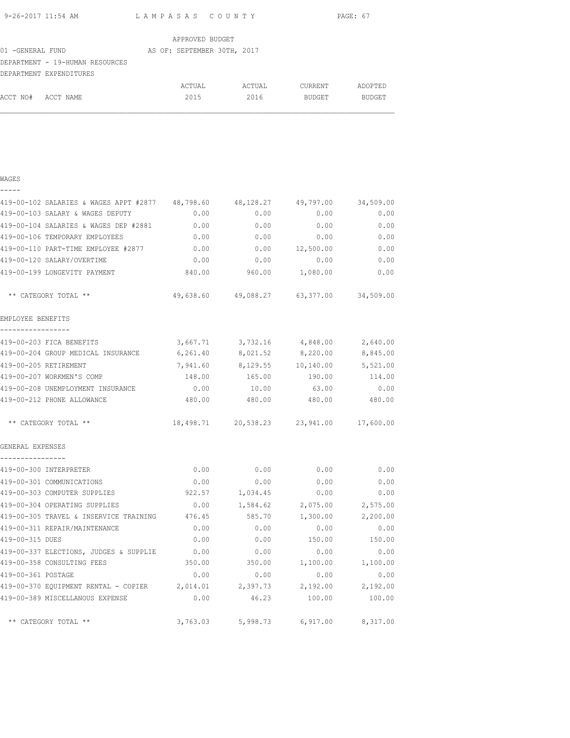| 9-26-2017 11:54 AM | LAMPASAS COUNTY                           | PAGE: 67 |
|--------------------|-------------------------------------------|----------|
|                    | $\sim$ $\sim$ $\sim$ $\sim$ $\sim$ $\sim$ |          |

|                   |                                 | APPROVED BUDGET             |        |                |               |
|-------------------|---------------------------------|-----------------------------|--------|----------------|---------------|
| 01 - GENERAL FUND |                                 | AS OF: SEPTEMBER 30TH, 2017 |        |                |               |
|                   | DEPARTMENT - 19-HUMAN RESOURCES |                             |        |                |               |
|                   | DEPARTMENT EXPENDITURES         |                             |        |                |               |
|                   |                                 | ACTUAL                      | ACTUAL | <b>CURRENT</b> | ADOPTED       |
| ACCT NO#          | ACCT NAME                       | 2015                        | 2016   | <b>BUDGET</b>  | <b>BUDGET</b> |

| - | -- | $ -$ |  |  |
|---|----|------|--|--|
|   |    |      |  |  |

| 419-00-102 SALARIES & WAGES APPT #2877 48,798.60                |           | 48,128.27                                  | 49,797.00                | 34,509.00 |
|-----------------------------------------------------------------|-----------|--------------------------------------------|--------------------------|-----------|
| 419-00-103 SALARY & WAGES DEPUTY                                | 0.00      | 0.00                                       | 0.00                     | 0.00      |
| 419-00-104 SALARIES & WAGES DEP #2881                           | 0.00      | 0.00                                       | 0.00                     | 0.00      |
| 419-00-106 TEMPORARY EMPLOYEES                                  | 0.00      | 0.00                                       | 0.00                     | 0.00      |
| 419-00-110 PART-TIME EMPLOYEE #2877                             | 0.00      | 0.00                                       | 12,500.00                | 0.00      |
| 419-00-120 SALARY/OVERTIME                                      | 0.00      | 0.00                                       | 0.00                     | 0.00      |
| 419-00-199 LONGEVITY PAYMENT                                    | 840.00    |                                            | 960.00 1,080.00          | 0.00      |
| ** CATEGORY TOTAL **                                            |           | 49,638.60 49,088.27 63,377.00 34,509.00    |                          |           |
| EMPLOYEE BENEFITS                                               |           |                                            |                          |           |
| 419-00-203 FICA BENEFITS                                        |           | 3,667.71 3,732.16 4,848.00                 |                          | 2,640.00  |
| 419-00-204 GROUP MEDICAL INSURANCE                              | 6, 261.40 | 8,021.52                                   | 8,220.00                 | 8,845.00  |
| 419-00-205 RETIREMENT                                           |           | 7,941.60 8,129.55 10,140.00                |                          | 5,521.00  |
| 419-00-207 WORKMEN'S COMP                                       | 148.00    | 165.00                                     | 190.00                   | 114.00    |
| 419-00-208 UNEMPLOYMENT INSURANCE                               | 0.00      | 10.00                                      | 63.00                    | 0.00      |
| 419-00-212 PHONE ALLOWANCE                                      |           | 480.00 480.00 480.00 480.00 480.00         |                          |           |
| ** CATEGORY TOTAL **                                            |           | 18,498.71  20,538.23  23,941.00  17,600.00 |                          |           |
| GENERAL EXPENSES                                                |           |                                            |                          |           |
| ----------------<br>419-00-300 INTERPRETER                      |           | $0.00$ 0.00 0.00                           |                          | 0.00      |
| 419-00-301 COMMUNICATIONS                                       | 0.00      |                                            | $0.00$ 0.00              | 0.00      |
| 419-00-303 COMPUTER SUPPLIES                                    |           | 922.57 1,034.45 0.00                       |                          | 0.00      |
| 419-00-304 OPERATING SUPPLIES                                   |           | $0.00$ 1,584.62 2,075.00 2,575.00          |                          |           |
| 419-00-305 TRAVEL & INSERVICE TRAINING 476.45                   |           |                                            | 585.70 1,300.00 2,200.00 |           |
| 419-00-311 REPAIR/MAINTENANCE                                   | 0.00      | 0.00                                       | 0.00                     | 0.00      |
| 419-00-315 DUES                                                 | 0.00      |                                            | $0.00$ 150.00            | 150.00    |
| 419-00-337 ELECTIONS, JUDGES & SUPPLIE                          | 0.00      | 0.00                                       | 0.00                     | 0.00      |
| 419-00-358 CONSULTING FEES                                      | 350.00    | 350.00                                     | 1,100.00                 | 1,100.00  |
| 419-00-361 POSTAGE                                              | 0.00      | 0.00                                       | 0.00                     | 0.00      |
| 419-00-370 EQUIPMENT RENTAL - COPIER 2,014.01 2,397.73 2,192.00 |           |                                            |                          | 2,192.00  |
| 419-00-389 MISCELLANOUS EXPENSE                                 | 0.00      | 46.23                                      | 100.00                   | 100.00    |
| ** CATEGORY TOTAL **                                            |           | 3,763.03 5,998.73 6,917.00 8,317.00        |                          |           |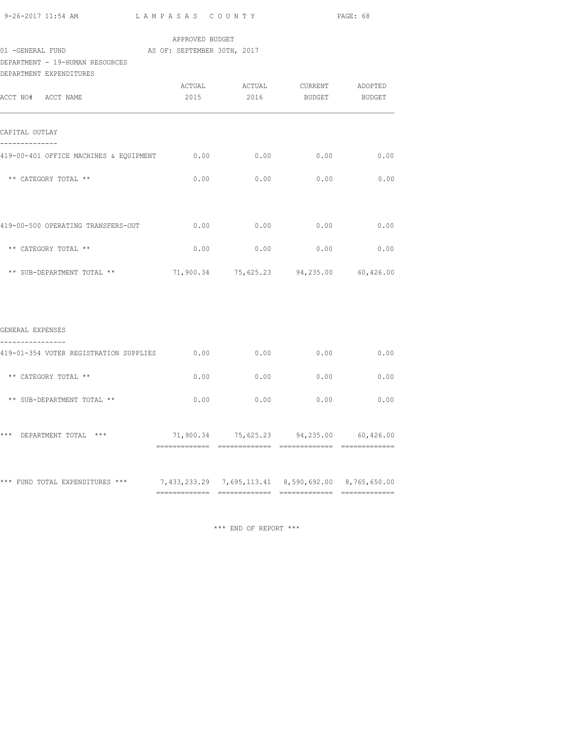| 9-26-2017 11:54 AM |  |
|--------------------|--|
|                    |  |

#### APPROVED BUDGET

# 01 -GENERAL FUND AS OF: SEPTEMBER 30TH, 2017

DEPARTMENT - 19-HUMAN RESOURCES

| DEPARTMENT EXPENDITURES                                    |      |                                                          |      |      |
|------------------------------------------------------------|------|----------------------------------------------------------|------|------|
| ACCT NO# ACCT NAME                                         |      | ACTUAL ACTUAL CURRENT ADOPTED<br>2015 2016 BUDGET BUDGET |      |      |
|                                                            |      |                                                          |      |      |
| CAPITAL OUTLAY                                             |      |                                                          |      |      |
| 419-00-401 OFFICE MACHINES & EQUIPMENT 0.00 0.00 0.00 0.00 |      |                                                          |      | 0.00 |
| ** CATEGORY TOTAL **                                       | 0.00 | 0.00                                                     | 0.00 | 0.00 |
|                                                            |      |                                                          |      |      |
| 419-00-500 OPERATING TRANSFERS-OUT                         | 0.00 | 0.00                                                     | 0.00 | 0.00 |
| ** CATEGORY TOTAL **                                       | 0.00 | 0.00                                                     | 0.00 | 0.00 |
| ** SUB-DEPARTMENT TOTAL **                                 |      | 71,900.34 75,625.23 94,235.00 60,426.00                  |      |      |
|                                                            |      |                                                          |      |      |
|                                                            |      |                                                          |      |      |
| GENERAL EXPENSES                                           |      |                                                          |      |      |
| 419-01-354 VOTER REGISTRATION SUPPLIES                     | 0.00 | 0.00                                                     | 0.00 | 0.00 |
| ** CATEGORY TOTAL **                                       | 0.00 | 0.00                                                     | 0.00 | 0.00 |
| ** SUB-DEPARTMENT TOTAL **                                 | 0.00 | 0.00                                                     | 0.00 | 0.00 |

| ***<br>$***$<br>DEPARTMENT TOTAL | 71,900.34 | 75,625.23                                              | 94,235.00 | 60,426.00 |
|----------------------------------|-----------|--------------------------------------------------------|-----------|-----------|
| *** FUND TOTAL EXPENDITURES ***  |           | 7,433,233.29  7,695,113.41  8,590,692.00  8,765,650.00 |           |           |

\*\*\* END OF REPORT \*\*\*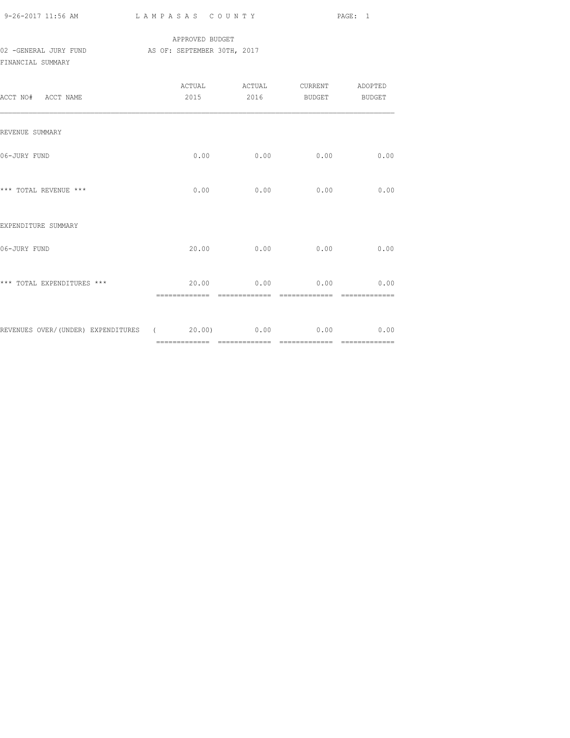| $9 - 26 - 2017$ 11:56 AM |  |
|--------------------------|--|

## APPROVED BUDGET 02 -GENERAL JURY FUND AS OF: SEPTEMBER 30TH, 2017 FINANCIAL SUMMARY

| ACCT NO# ACCT NAME                                   |      | 2015 2016 BUDGET BUDGET                 |      |      |
|------------------------------------------------------|------|-----------------------------------------|------|------|
| REVENUE SUMMARY                                      |      |                                         |      |      |
| 06-JURY FUND                                         |      | $0.00$ 0.00                             | 0.00 | 0.00 |
| *** TOTAL REVENUE ***                                | 0.00 | 0.00                                    | 0.00 | 0.00 |
| EXPENDITURE SUMMARY                                  |      |                                         |      |      |
| 06-JURY FUND                                         |      | 20.00 0.00                              | 0.00 | 0.00 |
| *** TOTAL EXPENDITURES ***                           |      | $20.00$ 0.00 0.00 0.00<br>------------- |      |      |
| REVENUES OVER/(UNDER) EXPENDITURES (20.00) 0.00 0.00 |      |                                         |      | 0.00 |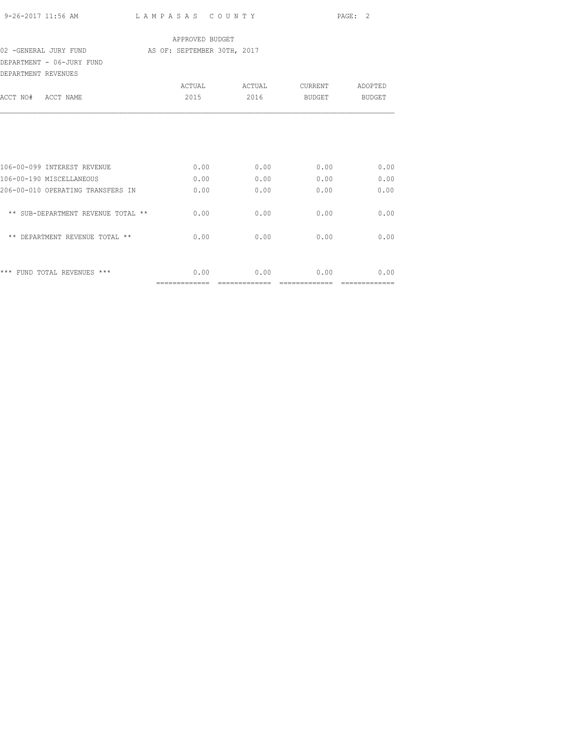| 9-26-2017 11:56 AM | LAMPASAS COUNTY | PAGE: 2 |
|--------------------|-----------------|---------|
|                    |                 |         |

## APPROVED BUDGET

#### 02 -GENERAL JURY FUND AS OF: SEPTEMBER 30TH, 2017

DEPARTMENT - 06-JURY FUND

| DEPARTMENT REVENUES                |        |        |         |         |
|------------------------------------|--------|--------|---------|---------|
|                                    | ACTUAL | ACTUAL | CURRENT | ADOPTED |
| ACCT NO#<br>ACCT NAME              | 2015   | 2016   | BUDGET  | BUDGET  |
|                                    |        |        |         |         |
| 106-00-099 INTEREST REVENUE        | 0.00   | 0.00   | 0.00    | 0.00    |
| 106-00-190 MISCELLANEOUS           | 0.00   | 0.00   | 0.00    | 0.00    |
| 206-00-010 OPERATING TRANSFERS IN  | 0.00   | 0.00   | 0.00    | 0.00    |
| ** SUB-DEPARTMENT REVENUE TOTAL ** | 0.00   | 0.00   | 0.00    | 0.00    |
| ** DEPARTMENT REVENUE TOTAL **     | 0.00   | 0.00   | 0.00    | 0.00    |
|                                    |        |        |         |         |
| *** FUND TOTAL REVENUES ***        | 0.00   | 0.00   | 0.00    | 0.00    |
|                                    |        |        |         |         |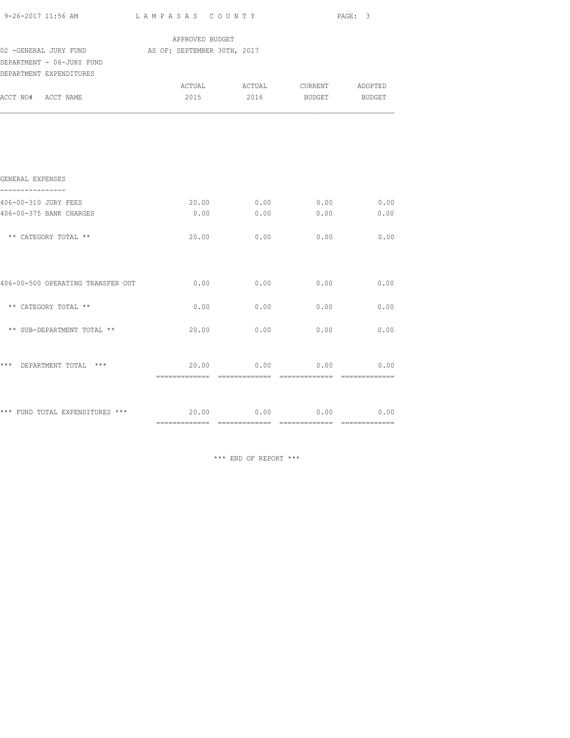| 9-26-2017 11:56 AM                                               |                 | LAMPASAS COUNTY               |      | PAGE: 3               |  |  |
|------------------------------------------------------------------|-----------------|-------------------------------|------|-----------------------|--|--|
|                                                                  | APPROVED BUDGET |                               |      |                       |  |  |
| 02 -GENERAL JURY FUND AS OF: SEPTEMBER 30TH, 2017                |                 |                               |      |                       |  |  |
| DEPARTMENT - 06-JURY FUND                                        |                 |                               |      |                       |  |  |
| DEPARTMENT EXPENDITURES                                          |                 |                               |      |                       |  |  |
|                                                                  |                 | ACTUAL ACTUAL CURRENT ADOPTED |      |                       |  |  |
| ACCT NO# ACCT NAME                                               | 2015            | 2016 BUDGET BUDGET            |      |                       |  |  |
|                                                                  |                 |                               |      |                       |  |  |
| GENERAL EXPENSES<br>----------------                             |                 |                               |      |                       |  |  |
| 406-00-310 JURY FEES                                             |                 | 20.00 0.00                    | 0.00 | 0.00                  |  |  |
| 406-00-375 BANK CHARGES                                          | 0.00            | 0.00                          | 0.00 | 0.00                  |  |  |
| ** CATEGORY TOTAL **                                             | 20.00           | 0.00                          | 0.00 | 0.00                  |  |  |
| 406-00-500 OPERATING TRANSFER OUT                                | 0.00            | 0.00                          | 0.00 | 0.00                  |  |  |
| ** CATEGORY TOTAL **                                             | 0.00            | 0.00                          | 0.00 | 0.00                  |  |  |
| ** SUB-DEPARTMENT TOTAL **                                       | 20.00           | 0.00                          | 0.00 | 0.00                  |  |  |
| *** DEPARTMENT TOTAL ***                                         | 20.00           | 0.00                          | 0.00 | 0.00<br>============= |  |  |
| *** FUND TOTAL EXPENDITURES *** $20.00$ 0.00 0.00 0.00 0.00 0.00 |                 |                               |      |                       |  |  |
|                                                                  |                 |                               |      |                       |  |  |

\*\*\* END OF REPORT \*\*\*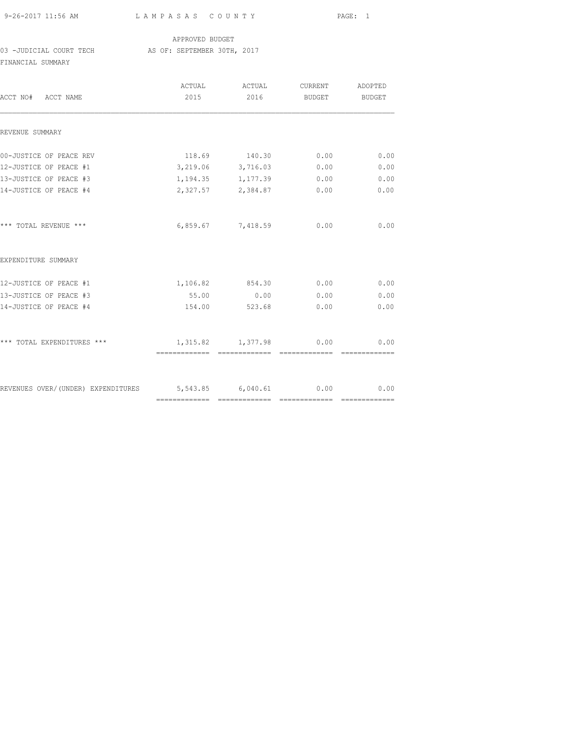| 9-26-2017 11:56 AM |  |
|--------------------|--|

## APPROVED BUDGET

03 -JUDICIAL COURT TECH AS OF: SEPTEMBER 30TH, 2017

FINANCIAL SUMMARY

| ACCT NO# ACCT NAME                                        | ACTUAL<br>2015 | ACTUAL<br>2016         | CURRENT<br>BUDGET BUDGET | ADOPTED |
|-----------------------------------------------------------|----------------|------------------------|--------------------------|---------|
| REVENUE SUMMARY                                           |                |                        |                          |         |
| 00-JUSTICE OF PEACE REV                                   |                | 118.69 140.30 0.00     |                          | 0.00    |
| 12-JUSTICE OF PEACE #1                                    |                | 3,219.06 3,716.03      | 0.00                     | 0.00    |
| 13-JUSTICE OF PEACE #3                                    |                | 1, 194. 35 1, 177. 39  | 0.00                     | 0.00    |
| 14-JUSTICE OF PEACE #4                                    |                | 2,327.57 2,384.87 0.00 |                          | 0.00    |
| *** TOTAL REVENUE ***                                     |                | 6,859.67 7,418.59 0.00 |                          | 0.00    |
| EXPENDITURE SUMMARY                                       |                |                        |                          |         |
| 12-JUSTICE OF PEACE #1                                    |                | 1,106.82 854.30 0.00   |                          | 0.00    |
| 13-JUSTICE OF PEACE #3                                    |                | 55.00 0.00             | 0.00                     | 0.00    |
| 14-JUSTICE OF PEACE #4                                    | 154.00         | 523.68                 | 0.00                     | 0.00    |
| *** TOTAL EXPENDITURES ***                                |                | 1,315.82 1,377.98 0.00 |                          | 0.00    |
|                                                           |                |                        |                          |         |
| REVENUES OVER/(UNDER) EXPENDITURES 5,543.85 6,040.61 0.00 |                |                        |                          | 0.00    |
|                                                           |                |                        |                          |         |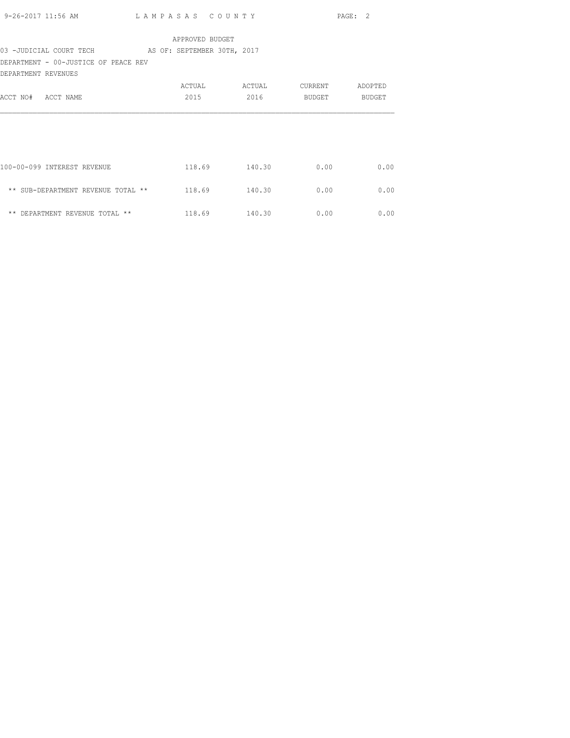| 9-26-2017 11:56 AM                                  | LAMPASAS COUNTY |               |         | PAGE: 2 |
|-----------------------------------------------------|-----------------|---------------|---------|---------|
|                                                     | APPROVED BUDGET |               |         |         |
| 03 -JUDICIAL COURT TECH AS OF: SEPTEMBER 30TH, 2017 |                 |               |         |         |
| DEPARTMENT - 00-JUSTICE OF PEACE REV                |                 |               |         |         |
| DEPARTMENT REVENUES                                 |                 |               |         |         |
|                                                     | ACTUAL          | ACTUAL        | CURRENT | ADOPTED |
| ACCT NO# ACCT NAME                                  | 2015            | 2016          | BUDGET  | BUDGET  |
|                                                     |                 |               |         |         |
| 100-00-099 INTEREST REVENUE                         |                 | 118.69 140.30 | 0.00    | 0.00    |
| ** SUB-DEPARTMENT REVENUE TOTAL ** 118.69           |                 | 140.30        | 0.00    | 0.00    |
| ** DEPARTMENT REVENUE TOTAL **                      |                 | 118.69 140.30 | 0.00    | 0.00    |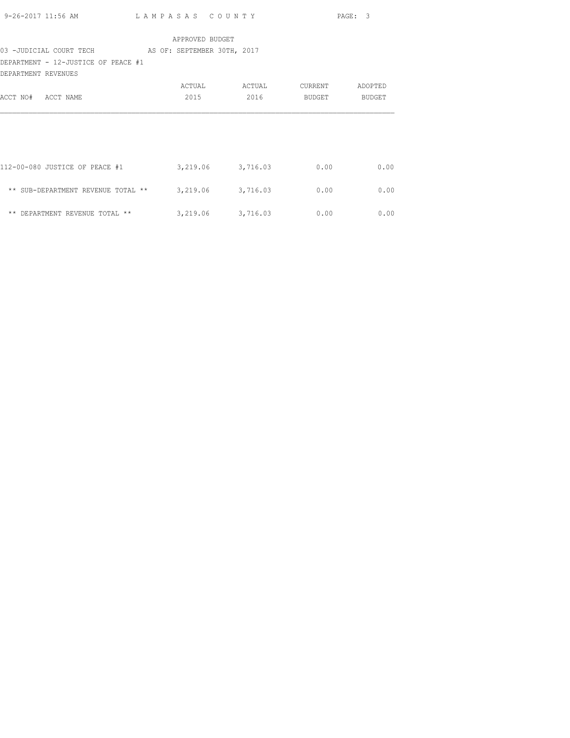| 9-26-2017 11:56 AM | LAMPASAS COUNTY | PAGE: 3 |
|--------------------|-----------------|---------|

## 03 -JUDICIAL COURT TECH AS OF: SEPTEMBER 30TH, 2017

DEPARTMENT - 12-JUSTICE OF PEACE #1

| DEPARTMENT REVENUES                             |          |          |         |         |
|-------------------------------------------------|----------|----------|---------|---------|
|                                                 | ACTUAL   | ACTUAL   | CURRENT | ADOPTED |
| ACCT NAME<br>ACCT NO#                           | 2015     | 2016     | BUDGET  | BUDGET  |
|                                                 |          |          |         |         |
|                                                 |          |          |         |         |
| 112-00-080 JUSTICE OF PEACE #1                  |          |          |         | 0.00    |
|                                                 | 3,219.06 | 3,716.03 | 0.00    |         |
| $\star\star$<br>SUB-DEPARTMENT REVENUE TOTAL ** | 3,219.06 | 3,716.03 | 0.00    | 0.00    |
| $\star\star$<br>DEPARTMENT REVENUE TOTAL **     | 3,219.06 | 3,716.03 | 0.00    | 0.00    |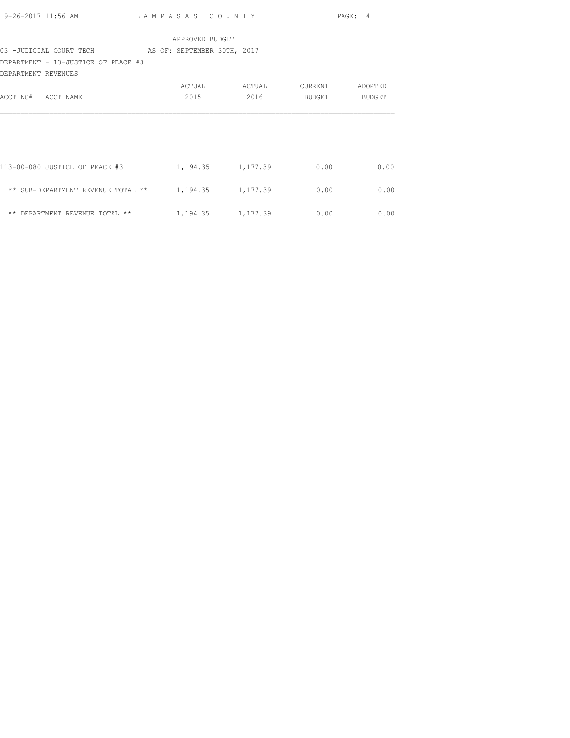| 9-26-2017 11:56 AM | LAMPASAS COUNTY                           | PAGE: 4 |
|--------------------|-------------------------------------------|---------|
|                    | $\sim$ $\sim$ $\sim$ $\sim$ $\sim$ $\sim$ |         |

## 03 -JUDICIAL COURT TECH AS OF: SEPTEMBER 30TH, 2017

DEPARTMENT - 13-JUSTICE OF PEACE #3

| DEPARTMENT REVENUES                  |          |          |         |         |
|--------------------------------------|----------|----------|---------|---------|
|                                      | ACTUAL   | ACTUAL   | CURRENT | ADOPTED |
| ACCT NAME<br>ACCT NO#                | 2015     | 2016     | BUDGET  | BUDGET  |
|                                      |          |          |         |         |
|                                      |          |          |         |         |
|                                      |          |          |         |         |
| 113-00-080 JUSTICE OF PEACE #3       | 1,194.35 | 1,177.39 | 0.00    | 0.00    |
| ** SUB-DEPARTMENT REVENUE TOTAL **   | 1,194.35 | 1,177.39 | 0.00    | 0.00    |
| $***$<br>DEPARTMENT REVENUE TOTAL ** | 1,194.35 | 1,177.39 | 0.00    | 0.00    |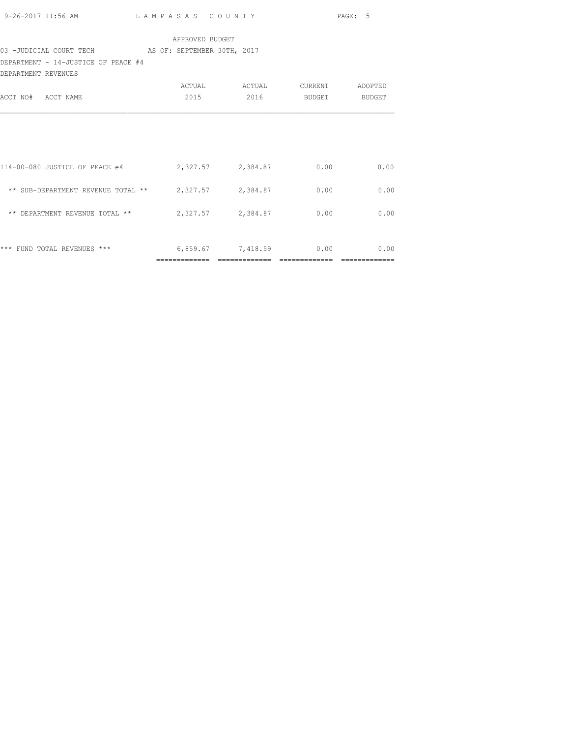|                                                           |                 |  | <b>Example 2</b> PAGE: 5      |      |
|-----------------------------------------------------------|-----------------|--|-------------------------------|------|
|                                                           | APPROVED BUDGET |  |                               |      |
| 03 -JUDICIAL COURT TECH AS OF: SEPTEMBER 30TH, 2017       |                 |  |                               |      |
| DEPARTMENT - 14-JUSTICE OF PEACE #4                       |                 |  |                               |      |
| DEPARTMENT REVENUES                                       |                 |  |                               |      |
|                                                           |                 |  | ACTUAL ACTUAL CURRENT ADOPTED |      |
| ACCT NO# ACCT NAME                                        | 2015            |  | 2016 BUDGET BUDGET            |      |
|                                                           |                 |  |                               |      |
|                                                           |                 |  |                               |      |
|                                                           |                 |  |                               |      |
|                                                           |                 |  |                               |      |
| 114-00-080 JUSTICE OF PEACE e4 2,327.57 2,384.87 0.00     |                 |  |                               | 0.00 |
|                                                           |                 |  |                               |      |
| ** SUB-DEPARTMENT REVENUE TOTAL ** $2,327.57$ $2,384.87$  |                 |  | 0.00                          | 0.00 |
|                                                           |                 |  |                               |      |
| ** DEPARTMENT REVENUE TOTAL ** $2,327.57$ $2,384.87$ 0.00 |                 |  |                               | 0.00 |
|                                                           |                 |  |                               |      |
|                                                           |                 |  |                               |      |
| *** FUND TOTAL REVENUES *** $6,859.67$ 7,418.59 0.00 0.00 |                 |  |                               |      |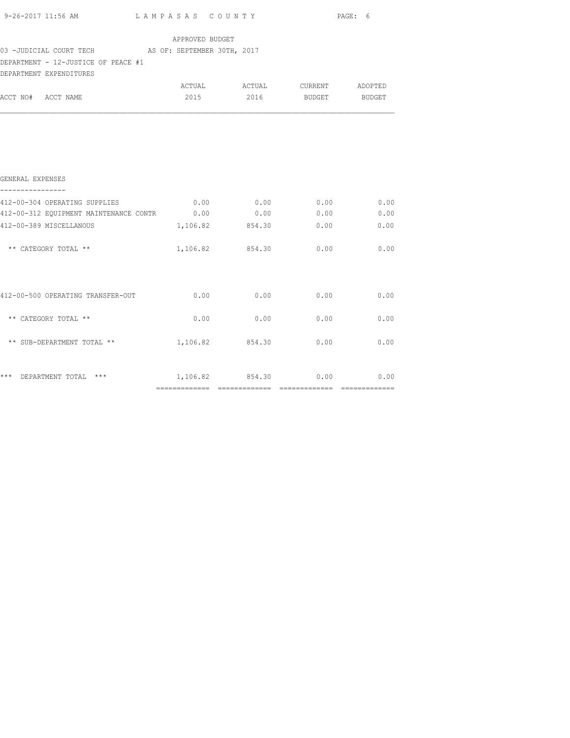|                                                                                          |                 |                               |      | PAGE: 6 |  |
|------------------------------------------------------------------------------------------|-----------------|-------------------------------|------|---------|--|
| 03 -JUDICIAL COURT TECH AS OF: SEPTEMBER 30TH, 2017                                      | APPROVED BUDGET |                               |      |         |  |
| DEPARTMENT - 12-JUSTICE OF PEACE #1                                                      |                 |                               |      |         |  |
| DEPARTMENT EXPENDITURES                                                                  |                 |                               |      |         |  |
|                                                                                          |                 | ACTUAL ACTUAL CURRENT ADOPTED |      |         |  |
| ACCT NO# ACCT NAME                                                                       |                 | 2015 2016 BUDGET BUDGET       |      |         |  |
| GENERAL EXPENSES<br>412-00-312 EQUIPMENT MAINTENANCE CONTR 0.00 0.00 0.00 0.00 0.00 0.00 |                 |                               |      |         |  |
| 412-00-389 MISCELLANOUS                                                                  |                 | $1,106.82$ $854.30$ 0.00 0.00 |      |         |  |
| ** CATEGORY TOTAL **                                                                     |                 | 1,106.82 854.30 0.00 0.00     |      |         |  |
| $412-00-500$ OPERATING TRANSFER-OUT $0.00$ $0.00$ $0.00$ $0.00$                          |                 |                               |      | 0.00    |  |
| ** CATEGORY TOTAL **                                                                     | 0.00            | 0.00                          | 0.00 | 0.00    |  |
| ** SUB-DEPARTMENT TOTAL ** $1,106.82$ $854.30$ $0.00$ $0.00$                             |                 |                               |      |         |  |
| *** DEPARTMENT TOTAL *** $1,106.82$ 854.30 0.00 0.00                                     |                 |                               |      |         |  |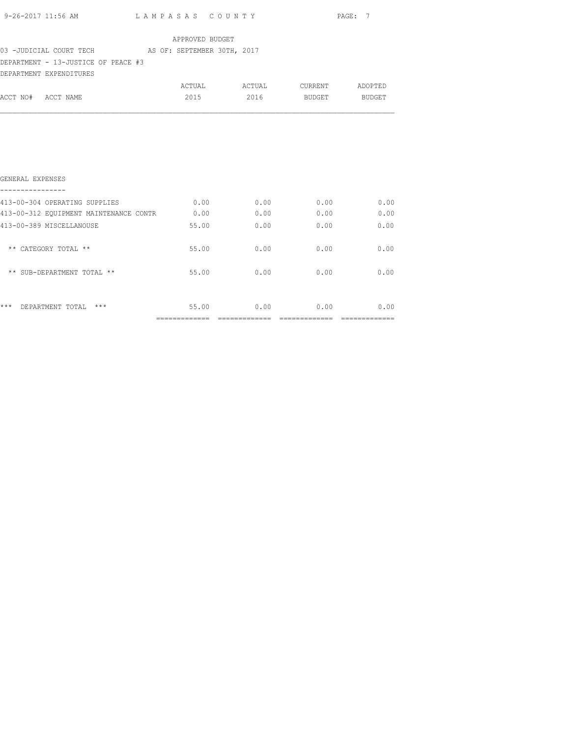| 9-26-2017 11:56 AM | LAMPASAS COUNTY                           | PAGE: |
|--------------------|-------------------------------------------|-------|
|                    | $\sim$ $\sim$ $\sim$ $\sim$ $\sim$ $\sim$ |       |

| APPROVED BUDGET |
|-----------------|
|                 |

#### 03 -JUDICIAL COURT TECH AS OF: SEPTEMBER 30TH, 2017

## DEPARTMENT - 13-JUSTICE OF PEACE #3

|                    | DEPARTMENT EXPENDITURES |        |        |         |         |
|--------------------|-------------------------|--------|--------|---------|---------|
|                    |                         | ACTUAL | ACTUAL | CURRENT | ADOPTED |
| ACCT NO# ACCT NAME |                         | 2015   | 2016   | BUDGET  | BUDGET  |

| $***$<br>$***$<br>DEPARTMENT TOTAL     | 55.00 | 0.00 | 0.00 | 0.00 |
|----------------------------------------|-------|------|------|------|
| ** SUB-DEPARTMENT TOTAL **             | 55.00 | 0.00 | 0.00 | 0.00 |
| ** CATEGORY TOTAL **                   | 55.00 | 0.00 | 0.00 | 0.00 |
| 413-00-389 MISCELLANOUSE               | 55.00 | 0.00 | 0.00 | 0.00 |
| 413-00-312 EOUIPMENT MAINTENANCE CONTR | 0.00  | 0.00 | 0.00 | 0.00 |
| 413-00-304 OPERATING SUPPLIES          | 0.00  | 0.00 | 0.00 | 0.00 |
| GENERAL EXPENSES                       |       |      |      |      |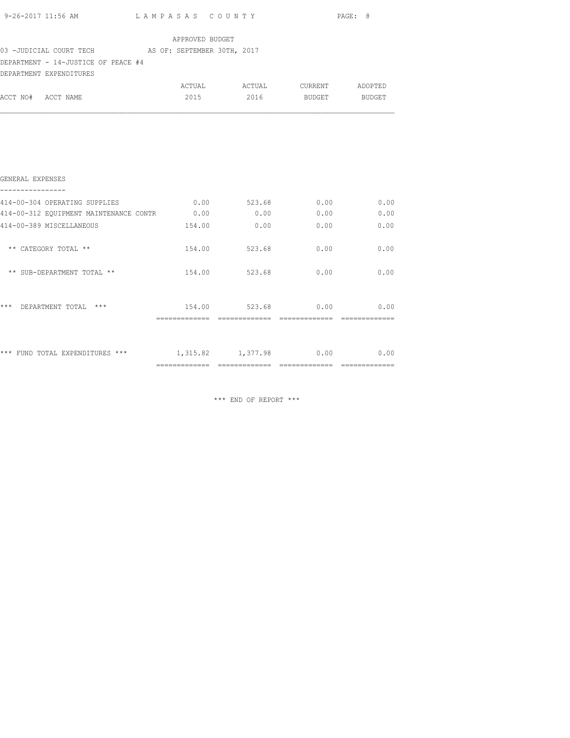| 03 -JUDICIAL COURT TECH AS OF: SEPTEMBER 30TH, 2017<br>DEPARTMENT - 14-JUSTICE OF PEACE #4<br>DEPARTMENT EXPENDITURES<br>ACCT NO# ACCT NAME | APPROVED BUDGET             |                               |  |
|---------------------------------------------------------------------------------------------------------------------------------------------|-----------------------------|-------------------------------|--|
|                                                                                                                                             |                             |                               |  |
|                                                                                                                                             |                             |                               |  |
|                                                                                                                                             |                             | ACTUAL ACTUAL CURRENT ADOPTED |  |
|                                                                                                                                             |                             | 2015 2016 BUDGET BUDGET       |  |
| GENERAL EXPENSES                                                                                                                            |                             |                               |  |
| 414-00-304 OPERATING SUPPLIES $0.00$ 523.68 $0.00$ 0.00                                                                                     |                             |                               |  |
| 414-00-312 EQUIPMENT MAINTENANCE CONTR 0.00 0.00 0.00 0.00 0.00 0.00                                                                        |                             |                               |  |
| 414-00-389 MISCELLANEOUS                                                                                                                    |                             | $154.00$ 0.00 0.00 0.00       |  |
| ** CATEGORY TOTAL **                                                                                                                        |                             | $154.00$ $523.68$ 0.00 0.00   |  |
| ** SUB-DEPARTMENT TOTAL **                                                                                                                  |                             | 154.00 523.68 0.00 0.00       |  |
| *** DEPARTMENT TOTAL ***                                                                                                                    | $154.00$ $523.68$ 0.00 0.00 |                               |  |
| *** FUND TOTAL EXPENDITURES *** 1,315.82 1,377.98 0.00 0.00                                                                                 |                             |                               |  |

\*\*\* END OF REPORT \*\*\*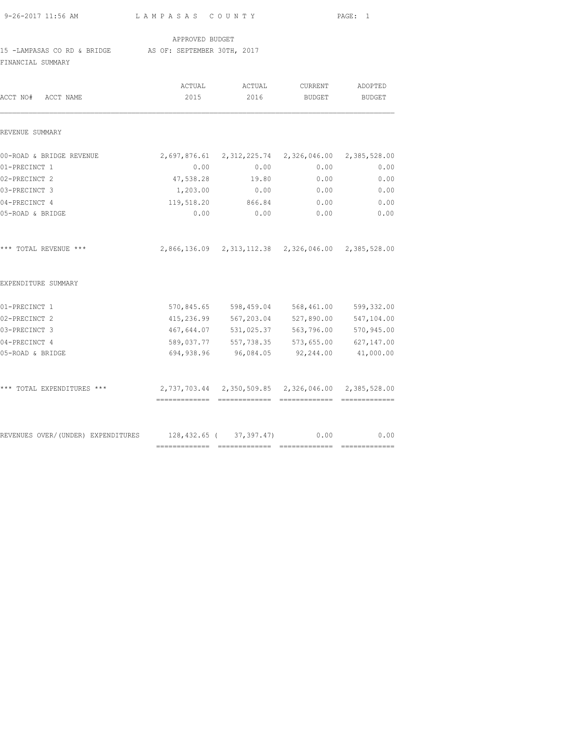| 9-26-2017 11:56 AM                                                           | LAMPASAS COUNTY |                                                              | PAGE: 1                  |                          |  |
|------------------------------------------------------------------------------|-----------------|--------------------------------------------------------------|--------------------------|--------------------------|--|
|                                                                              | APPROVED BUDGET |                                                              |                          |                          |  |
| 15 -LAMPASAS CO RD & BRIDGE AS OF: SEPTEMBER 30TH, 2017<br>FINANCIAL SUMMARY |                 |                                                              |                          |                          |  |
| ACCT NO# ACCT NAME                                                           | ACTUAL<br>2015  | ACTUAL<br>2016                                               | CURRENT<br><b>BUDGET</b> | ADOPTED<br><b>BUDGET</b> |  |
| REVENUE SUMMARY                                                              |                 |                                                              |                          |                          |  |
| 00-ROAD & BRIDGE REVENUE                                                     |                 | 2,697,876.61    2,312,225.74    2,326,046.00    2,385,528.00 |                          |                          |  |
| 01-PRECINCT 1                                                                | 0.00            | 0.00                                                         | 0.00                     | 0.00                     |  |
| 02-PRECINCT 2                                                                | 47,538.28       | 19.80                                                        | 0.00                     | 0.00                     |  |
| 03-PRECINCT 3                                                                | 1,203.00        | 0.00                                                         | 0.00                     | 0.00                     |  |
| 04-PRECINCT 4                                                                | 119,518.20      | 866.84                                                       | 0.00                     | 0.00                     |  |
| 05-ROAD & BRIDGE                                                             | 0.00            | 0.00                                                         | 0.00                     | 0.00                     |  |
| *** TOTAL REVENUE ***                                                        |                 | 2,866,136.09 2,313,112.38 2,326,046.00 2,385,528.00          |                          |                          |  |
| EXPENDITURE SUMMARY                                                          |                 |                                                              |                          |                          |  |
| 01-PRECINCT 1                                                                | 570,845.65      |                                                              | 598,459.04 568,461.00    | 599,332.00               |  |
| 02-PRECINCT 2                                                                | 415,236.99      | 567,203.04                                                   | 527,890.00               | 547,104.00               |  |
| 03-PRECINCT 3                                                                | 467,644.07      | 531,025.37                                                   | 563,796.00               | 570,945.00               |  |
| 04-PRECINCT 4                                                                | 589,037.77      | 557,738.35                                                   | 573,655.00               | 627,147.00               |  |
| 05-ROAD & BRIDGE                                                             | 694,938.96      | 96,084.05                                                    | 92,244.00                | 41,000.00                |  |
| *** TOTAL EXPENDITURES ***                                                   |                 |                                                              |                          |                          |  |
| REVENUES OVER/(UNDER) EXPENDITURES                                           | 128,432.65 (    | 37,397.47)                                                   | 0.00                     | 0.00                     |  |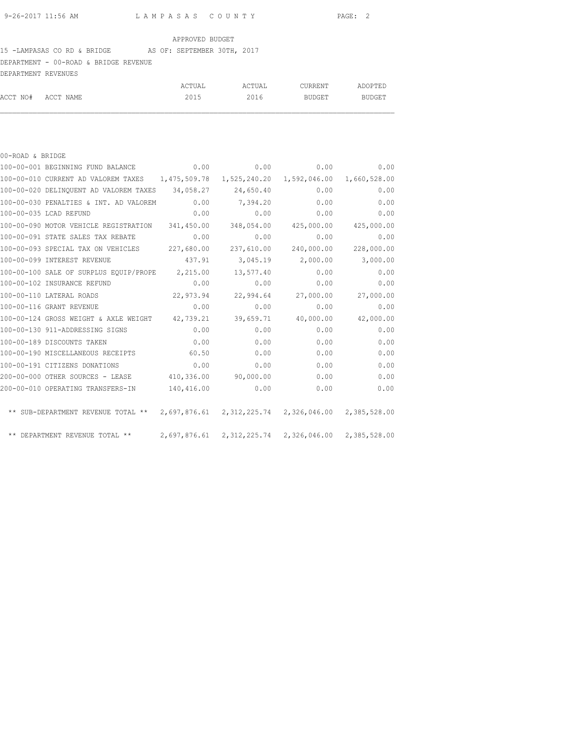## 15 -LAMPASAS CO RD & BRIDGE AS OF: SEPTEMBER 30TH, 2017

DEPARTMENT - 00-ROAD & BRIDGE REVENUE

| DEPARTMENT REVENUES |        |        |         |         |
|---------------------|--------|--------|---------|---------|
|                     | ACTUAL | ACTUAL | CURRENT | ADOPTED |
| ACCT NO# ACCT NAME  | 2015   | 2016   | BUDGET  | BUDGET  |

| 00-ROAD & BRIDGE                                                                       |            |                                                     |              |              |
|----------------------------------------------------------------------------------------|------------|-----------------------------------------------------|--------------|--------------|
| 100-00-001 BEGINNING FUND BALANCE                                                      | 0.00       | 0.00                                                | 0.00         | 0.00         |
| 100-00-010 CURRENT AD VALOREM TAXES 1,475,509.78                                       |            | 1,525,240.20                                        | 1,592,046.00 | 1,660,528.00 |
| 100-00-020 DELINQUENT AD VALOREM TAXES                                                 | 34,058.27  | 24,650.40                                           | 0.00         | 0.00         |
| 100-00-030 PENALTIES & INT. AD VALOREM                                                 | 0.00       | 7,394.20                                            | 0.00         | 0.00         |
| 100-00-035 LCAD REFUND                                                                 | 0.00       | 0.00                                                | 0.00         | 0.00         |
| 100-00-090 MOTOR VEHICLE REGISTRATION                                                  | 341,450.00 | 348,054.00                                          | 425,000.00   | 425,000.00   |
| 100-00-091 STATE SALES TAX REBATE                                                      | 0.00       | 0.00                                                | 0.00         | 0.00         |
| 100-00-093 SPECIAL TAX ON VEHICLES                                                     | 227,680.00 | 237,610.00                                          | 240,000.00   | 228,000.00   |
| 100-00-099 INTEREST REVENUE                                                            | 437.91     | 3,045.19                                            | 2,000.00     | 3,000.00     |
| 100-00-100 SALE OF SURPLUS EQUIP/PROPE                                                 | 2,215.00   | 13,577.40                                           | 0.00         | 0.00         |
| 100-00-102 INSURANCE REFUND                                                            | 0.00       | 0.00                                                | 0.00         | 0.00         |
| 100-00-110 LATERAL ROADS                                                               | 22,973.94  | 22,994.64                                           | 27,000.00    | 27,000.00    |
| 100-00-116 GRANT REVENUE                                                               | 0.00       | 0.00                                                | 0.00         | 0.00         |
| 100-00-124 GROSS WEIGHT & AXLE WEIGHT                                                  | 42,739.21  | 39,659.71                                           | 40,000.00    | 42,000.00    |
| 100-00-130 911-ADDRESSING SIGNS                                                        | 0.00       | 0.00                                                | 0.00         | 0.00         |
| 100-00-189 DISCOUNTS TAKEN                                                             | 0.00       | 0.00                                                | 0.00         | 0.00         |
| 100-00-190 MISCELLANEOUS RECEIPTS                                                      | 60.50      | 0.00                                                | 0.00         | 0.00         |
| 100-00-191 CITIZENS DONATIONS                                                          | 0.00       | 0.00                                                | 0.00         | 0.00         |
| 200-00-000 OTHER SOURCES - LEASE                                                       | 410,336.00 | 90,000.00                                           | 0.00         | 0.00         |
| 200-00-010 OPERATING TRANSFERS-IN                                                      | 140,416.00 | 0.00                                                | 0.00         | 0.00         |
| ** SUB-DEPARTMENT REVENUE TOTAL ** 2,697,876.61 2,312,225.74 2,326,046.00 2,385,528.00 |            |                                                     |              |              |
| ** DEPARTMENT REVENUE TOTAL **                                                         |            | 2,697,876.61 2,312,225.74 2,326,046.00 2,385,528.00 |              |              |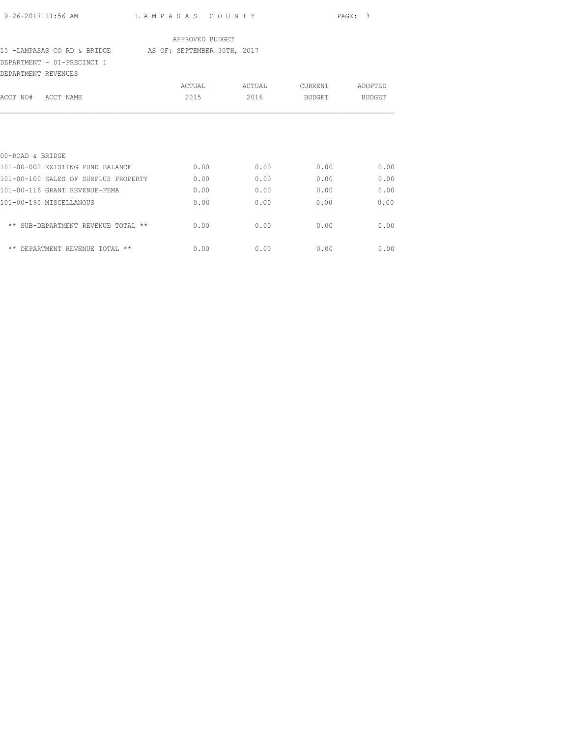| 9-26-2017 11:56 AM |  |  |
|--------------------|--|--|

#### APPROVED BUDGET

#### 15 -LAMPASAS CO RD & BRIDGE AS OF: SEPTEMBER 30TH, 2017

DEPARTMENT - 01-PRECINCT 1

| DEPARTMENT REVENUES                  |        |        |         |         |
|--------------------------------------|--------|--------|---------|---------|
|                                      | ACTUAL | ACTUAL | CURRENT | ADOPTED |
| ACCT NO#<br>ACCT NAME                | 2015   | 2016   | BUDGET  | BUDGET  |
|                                      |        |        |         |         |
| 00-ROAD & BRIDGE                     |        |        |         |         |
| 101-00-002 EXISTING FUND BALANCE     | 0.00   | 0.00   | 0.00    | 0.00    |
| 101-00-100 SALES OF SURPLUS PROPERTY | 0.00   | 0.00   | 0.00    | 0.00    |
| 101-00-116 GRANT REVENUE-FEMA        | 0.00   | 0.00   | 0.00    | 0.00    |
| 101-00-190 MISCELLANOUS              | 0.00   | 0.00   | 0.00    | 0.00    |
| ** SUB-DEPARTMENT REVENUE TOTAL **   | 0.00   | 0.00   | 0.00    | 0.00    |
| ** DEPARTMENT<br>REVENUE TOTAL **    | 0.00   | 0.00   | 0.00    | 0.00    |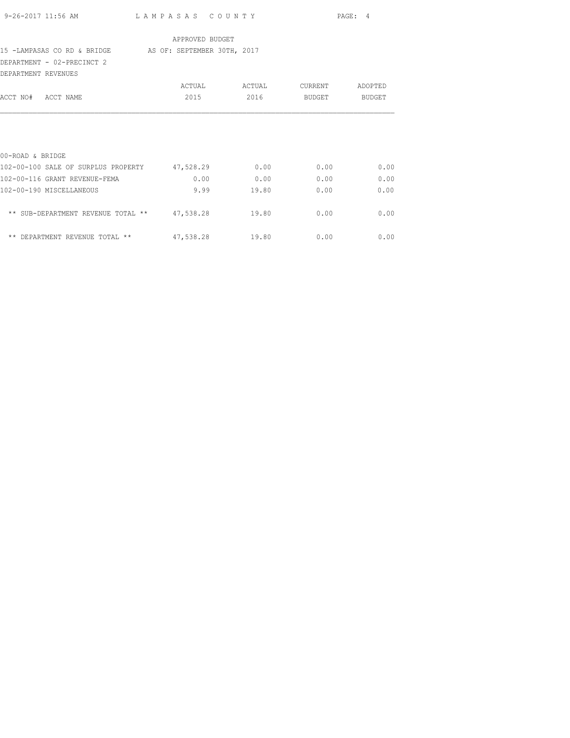|                                                         |                 |               |         | PAGE: 4 |
|---------------------------------------------------------|-----------------|---------------|---------|---------|
|                                                         | APPROVED BUDGET |               |         |         |
| 15 -LAMPASAS CO RD & BRIDGE AS OF: SEPTEMBER 30TH, 2017 |                 |               |         |         |
| DEPARTMENT - 02-PRECINCT 2                              |                 |               |         |         |
| DEPARTMENT REVENUES                                     |                 |               |         |         |
|                                                         |                 | ACTUAL ACTUAL | CURRENT | ADOPTED |
| ACCT NO# ACCT NAME                                      | 2015            | 2016          | BUDGET  | BUDGET  |
|                                                         |                 |               |         |         |
| 00-ROAD & BRIDGE                                        |                 |               |         |         |
| 102-00-100 SALE OF SURPLUS PROPERTY 47,528.29           |                 | 0.00          | 0.00    | 0.00    |
| 102-00-116 GRANT REVENUE-FEMA                           | 0.00            | 0.00          | 0.00    | 0.00    |
| 102-00-190 MISCELLANEOUS                                | 9.99            | 19.80         | 0.00    | 0.00    |
| ** SUB-DEPARTMENT REVENUE TOTAL ** 47,538.28 19.80      |                 |               | 0.00    | 0.00    |
| ** DEPARTMENT REVENUE TOTAL ** $47,538.28$ 19.80        |                 |               | 0.00    | 0.00    |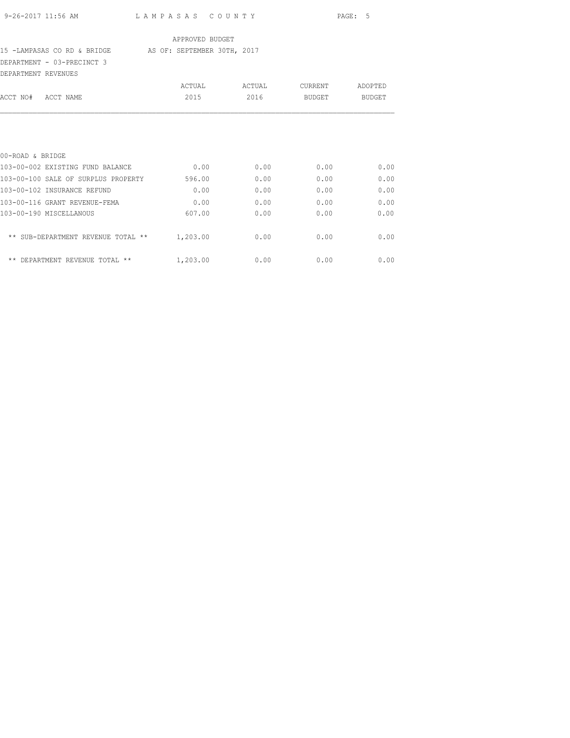#### 15 -LAMPASAS CO RD & BRIDGE AS OF: SEPTEMBER 30TH, 2017

DEPARTMENT - 03-PRECINCT 3 DEPARTMENT REVENUES

| DEPARTMENT<br>REVENUES                      |          |        |         |         |
|---------------------------------------------|----------|--------|---------|---------|
|                                             | ACTUAL   | ACTUAL | CURRENT | ADOPTED |
| ACCT NAME<br>ACCT NO#                       | 2015     | 2016   | BUDGET  | BUDGET  |
|                                             |          |        |         |         |
| 00-ROAD & BRIDGE                            |          |        |         |         |
| 103-00-002 EXISTING FUND BALANCE            | 0.00     | 0.00   | 0.00    | 0.00    |
| 103-00-100 SALE OF SURPLUS PROPERTY         | 596.00   | 0.00   | 0.00    | 0.00    |
| 103-00-102 INSURANCE REFUND                 | 0.00     | 0.00   | 0.00    | 0.00    |
| 103-00-116 GRANT REVENUE-FEMA               | 0.00     | 0.00   | 0.00    | 0.00    |
| 103-00-190 MISCELLANOUS                     | 607.00   | 0.00   | 0.00    | 0.00    |
| ** SUB-DEPARTMENT REVENUE<br>TOTAL<br>$***$ | 1,203.00 | 0.00   | 0.00    | 0.00    |
| $***$<br>DEPARTMENT<br>REVENUE<br>TOTAL **  | 1,203.00 | 0.00   | 0.00    | 0.00    |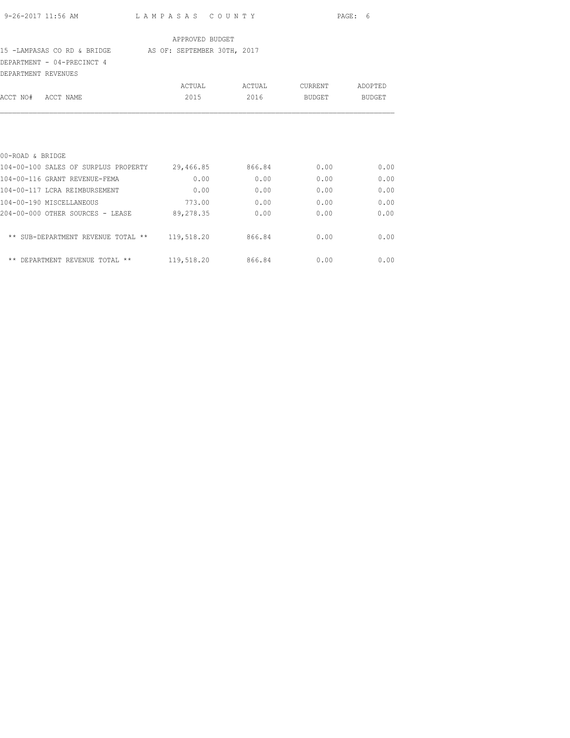| 9-26-2017 11:56 AM |  |
|--------------------|--|

#### APPROVED BUDGET

#### 15 -LAMPASAS CO RD & BRIDGE AS OF: SEPTEMBER 30TH, 2017

DEPARTMENT - 04-PRECINCT 4

| DEPARTMENT REVENUES |                                      |                |                |                   |                   |
|---------------------|--------------------------------------|----------------|----------------|-------------------|-------------------|
| ACCT NO#            | ACCT NAME                            | ACTUAL<br>2015 | ACTUAL<br>2016 | CURRENT<br>BUDGET | ADOPTED<br>BUDGET |
|                     |                                      |                |                |                   |                   |
| 00-ROAD & BRIDGE    |                                      |                |                |                   |                   |
|                     | 104-00-100 SALES OF SURPLUS PROPERTY | 29,466.85      | 866.84         | 0.00              | 0.00              |

| 104-00-116 GRANT REVENUE-FEMA        | 0.00       | 0.00   | 0.00 | 0.00 |
|--------------------------------------|------------|--------|------|------|
| 104-00-117 LCRA REIMBURSEMENT        | 0.00       | 0.00   | 0.00 | 0.00 |
| 104-00-190 MISCELLANEOUS             | 773.00     | 0.00   | 0.00 | 0.00 |
| 204-00-000 OTHER SOURCES - LEASE     | 89,278.35  | 0.00   | 0.00 | 0.00 |
| ** SUB-DEPARTMENT REVENUE TOTAL **   | 119,518.20 | 866.84 | 0.00 | 0.00 |
| DEPARTMENT REVENUE TOTAL **<br>$***$ | 119,518.20 | 866.84 | 0.00 | 0.00 |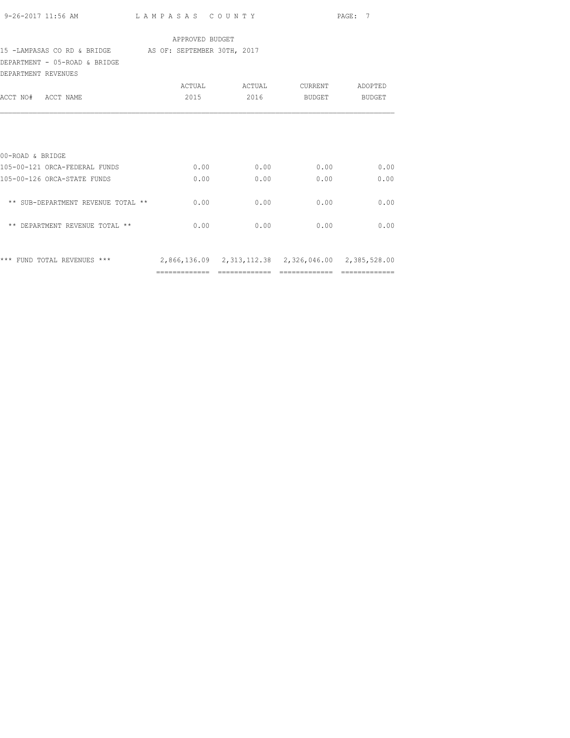| 9-26-2017 11:56 AM                                                              |                 | LAMPASAS COUNTY       |        | PAGE: 7 |  |
|---------------------------------------------------------------------------------|-----------------|-----------------------|--------|---------|--|
|                                                                                 | APPROVED BUDGET |                       |        |         |  |
| 15 -LAMPASAS CO RD & BRIDGE AS OF: SEPTEMBER 30TH, 2017                         |                 |                       |        |         |  |
| DEPARTMENT - 05-ROAD & BRIDGE                                                   |                 |                       |        |         |  |
| DEPARTMENT REVENUES                                                             |                 |                       |        |         |  |
|                                                                                 |                 | ACTUAL ACTUAL CURRENT |        | ADOPTED |  |
| ACCT NO# ACCT NAME                                                              | 2015 — 2015     | 2016 — 2016           | BUDGET | BUDGET  |  |
|                                                                                 |                 |                       |        |         |  |
|                                                                                 |                 |                       |        |         |  |
| 00-ROAD & BRIDGE                                                                |                 |                       |        |         |  |
| 105-00-121 ORCA-FEDERAL FUNDS                                                   | 0.00            | 0.00                  | 0.00   | 0.00    |  |
| 105-00-126 ORCA-STATE FUNDS                                                     | 0.00            | 0.00                  | 0.00   | 0.00    |  |
| ** SUB-DEPARTMENT REVENUE TOTAL **                                              | 0.00            | 0.00                  | 0.00   | 0.00    |  |
| ** DEPARTMENT REVENUE TOTAL **                                                  | 0.00            | 0.00                  | 0.00   | 0.00    |  |
|                                                                                 |                 |                       |        |         |  |
| *** FUND TOTAL REVENUES *** 2,866,136.09 2,313,112.38 2,326,046.00 2,385,528.00 |                 |                       |        |         |  |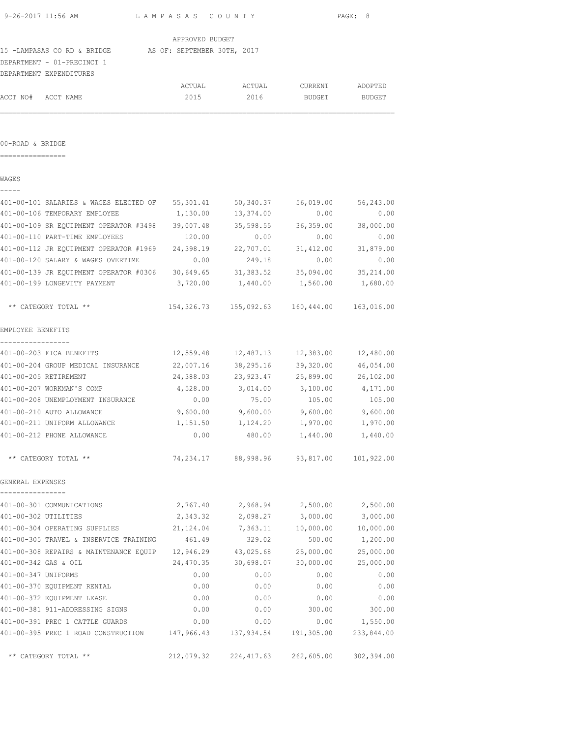| 9-26-2017 11:56 AM   |                                                            | LAMPASAS COUNTY      |                                                 | PAGE: 8              |                       |  |
|----------------------|------------------------------------------------------------|----------------------|-------------------------------------------------|----------------------|-----------------------|--|
| APPROVED BUDGET      |                                                            |                      |                                                 |                      |                       |  |
|                      | 15 -LAMPASAS CO RD & BRIDGE AS OF: SEPTEMBER 30TH, 2017    |                      |                                                 |                      |                       |  |
|                      | DEPARTMENT - 01-PRECINCT 1                                 |                      |                                                 |                      |                       |  |
|                      | DEPARTMENT EXPENDITURES                                    |                      |                                                 |                      |                       |  |
|                      |                                                            | ACTUAL               | ACTUAL                                          | CURRENT ADOPTED      |                       |  |
| ACCT NO# ACCT NAME   |                                                            | 2015                 | 2016                                            | BUDGET               | <b>BUDGET</b>         |  |
|                      |                                                            |                      |                                                 |                      |                       |  |
|                      |                                                            |                      |                                                 |                      |                       |  |
| 00-ROAD & BRIDGE     |                                                            |                      |                                                 |                      |                       |  |
| -----------------    |                                                            |                      |                                                 |                      |                       |  |
|                      |                                                            |                      |                                                 |                      |                       |  |
| WAGES                |                                                            |                      |                                                 |                      |                       |  |
|                      | 401-00-101 SALARIES & WAGES ELECTED OF 55,301.41 50,340.37 |                      |                                                 | 56,019.00            | 56,243.00             |  |
|                      | 401-00-106 TEMPORARY EMPLOYEE                              |                      | 1,130.00 13,374.00                              | 0.00                 | 0.00                  |  |
|                      | 401-00-109 SR EQUIPMENT OPERATOR #3498 39,007.48           |                      | 35,598.55                                       |                      | 36,359.00 38,000.00   |  |
|                      | 401-00-110 PART-TIME EMPLOYEES                             | 120.00               | 0.00                                            | 0.00                 | 0.00                  |  |
|                      |                                                            |                      |                                                 |                      | 31,412.00 31,879.00   |  |
|                      | 401-00-120 SALARY & WAGES OVERTIME                         | 0.00                 | 249.18                                          | 0.00                 | 0.00                  |  |
|                      | 401-00-139 JR EQUIPMENT OPERATOR #0306 30,649.65 31,383.52 |                      |                                                 |                      | 35,094.00 35,214.00   |  |
|                      | 401-00-199 LONGEVITY PAYMENT                               | 3,720.00             | 1,440.00                                        | 1,560.00             | 1,680.00              |  |
|                      |                                                            |                      |                                                 |                      |                       |  |
|                      | ** CATEGORY TOTAL **                                       |                      |                                                 |                      | 163,016.00            |  |
| EMPLOYEE BENEFITS    |                                                            |                      |                                                 |                      |                       |  |
| -----------------    |                                                            |                      |                                                 |                      |                       |  |
|                      | 401-00-203 FICA BENEFITS                                   |                      | $12,559.48$ $12,487.13$ $12,383.00$ $12,480.00$ |                      |                       |  |
|                      | 401-00-204 GROUP MEDICAL INSURANCE                         | 22,007.16            | 38,295.16                                       |                      | 39,320.00 46,054.00   |  |
|                      | 401-00-205 RETIREMENT                                      |                      | 24,388.03 23,923.47 25,899.00 26,102.00         |                      |                       |  |
|                      | 401-00-207 WORKMAN'S COMP                                  |                      | 4,528.00 3,014.00 3,100.00 4,171.00             |                      |                       |  |
|                      | 401-00-208 UNEMPLOYMENT INSURANCE                          | 0.00                 | 75.00                                           | 105.00               | 105.00                |  |
|                      | 401-00-210 AUTO ALLOWANCE                                  | 9,600.00             | $9,600.00$ $9,600.00$                           |                      | 9,600.00              |  |
|                      | 401-00-211 UNIFORM ALLOWANCE                               | 1,151.50             | 1,124.20                                        | 1,970.00             | 1,970.00              |  |
|                      | 401-00-212 PHONE ALLOWANCE                                 | 0.00                 | 480.00                                          | 1,440.00             | 1,440.00              |  |
|                      | ** CATEGORY TOTAL **                                       |                      | 74,234.17 88,998.96 93,817.00 101,922.00        |                      |                       |  |
| GENERAL EXPENSES     |                                                            |                      |                                                 |                      |                       |  |
| ------------         |                                                            |                      |                                                 |                      |                       |  |
| 401-00-302 UTILITIES | 401-00-301 COMMUNICATIONS                                  | 2,767.40<br>2,343.32 | 2,968.94<br>2,098.27                            | 2,500.00<br>3,000.00 | 2,500.00<br>3,000.00  |  |
|                      | 401-00-304 OPERATING SUPPLIES                              | 21,124.04            | 7,363.11                                        |                      |                       |  |
|                      | 401-00-305 TRAVEL & INSERVICE TRAINING                     | 461.49               | 329.02                                          | 10,000.00<br>500.00  | 10,000.00<br>1,200.00 |  |
|                      | 401-00-308 REPAIRS & MAINTENANCE EQUIP                     | 12,946.29            | 43,025.68                                       | 25,000.00            | 25,000.00             |  |
| 401-00-342 GAS & OIL |                                                            | 24,470.35            | 30,698.07                                       | 30,000.00            | 25,000.00             |  |
| 401-00-347 UNIFORMS  |                                                            | 0.00                 | 0.00                                            | 0.00                 | 0.00                  |  |
|                      | 401-00-370 EQUIPMENT RENTAL                                | 0.00                 | 0.00                                            | 0.00                 | 0.00                  |  |
|                      | 401-00-372 EQUIPMENT LEASE                                 | 0.00                 | 0.00                                            | 0.00                 | 0.00                  |  |
|                      | 401-00-381 911-ADDRESSING SIGNS                            | 0.00                 | 0.00                                            | 300.00               | 300.00                |  |

401-00-391 PREC 1 CATTLE GUARDS 0.00 0.00 0.00 1,550.00 401-00-395 PREC 1 ROAD CONSTRUCTION 147,966.43 137,934.54 191,305.00 233,844.00

\*\* CATEGORY TOTAL \*\* 212,079.32 224,417.63 262,605.00 302,394.00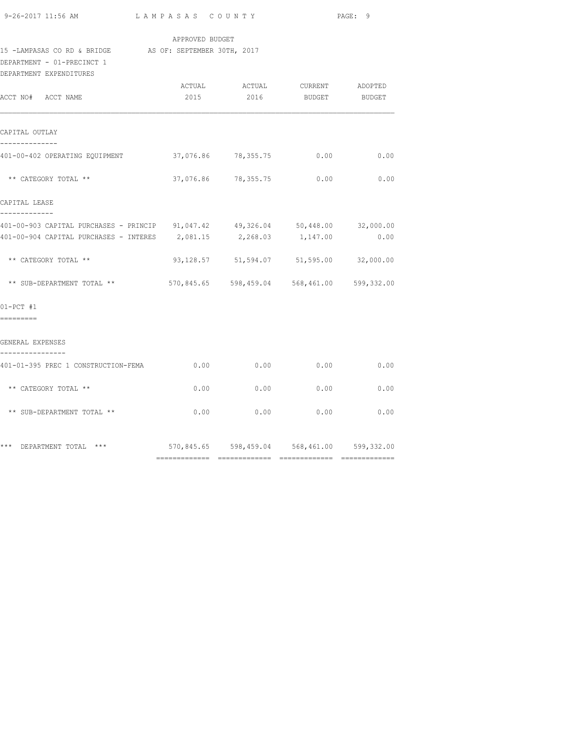| 9-26-2017 11:56 AM |  |
|--------------------|--|
|                    |  |

## APPROVED BUDGET

# 15 -LAMPASAS CO RD & BRIDGE AS OF: SEPTEMBER 30TH, 2017

DEPARTMENT - 01-PRECINCT 1

| DEPARTMENT EXPENDITURES                                                        |      |                     |                                                |      |
|--------------------------------------------------------------------------------|------|---------------------|------------------------------------------------|------|
| ACCT NO# ACCT NAME                                                             | 2015 | 2016                | ACTUAL ACTUAL CURRENT ADOPTED<br>BUDGET BUDGET |      |
| CAPITAL OUTLAY                                                                 |      |                     |                                                |      |
| --------------                                                                 |      |                     |                                                |      |
| 401-00-402 OPERATING EQUIPMENT                                                 |      | 37,076.86 78,355.75 | 0.00                                           | 0.00 |
| ** CATEGORY TOTAL **                                                           |      |                     | 37,076.86 78,355.75 0.00 0.00                  |      |
| CAPITAL LEASE                                                                  |      |                     |                                                |      |
| 401-00-903 CAPITAL PURCHASES - PRINCIP 91,047.42 49,326.04 50,448.00 32,000.00 |      |                     |                                                |      |
| $401-00-904$ CAPITAL PURCHASES - INTERES $2,081.15$ $2,268.03$ $1,147.00$      |      |                     |                                                | 0.00 |
| ** CATEGORY TOTAL **                                                           |      |                     | 93,128.57 51,594.07 51,595.00 32,000.00        |      |
| ** SUB-DEPARTMENT TOTAL **                                                     |      |                     | 570,845.65 598,459.04 568,461.00 599,332.00    |      |
| $01-PCT$ #1<br>---------                                                       |      |                     |                                                |      |
| GENERAL EXPENSES<br>----------------                                           |      |                     |                                                |      |
| 401-01-395 PREC 1 CONSTRUCTION-FEMA                                            |      | $0.00$ 0.00         | 0.00                                           | 0.00 |
| ** CATEGORY TOTAL **                                                           |      |                     | $0.00$ 0.00 0.00                               | 0.00 |
| ** SUB-DEPARTMENT TOTAL **                                                     | 0.00 | 0.00                | 0.00                                           | 0.00 |
| *** DEPARTMENT TOTAL ***                                                       |      |                     | 570,845.65 598,459.04 568,461.00 599,332.00    |      |
|                                                                                |      |                     |                                                |      |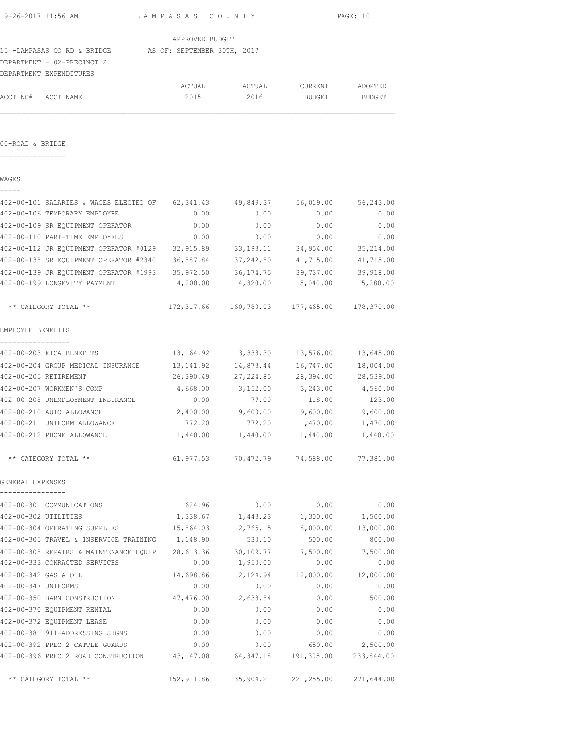| 9-26-2017 11:56 AM                                                             | LAMPASAS COUNTY |                                                 |                                     | PAGE: 10            |
|--------------------------------------------------------------------------------|-----------------|-------------------------------------------------|-------------------------------------|---------------------|
|                                                                                | APPROVED BUDGET |                                                 |                                     |                     |
| 15 -LAMPASAS CO RD & BRIDGE AS OF: SEPTEMBER 30TH, 2017                        |                 |                                                 |                                     |                     |
| DEPARTMENT - 02-PRECINCT 2                                                     |                 |                                                 |                                     |                     |
| DEPARTMENT EXPENDITURES                                                        |                 |                                                 |                                     |                     |
|                                                                                |                 | ACTUAL ACTUAL                                   | CURRENT ADOPTED                     |                     |
| ACCT NO# ACCT NAME                                                             | 2015            | 2016                                            | BUDGET                              | BUDGET              |
|                                                                                |                 |                                                 |                                     |                     |
| 00-ROAD & BRIDGE                                                               |                 |                                                 |                                     |                     |
|                                                                                |                 |                                                 |                                     |                     |
| WAGES                                                                          |                 |                                                 |                                     |                     |
| 402-00-101 SALARIES & WAGES ELECTED OF 62,341.43 49,849.37                     |                 |                                                 |                                     | 56,019.00 56,243.00 |
| 402-00-106 TEMPORARY EMPLOYEE                                                  | 0.00            | 0.00                                            | 0.00                                | 0.00                |
| 402-00-109 SR EQUIPMENT OPERATOR                                               | 0.00            | 0.00                                            | 0.00                                | 0.00                |
| 402-00-110 PART-TIME EMPLOYEES                                                 | 0.00            | 0.00                                            | 0.00                                | 0.00                |
| 402-00-112 JR EQUIPMENT OPERATOR #0129 32,915.89 33,193.11                     |                 |                                                 |                                     | 34,954.00 35,214.00 |
| 402-00-138 SR EQUIPMENT OPERATOR #2340 36,887.84 37,242.80 41,715.00 41,715.00 |                 |                                                 |                                     |                     |
| 402-00-139 JR EQUIPMENT OPERATOR #1993 35,972.50                               |                 |                                                 | 36, 174. 75 39, 737. 00 39, 918. 00 |                     |
| 402-00-199 LONGEVITY PAYMENT                                                   | 4,200.00        | 4,320.00                                        | 5,040.00                            | 5,280.00            |
| ** CATEGORY TOTAL **                                                           |                 | 172,317.66 160,780.03 177,465.00                |                                     | 178,370.00          |
| EMPLOYEE BENEFITS                                                              |                 |                                                 |                                     |                     |
| 402-00-203 FICA BENEFITS                                                       |                 | $13,164.92$ $13,333.30$ $13,576.00$ $13,645.00$ |                                     |                     |
| 402-00-204 GROUP MEDICAL INSURANCE                                             | 13,141.92       | 14,873.44                                       | 16,747.00                           | 18,004.00           |
| 402-00-205 RETIREMENT                                                          |                 | 26,390.49 27,224.85 28,394.00 28,539.00         |                                     |                     |
| 402-00-207 WORKMEN'S COMP                                                      |                 | 4,668.00 3,152.00 3,243.00 4,560.00             |                                     |                     |
| 402-00-208 UNEMPLOYMENT INSURANCE                                              | 0.00            | 77.00                                           | 118.00                              | 123.00              |
| 402-00-210 AUTO ALLOWANCE                                                      | 2,400.00        | 9,600.00                                        | 9,600.00                            | 9,600.00            |
| 402-00-211 UNIFORM ALLOWANCE                                                   | 772.20          | 772.20                                          | 1,470.00                            | 1,470.00            |
| 402-00-212 PHONE ALLOWANCE                                                     | 1,440.00        | 1,440.00                                        | 1,440.00                            | 1,440.00            |
| ** CATEGORY TOTAL **                                                           |                 | 61,977.53 70,472.79 74,588.00 77,381.00         |                                     |                     |
| GENERAL EXPENSES                                                               |                 |                                                 |                                     |                     |
| 402-00-301 COMMUNICATIONS                                                      | 624.96          | 0.00                                            | 0.00                                | 0.00                |
| 402-00-302 UTILITIES                                                           | 1,338.67        | 1,443.23                                        | 1,300.00                            | 1,500.00            |
| 402-00-304 OPERATING SUPPLIES                                                  | 15,864.03       | 12,765.15                                       | 8,000.00                            | 13,000.00           |
| 402-00-305 TRAVEL & INSERVICE TRAINING                                         | 1,148.90        | 530.10                                          | 500.00                              | 800.00              |
| 402-00-308 REPAIRS & MAINTENANCE EQUIP                                         | 28,613.36       | 30,109.77                                       | 7,500.00                            | 7,500.00            |
| 402-00-333 CONRACTED SERVICES                                                  | 0.00            | 1,950.00                                        | 0.00                                | 0.00                |
| 402-00-342 GAS & OIL                                                           | 14,698.86       | 12,124.94                                       | 12,000.00                           | 12,000.00           |
| 402-00-347 UNIFORMS                                                            | 0.00            | 0.00                                            | 0.00                                | 0.00                |
| 402-00-350 BARN CONSTRUCTION                                                   | 47,476.00       | 12,633.84                                       | 0.00                                | 500.00              |
| 402-00-370 EQUIPMENT RENTAL                                                    | 0.00            | 0.00                                            | 0.00                                | 0.00                |
| 402-00-372 EQUIPMENT LEASE                                                     | 0.00            | 0.00                                            | 0.00                                | 0.00                |
| 402-00-381 911-ADDRESSING SIGNS                                                | 0.00            | 0.00                                            | 0.00                                | 0.00                |
| 402-00-392 PREC 2 CATTLE GUARDS                                                | 0.00            | 0.00                                            | 650.00                              | 2,500.00            |
|                                                                                |                 |                                                 |                                     |                     |

402-00-396 PREC 2 ROAD CONSTRUCTION 43,147.08 64,347.18 191,305.00 233,844.00

\*\* CATEGORY TOTAL \*\* 152,911.86 135,904.21 221,255.00 271,644.00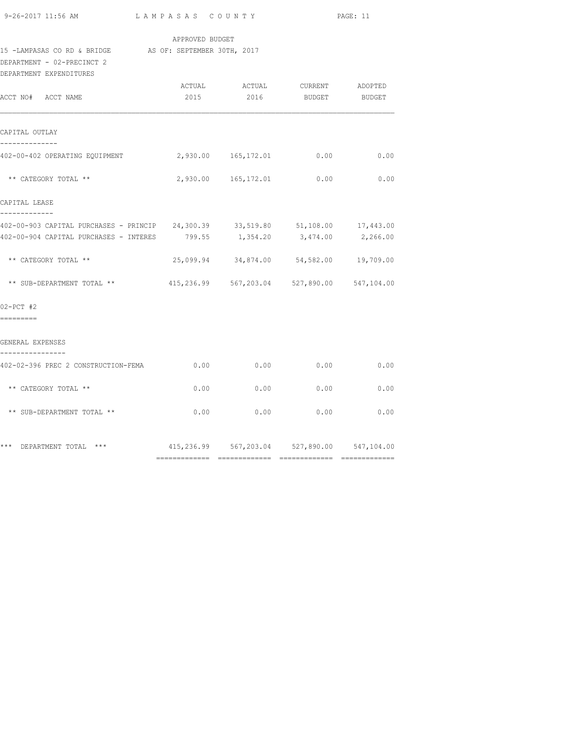| 9-26-2017 11:56 AM |  |  |
|--------------------|--|--|
|                    |  |  |

#### APPROVED BUDGET

#### 15 -LAMPASAS CO RD & BRIDGE AS OF: SEPTEMBER 30TH, 2017

DEPARTMENT - 02-PRECINCT 2

| DEPARTMENT EXPENDITURES                                                                                                                                            |      |                     |                                                          |          |
|--------------------------------------------------------------------------------------------------------------------------------------------------------------------|------|---------------------|----------------------------------------------------------|----------|
| ACCT NO# ACCT NAME                                                                                                                                                 |      |                     | ACTUAL ACTUAL CURRENT ADOPTED<br>2015 2016 BUDGET BUDGET |          |
| CAPITAL OUTLAY                                                                                                                                                     |      |                     |                                                          |          |
| --------------<br>402-00-402 OPERATING EQUIPMENT 2,930.00 165,172.01 0.00                                                                                          |      |                     |                                                          | 0.00     |
| ** CATEGORY TOTAL **                                                                                                                                               |      | 2,930.00 165,172.01 | 0.00                                                     | 0.00     |
| CAPITAL LEASE                                                                                                                                                      |      |                     |                                                          |          |
| -------------<br>402-00-903 CAPITAL PURCHASES - PRINCIP 24,300.39 33,519.80 51,108.00 17,443.00<br>402-00-904 CAPITAL PURCHASES - INTERES 799.55 1,354.20 3,474.00 |      |                     |                                                          | 2,266.00 |
| ** CATEGORY TOTAL **                                                                                                                                               |      |                     | 25,099.94 34,874.00 54,582.00 19,709.00                  |          |
| ** SUB-DEPARTMENT TOTAL **                                                                                                                                         |      |                     | 415,236.99 567,203.04 527,890.00 547,104.00              |          |
| $02-PCT$ #2<br>---------                                                                                                                                           |      |                     |                                                          |          |
| GENERAL EXPENSES                                                                                                                                                   |      |                     |                                                          |          |
| ----------------<br>402-02-396 PREC 2 CONSTRUCTION-FEMA                                                                                                            |      |                     | $0.00$ $0.00$ $0.00$ $0.00$                              | 0.00     |
| ** CATEGORY TOTAL **                                                                                                                                               | 0.00 | 0.00                | 0.00                                                     | 0.00     |
| ** SUB-DEPARTMENT TOTAL **                                                                                                                                         |      | $0.00$ 0.00         | 0.00                                                     | 0.00     |
| *** DEPARTMENT TOTAL ***                                                                                                                                           |      |                     | 415,236.99 567,203.04 527,890.00 547,104.00              |          |
|                                                                                                                                                                    |      |                     |                                                          |          |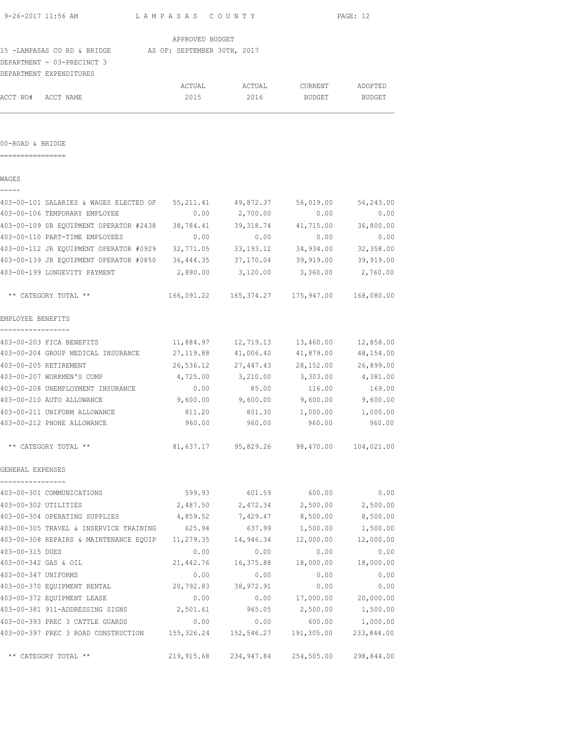| 9-26-2017 11:56 AM                                      | LAMPASAS COUNTY |                       | PAGE: 12            |            |  |
|---------------------------------------------------------|-----------------|-----------------------|---------------------|------------|--|
|                                                         | APPROVED BUDGET |                       |                     |            |  |
| 15 -LAMPASAS CO RD & BRIDGE AS OF: SEPTEMBER 30TH, 2017 |                 |                       |                     |            |  |
| DEPARTMENT - 03-PRECINCT 3                              |                 |                       |                     |            |  |
| DEPARTMENT EXPENDITURES                                 |                 |                       |                     |            |  |
|                                                         | ACTUAL          | ACTUAL                | CURRENT             | ADOPTED    |  |
| ACCT NO# ACCT NAME                                      | 2015            | 2016                  | BUDGET              | BUDGET     |  |
|                                                         |                 |                       |                     |            |  |
| 00-ROAD & BRIDGE                                        |                 |                       |                     |            |  |
|                                                         |                 |                       |                     |            |  |
| WAGES                                                   |                 |                       |                     |            |  |
| 403-00-101 SALARIES & WAGES ELECTED OF 55,211.41        |                 | 49,872.37             | 56,019.00           | 56,243.00  |  |
| 403-00-106 TEMPORARY EMPLOYEE                           | 0.00            | 2,700.00              | 0.00                | 0.00       |  |
| 403-00-109 SR EQUIPMENT OPERATOR #2438 38,784.41        |                 | 39,318.74             | 41,715.00           | 36,800.00  |  |
| 403-00-110 PART-TIME EMPLOYEES                          | 0.00            | 0.00                  | 0.00                | 0.00       |  |
| 403-00-112 JR EQUIPMENT OPERATOR #0929 32,771.05        |                 | 33, 193. 12           | 34,934.00           | 32,358.00  |  |
| 403-00-139 JR EQUIPMENT OPERATOR #0850 36,444.35        |                 | 37,170.04             | 39,919.00           | 39,919.00  |  |
| 403-00-199 LONGEVITY PAYMENT                            | 2,880.00        | 3,120.00              | 3,360.00            | 2,760.00   |  |
| ** CATEGORY TOTAL **                                    |                 |                       |                     | 168,080.00 |  |
| EMPLOYEE BENEFITS                                       |                 |                       |                     |            |  |
| 403-00-203 FICA BENEFITS                                | 11,884.97       | 12,719.13             | 13,460.00           | 12,858.00  |  |
| 403-00-204 GROUP MEDICAL INSURANCE                      | 27,119.88       | 41,006.40             | 41,879.00           | 48,154.00  |  |
| 403-00-205 RETIREMENT                                   | 26,536.12       | 27,447.43             | 28,152.00           | 26,899.00  |  |
| 403-00-207 WORKMEN'S COMP                               | 4,725.00        | 3,210.00              | 3,303.00            | 4,381.00   |  |
| 403-00-208 UNEMPLOYMENT INSURANCE                       | 0.00            | 85.00                 | 116.00              | 169.00     |  |
| 403-00-210 AUTO ALLOWANCE                               |                 | $9,600.00$ $9,600.00$ | 9,600.00            | 9,600.00   |  |
| 403-00-211 UNIFORM ALLOWANCE                            | 811.20          | 801.30                | 1,000.00            | 1,000.00   |  |
| 403-00-212 PHONE ALLOWANCE                              | 960.00          | 960.00                | 960.00              | 960.00     |  |
| ** CATEGORY TOTAL **                                    | 81,637.17       |                       | 95,829.26 98,470.00 | 104,021.00 |  |
| GENERAL EXPENSES                                        |                 |                       |                     |            |  |
| 403-00-301 COMMUNICATIONS                               | 599.93          | 601.59                | 600.00              | 0.00       |  |
| 403-00-302 UTILITIES                                    | 2,487.50        | 2,472.34              | 2,500.00            | 2,500.00   |  |
| 403-00-304 OPERATING SUPPLIES                           | 4,859.52        | 7,429.47              | 8,500.00            | 8,500.00   |  |
| 403-00-305 TRAVEL & INSERVICE TRAINING                  | 625.94          | 637.99                | 1,500.00            | 1,500.00   |  |
| 403-00-308 REPAIRS & MAINTENANCE EQUIP                  | 11,279.35       | 14,946.34             | 12,000.00           | 12,000.00  |  |
| 403-00-315 DUES                                         | 0.00            | 0.00                  | 0.00                | 0.00       |  |
| 403-00-342 GAS & OIL                                    | 21,442.76       | 16,375.88             | 18,000.00           | 18,000.00  |  |
| 403-00-347 UNIFORMS                                     | 0.00            | 0.00                  | 0.00                | 0.00       |  |
| 403-00-370 EQUIPMENT RENTAL                             | 20,792.83       | 38,972.91             | 0.00                | 0.00       |  |
| 403-00-372 EQUIPMENT LEASE                              | 0.00            | 0.00                  | 17,000.00           | 20,000.00  |  |
| 403-00-381 911-ADDRESSING SIGNS                         | 2,501.61        | 965.05                | 2,500.00            | 1,500.00   |  |
| 403-00-393 PREC 3 CATTLE GUARDS                         | 0.00            | 0.00                  | 600.00              | 1,000.00   |  |
|                                                         |                 |                       |                     |            |  |

403-00-397 PREC 3 ROAD CONSTRUCTION 155,326.24 152,546.27 191,305.00 233,844.00

\*\* CATEGORY TOTAL \*\* 219,915.68 234,947.84 254,505.00 298,844.00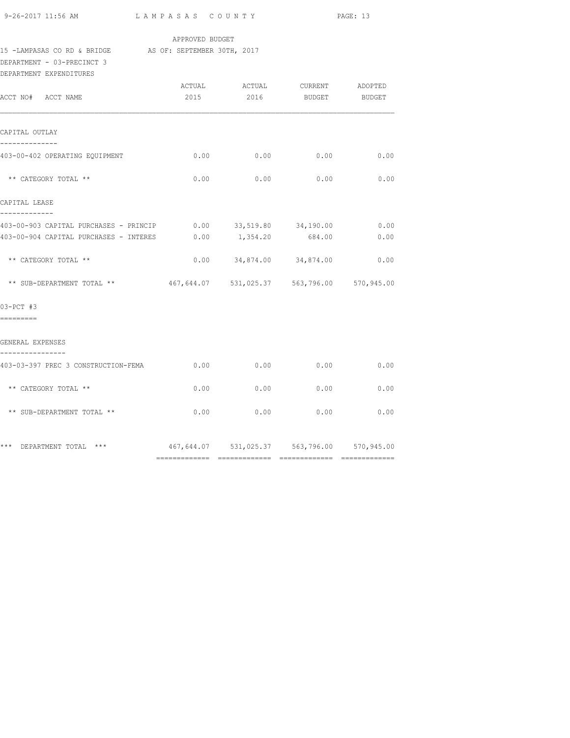|  | 9-26-2017 11:56 AM |  |
|--|--------------------|--|
|  |                    |  |

## APPROVED BUDGET

# 15 -LAMPASAS CO RD & BRIDGE AS OF: SEPTEMBER 30TH, 2017

DEPARTMENT - 03-PRECINCT 3

| DEPARTMENT EXPENDITURES                                              |      |                  |                                                     |              |
|----------------------------------------------------------------------|------|------------------|-----------------------------------------------------|--------------|
| ACCT NO# ACCT NAME                                                   | 2015 |                  | ACTUAL ACTUAL CURRENT ADOPTED<br>2016 BUDGET BUDGET |              |
|                                                                      |      |                  |                                                     |              |
| CAPITAL OUTLAY<br>--------------                                     |      |                  |                                                     |              |
| 403-00-402 OPERATING EQUIPMENT                                       |      | $0.00$ 0.00      |                                                     | $0.00$ 0.00  |
| ** CATEGORY TOTAL **                                                 | 0.00 | 0.00             | 0.00                                                | 0.00         |
| CAPITAL LEASE<br>-------------                                       |      |                  |                                                     |              |
| 403-00-903 CAPITAL PURCHASES - PRINCIP 0.00 33,519.80 34,190.00 0.00 |      |                  |                                                     |              |
| 403-00-904 CAPITAL PURCHASES - INTERES                               |      | $0.00$ 1, 354.20 | 684.00                                              | 0.00         |
| ** CATEGORY TOTAL **                                                 |      |                  | $0.00$ $34,874.00$ $34,874.00$                      | 0.00         |
| ** SUB-DEPARTMENT TOTAL **                                           |      |                  | 467,644.07 531,025.37 563,796.00 570,945.00         |              |
| 03-PCT #3                                                            |      |                  |                                                     |              |
| ---------                                                            |      |                  |                                                     |              |
| GENERAL EXPENSES<br>----------------                                 |      |                  |                                                     |              |
| 403-03-397 PREC 3 CONSTRUCTION-FEMA                                  |      | $0.00$ 0.00      | 0.00                                                | 0.00         |
| ** CATEGORY TOTAL **                                                 | 0.00 | 0.00             | 0.00                                                | 0.00         |
| ** SUB-DEPARTMENT TOTAL **                                           | 0.00 | 0.00             |                                                     | 0.00<br>0.00 |
| *** DEPARTMENT TOTAL ***                                             |      |                  | 467,644.07 531,025.37 563,796.00 570,945.00         |              |
|                                                                      |      |                  |                                                     |              |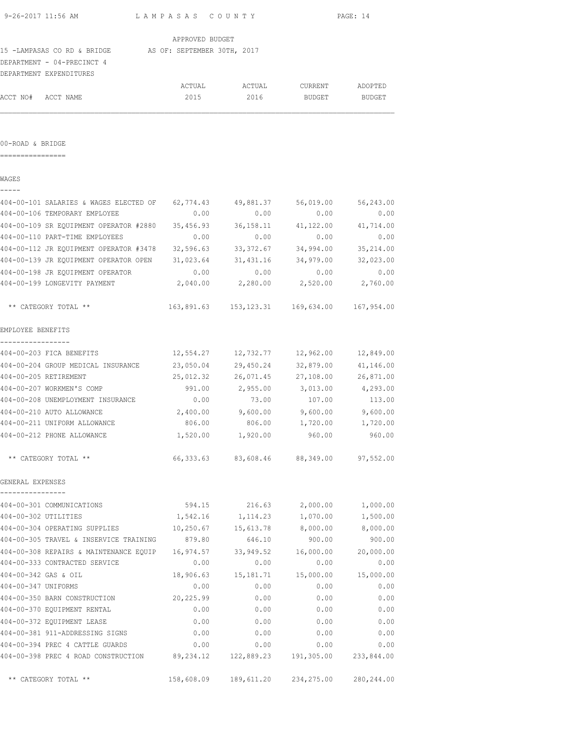|                                      | 9-26-2017 11:56 AM<br>LAMPASAS COUNTY                                          |                 |                     |                                                  | PAGE: 14            |
|--------------------------------------|--------------------------------------------------------------------------------|-----------------|---------------------|--------------------------------------------------|---------------------|
|                                      |                                                                                | APPROVED BUDGET |                     |                                                  |                     |
|                                      | 15 -LAMPASAS CO RD & BRIDGE AS OF: SEPTEMBER 30TH, 2017                        |                 |                     |                                                  |                     |
|                                      | DEPARTMENT - 04-PRECINCT 4                                                     |                 |                     |                                                  |                     |
|                                      | DEPARTMENT EXPENDITURES                                                        |                 |                     |                                                  |                     |
|                                      |                                                                                | ACTUAL          | ACTUAL              | CURRENT                                          | ADOPTED             |
|                                      | ACCT NO# ACCT NAME                                                             | 2015            | 2016                | BUDGET BUDGET                                    |                     |
|                                      |                                                                                |                 |                     |                                                  |                     |
| 00-ROAD & BRIDGE<br>---------------- |                                                                                |                 |                     |                                                  |                     |
| WAGES                                |                                                                                |                 |                     |                                                  |                     |
|                                      |                                                                                |                 |                     |                                                  |                     |
|                                      | 404-00-101 SALARIES & WAGES ELECTED OF 62,774.43 49,881.37                     |                 |                     |                                                  | 56,019.00 56,243.00 |
|                                      | 404-00-106 TEMPORARY EMPLOYEE                                                  | 0.00            | 0.00                | 0.00                                             | 0.00                |
|                                      | 404-00-109 SR EQUIPMENT OPERATOR #2880 35,456.93 36,158.11                     |                 |                     | 41,122.00                                        | 41,714.00           |
|                                      | 404-00-110 PART-TIME EMPLOYEES                                                 | 0.00            | 0.00                | 0.00                                             | 0.00                |
|                                      | 404-00-112 JR EQUIPMENT OPERATOR #3478 32,596.63 33,372.67                     |                 |                     |                                                  | 34,994.00 35,214.00 |
|                                      | 404-00-139 JR EQUIPMENT OPERATOR OPEN 31,023.64 31,431.16                      |                 |                     |                                                  | 34,979.00 32,023.00 |
|                                      | 404-00-198 JR EQUIPMENT OPERATOR                                               | 0.00            | 0.00                | 0.00                                             | 0.00                |
|                                      | 404-00-199 LONGEVITY PAYMENT                                                   |                 |                     | 2,040.00 2,280.00 2,520.00 2,760.00              |                     |
|                                      | ** CATEGORY TOTAL **                                                           |                 |                     | 163,891.63  153,123.31  169,634.00  167,954.00   |                     |
| EMPLOYEE BENEFITS                    |                                                                                |                 |                     |                                                  |                     |
| -----------------                    | 404-00-203 FICA BENEFITS                                                       |                 |                     | 12,554.27    12,732.77    12,962.00    12,849.00 |                     |
|                                      | 404-00-204 GROUP MEDICAL INSURANCE 23,050.04 29,450.24                         |                 |                     |                                                  | 32,879.00 41,146.00 |
|                                      | 404-00-205 RETIREMENT                                                          |                 | 25,012.32 26,071.45 |                                                  | 27,108.00 26,871.00 |
|                                      | 404-00-207 WORKMEN'S COMP                                                      |                 |                     | 991.00 2,955.00 3,013.00 4,293.00                |                     |
|                                      | 404-00-208 UNEMPLOYMENT INSURANCE 0.00                                         |                 | 73.00               | 107.00                                           | 113.00              |
|                                      | 404-00-210 AUTO ALLOWANCE                                                      |                 |                     | $2,400.00$ $9,600.00$ $9,600.00$ $9,600.00$      |                     |
|                                      | 404-00-211 UNIFORM ALLOWANCE                                                   | 806.00          | 806.00              | 1,720.00                                         | 1,720.00            |
|                                      | 404-00-212 PHONE ALLOWANCE                                                     |                 | 1,520.00 1,920.00   | 960.00                                           | 960.00              |
|                                      | ** CATEGORY TOTAL **                                                           |                 |                     | 66,333.63 83,608.46 88,349.00 97,552.00          |                     |
| GENERAL EXPENSES<br>---------------- |                                                                                |                 |                     |                                                  |                     |
|                                      | 404-00-301 COMMUNICATIONS                                                      |                 |                     | 594.15 216.63 2,000.00 1,000.00                  |                     |
|                                      | 404-00-302 UTILITIES                                                           |                 |                     | 1,542.16 1,114.23 1,070.00 1,500.00              |                     |
|                                      | 404-00-304 OPERATING SUPPLIES 10,250.67 15,613.78 8,000.00 8,000.00            |                 |                     |                                                  |                     |
|                                      | 404-00-305 TRAVEL & INSERVICE TRAINING 879.80 646.10                           |                 |                     | 900.00                                           | 900.00              |
|                                      | 404-00-308 REPAIRS & MAINTENANCE EQUIP 16,974.57 33,949.52 16,000.00 20,000.00 |                 |                     |                                                  |                     |
|                                      | 404-00-333 CONTRACTED SERVICE                                                  | 0.00            | 0.00                | 0.00                                             | 0.00                |
|                                      | 404-00-342 GAS & OIL                                                           |                 |                     | 18,906.63  15,181.71  15,000.00  15,000.00       |                     |
| 404-00-347 UNIFORMS                  |                                                                                | 0.00            | 0.00                | 0.00                                             | 0.00                |
|                                      | 404-00-350 BARN CONSTRUCTION                                                   | 20,225.99       | 0.00                | 0.00                                             | 0.00                |
|                                      | 404-00-370 EQUIPMENT RENTAL                                                    | 0.00            | 0.00                | 0.00                                             | 0.00                |
|                                      | 404-00-372 EQUIPMENT LEASE                                                     | 0.00            | 0.00                | 0.00                                             | 0.00                |
|                                      | 404-00-381 911-ADDRESSING SIGNS                                                | 0.00            | 0.00                | 0.00                                             | 0.00                |
|                                      | 404-00-394 PREC 4 CATTLE GUARDS 6.00 0.00 0.00 0.00 0.00                       |                 |                     |                                                  | 0.00                |
|                                      | 404-00-398 PREC 4 ROAD CONSTRUCTION 89,234.12 122,889.23 191,305.00 233,844.00 |                 |                     |                                                  |                     |

\*\* CATEGORY TOTAL \*\* 158,608.09 189,611.20 234,275.00 280,244.00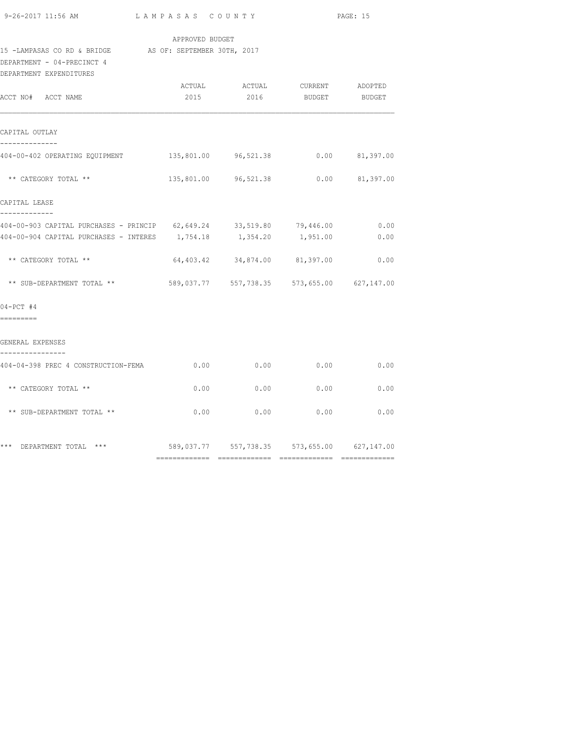| 9-26-2017 11:56 AM |  |
|--------------------|--|

### APPROVED BUDGET

# 15 -LAMPASAS CO RD & BRIDGE AS OF: SEPTEMBER 30TH, 2017

DEPARTMENT - 04-PRECINCT 4

| DEPARTMENT EXPENDITURES                                                                    |      |                                                          |      |              |
|--------------------------------------------------------------------------------------------|------|----------------------------------------------------------|------|--------------|
| ACCT NO# ACCT NAME                                                                         |      | ACTUAL ACTUAL CURRENT ADOPTED<br>2015 2016 BUDGET BUDGET |      |              |
|                                                                                            |      |                                                          |      |              |
| CAPITAL OUTLAY<br>--------------                                                           |      |                                                          |      |              |
| 404-00-402 OPERATING EQUIPMENT                                                             |      | 135,801.00 96,521.38 0.00 81,397.00                      |      |              |
| ** CATEGORY TOTAL **                                                                       |      | 135,801.00 96,521.38 0.00 81,397.00                      |      |              |
| CAPITAL LEASE                                                                              |      |                                                          |      |              |
| -------------<br>404-00-903 CAPITAL PURCHASES - PRINCIP 62,649.24 33,519.80 79,446.00 0.00 |      |                                                          |      |              |
| 404-00-904 CAPITAL PURCHASES - INTERES 1,754.18 1,354.20 1,951.00                          |      |                                                          |      | 0.00         |
| ** CATEGORY TOTAL **                                                                       |      | 64,403.42 34,874.00 81,397.00                            |      | 0.00         |
| ** SUB-DEPARTMENT TOTAL **                                                                 |      | 589,037.77 557,738.35 573,655.00 627,147.00              |      |              |
| $04 - PCT$ #4                                                                              |      |                                                          |      |              |
| ---------                                                                                  |      |                                                          |      |              |
| GENERAL EXPENSES<br>----------------                                                       |      |                                                          |      |              |
| 404-04-398 PREC 4 CONSTRUCTION-FEMA                                                        |      | $0.00$ $0.00$ $0.00$ $0.00$                              |      | 0.00         |
| ** CATEGORY TOTAL **                                                                       | 0.00 | 0.00                                                     | 0.00 | 0.00         |
| ** SUB-DEPARTMENT TOTAL **                                                                 |      | $0.00$ 0.00                                              |      | 0.00<br>0.00 |
| *** DEPARTMENT TOTAL ***                                                                   |      | 589,037.77 557,738.35 573,655.00 627,147.00              |      |              |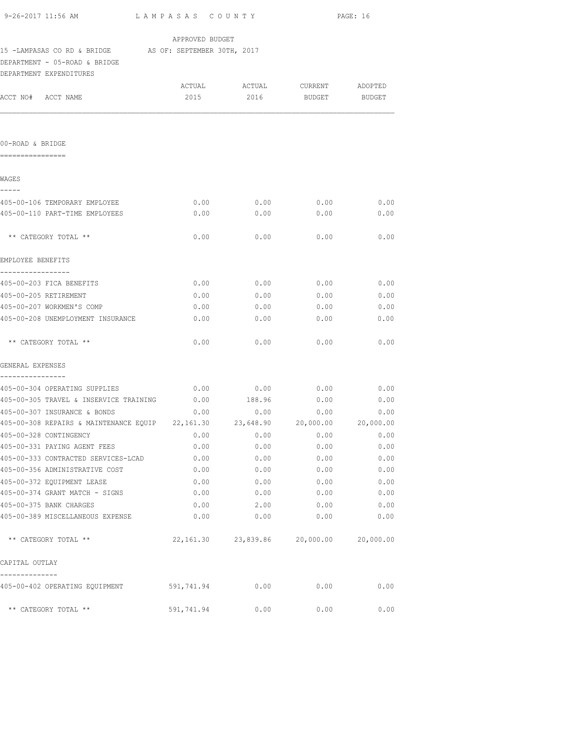|                                                                      |                             |                               | PAGE: 16 |           |  |
|----------------------------------------------------------------------|-----------------------------|-------------------------------|----------|-----------|--|
|                                                                      | APPROVED BUDGET             |                               |          |           |  |
| 15 -LAMPASAS CO RD & BRIDGE AS OF: SEPTEMBER 30TH, 2017              |                             |                               |          |           |  |
| DEPARTMENT - 05-ROAD & BRIDGE                                        |                             |                               |          |           |  |
| DEPARTMENT EXPENDITURES                                              |                             |                               |          |           |  |
|                                                                      |                             | ACTUAL ACTUAL CURRENT ADOPTED |          |           |  |
| ACCT NO# ACCT NAME                                                   |                             | 2015 2016 BUDGET BUDGET       |          |           |  |
|                                                                      |                             |                               |          |           |  |
| 00-ROAD & BRIDGE                                                     |                             |                               |          |           |  |
| ================                                                     |                             |                               |          |           |  |
| WAGES                                                                |                             |                               |          |           |  |
| -----<br>405-00-106 TEMPORARY EMPLOYEE                               | 0.00                        | 0.00                          | 0.00     | 0.00      |  |
| 405-00-110 PART-TIME EMPLOYEES                                       | 0.00                        | 0.00                          | 0.00     | 0.00      |  |
| ** CATEGORY TOTAL **                                                 | 0.00                        | 0.00                          | 0.00     | 0.00      |  |
|                                                                      |                             |                               |          |           |  |
| EMPLOYEE BENEFITS<br>-----------------                               |                             |                               |          |           |  |
| 405-00-203 FICA BENEFITS                                             | 0.00                        | 0.00                          | 0.00     | 0.00      |  |
| 405-00-205 RETIREMENT                                                | 0.00                        | 0.00                          | 0.00     | 0.00      |  |
| 405-00-207 WORKMEN'S COMP                                            | 0.00                        | 0.00                          | 0.00     | 0.00      |  |
| 405-00-208 UNEMPLOYMENT INSURANCE                                    | 0.00                        | 0.00                          | 0.00     | 0.00      |  |
| ** CATEGORY TOTAL **                                                 | 0.00                        | 0.00                          | 0.00     | 0.00      |  |
| GENERAL EXPENSES                                                     |                             |                               |          |           |  |
| ----------------<br>405-00-304 OPERATING SUPPLIES                    | $0.00$ $0.00$ $0.00$ $0.00$ |                               |          | 0.00      |  |
| 405-00-305 TRAVEL & INSERVICE TRAINING $0.00$ 188.96                 |                             |                               | 0.00     | 0.00      |  |
| 405-00-307 INSURANCE & BONDS                                         | 0.00                        | 0.00                          | 0.00     | 0.00      |  |
| 405-00-308 REPAIRS & MAINTENANCE EQUIP 22,161.30 23,648.90 20,000.00 |                             |                               |          | 20,000.00 |  |
| 405-00-328 CONTINGENCY                                               | 0.00                        | 0.00                          | 0.00     | 0.00      |  |
| 405-00-331 PAYING AGENT FEES                                         | 0.00                        | 0.00                          | 0.00     | 0.00      |  |
| 405-00-333 CONTRACTED SERVICES-LCAD                                  | 0.00                        | 0.00                          | 0.00     | 0.00      |  |
| 405-00-356 ADMINISTRATIVE COST                                       | 0.00                        | 0.00                          | 0.00     | 0.00      |  |
| 405-00-372 EQUIPMENT LEASE                                           | 0.00                        | 0.00                          | 0.00     | 0.00      |  |
| 405-00-374 GRANT MATCH - SIGNS                                       | 0.00                        | 0.00                          | 0.00     | 0.00      |  |
| 405-00-375 BANK CHARGES                                              | 0.00                        | 2.00                          | 0.00     | 0.00      |  |
| 405-00-389 MISCELLANEOUS EXPENSE                                     | 0.00                        | 0.00                          | 0.00     | 0.00      |  |
| ** CATEGORY TOTAL **                                                 |                             | 22,161.30 23,839.86 20,000.00 |          | 20,000.00 |  |
| CAPITAL OUTLAY                                                       |                             |                               |          |           |  |
| 405-00-402 OPERATING EQUIPMENT 591,741.94                            |                             | 0.00                          | 0.00     | 0.00      |  |
| ** CATEGORY TOTAL **                                                 | 591,741.94                  | 0.00                          | 0.00     | 0.00      |  |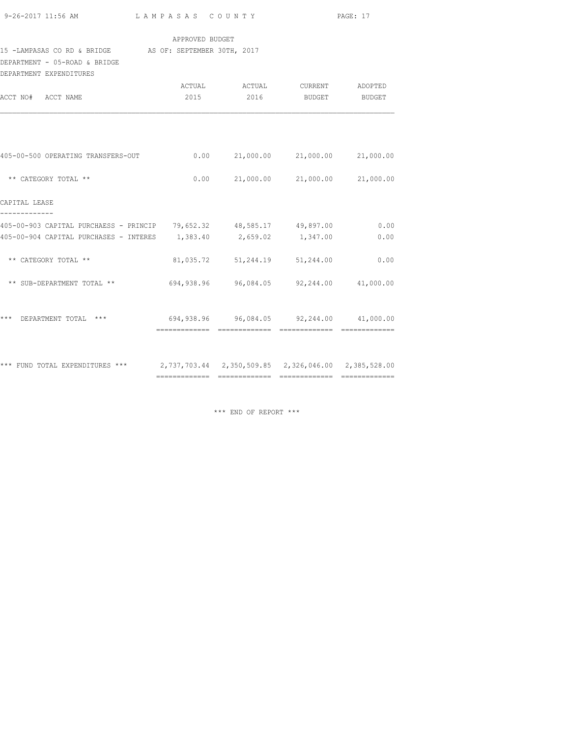| 9-26-2017 11:56 AM |  |  |  |
|--------------------|--|--|--|
|                    |  |  |  |

### APPROVED BUDGET

#### 15 -LAMPASAS CO RD & BRIDGE AS OF: SEPTEMBER 30TH, 2017

DEPARTMENT - 05-ROAD & BRIDGE

| DEPARTMENT EXPENDITURES                                                             |      |                                                  |               |        |
|-------------------------------------------------------------------------------------|------|--------------------------------------------------|---------------|--------|
|                                                                                     |      |                                                  |               |        |
| ACCT NO# ACCT NAME                                                                  | 2015 | 2016                                             | <b>BUDGET</b> | BUDGET |
| 405-00-500 OPERATING TRANSFERS-OUT                                                  |      | $0.00$ 21,000.00 21,000.00 21,000.00             |               |        |
| ** CATEGORY TOTAL **                                                                |      | $0.00$ 21,000.00 21,000.00 21,000.00             |               |        |
| CAPITAL LEASE                                                                       |      |                                                  |               |        |
| 405-00-903 CAPITAL PURCHAESS - PRINCIP 79,652.32 48,585.17 49,897.00                |      |                                                  |               | 0.00   |
| 405-00-904 CAPITAL PURCHASES - INTERES 1,383.40 2,659.02 1,347.00                   |      |                                                  |               | 0.00   |
| ** CATEGORY TOTAL **                                                                |      | 81,035.72 51,244.19 51,244.00                    |               | 0.00   |
| ** SUB-DEPARTMENT TOTAL **                                                          |      | 694,938.96 96,084.05 92,244.00 41,000.00         |               |        |
| ***<br>DEPARTMENT TOTAL ***                                                         |      | $694,938.96$ $96,084.05$ $92,244.00$ $41,000.00$ |               |        |
| *** FUND TOTAL EXPENDITURES *** 2,737,703.44 2,350,509.85 2,326,046.00 2,385,528.00 |      |                                                  |               |        |

\*\*\* END OF REPORT \*\*\*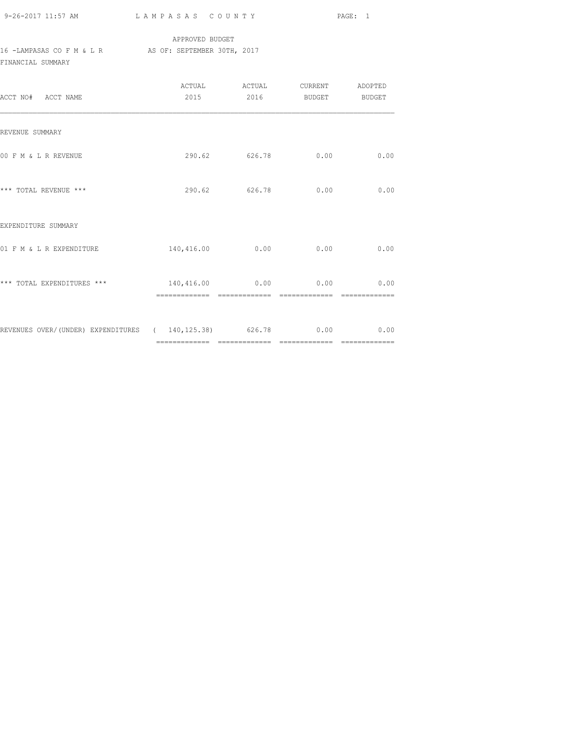| 9-26-2017 11:57 AM |  |
|--------------------|--|
|                    |  |

## APPROVED BUDGET 16 -LAMPASAS CO F M & L R AS OF: SEPTEMBER 30TH, 2017 FINANCIAL SUMMARY

| ACCT NO# ACCT NAME                                          | 2015                                     |               | 2016 BUDGET BUDGET |      |
|-------------------------------------------------------------|------------------------------------------|---------------|--------------------|------|
| REVENUE SUMMARY                                             |                                          |               |                    |      |
| 00 F M & L R REVENUE                                        |                                          |               | 290.62 626.78 0.00 | 0.00 |
| *** TOTAL REVENUE ***                                       |                                          | 290.62 626.78 | 0.00               | 0.00 |
| EXPENDITURE SUMMARY                                         |                                          |               |                    |      |
| 01 F M & L R EXPENDITURE                                    | 140,416.00                               | 0.00          | 0.00               | 0.00 |
| *** TOTAL EXPENDITURES ***                                  | $140,416.00$ $0.00$ $0.00$ $0.00$ $0.00$ | ============= |                    |      |
| REVENUES OVER/(UNDER) EXPENDITURES (140,125.38) 626.78 0.00 |                                          |               |                    | 0.00 |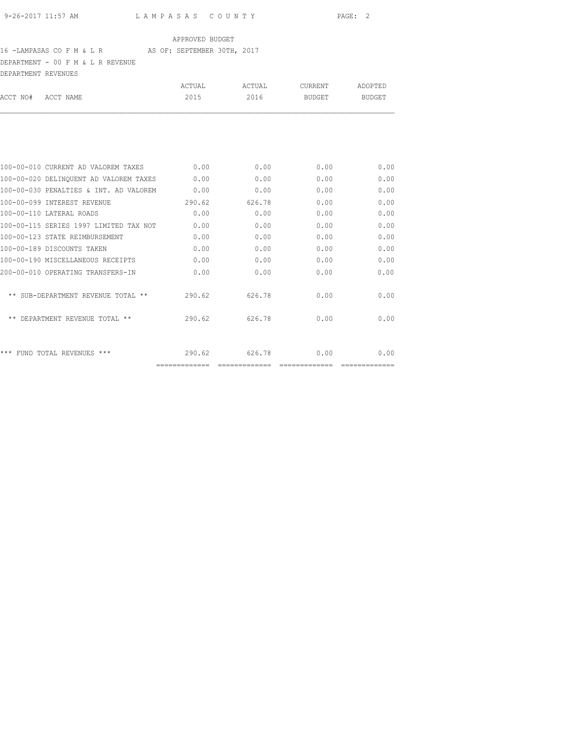## 16 -LAMPASAS CO F M & L R AS OF: SEPTEMBER 30TH, 2017

DEPARTMENT - 00 F M & L R REVENUE

| DEPARTMENT REVENUES |                                        |        |        |         |                       |
|---------------------|----------------------------------------|--------|--------|---------|-----------------------|
|                     |                                        | ACTUAL | ACTUAL | CURRENT | ADOPTED               |
| ACCT NO#            | ACCT NAME                              | 2015   | 2016   | BUDGET  | <b>BUDGET</b>         |
|                     |                                        |        |        |         |                       |
|                     | 100-00-010 CURRENT AD VALOREM TAXES    | 0.00   | 0.00   | 0.00    | 0.00                  |
|                     | 100-00-020 DELINQUENT AD VALOREM TAXES | 0.00   | 0.00   | 0.00    | 0.00                  |
|                     | 100-00-030 PENALTIES & INT. AD VALOREM | 0.00   | 0.00   | 0.00    | 0.00                  |
|                     | 100-00-099 INTEREST REVENUE            | 290.62 | 626.78 | 0.00    | 0.00                  |
|                     | 100-00-110 LATERAL ROADS               | 0.00   | 0.00   | 0.00    | 0.00                  |
|                     | 100-00-115 SERIES 1997 LIMITED TAX NOT | 0.00   | 0.00   | 0.00    | 0.00                  |
|                     | 100-00-123 STATE REIMBURSEMENT         | 0.00   | 0.00   | 0.00    | 0.00                  |
|                     | 100-00-189 DISCOUNTS TAKEN             | 0.00   | 0.00   | 0.00    | 0.00                  |
|                     | 100-00-190 MISCELLANEOUS RECEIPTS      | 0.00   | 0.00   | 0.00    | 0.00                  |
|                     | 200-00-010 OPERATING TRANSFERS-IN      | 0.00   | 0.00   | 0.00    | 0.00                  |
|                     | ** SUB-DEPARTMENT REVENUE TOTAL **     | 290.62 | 626.78 | 0.00    | 0.00                  |
|                     | ** DEPARTMENT REVENUE TOTAL **         | 290.62 | 626.78 | 0.00    | 0.00                  |
|                     | *** FUND TOTAL REVENUES ***            | 290.62 | 626.78 | 0.00    | 0.00<br>============= |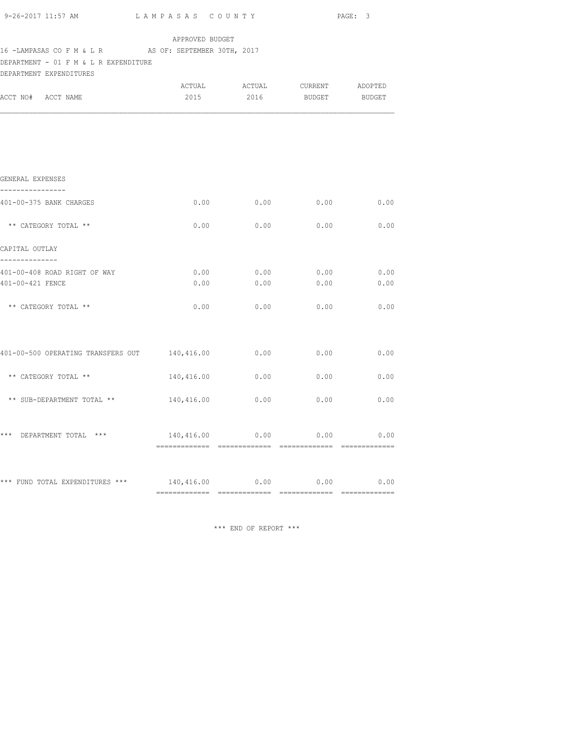| 9-26-2017 11:57 AM LAMPASAS COUNTY                                                                                        |                                          |      |                                            | PAGE: 3 |
|---------------------------------------------------------------------------------------------------------------------------|------------------------------------------|------|--------------------------------------------|---------|
|                                                                                                                           | APPROVED BUDGET                          |      |                                            |         |
| 16 -LAMPASAS CO F M & L R AS OF: SEPTEMBER 30TH, 2017<br>DEPARTMENT - 01 F M & L R EXPENDITURE<br>DEPARTMENT EXPENDITURES |                                          |      |                                            |         |
|                                                                                                                           | ACTUAL                                   |      | ACTUAL CURRENT ADOPTED                     |         |
| ACCT NO# ACCT NAME                                                                                                        |                                          |      | 2015 2016 BUDGET BUDGET                    |         |
|                                                                                                                           |                                          |      |                                            |         |
|                                                                                                                           |                                          |      |                                            |         |
|                                                                                                                           |                                          |      |                                            |         |
|                                                                                                                           |                                          |      |                                            |         |
| GENERAL EXPENSES<br>---------------                                                                                       |                                          |      |                                            |         |
| 401-00-375 BANK CHARGES                                                                                                   | 0.00                                     | 0.00 | $0.00$ 0.00                                |         |
|                                                                                                                           |                                          |      |                                            |         |
| ** CATEGORY TOTAL **                                                                                                      | 0.00                                     |      | $0.00$ $0.00$ $0.00$ $0.00$                |         |
| CAPITAL OUTLAY                                                                                                            |                                          |      |                                            |         |
| --------------<br>401-00-408 ROAD RIGHT OF WAY                                                                            |                                          |      |                                            |         |
| 401-00-421 FENCE                                                                                                          | 0.00                                     | 0.00 | $0.00$ $0.00$ $0.00$ $0.00$ $0.00$<br>0.00 | 0.00    |
|                                                                                                                           |                                          |      |                                            |         |
| ** CATEGORY TOTAL **                                                                                                      | 0.00                                     | 0.00 | 0.00                                       | 0.00    |
|                                                                                                                           |                                          |      |                                            |         |
| 401-00-500 OPERATING TRANSFERS OUT 140,416.00                                                                             |                                          | 0.00 | 0.00                                       | 0.00    |
|                                                                                                                           |                                          |      |                                            |         |
| ** CATEGORY TOTAL **                                                                                                      | $140,416.00$ $0.00$ $0.00$ $0.00$ $0.00$ |      |                                            |         |
| ** SUB-DEPARTMENT TOTAL **                                                                                                | 140,416.00 0.00                          |      | 0.00                                       | 0.00    |
|                                                                                                                           |                                          |      |                                            |         |
| *** DEPARTMENT TOTAL ***                                                                                                  |                                          |      |                                            |         |
|                                                                                                                           | $140,416.00$ 0.00 0.00 0.00              |      |                                            |         |
|                                                                                                                           |                                          |      |                                            |         |
| *** FUND TOTAL EXPENDITURES *** 140,416.00 0.00 0.00 0.00 0.00                                                            |                                          |      |                                            |         |
|                                                                                                                           |                                          |      |                                            |         |

\*\*\* END OF REPORT \*\*\*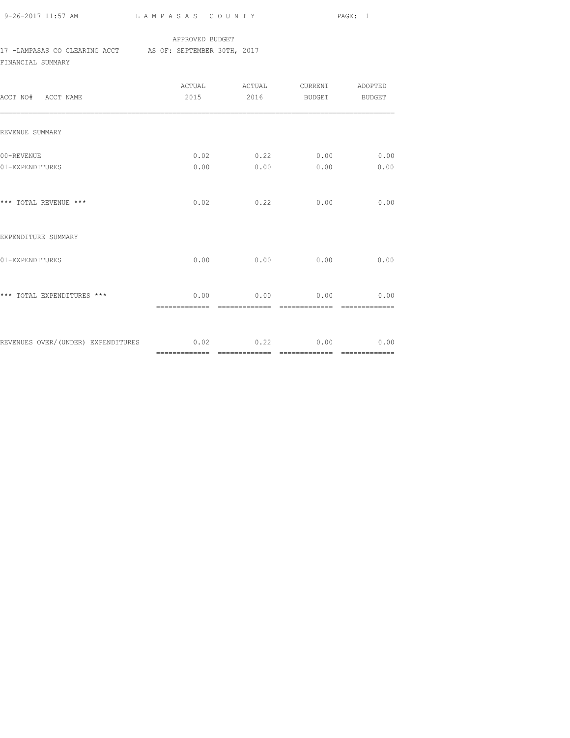9-26-2017 11:57 AM L A M P A S A S C O U N T Y PAGE: 1

#### APPROVED BUDGET

## 17 -LAMPASAS CO CLEARING ACCT AS OF: SEPTEMBER 30TH, 2017

FINANCIAL SUMMARY

| ACCT NO# ACCT NAME                                             | ACTUAL<br>2015 | ACTUAL<br>2016 | CURRENT<br>BUDGET            | ADOPTED<br><b>BUDGET</b> |
|----------------------------------------------------------------|----------------|----------------|------------------------------|--------------------------|
| REVENUE SUMMARY                                                |                |                |                              |                          |
| 00-REVENUE<br>01-EXPENDITURES                                  | 0.00           | 0.00           | $0.02$ $0.22$ $0.00$<br>0.00 | 0.00<br>0.00             |
| *** TOTAL REVENUE ***                                          | 0.02           | 0.22           | 0.00                         | 0.00                     |
| EXPENDITURE SUMMARY                                            |                |                |                              |                          |
| 01-EXPENDITURES                                                | 0.00           | 0.00           | 0.00                         | 0.00                     |
| *** TOTAL EXPENDITURES ***                                     |                |                | $0.00$ 0.00 0.00 0.00 0.00   | --------------           |
| REVENUES OVER/(UNDER) EXPENDITURES $0.02$ $0.22$ $0.00$ $0.00$ |                |                |                              |                          |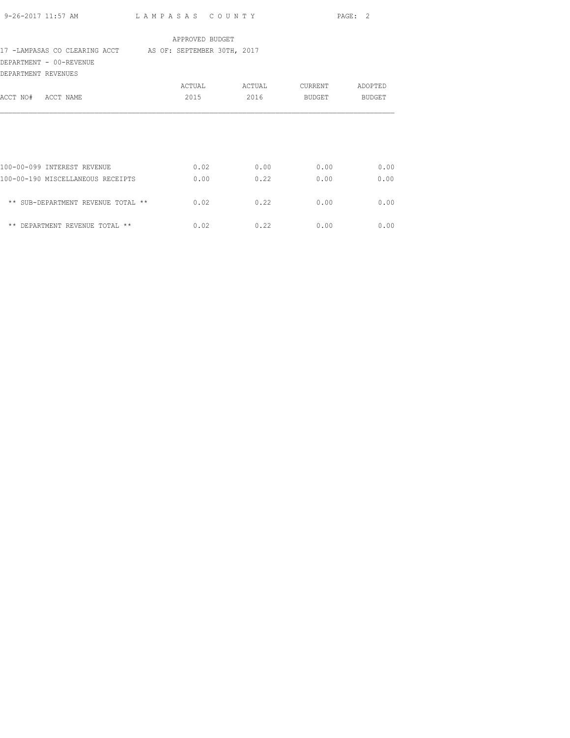| 9-26-2017 11:57 AM                                        | LAMPASAS COUNTY |        |             | PAGE: 2 |
|-----------------------------------------------------------|-----------------|--------|-------------|---------|
|                                                           | APPROVED BUDGET |        |             |         |
| 17 -LAMPASAS CO CLEARING ACCT AS OF: SEPTEMBER 30TH, 2017 |                 |        |             |         |
| DEPARTMENT - 00-REVENUE                                   |                 |        |             |         |
| DEPARTMENT REVENUES                                       |                 |        |             |         |
|                                                           | ACTUAL          | ACTUAL | CURRENT     | ADOPTED |
| ACCT NO# ACCT NAME                                        | 2015            | 2016   | BUDGET      | BUDGET  |
|                                                           |                 |        |             |         |
|                                                           |                 |        |             |         |
|                                                           |                 |        |             |         |
|                                                           |                 |        |             |         |
| 100-00-099 INTEREST REVENUE                               | 0.02            | 0.00   | 0.00        | 0.00    |
| 100-00-190 MISCELLANEOUS RECEIPTS                         | 0.00            | 0.22   | 0.00        | 0.00    |
|                                                           |                 |        |             |         |
| ** SUB-DEPARTMENT REVENUE TOTAL **                        | 0.02            | 0.22   | 0.00        | 0.00    |
| ** DEPARTMENT REVENUE TOTAL **                            |                 |        |             |         |
|                                                           | 0.02            |        | $0.22$ 0.00 | 0.00    |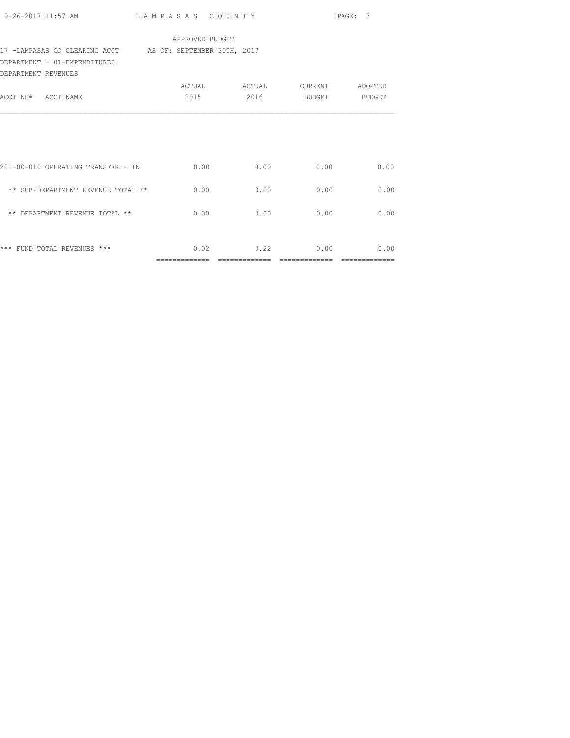|                                                           |                 |               |             | PAGE: 3       |
|-----------------------------------------------------------|-----------------|---------------|-------------|---------------|
|                                                           | APPROVED BUDGET |               |             |               |
| 17 -LAMPASAS CO CLEARING ACCT AS OF: SEPTEMBER 30TH, 2017 |                 |               |             |               |
| DEPARTMENT - 01-EXPENDITURES                              |                 |               |             |               |
| DEPARTMENT REVENUES                                       |                 |               |             |               |
|                                                           |                 | ACTUAL ACTUAL | CURRENT     | ADOPTED       |
| ACCT NO# ACCT NAME                                        | 2015            | 2016          | BUDGET      | <b>BUDGET</b> |
|                                                           | 0.00            | 0.00          | 0.00        | 0.00          |
| 201-00-010 OPERATING TRANSFER - IN                        |                 |               |             |               |
| ** SUB-DEPARTMENT REVENUE TOTAL **                        | 0.00            | 0.00          | 0.00        | 0.00          |
| ** DEPARTMENT REVENUE TOTAL **                            | 0.00            | 0.00          | 0.00        | 0.00          |
| *** FUND TOTAL REVENUES ***                               | 0.02            |               | $0.22$ 0.00 | 0.00          |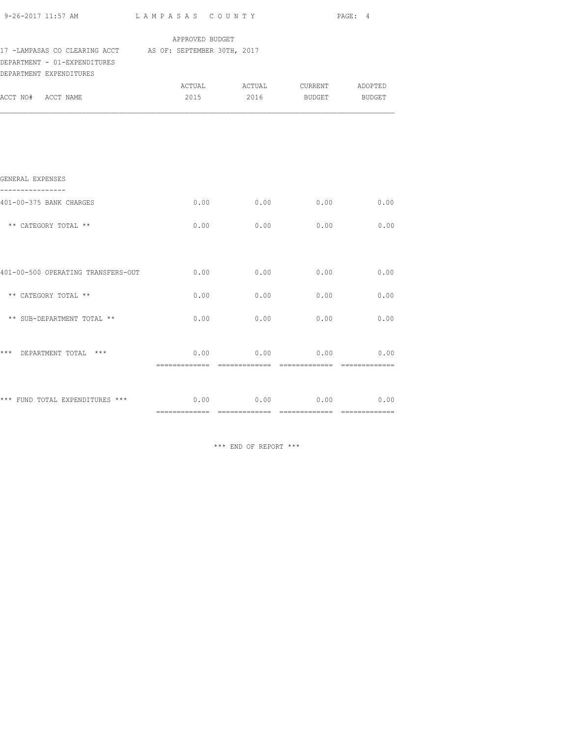| 9-26-2017 11:57 AM $L$ AMPASAS COUNTY                                                                                |                 |                               |      | PAGE: 4 |
|----------------------------------------------------------------------------------------------------------------------|-----------------|-------------------------------|------|---------|
|                                                                                                                      | APPROVED BUDGET |                               |      |         |
| 17 -LAMPASAS CO CLEARING ACCT AS OF: SEPTEMBER 30TH, 2017<br>DEPARTMENT - 01-EXPENDITURES<br>DEPARTMENT EXPENDITURES |                 |                               |      |         |
|                                                                                                                      |                 | ACTUAL ACTUAL CURRENT ADOPTED |      |         |
| ACCT NO# ACCT NAME                                                                                                   |                 | 2015 2016 BUDGET BUDGET       |      |         |
|                                                                                                                      |                 |                               |      |         |
|                                                                                                                      |                 |                               |      |         |
| GENERAL EXPENSES                                                                                                     |                 |                               |      |         |
| 401-00-375 BANK CHARGES                                                                                              | 0.00            | 0.00                          | 0.00 | 0.00    |
|                                                                                                                      |                 |                               |      |         |
| ** CATEGORY TOTAL **                                                                                                 | 0.00            | 0.00                          | 0.00 | 0.00    |
|                                                                                                                      |                 |                               |      |         |
| 401-00-500 OPERATING TRANSFERS-OUT                                                                                   | 0.00            | 0.00                          | 0.00 | 0.00    |
| ** CATEGORY TOTAL **                                                                                                 | 0.00            | 0.00                          | 0.00 | 0.00    |
|                                                                                                                      |                 |                               |      |         |
| ** SUB-DEPARTMENT TOTAL **                                                                                           | 0.00            | 0.00                          | 0.00 | 0.00    |
|                                                                                                                      |                 |                               |      |         |
| *** DEPARTMENT TOTAL ***                                                                                             |                 | $0.00$ 0.00 0.00 0.00         |      |         |
|                                                                                                                      |                 |                               |      |         |
| *** FUND TOTAL EXPENDITURES *** $0.00$ $0.00$ $0.00$ $0.00$ $0.00$ $0.00$                                            |                 |                               |      |         |
|                                                                                                                      |                 |                               |      |         |

\*\*\* END OF REPORT \*\*\*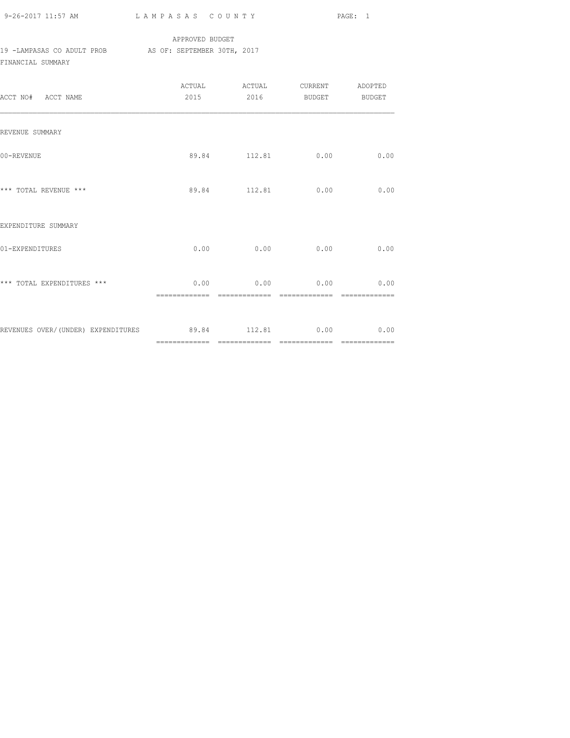| 9-26-2017 11:57 AM |  |
|--------------------|--|

## APPROVED BUDGET 19 -LAMPASAS CO ADULT PROB AS OF: SEPTEMBER 30TH, 2017 FINANCIAL SUMMARY

| ACCT NO# ACCT NAME                                   |               | 2015 2016 BUDGET BUDGET |      |
|------------------------------------------------------|---------------|-------------------------|------|
| REVENUE SUMMARY                                      |               |                         |      |
| 00-REVENUE                                           |               | 89.84 112.81 0.00       | 0.00 |
| *** TOTAL REVENUE ***                                |               | 89.84 112.81 0.00       | 0.00 |
| EXPENDITURE SUMMARY                                  |               |                         |      |
| 01-EXPENDITURES                                      | $0.00$ 0.00   | 0.00                    | 0.00 |
| *** TOTAL EXPENDITURES ***                           | ------------- | $0.00$ 0.00 0.00 0.00   |      |
| REVENUES OVER/(UNDER) EXPENDITURES 89.84 112.81 0.00 |               |                         | 0.00 |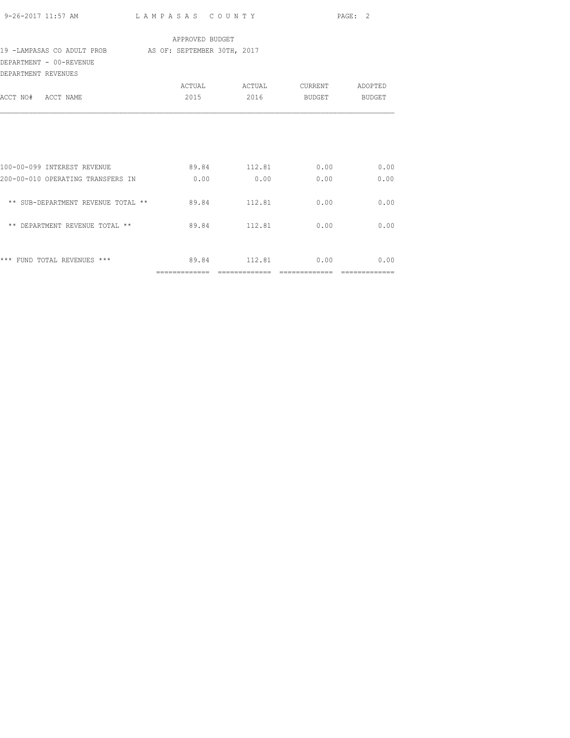|                                                                                                      |       |                         |      | PAGE: 2 |  |
|------------------------------------------------------------------------------------------------------|-------|-------------------------|------|---------|--|
| APPROVED BUDGET<br>19 -LAMPASAS CO ADULT PROB AS OF: SEPTEMBER 30TH, 2017<br>DEPARTMENT - 00-REVENUE |       |                         |      |         |  |
| DEPARTMENT REVENUES                                                                                  |       |                         |      |         |  |
| ACCT NO# ACCT NAME                                                                                   |       | 2015 2016 BUDGET BUDGET |      |         |  |
|                                                                                                      |       |                         |      |         |  |
|                                                                                                      |       |                         |      |         |  |
| 100-00-099 INTEREST REVENUE                                                                          |       | 89.84 112.81 0.00 0.00  |      |         |  |
| 200-00-010 OPERATING TRANSFERS IN                                                                    | 0.00  | 0.00                    | 0.00 | 0.00    |  |
| ** SUB-DEPARTMENT REVENUE TOTAL ** 89.84 112.81                                                      |       |                         | 0.00 | 0.00    |  |
| ** DEPARTMENT REVENUE TOTAL **                                                                       | 89.84 | 112.81                  | 0.00 | 0.00    |  |
|                                                                                                      |       |                         |      |         |  |
| *** FUND TOTAL REVENUES ***                                                                          |       | 89.84 112.81 0.00 0.00  |      |         |  |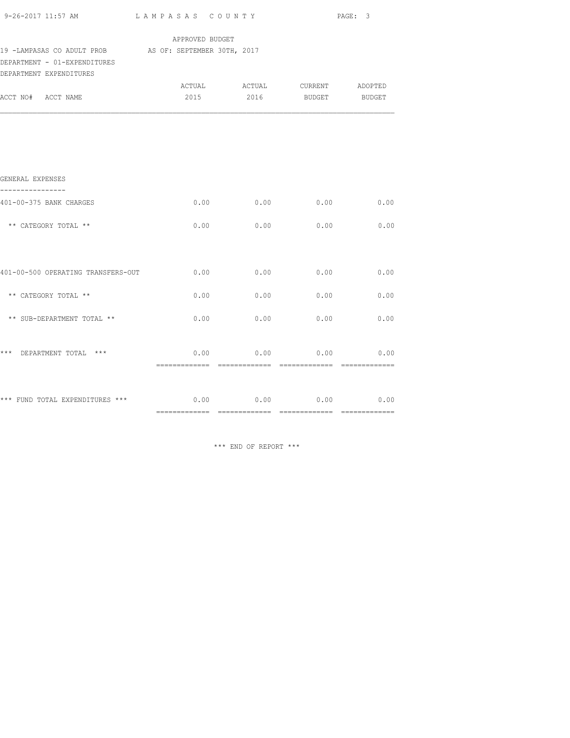|                                                                                                                   |                 | $9-26-2017$ 11:57 AM LAMPASAS COUNTY |      | PAGE: 3     |  |  |
|-------------------------------------------------------------------------------------------------------------------|-----------------|--------------------------------------|------|-------------|--|--|
|                                                                                                                   | APPROVED BUDGET |                                      |      |             |  |  |
| 19 -LAMPASAS CO ADULT PROB AS OF: SEPTEMBER 30TH, 2017<br>DEPARTMENT - 01-EXPENDITURES<br>DEPARTMENT EXPENDITURES |                 |                                      |      |             |  |  |
|                                                                                                                   |                 | ACTUAL ACTUAL CURRENT ADOPTED        |      |             |  |  |
| ACCT NO# ACCT NAME                                                                                                |                 | 2015  2016  BUDGET BUDGET            |      |             |  |  |
|                                                                                                                   |                 |                                      |      |             |  |  |
|                                                                                                                   |                 |                                      |      |             |  |  |
| GENERAL EXPENSES                                                                                                  |                 |                                      |      |             |  |  |
| 401-00-375 BANK CHARGES                                                                                           |                 | 0.00<br>0.00                         |      | $0.00$ 0.00 |  |  |
| ** CATEGORY TOTAL **                                                                                              |                 | 0.00<br>0.00                         | 0.00 | 0.00        |  |  |
|                                                                                                                   |                 |                                      |      |             |  |  |
| 401-00-500 OPERATING TRANSFERS-OUT                                                                                |                 | 0.00<br>0.00                         | 0.00 | 0.00        |  |  |
| ** CATEGORY TOTAL **                                                                                              |                 | 0.00<br>0.00                         | 0.00 | 0.00        |  |  |
| ** SUB-DEPARTMENT TOTAL **                                                                                        |                 | 0.00<br>0.00                         | 0.00 | 0.00        |  |  |
| *** DEPARTMENT TOTAL ***                                                                                          |                 | $0.00$ 0.00 0.00 0.00                |      |             |  |  |
|                                                                                                                   |                 |                                      |      |             |  |  |
| *** FUND TOTAL EXPENDITURES *** $0.00$ $0.00$ $0.00$ $0.00$ $0.00$ $0.00$                                         |                 |                                      |      |             |  |  |
|                                                                                                                   |                 |                                      |      |             |  |  |

\*\*\* END OF REPORT \*\*\*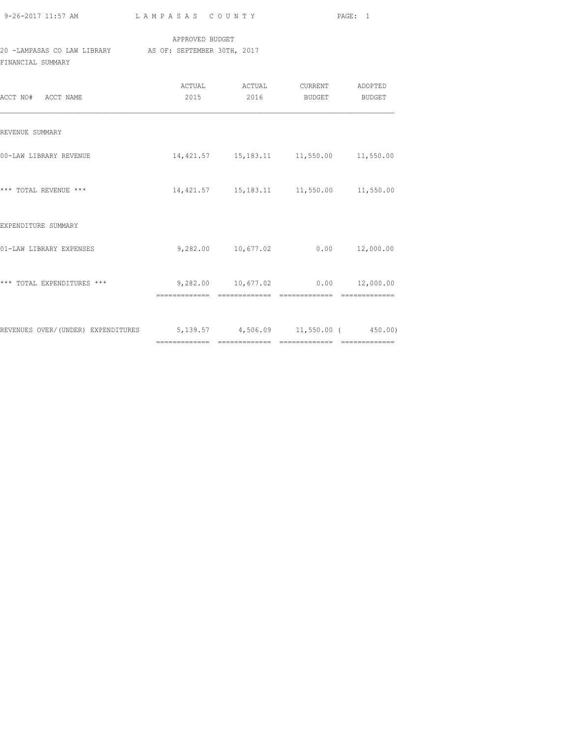| 9-26-2017 11:57 AM |  |
|--------------------|--|

## APPROVED BUDGET 20 -LAMPASAS CO LAW LIBRARY AS OF: SEPTEMBER 30TH, 2017 FINANCIAL SUMMARY

| ACCT NO# ACCT NAME                                                      | ACTUAL<br>2015 | 2016            | ACTUAL CURRENT ADOPTED<br>BUDGET BUDGET               |  |
|-------------------------------------------------------------------------|----------------|-----------------|-------------------------------------------------------|--|
| REVENUE SUMMARY                                                         |                |                 |                                                       |  |
| 00-LAW LIBRARY REVENUE                                                  |                |                 | 14,421.57   15,183.11   11,550.00   11,550.00         |  |
| *** TOTAL REVENUE ***                                                   |                |                 | 14,421.57  15,183.11  11,550.00  11,550.00            |  |
| EXPENDITURE SUMMARY                                                     |                |                 |                                                       |  |
| 01-LAW LIBRARY EXPENSES                                                 |                |                 | $9,282.00$ 10,677.02 0.00 12,000.00                   |  |
| *** TOTAL EXPENDITURES ***                                              | =============  | - ============= | 9,282.00  10,677.02  0.00  12,000.00<br>essessessesse |  |
| REVENUES OVER/(UNDER) EXPENDITURES 5,139.57 4,506.09 11,550.00 (450.00) |                |                 |                                                       |  |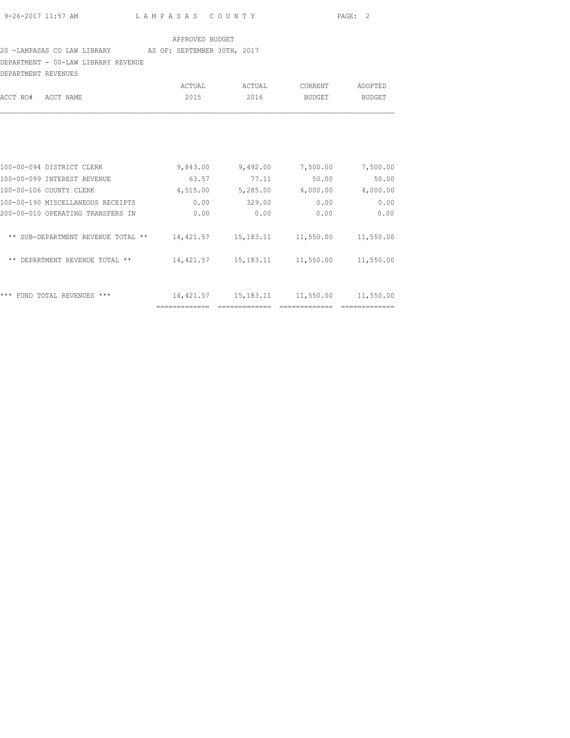## 20 -LAMPASAS CO LAW LIBRARY AS OF: SEPTEMBER 30TH, 2017

DEPARTMENT - 00-LAW LIBRARY REVENUE

| DEPARTMENT REVENUES |                                    |           |             |               |               |
|---------------------|------------------------------------|-----------|-------------|---------------|---------------|
|                     |                                    | ACTUAL    | ACTUAL      | CURRENT       | ADOPTED       |
| ACCT NO#            | ACCT NAME                          | 2015      | 2016        | <b>BUDGET</b> | <b>BUDGET</b> |
|                     |                                    |           |             |               |               |
|                     | 100-00-094 DISTRICT CLERK          | 9,843.00  | 9,492.00    | 7,500.00      | 7,500.00      |
|                     | 100-00-099 INTEREST REVENUE        | 63.57     | 77.11       | 50.00         | 50.00         |
|                     | 100-00-106 COUNTY CLERK            | 4,515.00  | 5,285.00    | 4,000.00      | 4,000.00      |
|                     | 100-00-190 MISCELLANEOUS RECEIPTS  | 0.00      | 329.00      | 0.00          | 0.00          |
|                     | 200-00-010 OPERATING TRANSFERS IN  | 0.00      | 0.00        | 0.00          | 0.00          |
|                     | ** SUB-DEPARTMENT REVENUE TOTAL ** | 14,421.57 | 15,183.11   | 11,550.00     | 11,550.00     |
| $***$               | DEPARTMENT REVENUE TOTAL **        | 14,421.57 | 15,183.11   | 11,550.00     | 11,550.00     |
|                     | *** FUND TOTAL REVENUES ***        | 14,421.57 | 15, 183. 11 | 11,550.00     | 11,550.00     |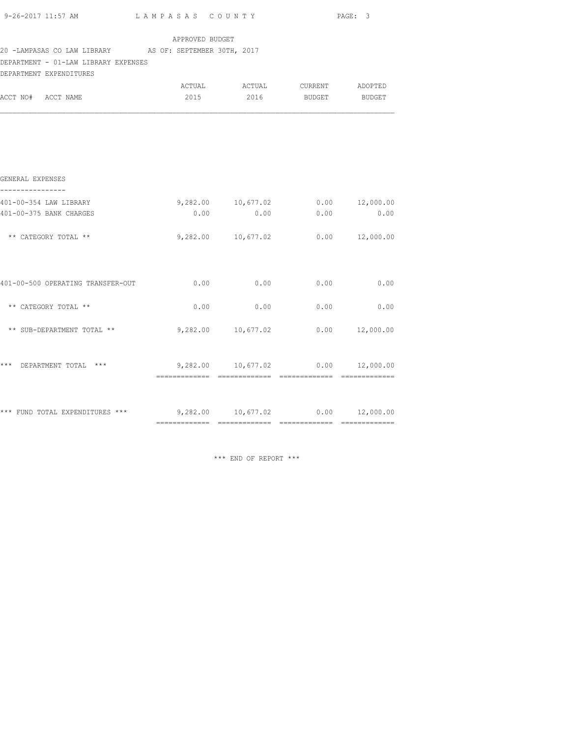|                                                                           |                                     |                                      | PAGE: 3            |                    |
|---------------------------------------------------------------------------|-------------------------------------|--------------------------------------|--------------------|--------------------|
| 20 -LAMPASAS CO LAW LIBRARY AS OF: SEPTEMBER 30TH, 2017                   | APPROVED BUDGET                     |                                      |                    |                    |
| DEPARTMENT - 01-LAW LIBRARY EXPENSES<br>DEPARTMENT EXPENDITURES           |                                     |                                      |                    |                    |
| ACCT NO# ACCT NAME                                                        | 2015                                | ACTUAL ACTUAL CURRENT ADOPTED        | 2016 BUDGET BUDGET |                    |
|                                                                           |                                     |                                      |                    |                    |
| GENERAL EXPENSES                                                          |                                     |                                      |                    |                    |
| 401-00-354 LAW LIBRARY                                                    |                                     | 9,282.00 10,677.02                   |                    | $0.00$ $12,000.00$ |
| 401-00-375 BANK CHARGES                                                   | 0.00                                | 0.00                                 | 0.00               | 0.00               |
| ** CATEGORY TOTAL **                                                      |                                     | 9,282.00 10,677.02                   |                    | $0.00$ $12,000.00$ |
| 401-00-500 OPERATING TRANSFER-OUT $0.00$ $0.00$ $0.00$ $0.00$ $0.00$      |                                     |                                      |                    |                    |
| ** CATEGORY TOTAL **                                                      |                                     | $0.00$ 0.00 0.00 0.00 0.00           |                    |                    |
| ** SUB-DEPARTMENT TOTAL **                                                |                                     | 9,282.00  10,677.02  0.00  12,000.00 |                    |                    |
| *** DEPARTMENT TOTAL ***                                                  | $9,282.00$ 10,677.02 0.00 12,000.00 |                                      |                    |                    |
|                                                                           |                                     |                                      |                    |                    |
| *** FUND TOTAL EXPENDITURES *** $9,282.00$ $10,677.02$ $0.00$ $12,000.00$ |                                     |                                      |                    |                    |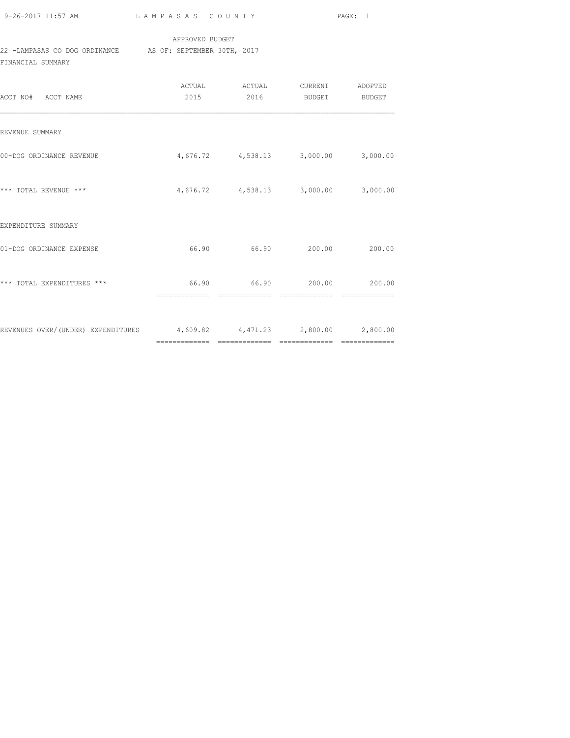| 9-26-2017 11:57 AM |  |
|--------------------|--|
|                    |  |

### APPROVED BUDGET

# 22 -LAMPASAS CO DOG ORDINANCE AS OF: SEPTEMBER 30TH, 2017

FINANCIAL SUMMARY

| ACCT NO# ACCT NAME                                                     | 2015 | ACTUAL ACTUAL CURRENT ADOPTED<br>2016      | BUDGET | BUDGET |
|------------------------------------------------------------------------|------|--------------------------------------------|--------|--------|
| REVENUE SUMMARY                                                        |      |                                            |        |        |
| 00-DOG ORDINANCE REVENUE                                               |      | 4,676.72 4,538.13 3,000.00 3,000.00        |        |        |
| *** TOTAL REVENUE ***                                                  |      | 4,676.72 4,538.13 3,000.00 3,000.00        |        |        |
| EXPENDITURE SUMMARY                                                    |      |                                            |        |        |
| 01-DOG ORDINANCE EXPENSE                                               |      | 66.90 66.90 200.00                         |        | 200.00 |
| *** TOTAL EXPENDITURES ***                                             |      | 66.90 66.90 200.00 200.00<br>------------- |        |        |
| REVENUES OVER/(UNDER) EXPENDITURES 4,609.82 4,471.23 2,800.00 2,800.00 |      |                                            |        |        |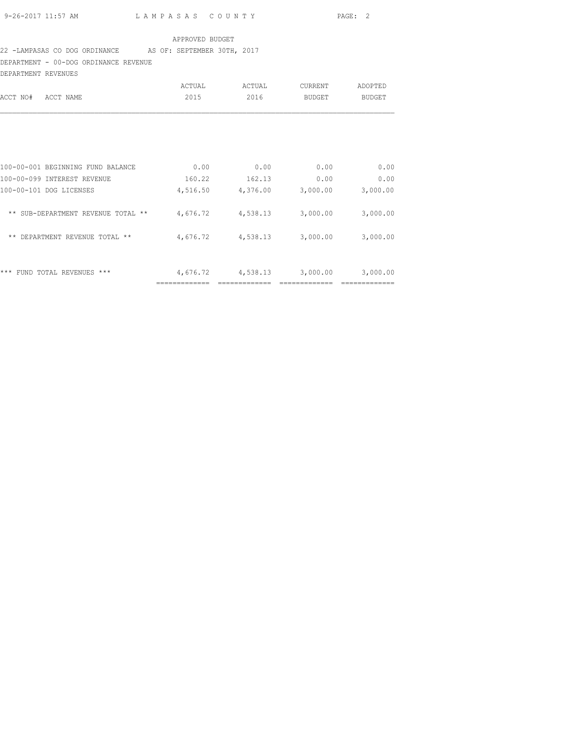### 22 -LAMPASAS CO DOG ORDINANCE AS OF: SEPTEMBER 30TH, 2017

DEPARTMENT - 00-DOG ORDINANCE REVENUE

| DEPARTMENT REVENUES                         |          |          |          |               |
|---------------------------------------------|----------|----------|----------|---------------|
|                                             | ACTUAL   | ACTUAL   | CURRENT  | ADOPTED       |
| ACCT NO#<br>ACCT NAME                       | 2015     | 2016     | BUDGET   | <b>BUDGET</b> |
|                                             |          |          |          |               |
| 100-00-001 BEGINNING FUND BALANCE           | 0.00     | 0.00     | 0.00     | 0.00          |
| 100-00-099 INTEREST REVENUE                 | 160.22   | 162.13   | 0.00     | 0.00          |
| 100-00-101 DOG LICENSES                     | 4,516.50 | 4,376.00 | 3,000.00 | 3,000.00      |
| ** SUB-DEPARTMENT REVENUE TOTAL **          | 4,676.72 | 4,538.13 | 3,000.00 | 3,000.00      |
| DEPARTMENT REVENUE TOTAL **<br>$\star\star$ | 4,676.72 | 4,538.13 | 3,000.00 | 3,000.00      |
|                                             |          |          |          |               |
| ***<br>FUND TOTAL REVENUES ***              | 4,676.72 | 4,538.13 | 3,000.00 | 3,000.00      |
|                                             |          |          |          |               |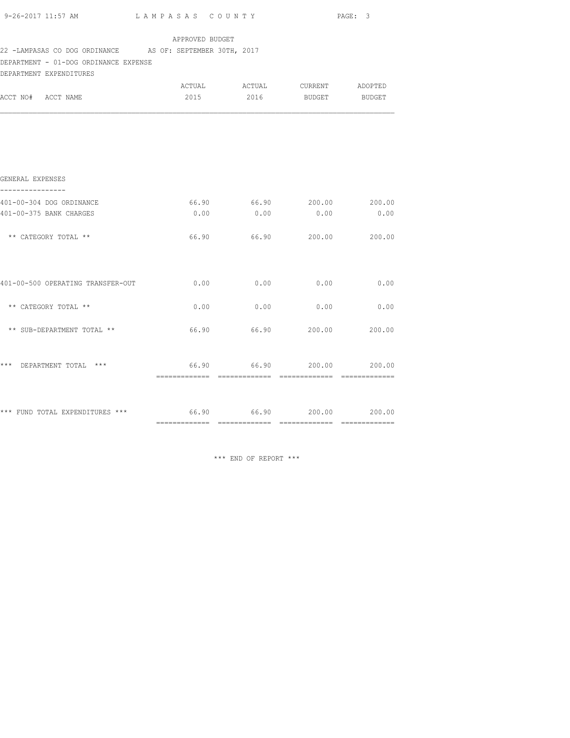| $9-26-2017$ 11:57 AM $L$ AMPASAS COUNTY                                                            |                 |                                       |                             | PAGE: 3 |
|----------------------------------------------------------------------------------------------------|-----------------|---------------------------------------|-----------------------------|---------|
| 22 -LAMPASAS CO DOG ORDINANCE AS OF: SEPTEMBER 30TH, 2017<br>DEPARTMENT - 01-DOG ORDINANCE EXPENSE | APPROVED BUDGET |                                       |                             |         |
| DEPARTMENT EXPENDITURES<br>ACCT NO# ACCT NAME                                                      | 2015            | ACTUAL ACTUAL CURRENT ADOPTED<br>2016 | BUDGET BUDGET               |         |
|                                                                                                    |                 |                                       |                             |         |
| GENERAL EXPENSES                                                                                   |                 |                                       |                             |         |
| 401-00-304 DOG ORDINANCE<br>401-00-375 BANK CHARGES                                                | 66.90<br>0.00   | 0.00                                  | 66.90 200.00 200.00<br>0.00 | 0.00    |
| ** CATEGORY TOTAL **                                                                               |                 | 66.90 66.90 200.00 200.00             |                             |         |
|                                                                                                    |                 |                                       |                             |         |
| ** CATEGORY TOTAL **                                                                               | 0.00            | 0.00                                  | 0.00                        | 0.00    |
| ** SUB-DEPARTMENT TOTAL **                                                                         | 66.90           |                                       | 66.90 200.00 200.00         |         |
| *** DEPARTMENT TOTAL ***                                                                           |                 | 66.90 66.90 200.00 200.00             |                             |         |
| *** FUND TOTAL EXPENDITURES *** 66.90 66.90 66.90 200.00 200.00                                    |                 |                                       |                             |         |
|                                                                                                    |                 |                                       |                             |         |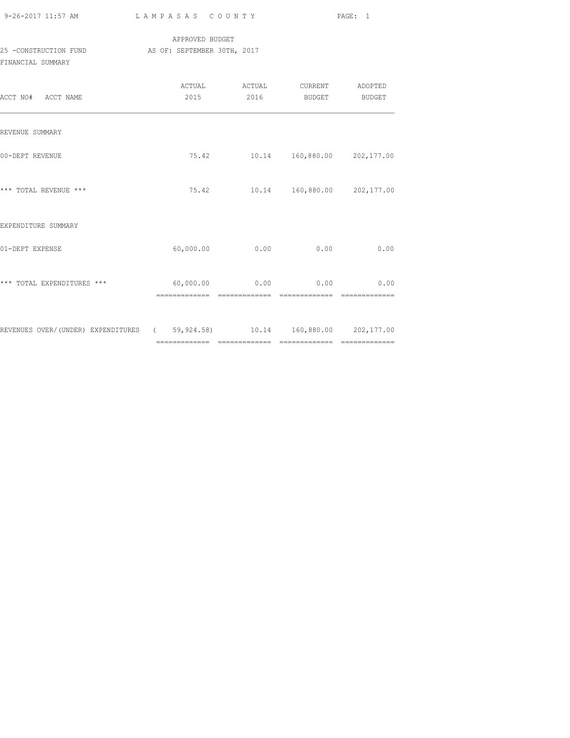| 9-26-2017 11:57 AM |  |
|--------------------|--|

### APPROVED BUDGET 25 -CONSTRUCTION FUND AS OF: SEPTEMBER 30TH, 2017 FINANCIAL SUMMARY

| ACCT NO# ACCT NAME                                                         | ACTUAL<br>2015 | ACTUAL<br>2016                                   | <b>CURRENT</b><br>BUDGET | ADOPTED<br>BUDGET |
|----------------------------------------------------------------------------|----------------|--------------------------------------------------|--------------------------|-------------------|
| REVENUE SUMMARY                                                            |                |                                                  |                          |                   |
| 00-DEPT REVENUE                                                            |                | 75.42    10.14    160,880.00    202,177.00       |                          |                   |
| *** TOTAL REVENUE ***                                                      |                | 75.42 10.14 160,880.00 202,177.00                |                          |                   |
| EXPENDITURE SUMMARY                                                        |                |                                                  |                          |                   |
| 01-DEPT EXPENSE                                                            | 60,000.00      | 0.00                                             | 0.00                     | 0.00              |
| *** TOTAL EXPENDITURES ***                                                 |                | $60,000.00$ 0.00 0.00 0.00 0.00<br>============= | -------------            |                   |
| REVENUES OVER/(UNDER) EXPENDITURES (59,924.58) 10.14 160,880.00 202,177.00 |                |                                                  |                          |                   |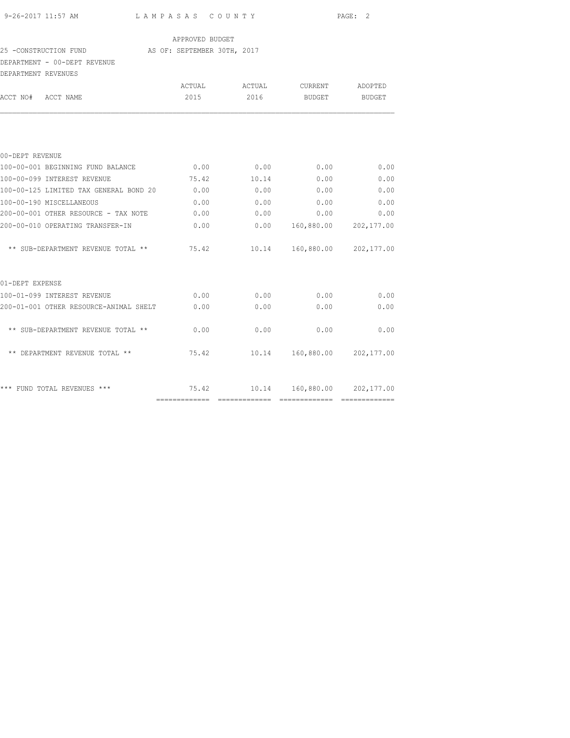| 9-26-2017 11:57 AM |  |
|--------------------|--|

#### APPROVED BUDGET

#### 25 -CONSTRUCTION FUND AS OF: SEPTEMBER 30TH, 2017

#### DEPARTMENT - 00-DEPT REVENUE

|                                                                                                                                                                                                                                                                                                           |                                                                                                                                                |                                   | ADOPTED                                                                                                                                                                                                                          |
|-----------------------------------------------------------------------------------------------------------------------------------------------------------------------------------------------------------------------------------------------------------------------------------------------------------|------------------------------------------------------------------------------------------------------------------------------------------------|-----------------------------------|----------------------------------------------------------------------------------------------------------------------------------------------------------------------------------------------------------------------------------|
| 2015                                                                                                                                                                                                                                                                                                      | 2016                                                                                                                                           |                                   | BUDGET                                                                                                                                                                                                                           |
|                                                                                                                                                                                                                                                                                                           |                                                                                                                                                |                                   |                                                                                                                                                                                                                                  |
|                                                                                                                                                                                                                                                                                                           |                                                                                                                                                |                                   |                                                                                                                                                                                                                                  |
| 0.00                                                                                                                                                                                                                                                                                                      | 0.00                                                                                                                                           | 0.00                              | 0.00                                                                                                                                                                                                                             |
|                                                                                                                                                                                                                                                                                                           |                                                                                                                                                | 0.00                              | 0.00                                                                                                                                                                                                                             |
| 0.00                                                                                                                                                                                                                                                                                                      | 0.00                                                                                                                                           | 0.00                              | 0.00                                                                                                                                                                                                                             |
| 0.00                                                                                                                                                                                                                                                                                                      | 0.00                                                                                                                                           | 0.00                              | 0.00                                                                                                                                                                                                                             |
| 0.00                                                                                                                                                                                                                                                                                                      |                                                                                                                                                |                                   | 0.00                                                                                                                                                                                                                             |
| 0.00                                                                                                                                                                                                                                                                                                      |                                                                                                                                                |                                   |                                                                                                                                                                                                                                  |
|                                                                                                                                                                                                                                                                                                           |                                                                                                                                                |                                   |                                                                                                                                                                                                                                  |
|                                                                                                                                                                                                                                                                                                           |                                                                                                                                                |                                   |                                                                                                                                                                                                                                  |
| 0.00                                                                                                                                                                                                                                                                                                      |                                                                                                                                                |                                   | 0.00                                                                                                                                                                                                                             |
|                                                                                                                                                                                                                                                                                                           | 0.00                                                                                                                                           | 0.00                              | 0.00                                                                                                                                                                                                                             |
|                                                                                                                                                                                                                                                                                                           | 0.00                                                                                                                                           | 0.00                              | 0.00                                                                                                                                                                                                                             |
|                                                                                                                                                                                                                                                                                                           |                                                                                                                                                |                                   |                                                                                                                                                                                                                                  |
|                                                                                                                                                                                                                                                                                                           |                                                                                                                                                |                                   |                                                                                                                                                                                                                                  |
|                                                                                                                                                                                                                                                                                                           |                                                                                                                                                |                                   |                                                                                                                                                                                                                                  |
| םטואפוא דודם מס באת אינויות והר<br>100-00-001 BEGINNING FUND BALANCE<br>100-00-099 INTEREST REVENUE<br>100-00-190 MISCELLANEOUS<br>200-00-010 OPERATING TRANSFER-IN<br>100-01-099 INTEREST REVENUE<br>** SUB-DEPARTMENT REVENUE TOTAL **<br>** DEPARTMENT REVENUE TOTAL **<br>*** FUND TOTAL REVENUES *** | 75.42<br>100-00-125 LIMITED TAX GENERAL BOND 20<br>200-00-001 OTHER RESOURCE - TAX NOTE<br>200-01-001 OTHER RESOURCE-ANIMAL SHELT 0.00<br>0.00 | ACTUAL<br>10.14<br>75.42<br>75.42 | ACTUAL CURRENT<br>BUDGET<br>0.00<br>0.00<br>$0.00$ 160,880.00 202,177.00<br>** SUB-DEPARTMENT REVENUE TOTAL ** 75.42 10.14 160,880.00 202,177.00<br>0.00<br>0.00<br>10.14 160,880.00 202,177.00<br>10.14  160,880.00  202,177.00 |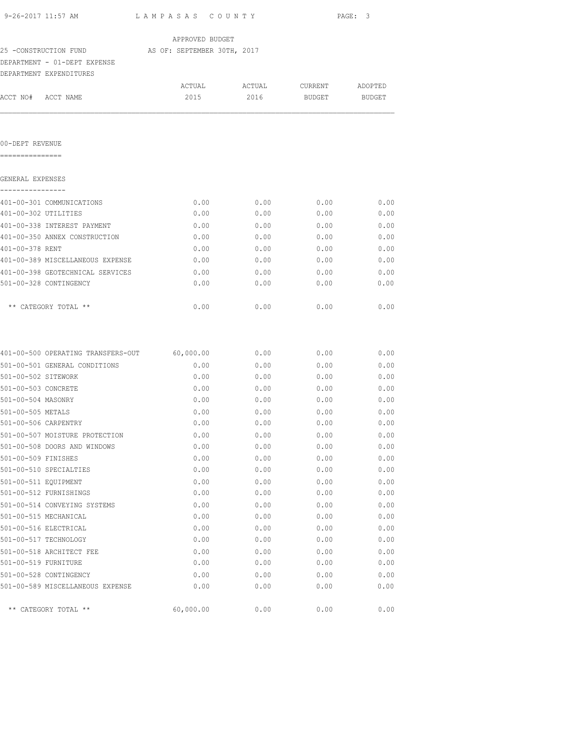| 9-26-2017 11:57 AM                 | LAMPASAS COUNTY             |        |         | PAGE: 3 |
|------------------------------------|-----------------------------|--------|---------|---------|
|                                    | APPROVED BUDGET             |        |         |         |
| 25 -CONSTRUCTION FUND              | AS OF: SEPTEMBER 30TH, 2017 |        |         |         |
| DEPARTMENT - 01-DEPT EXPENSE       |                             |        |         |         |
| DEPARTMENT EXPENDITURES            |                             |        |         |         |
|                                    | ACTUAL                      | ACTUAL | CURRENT | ADOPTED |
| ACCT NO# ACCT NAME                 | 2015                        | 2016   | BUDGET  | BUDGET  |
| 00-DEPT REVENUE                    |                             |        |         |         |
| GENERAL EXPENSES                   |                             |        |         |         |
|                                    |                             |        |         |         |
| 401-00-301 COMMUNICATIONS          | 0.00                        | 0.00   | 0.00    | 0.00    |
| 401-00-302 UTILITIES               | 0.00                        | 0.00   | 0.00    | 0.00    |
| 401-00-338 INTEREST PAYMENT        | 0.00                        | 0.00   | 0.00    | 0.00    |
| 401-00-350 ANNEX CONSTRUCTION      | 0.00                        | 0.00   | 0.00    | 0.00    |
| 401-00-378 RENT                    | 0.00                        | 0.00   | 0.00    | 0.00    |
| 401-00-389 MISCELLANEOUS EXPENSE   | 0.00                        | 0.00   | 0.00    | 0.00    |
| 401-00-398 GEOTECHNICAL SERVICES   | 0.00                        | 0.00   | 0.00    | 0.00    |
| 501-00-328 CONTINGENCY             | 0.00                        | 0.00   | 0.00    | 0.00    |
| ** CATEGORY TOTAL **               | 0.00                        | 0.00   | 0.00    | 0.00    |
| 401-00-500 OPERATING TRANSFERS-OUT | 60,000.00                   | 0.00   | 0.00    | 0.00    |
| 501-00-501 GENERAL CONDITIONS      | 0.00                        | 0.00   | 0.00    | 0.00    |
| 501-00-502 SITEWORK                | 0.00                        | 0.00   | 0.00    | 0.00    |
| 501-00-503 CONCRETE                | 0.00                        | 0.00   | 0.00    | 0.00    |
| 501-00-504 MASONRY                 | 0.00                        | 0.00   | 0.00    | 0.00    |
| 501-00-505 METALS                  | 0.00                        | 0.00   | 0.00    | 0.00    |
| 501-00-506 CARPENTRY               | 0.00                        | 0.00   | 0.00    | 0.00    |
| 501-00-507 MOISTURE PROTECTION     | 0.00                        | 0.00   | 0.00    | 0.00    |
| 501-00-508 DOORS AND WINDOWS       | 0.00                        | 0.00   | 0.00    | 0.00    |
| 501-00-509 FINISHES                | 0.00                        | 0.00   | 0.00    | 0.00    |
| 501-00-510 SPECIALTIES             | 0.00                        | 0.00   | 0.00    | 0.00    |
| 501-00-511 EQUIPMENT               | 0.00                        | 0.00   | 0.00    | 0.00    |
| 501-00-512 FURNISHINGS             | 0.00                        | 0.00   | 0.00    | 0.00    |
| 501-00-514 CONVEYING SYSTEMS       | 0.00                        | 0.00   | 0.00    | 0.00    |
| 501-00-515 MECHANICAL              | 0.00                        | 0.00   | 0.00    | 0.00    |
| 501-00-516 ELECTRICAL              | 0.00                        | 0.00   | 0.00    | 0.00    |

501-00-517 TECHNOLOGY 0.00 0.00 0.00 0.00 501-00-518 ARCHITECT FEE 0.00 0.00 0.00 0.00 0.00 0.00 501-00-519 FURNITURE 0.00 0.00 0.00 0.00

501-00-528 CONTINGENCY 0.00 0.00 0.00 0.00

\*\* CATEGORY TOTAL \*\*  $60,000.00$   $0.00$   $0.00$   $0.00$   $0.00$ 

501-00-589 MISCELLANEOUS EXPENSE 0.00 0.00 0.00 0.00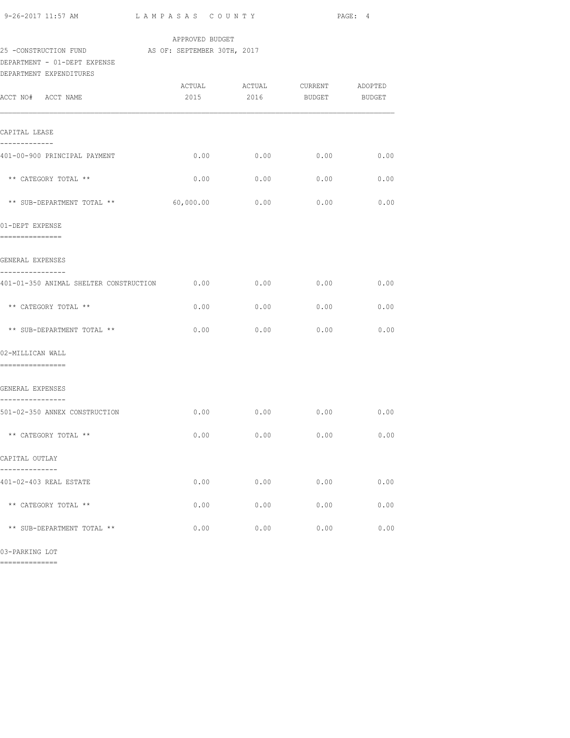| 9-26-2017 11:57 AM                                              | LAMPASAS COUNTY |                                                          |      | PAGE: 4 |
|-----------------------------------------------------------------|-----------------|----------------------------------------------------------|------|---------|
| 25 -CONSTRUCTION FUND AS OF: SEPTEMBER 30TH, 2017               | APPROVED BUDGET |                                                          |      |         |
| DEPARTMENT - 01-DEPT EXPENSE<br>DEPARTMENT EXPENDITURES         |                 |                                                          |      |         |
| ACCT NO# ACCT NAME                                              |                 | ACTUAL ACTUAL CURRENT ADOPTED<br>2015 2016 BUDGET BUDGET |      |         |
| CAPITAL LEASE                                                   |                 |                                                          |      |         |
| -------------<br>401-00-900 PRINCIPAL PAYMENT                   | 0.00            | 0.00                                                     | 0.00 | 0.00    |
| ** CATEGORY TOTAL **                                            | 0.00            | 0.00                                                     | 0.00 | 0.00    |
| ** SUB-DEPARTMENT TOTAL ** 60,000.00                            |                 | 0.00                                                     | 0.00 | 0.00    |
| 01-DEPT EXPENSE<br>----------------                             |                 |                                                          |      |         |
| GENERAL EXPENSES                                                |                 |                                                          |      |         |
| ----------------<br>401-01-350 ANIMAL SHELTER CONSTRUCTION 0.00 |                 | 0.00                                                     | 0.00 | 0.00    |
| ** CATEGORY TOTAL **                                            | 0.00            | 0.00                                                     | 0.00 | 0.00    |
| ** SUB-DEPARTMENT TOTAL **                                      | 0.00            | 0.00                                                     | 0.00 | 0.00    |
| 02-MILLICAN WALL<br>-----------------                           |                 |                                                          |      |         |
| GENERAL EXPENSES                                                |                 |                                                          |      |         |
| ----------------<br>501-02-350 ANNEX CONSTRUCTION               |                 | $0.00$ 0.00 0.00 0.00                                    |      |         |
| ** CATEGORY TOTAL **                                            | 0.00            | 0.00                                                     | 0.00 | 0.00    |
| CAPITAL OUTLAY                                                  |                 |                                                          |      |         |
| 401-02-403 REAL ESTATE                                          | 0.00            | 0.00                                                     | 0.00 | 0.00    |
| ** CATEGORY TOTAL **                                            | 0.00            | 0.00                                                     | 0.00 | 0.00    |
| ** SUB-DEPARTMENT TOTAL **                                      | 0.00            | 0.00                                                     | 0.00 | 0.00    |

03-PARKING LOT

==============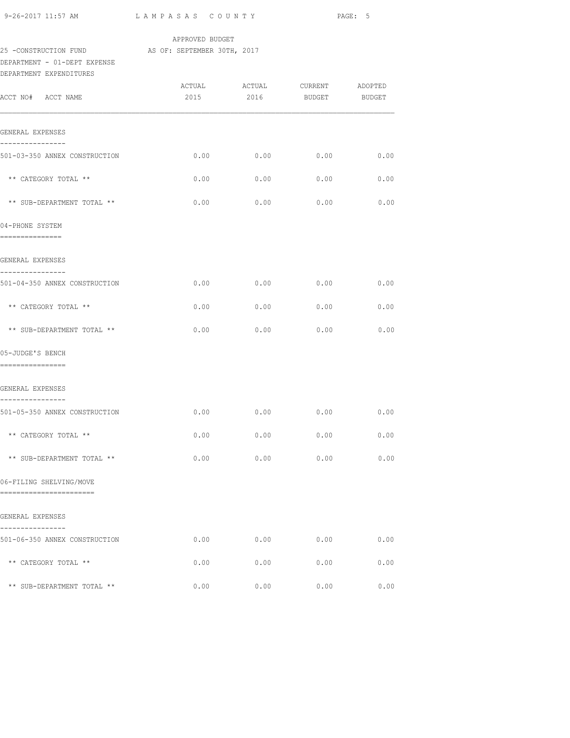| 9-26-2017 11:57 AM                                      | LAMPASAS COUNTY |                                                          |      | PAGE: 5 |
|---------------------------------------------------------|-----------------|----------------------------------------------------------|------|---------|
| 25 -CONSTRUCTION FUND AS OF: SEPTEMBER 30TH, 2017       | APPROVED BUDGET |                                                          |      |         |
| DEPARTMENT - 01-DEPT EXPENSE<br>DEPARTMENT EXPENDITURES |                 |                                                          |      |         |
| ACCT NO# ACCT NAME                                      |                 | ACTUAL ACTUAL CURRENT ADOPTED<br>2015 2016 BUDGET BUDGET |      |         |
| GENERAL EXPENSES<br>----------------                    |                 |                                                          |      |         |
| 501-03-350 ANNEX CONSTRUCTION                           | 0.00            | 0.00                                                     | 0.00 | 0.00    |
| ** CATEGORY TOTAL **                                    | 0.00            | 0.00                                                     | 0.00 | 0.00    |
| ** SUB-DEPARTMENT TOTAL **                              | 0.00            | 0.00                                                     | 0.00 | 0.00    |
| 04-PHONE SYSTEM<br>===============                      |                 |                                                          |      |         |
| GENERAL EXPENSES                                        |                 |                                                          |      |         |
| ----------------<br>501-04-350 ANNEX CONSTRUCTION       | 0.00            | 0.00                                                     | 0.00 | 0.00    |
| ** CATEGORY TOTAL **                                    | 0.00            | 0.00                                                     | 0.00 | 0.00    |
| ** SUB-DEPARTMENT TOTAL **                              | 0.00            | 0.00                                                     | 0.00 | 0.00    |
| 05-JUDGE'S BENCH<br>================                    |                 |                                                          |      |         |
| GENERAL EXPENSES                                        |                 |                                                          |      |         |
| ----------------<br>501-05-350 ANNEX CONSTRUCTION       | 0.00            | 0.00                                                     | 0.00 | 0.00    |
| ** CATEGORY TOTAL **                                    | 0.00            | 0.00                                                     | 0.00 | 0.00    |
| ** SUB-DEPARTMENT TOTAL **                              | 0.00            | 0.00                                                     | 0.00 | 0.00    |
| 06-FILING SHELVING/MOVE<br>------------------------     |                 |                                                          |      |         |
| GENERAL EXPENSES<br>------------                        |                 |                                                          |      |         |
| 501-06-350 ANNEX CONSTRUCTION                           | 0.00            | 0.00                                                     | 0.00 | 0.00    |
| ** CATEGORY TOTAL **                                    | 0.00            | 0.00                                                     | 0.00 | 0.00    |
| ** SUB-DEPARTMENT TOTAL **                              | 0.00            | 0.00                                                     | 0.00 | 0.00    |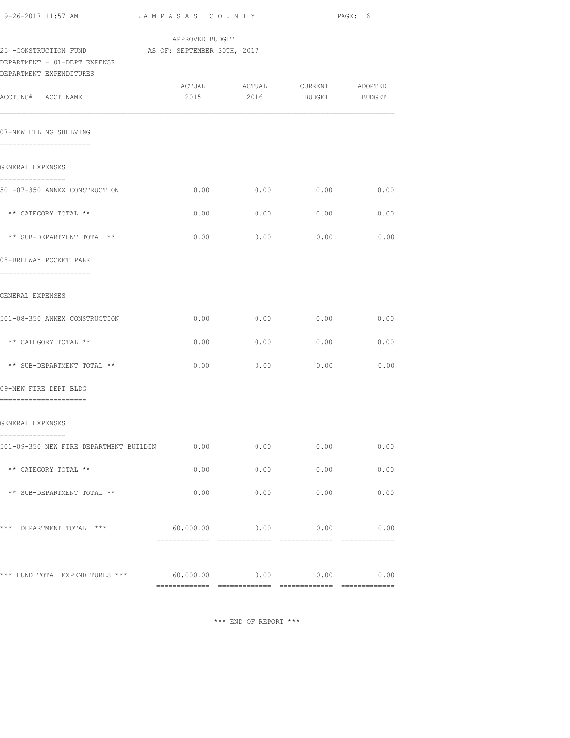| 9-26-2017 11:57 AM                                         | LAMPASAS COUNTY |                            |               | PAGE: 6 |
|------------------------------------------------------------|-----------------|----------------------------|---------------|---------|
| 25 -CONSTRUCTION FUND AS OF: SEPTEMBER 30TH, 2017          | APPROVED BUDGET |                            |               |         |
| DEPARTMENT - 01-DEPT EXPENSE<br>DEPARTMENT EXPENDITURES    |                 |                            |               |         |
|                                                            |                 |                            |               |         |
| ACCT NO# ACCT NAME                                         | 2015            | 2016                       | BUDGET BUDGET |         |
| 07-NEW FILING SHELVING<br>------------------------         |                 |                            |               |         |
| GENERAL EXPENSES                                           |                 |                            |               |         |
| ----------------<br>501-07-350 ANNEX CONSTRUCTION          | 0.00            | 0.00                       | 0.00          | 0.00    |
| ** CATEGORY TOTAL **                                       | 0.00            | 0.00                       | 0.00          | 0.00    |
| ** SUB-DEPARTMENT TOTAL **                                 | 0.00            | 0.00                       | 0.00          | 0.00    |
| 08-BREEWAY POCKET PARK<br>-----------------------          |                 |                            |               |         |
| GENERAL EXPENSES<br>----------------                       |                 |                            |               |         |
| 501-08-350 ANNEX CONSTRUCTION                              | 0.00            | 0.00                       | 0.00          | 0.00    |
| ** CATEGORY TOTAL **                                       | 0.00            | 0.00                       | 0.00          | 0.00    |
| ** SUB-DEPARTMENT TOTAL **                                 | 0.00            | 0.00                       | 0.00          | 0.00    |
| 09-NEW FIRE DEPT BLDG<br>=====================             |                 |                            |               |         |
| GENERAL EXPENSES                                           |                 |                            |               |         |
| ----------------<br>501-09-350 NEW FIRE DEPARTMENT BUILDIN | 0.00            | 0.00                       | 0.00          | 0.00    |
| ** CATEGORY TOTAL **                                       | 0.00            | 0.00                       | 0.00          | 0.00    |
| ** SUB-DEPARTMENT TOTAL **                                 | 0.00            | 0.00                       | 0.00          | 0.00    |
| *** DEPARTMENT TOTAL ***                                   |                 | $60,000.00$ 0.00 0.00 0.00 |               | 0.00    |
|                                                            |                 |                            |               |         |
| *** FUND TOTAL EXPENDITURES ***                            | 60,000.00       | 0.00                       | 0.00          | 0.00    |
|                                                            | -------------   |                            |               |         |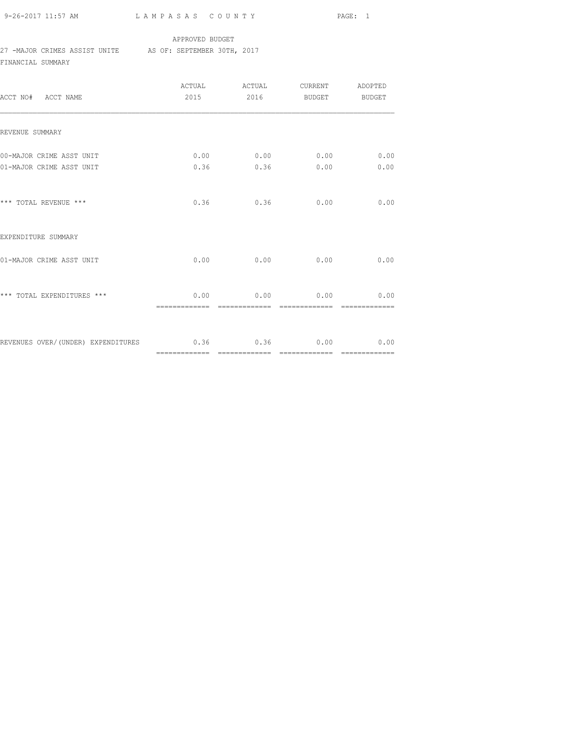9-26-2017 11:57 AM L A M P A S A S C O U N T Y PAGE: 1

#### APPROVED BUDGET

#### 27 -MAJOR CRIMES ASSIST UNITE AS OF: SEPTEMBER 30TH, 2017

FINANCIAL SUMMARY

| ACCT NO# ACCT NAME                                         |                              | ACTUAL ACTUAL CURRENT ADOPTED<br>2015 2016 BUDGET BUDGET |      |
|------------------------------------------------------------|------------------------------|----------------------------------------------------------|------|
| REVENUE SUMMARY                                            |                              |                                                          |      |
| 00-MAJOR CRIME ASST UNIT                                   |                              | $0.00$ 0.00 0.00 0.00                                    |      |
| 01-MAJOR CRIME ASST UNIT                                   |                              | $0.36$ $0.36$ $0.00$                                     | 0.00 |
| *** TOTAL REVENUE ***                                      |                              | $0.36$ $0.36$ $0.00$                                     | 0.00 |
| EXPENDITURE SUMMARY                                        |                              |                                                          |      |
| 01-MAJOR CRIME ASST UNIT                                   |                              | $0.00$ 0.00 0.00                                         | 0.00 |
| *** TOTAL EXPENDITURES ***                                 | ============================ | $0.00$ 0.00 0.00 0.00 0.00<br>--------------             |      |
| REVENUES OVER/(UNDER) EXPENDITURES $0.36$ 0.36 $0.00$ 0.00 |                              |                                                          |      |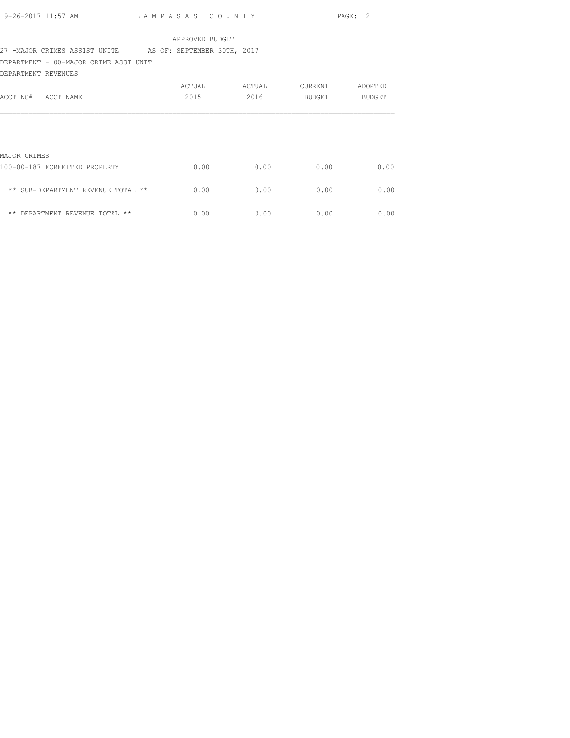| 9-26-2017 11:57 AM | LAMPASAS COUNTY | PAGE: 2 |  |
|--------------------|-----------------|---------|--|
|                    |                 |         |  |

## 27 -MAJOR CRIMES ASSIST UNITE AS OF: SEPTEMBER 30TH, 2017

DEPARTMENT - 00-MAJOR CRIME ASST UNIT

| DEPARTMENT REVENUES                |        |        |         |         |
|------------------------------------|--------|--------|---------|---------|
|                                    | ACTUAL | ACTUAL | CURRENT | ADOPTED |
| ACCT NO#<br>ACCT NAME              | 2015   | 2016   | BUDGET  | BUDGET  |
|                                    |        |        |         |         |
| MAJOR CRIMES                       |        |        |         |         |
| 100-00-187 FORFEITED PROPERTY      | 0.00   | 0.00   | 0.00    | 0.00    |
| ** SUB-DEPARTMENT REVENUE TOTAL ** | 0.00   | 0.00   | 0.00    | 0.00    |
| ** DEPARTMENT REVENUE TOTAL **     | 0.00   | 0.00   | 0.00    | 0.00    |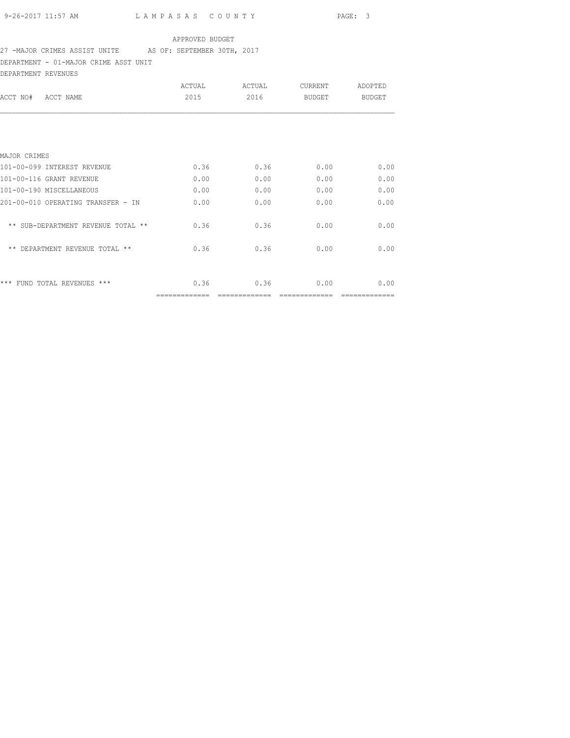### 27 -MAJOR CRIMES ASSIST UNITE AS OF: SEPTEMBER 30TH, 2017

DEPARTMENT - 01-MAJOR CRIME ASST UNIT

| DEPARTMENT REVENUES | ______ |
|---------------------|--------|

| ACCT NAME<br>ACCT NO#                | ACTUAL<br>2015 | ACTUAL<br>2016 | <b>CURRENT</b><br>BUDGET | ADOPTED<br>BUDGET |
|--------------------------------------|----------------|----------------|--------------------------|-------------------|
|                                      |                |                |                          |                   |
| MAJOR CRIMES                         |                |                |                          |                   |
| 101-00-099 INTEREST REVENUE          | 0.36           | 0.36           | 0.00                     | 0.00              |
| 101-00-116 GRANT REVENUE             | 0.00           | 0.00           | 0.00                     | 0.00              |
| 101-00-190 MISCELLANEOUS             | 0.00           | 0.00           | 0.00                     | 0.00              |
| 201-00-010 OPERATING TRANSFER - IN   | 0.00           | 0.00           | 0.00                     | 0.00              |
| ** SUB-DEPARTMENT REVENUE TOTAL **   | 0.36           | 0.36           | 0.00                     | 0.00              |
| $***$<br>DEPARTMENT REVENUE TOTAL ** | 0.36           | 0.36           | 0.00                     | 0.00              |
|                                      |                |                |                          |                   |
| *** FUND TOTAL REVENUES ***          | 0.36           | 0.36           | 0.00                     | 0.00              |
|                                      |                |                |                          |                   |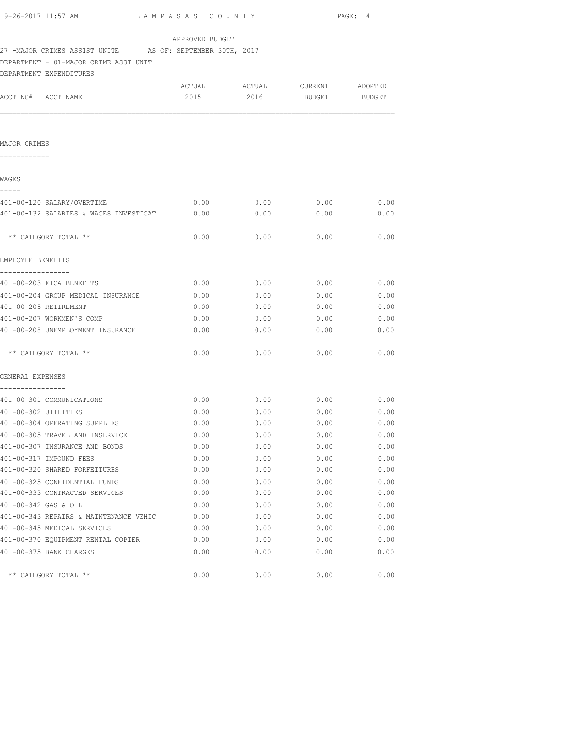| 9-26-2017 11:57 AM                                        | LAMPASAS COUNTY |             |             | PAGE: 4 |
|-----------------------------------------------------------|-----------------|-------------|-------------|---------|
|                                                           | APPROVED BUDGET |             |             |         |
| 27 -MAJOR CRIMES ASSIST UNITE AS OF: SEPTEMBER 30TH, 2017 |                 |             |             |         |
| DEPARTMENT - 01-MAJOR CRIME ASST UNIT                     |                 |             |             |         |
| DEPARTMENT EXPENDITURES                                   |                 |             |             |         |
|                                                           | ACTUAL          | ACTUAL      | CURRENT     | ADOPTED |
| ACCT NO# ACCT NAME                                        | 2015            | 2016        | BUDGET      | BUDGET  |
|                                                           |                 |             |             |         |
|                                                           |                 |             |             |         |
| MAJOR CRIMES                                              |                 |             |             |         |
| ============                                              |                 |             |             |         |
| WAGES<br>-----                                            |                 |             |             |         |
| 401-00-120 SALARY/OVERTIME                                | 0.00            | 0.00        | 0.00        | 0.00    |
| 401-00-132 SALARIES & WAGES INVESTIGAT                    | 0.00            | 0.00        | 0.00        | 0.00    |
| ** CATEGORY TOTAL **                                      | 0.00            | 0.00        | 0.00        | 0.00    |
|                                                           |                 |             |             |         |
| EMPLOYEE BENEFITS                                         |                 |             |             |         |
| -----------------<br>401-00-203 FICA BENEFITS             | 0.00            | 0.00        | 0.00        | 0.00    |
| 401-00-204 GROUP MEDICAL INSURANCE                        | 0.00            | 0.00        | 0.00        | 0.00    |
| 401-00-205 RETIREMENT                                     | 0.00            | 0.00        | 0.00        | 0.00    |
| 401-00-207 WORKMEN'S COMP                                 | 0.00            | 0.00        | 0.00        | 0.00    |
| 401-00-208 UNEMPLOYMENT INSURANCE                         | 0.00            | 0.00        | 0.00        | 0.00    |
| ** CATEGORY TOTAL **                                      | 0.00            | 0.00        | 0.00        | 0.00    |
| GENERAL EXPENSES                                          |                 |             |             |         |
| ----------------                                          |                 |             |             |         |
| 401-00-301 COMMUNICATIONS                                 | 0.00            | 0.00        | 0.00        | 0.00    |
| 401-00-302 UTILITIES                                      | 0.00            | 0.00        | 0.00        | 0.00    |
| 401-00-304 OPERATING SUPPLIES                             |                 | $0.00$ 0.00 | $0.00$ 0.00 |         |
| 401-00-305 TRAVEL AND INSERVICE                           | 0.00            | 0.00        | 0.00        | 0.00    |
| 401-00-307 INSURANCE AND BONDS                            | 0.00            | 0.00        | 0.00        | 0.00    |
| 401-00-317 IMPOUND FEES                                   | 0.00            | 0.00        | 0.00        | 0.00    |
| 401-00-320 SHARED FORFEITURES                             | 0.00            | 0.00        | 0.00        | 0.00    |
| 401-00-325 CONFIDENTIAL FUNDS                             | 0.00            | 0.00        | 0.00        | 0.00    |
| 401-00-333 CONTRACTED SERVICES                            | 0.00            | 0.00        | 0.00        | 0.00    |
| 401-00-342 GAS & OIL                                      | 0.00            | 0.00        | 0.00        | 0.00    |
| 401-00-343 REPAIRS & MAINTENANCE VEHIC                    | 0.00            | 0.00        | 0.00        | 0.00    |
| 401-00-345 MEDICAL SERVICES                               | 0.00            | 0.00        | 0.00        | 0.00    |
| 401-00-370 EQUIPMENT RENTAL COPIER                        | 0.00            | 0.00        | 0.00        | 0.00    |
| 401-00-375 BANK CHARGES                                   | 0.00            | 0.00        | 0.00        | 0.00    |

\*\* CATEGORY TOTAL \*\*  $0.00$  0.00 0.00 0.00 0.00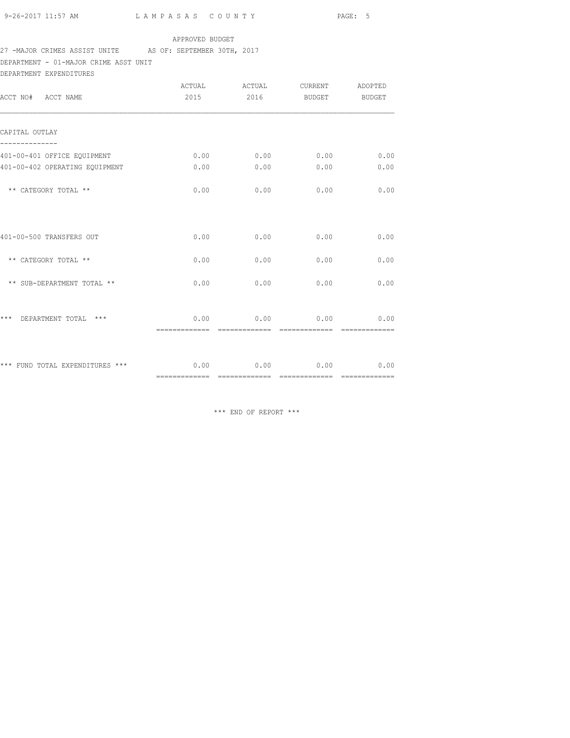## 27 -MAJOR CRIMES ASSIST UNITE AS OF: SEPTEMBER 30TH, 2017

DEPARTMENT - 01-MAJOR CRIME ASST UNIT

DEPARTMENT EXPENDITURES

| ACCT NO# ACCT NAME               | ACTUAL<br>2015                | ACTUAL<br>2016   | CURRENT<br><b>BUDGET</b> | ADOPTED<br><b>BUDGET</b> |
|----------------------------------|-------------------------------|------------------|--------------------------|--------------------------|
| CAPITAL OUTLAY                   |                               |                  |                          |                          |
| 401-00-401 OFFICE EQUIPMENT      | 0.00                          | 0.00             | 0.00                     | 0.00                     |
| 401-00-402 OPERATING EQUIPMENT   | 0.00                          | 0.00             | 0.00                     | 0.00                     |
| ** CATEGORY TOTAL **             | 0.00                          | 0.00             | 0.00                     | 0.00                     |
|                                  |                               |                  |                          |                          |
| 401-00-500 TRANSFERS OUT         | 0.00                          | 0.00             | 0.00                     | 0.00                     |
| ** CATEGORY TOTAL **             | 0.00                          | 0.00             | 0.00                     | 0.00                     |
| ** SUB-DEPARTMENT TOTAL **       | 0.00                          | 0.00             | 0.00                     | 0.00                     |
|                                  |                               |                  |                          |                          |
| DEPARTMENT TOTAL<br>***<br>* * * | 0.00<br>=============         | -------------    | $0.00$ 0.00              | 0.00                     |
|                                  |                               |                  |                          |                          |
| *** FUND TOTAL EXPENDITURES ***  | ============================= | $0.00$ 0.00 0.00 | --------------           | 0.00                     |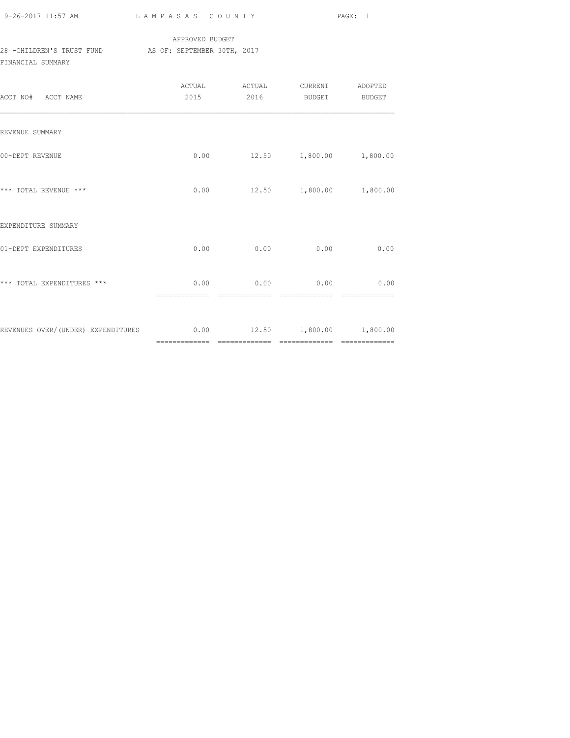| 9-26-2017 11:57 AM | LAMPASAS COUNTY | PAGE: 1 |
|--------------------|-----------------|---------|
|                    |                 |         |

### APPROVED BUDGET 28 -CHILDREN'S TRUST FUND AS OF: SEPTEMBER 30TH, 2017 FINANCIAL SUMMARY

| ACCT NO# ACCT NAME                                              | ACTUAL<br>2015 | ACTUAL CURRENT ADOPTED<br>2016 | <b>BUDGET</b> | BUDGET |
|-----------------------------------------------------------------|----------------|--------------------------------|---------------|--------|
| REVENUE SUMMARY                                                 |                |                                |               |        |
| 00-DEPT REVENUE                                                 |                | $0.00$ 12.50 1,800.00 1,800.00 |               |        |
| *** TOTAL REVENUE ***                                           |                | $0.00$ 12.50 1,800.00 1,800.00 |               |        |
| EXPENDITURE SUMMARY                                             |                |                                |               |        |
| 01-DEPT EXPENDITURES                                            |                | $0.00$ 0.00                    | 0.00          | 0.00   |
| *** TOTAL EXPENDITURES ***                                      |                | $0.00$ 0.00 0.00               |               | 0.00   |
| REVENUES OVER/(UNDER) EXPENDITURES 0.00 12.50 1,800.00 1,800.00 |                |                                |               |        |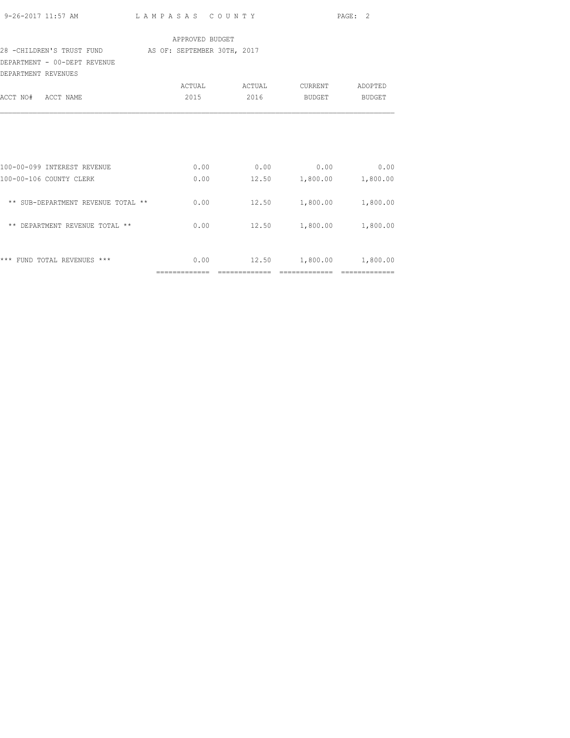|                                                        |                 |                                                         | PAGE: 2 |
|--------------------------------------------------------|-----------------|---------------------------------------------------------|---------|
|                                                        | APPROVED BUDGET |                                                         |         |
| 28 - CHILDREN'S TRUST FUND AS OF: SEPTEMBER 30TH, 2017 |                 |                                                         |         |
| DEPARTMENT - 00-DEPT REVENUE<br>DEPARTMENT REVENUES    |                 |                                                         |         |
|                                                        |                 | ACTUAL ACTUAL CURRENT ADOPTED                           |         |
| ACCT NO# ACCT NAME                                     | 2015            | 2016 BUDGET BUDGET                                      |         |
| 100-00-099 INTEREST REVENUE<br>100-00-106 COUNTY CLERK |                 | $0.00$ 0.00 0.00 0.00<br>$0.00$ 12.50 1,800.00 1,800.00 |         |
| ** SUB-DEPARTMENT REVENUE TOTAL **                     |                 | $0.00$ 12.50 1,800.00 1,800.00                          |         |
| ** DEPARTMENT REVENUE TOTAL **                         | 0.00            | 12.50 1,800.00 1,800.00                                 |         |
| *** FUND TOTAL REVENUES ***                            |                 | $0.00$ 12.50 1,800.00 1,800.00                          |         |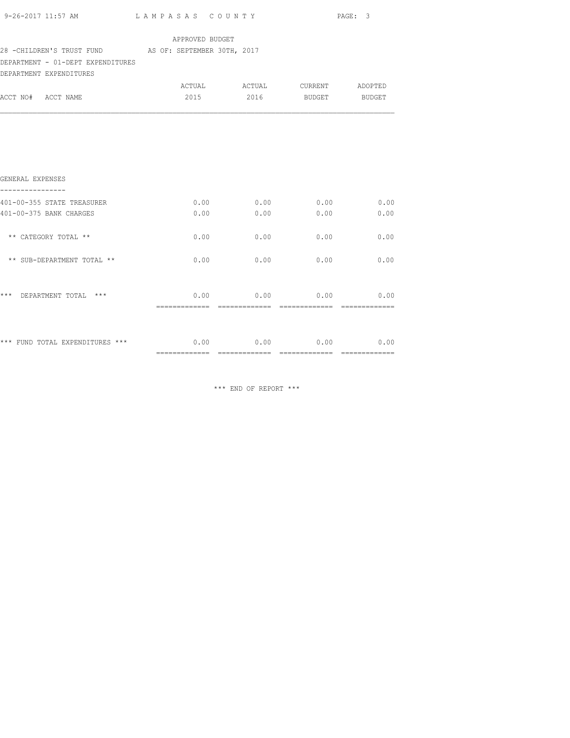|                                                                                                                                           |      |      |                                                          | PAGE: 3 |  |
|-------------------------------------------------------------------------------------------------------------------------------------------|------|------|----------------------------------------------------------|---------|--|
| APPROVED BUDGET<br>28 - CHILDREN'S TRUST FUND AS OF: SEPTEMBER 30TH, 2017<br>DEPARTMENT - 01-DEPT EXPENDITURES<br>DEPARTMENT EXPENDITURES |      |      |                                                          |         |  |
| ACCT NO# ACCT NAME                                                                                                                        |      |      | ACTUAL ACTUAL CURRENT ADOPTED<br>2015 2016 BUDGET BUDGET |         |  |
|                                                                                                                                           |      |      |                                                          |         |  |
| GENERAL EXPENSES                                                                                                                          |      |      |                                                          |         |  |
| ----------------<br>401-00-355 STATE TREASURER<br>401-00-375 BANK CHARGES                                                                 | 0.00 | 0.00 | $0.00$ 0.00 0.00 0.00 0.00<br>0.00                       | 0.00    |  |
| ** CATEGORY TOTAL **                                                                                                                      | 0.00 | 0.00 | 0.00                                                     | 0.00    |  |
| ** SUB-DEPARTMENT TOTAL **                                                                                                                | 0.00 | 0.00 | 0.00                                                     | 0.00    |  |
| *** DEPARTMENT TOTAL ***                                                                                                                  |      |      | $0.00$ 0.00 0.00 0.00                                    |         |  |
| *** FUND TOTAL EXPENDITURES *** $0.00$ $0.00$ $0.00$ $0.00$ $0.00$ $0.00$                                                                 |      |      |                                                          |         |  |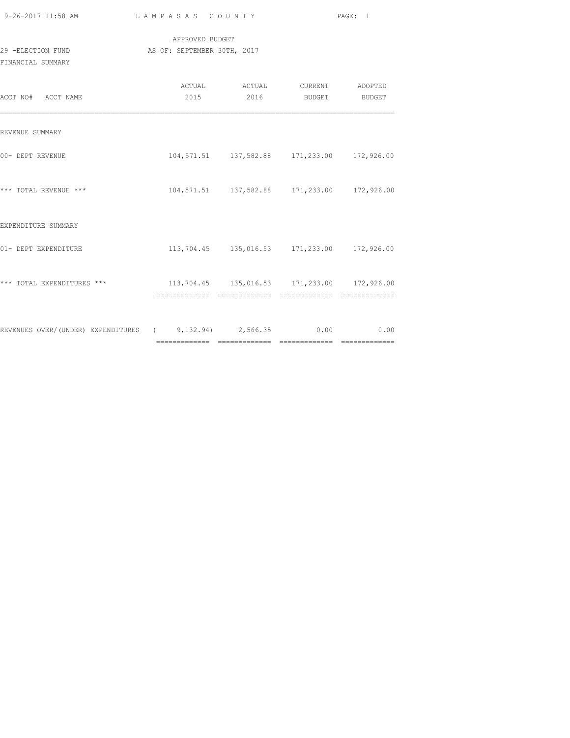| 9-26-2017 11:58 AM                                                     | LAMPASAS COUNTY                                |                                                          | PAGE: 1 |
|------------------------------------------------------------------------|------------------------------------------------|----------------------------------------------------------|---------|
| 29 -ELECTION FUND<br>FINANCIAL SUMMARY                                 | APPROVED BUDGET<br>AS OF: SEPTEMBER 30TH, 2017 |                                                          |         |
| ACCT NO# ACCT NAME                                                     |                                                | ACTUAL ACTUAL CURRENT ADOPTED<br>2015 2016 BUDGET BUDGET |         |
| REVENUE SUMMARY                                                        |                                                |                                                          |         |
| 00- DEPT REVENUE                                                       |                                                | 104,571.51  137,582.88  171,233.00  172,926.00           |         |
| *** TOTAL REVENUE ***                                                  |                                                | 104,571.51 137,582.88 171,233.00 172,926.00              |         |
| EXPENDITURE SUMMARY                                                    |                                                |                                                          |         |
| 01- DEPT EXPENDITURE                                                   |                                                | 113,704.45  135,016.53  171,233.00  172,926.00           |         |
| *** TOTAL EXPENDITURES *** 113,704.45 135,016.53 171,233.00 172,926.00 |                                                |                                                          |         |
| REVENUES OVER/(UNDER) EXPENDITURES (8,132.94) 2,566.35 0.00 0.00       |                                                |                                                          |         |

============= ============= ============= =============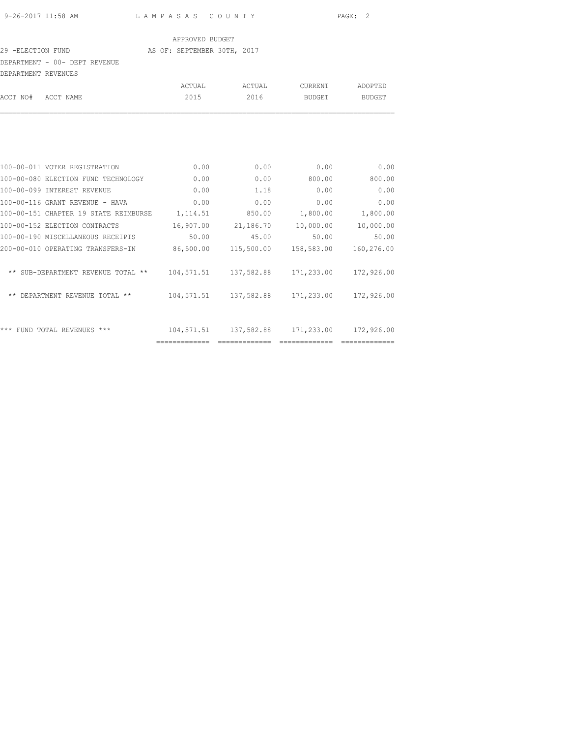#### 29 -ELECTION FUND **AS OF: SEPTEMBER 30TH, 2017**

### DEPARTMENT - 00- DEPT REVENUE

| DEPARTMENT REVENUES |                               |                |                |                          |                          |
|---------------------|-------------------------------|----------------|----------------|--------------------------|--------------------------|
| ACCT NO#            | ACCT NAME                     | ACTUAL<br>2015 | ACTUAL<br>2016 | CURRENT<br><b>BUDGET</b> | ADOPTED<br><b>BUDGET</b> |
|                     |                               |                |                |                          |                          |
|                     | 100-00-011 VOTER REGISTRATION | 0.00           | 0.00           | 0.00                     | 0.00                     |

| 0.00<br>0.00<br>800.00<br>100-00-080 ELECTION FUND TECHNOLOGY<br>100-00-099 INTEREST REVENUE<br>0.00<br>1.18<br>0.00<br>0.00<br>0.00<br>100-00-116 GRANT REVENUE - HAVA<br>0.00<br>100-00-151 CHAPTER 19 STATE REIMBURSE<br>850.00<br>1,800.00<br>1,114.51<br>16,907.00<br>21,186.70<br>10,000.00<br>100-00-152 ELECTION CONTRACTS<br>100-00-190 MISCELLANEOUS RECEIPTS<br>50.00<br>45.00<br>50.00<br>86,500.00<br>200-00-010 OPERATING TRANSFERS-IN<br>115,500.00<br>158,583.00<br>104,571.51<br>137,582.88<br>171,233.00<br>** SUB-DEPARTMENT REVENUE TOTAL **<br>104,571.51<br>137,582.88<br>171,233.00<br>** DEPARTMENT REVENUE TOTAL **<br>104,571.51<br>137,582.88<br>171,233.00<br>*** FUND TOTAL REVENUES *** | IOO-00-011 VOIER REGISIRAIION | v.vv | v.vv | u.uu | v.vv       |
|-----------------------------------------------------------------------------------------------------------------------------------------------------------------------------------------------------------------------------------------------------------------------------------------------------------------------------------------------------------------------------------------------------------------------------------------------------------------------------------------------------------------------------------------------------------------------------------------------------------------------------------------------------------------------------------------------------------------------|-------------------------------|------|------|------|------------|
|                                                                                                                                                                                                                                                                                                                                                                                                                                                                                                                                                                                                                                                                                                                       |                               |      |      |      | 800.00     |
|                                                                                                                                                                                                                                                                                                                                                                                                                                                                                                                                                                                                                                                                                                                       |                               |      |      |      | 0.00       |
|                                                                                                                                                                                                                                                                                                                                                                                                                                                                                                                                                                                                                                                                                                                       |                               |      |      |      | 0.00       |
|                                                                                                                                                                                                                                                                                                                                                                                                                                                                                                                                                                                                                                                                                                                       |                               |      |      |      | 1,800.00   |
|                                                                                                                                                                                                                                                                                                                                                                                                                                                                                                                                                                                                                                                                                                                       |                               |      |      |      | 10,000.00  |
|                                                                                                                                                                                                                                                                                                                                                                                                                                                                                                                                                                                                                                                                                                                       |                               |      |      |      | 50.00      |
|                                                                                                                                                                                                                                                                                                                                                                                                                                                                                                                                                                                                                                                                                                                       |                               |      |      |      | 160,276.00 |
|                                                                                                                                                                                                                                                                                                                                                                                                                                                                                                                                                                                                                                                                                                                       |                               |      |      |      | 172,926.00 |
|                                                                                                                                                                                                                                                                                                                                                                                                                                                                                                                                                                                                                                                                                                                       |                               |      |      |      | 172,926.00 |
|                                                                                                                                                                                                                                                                                                                                                                                                                                                                                                                                                                                                                                                                                                                       |                               |      |      |      | 172,926.00 |
|                                                                                                                                                                                                                                                                                                                                                                                                                                                                                                                                                                                                                                                                                                                       |                               |      |      |      |            |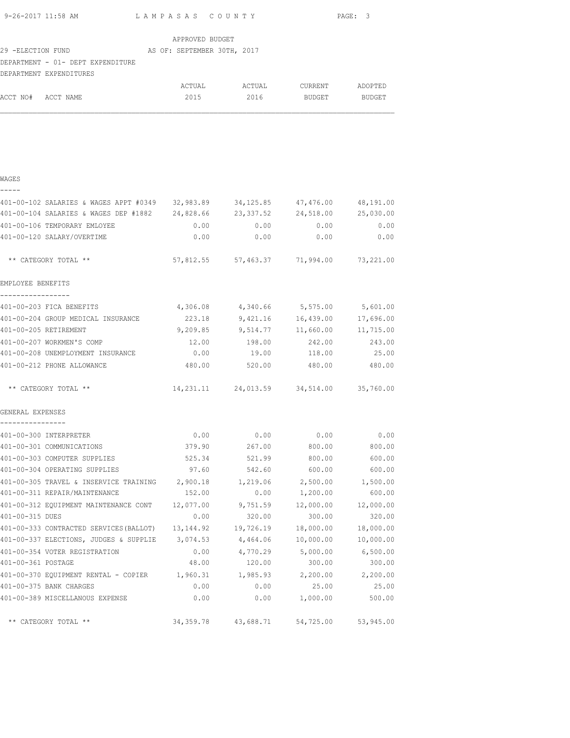|                    |                                                                                |                 |                                               |              | PAGE: 3   |  |
|--------------------|--------------------------------------------------------------------------------|-----------------|-----------------------------------------------|--------------|-----------|--|
|                    |                                                                                | APPROVED BUDGET |                                               |              |           |  |
|                    | 29 -ELECTION FUND (AS OF: SEPTEMBER 30TH, 2017                                 |                 |                                               |              |           |  |
|                    | DEPARTMENT - 01- DEPT EXPENDITURE                                              |                 |                                               |              |           |  |
|                    | DEPARTMENT EXPENDITURES                                                        |                 |                                               |              |           |  |
|                    |                                                                                |                 |                                               |              |           |  |
| ACCT NO# ACCT NAME |                                                                                |                 | 2015 2016 BUDGET BUDGET                       |              |           |  |
|                    |                                                                                |                 |                                               |              |           |  |
|                    |                                                                                |                 |                                               |              |           |  |
| WAGES              |                                                                                |                 |                                               |              |           |  |
|                    | 401-00-102 SALARIES & WAGES APPT #0349 32,983.89 34,125.85 47,476.00 48,191.00 |                 |                                               |              |           |  |
|                    | 401-00-104 SALARIES & WAGES DEP #1882 24,828.66 23,337.52 24,518.00 25,030.00  |                 |                                               |              |           |  |
|                    | 401-00-106 TEMPORARY EMLOYEE                                                   | 0.00            |                                               | $0.00$ 0.00  | 0.00      |  |
|                    | 401-00-120 SALARY/OVERTIME                                                     | 0.00            | 0.00                                          | 0.00         | 0.00      |  |
|                    |                                                                                |                 |                                               |              |           |  |
|                    | ** CATEGORY TOTAL **                                                           |                 | 57,812.55 57,463.37 71,994.00 73,221.00       |              |           |  |
| EMPLOYEE BENEFITS  |                                                                                |                 |                                               |              |           |  |
| -----------------  | 401-00-203 FICA BENEFITS                                                       |                 | 4,306.08 4,340.66 5,575.00 5,601.00           |              |           |  |
|                    | 401-00-204 GROUP MEDICAL INSURANCE                                             | 223.18          |                                               |              |           |  |
|                    | 401-00-205 RETIREMENT                                                          |                 | $9,209.85$ $9,514.77$ $11,660.00$ $11,715.00$ |              |           |  |
|                    | 401-00-207 WORKMEN'S COMP                                                      | 12.00           | 198.00                                        | 242.00       | 243.00    |  |
|                    | 401-00-208 UNEMPLOYMENT INSURANCE 0.00                                         |                 |                                               | 19.00 118.00 | 25.00     |  |
|                    | 401-00-212 PHONE ALLOWANCE                                                     |                 | 480.00 520.00 480.00 480.00                   |              |           |  |
|                    |                                                                                |                 |                                               |              |           |  |
|                    | ** CATEGORY TOTAL **                                                           |                 | 14, 231.11 24, 013.59 34, 514.00 35, 760.00   |              |           |  |
| GENERAL EXPENSES   |                                                                                |                 |                                               |              |           |  |
| ----------------   | 401-00-300 INTERPRETER                                                         | 0.00            | 0.00                                          | 0.00         | 0.00      |  |
|                    | 401-00-301 COMMUNICATIONS                                                      | 379.90          | 267.00                                        | 800.00       | 800.00    |  |
|                    | 401-00-303 COMPUTER SUPPLIES                                                   | 525.34          | 521.99                                        | 800.00       | 600.00    |  |
|                    | 401-00-304 OPERATING SUPPLIES                                                  | 97.60           | 542.60                                        | 600.00       | 600.00    |  |
|                    | 401-00-305 TRAVEL & INSERVICE TRAINING                                         | 2,900.18        | 1,219.06                                      | 2,500.00     | 1,500.00  |  |
|                    | 401-00-311 REPAIR/MAINTENANCE                                                  | 152.00          | 0.00                                          | 1,200.00     | 600.00    |  |
|                    | 401-00-312 EQUIPMENT MAINTENANCE CONT                                          | 12,077.00       | 9,751.59                                      | 12,000.00    | 12,000.00 |  |
| 401-00-315 DUES    |                                                                                | 0.00            | 320.00                                        | 300.00       | 320.00    |  |
|                    | 401-00-333 CONTRACTED SERVICES (BALLOT)                                        | 13, 144. 92     | 19,726.19                                     | 18,000.00    | 18,000.00 |  |
|                    | 401-00-337 ELECTIONS, JUDGES & SUPPLIE                                         | 3,074.53        | 4,464.06                                      | 10,000.00    | 10,000.00 |  |
|                    | 401-00-354 VOTER REGISTRATION                                                  | 0.00            | 4,770.29                                      | 5,000.00     | 6,500.00  |  |
| 401-00-361 POSTAGE |                                                                                | 48.00           | 120.00                                        | 300.00       | 300.00    |  |
|                    | 401-00-370 EQUIPMENT RENTAL - COPIER 1,960.31                                  |                 | 1,985.93                                      | 2,200.00     | 2,200.00  |  |
|                    | 401-00-375 BANK CHARGES                                                        | 0.00            | 0.00                                          | 25.00        | 25.00     |  |
|                    | 401-00-389 MISCELLANOUS EXPENSE                                                | 0.00            | 0.00                                          | 1,000.00     | 500.00    |  |
|                    |                                                                                |                 |                                               |              |           |  |
|                    | ** CATEGORY TOTAL **                                                           | 34, 359. 78     | 43,688.71                                     | 54,725.00    | 53,945.00 |  |
|                    |                                                                                |                 |                                               |              |           |  |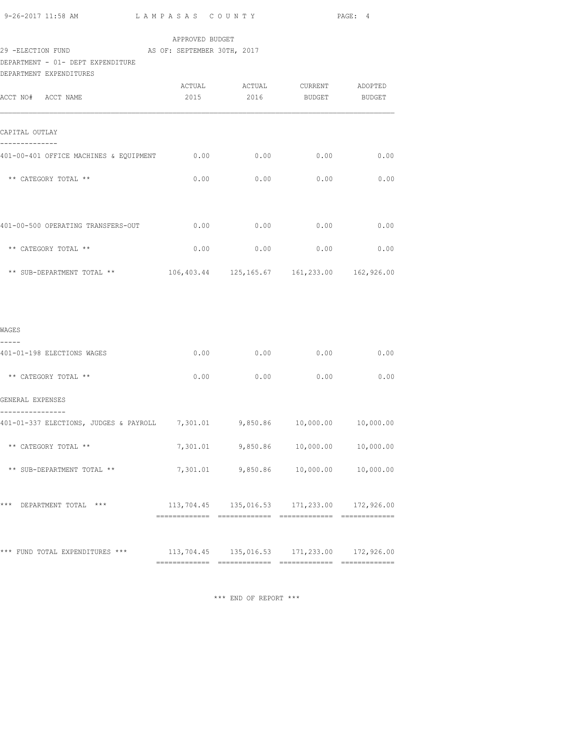| 9-26-2017 11:58 AM | LAMPASAS COUNTY             | PAGE: 4 |
|--------------------|-----------------------------|---------|
|                    | APPROVED BUDGET             |         |
| 29 -ELECTION FUND  | AS OF: SEPTEMBER 30TH, 2017 |         |

DEPARTMENT - 01- DEPT EXPENDITURE DEPARTMENT EXPENDITURES

| DEPARTMENT EXPENDITURES                                                      |      |             |                                                |      |
|------------------------------------------------------------------------------|------|-------------|------------------------------------------------|------|
| ACCT NO# ACCT NAME                                                           | 2015 |             | 2016 BUDGET BUDGET                             |      |
| CAPITAL OUTLAY                                                               |      |             |                                                |      |
| 401-00-401 OFFICE MACHINES & EQUIPMENT 0.00                                  |      |             | 0.00<br>0.00                                   | 0.00 |
| ** CATEGORY TOTAL **                                                         |      |             | $0.00$ 0.00 0.00                               | 0.00 |
| 401-00-500 OPERATING TRANSFERS-OUT                                           |      |             | $0.00$ $0.00$ $0.00$ $0.00$                    | 0.00 |
| ** CATEGORY TOTAL **                                                         |      | 0.00        | 0.00<br>0.00                                   | 0.00 |
| ** SUB-DEPARTMENT TOTAL **                                                   |      |             | 106,403.44  125,165.67  161,233.00  162,926.00 |      |
| WAGES                                                                        |      |             |                                                |      |
| -----<br>401-01-198 ELECTIONS WAGES                                          |      |             | $0.00$ 0.00 0.00                               | 0.00 |
| ** CATEGORY TOTAL **                                                         |      | $0.00$ 0.00 | 0.00                                           | 0.00 |
| GENERAL EXPENSES                                                             |      |             |                                                |      |
| 401-01-337 ELECTIONS, JUDGES & PAYROLL 7,301.01 9,850.86 10,000.00 10,000.00 |      |             |                                                |      |
| ** CATEGORY TOTAL **                                                         |      |             | 7,301.01 9,850.86 10,000.00 10,000.00          |      |
| ** SUB-DEPARTMENT TOTAL **                                                   |      |             | 7,301.01 9,850.86 10,000.00 10,000.00          |      |
| *** DEPARTMENT TOTAL ***                                                     |      |             | 113,704.45  135,016.53  171,233.00  172,926.00 |      |
| *** FUND TOTAL EXPENDITURES ***                                              |      |             | 113,704.45  135,016.53  171,233.00  172,926.00 |      |
|                                                                              |      |             |                                                |      |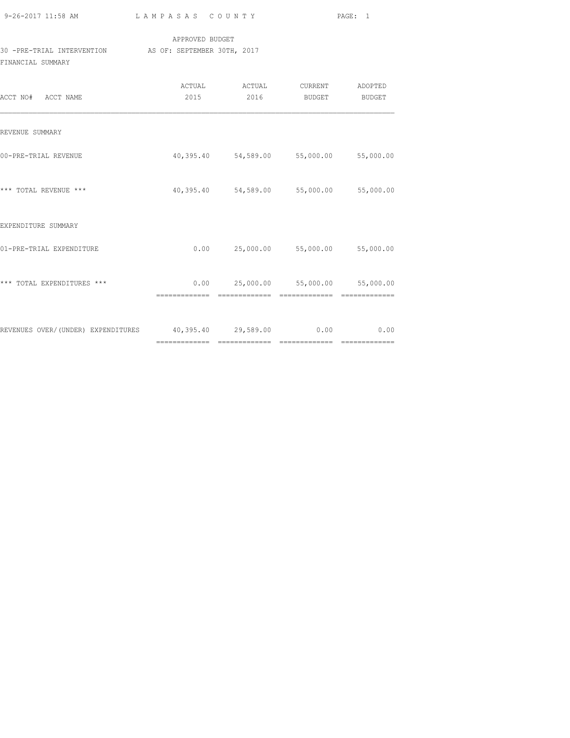| $9 - 26 - 2017$ 11:58 AM |  |
|--------------------------|--|

### APPROVED BUDGET 30 -PRE-TRIAL INTERVENTION<br>
AS OF: SEPTEMBER 30TH, 2017 FINANCIAL SUMMARY

| ACCT NO# ACCT NAME                 | ACTUAL<br>2015      | ACTUAL<br>2016                          | CURRENT<br>BUDGET             | ADOPTED<br>BUDGET |
|------------------------------------|---------------------|-----------------------------------------|-------------------------------|-------------------|
| REVENUE SUMMARY                    |                     |                                         |                               |                   |
| 00-PRE-TRIAL REVENUE               |                     | 40,395.40 54,589.00 55,000.00 55,000.00 |                               |                   |
| *** TOTAL REVENUE ***              |                     | 40,395.40 54,589.00 55,000.00           |                               | 55,000.00         |
| EXPENDITURE SUMMARY                |                     |                                         |                               |                   |
| 01-PRE-TRIAL EXPENDITURE           | 0.00                |                                         | 25,000.00 55,000.00 55,000.00 |                   |
| *** TOTAL EXPENDITURES ***         | 0.00                |                                         | 25,000.00 55,000.00           | 55,000.00         |
| REVENUES OVER/(UNDER) EXPENDITURES | 40,395.40 29,589.00 |                                         | 0.00                          | 0.00              |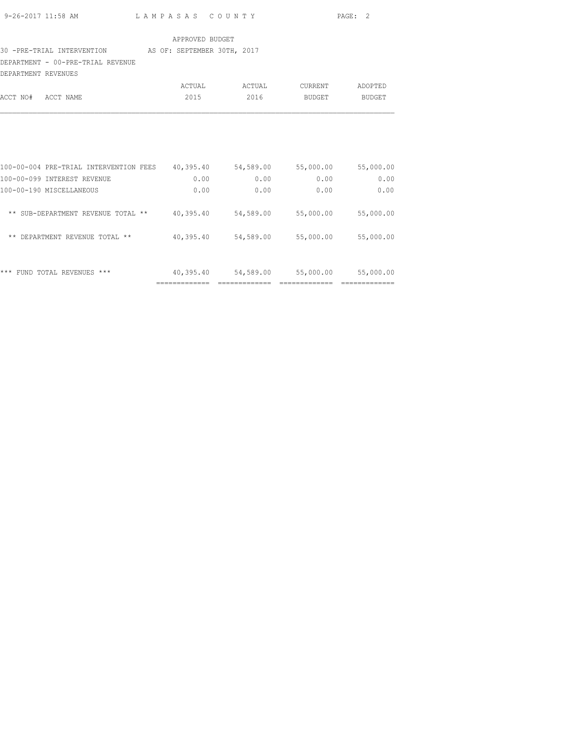| 9-26-2017 11:58 AM | LAMPASAS COUNTY | PAGE: 2 |  |
|--------------------|-----------------|---------|--|

## 30 -PRE-TRIAL INTERVENTION AS OF: SEPTEMBER 30TH, 2017

DEPARTMENT - 00-PRE-TRIAL REVENUE

| DEPARTMENT REVENUES |        |        |         |         |
|---------------------|--------|--------|---------|---------|
|                     | ACTUAL | ACTUAL | CURRENT | ADOPTED |
| ACCT NO# ACCT NAME  | 2015   | 2016   | BUDGET  | BUDGET  |
|                     |        |        |         |         |

| ***<br>$***$<br>REVENUES<br>FUND TOTAL                      | 40,395.40 | 54,589.00 | 55,000.00 | 55,000.00 |
|-------------------------------------------------------------|-----------|-----------|-----------|-----------|
| $***$<br><b>DEPARTMENT</b><br>REVENUE TOTAL<br>$***$        | 40,395.40 | 54,589.00 | 55,000.00 | 55,000.00 |
| $***$<br>SUB-DEPARTMENT<br>$\star\star$<br>REVENUE<br>TOTAL | 40,395.40 | 54,589.00 | 55,000.00 | 55,000.00 |
| 100-00-190 MISCELLANEOUS                                    | 0.00      | 0.00      | 0.00      | 0.00      |
| 100-00-099 INTEREST REVENUE                                 | 0.00      | 0.00      | 0.00      | 0.00      |
| 100-00-004 PRE-TRIAL INTERVENTION FEES                      | 40,395.40 | 54,589.00 | 55,000.00 | 55,000.00 |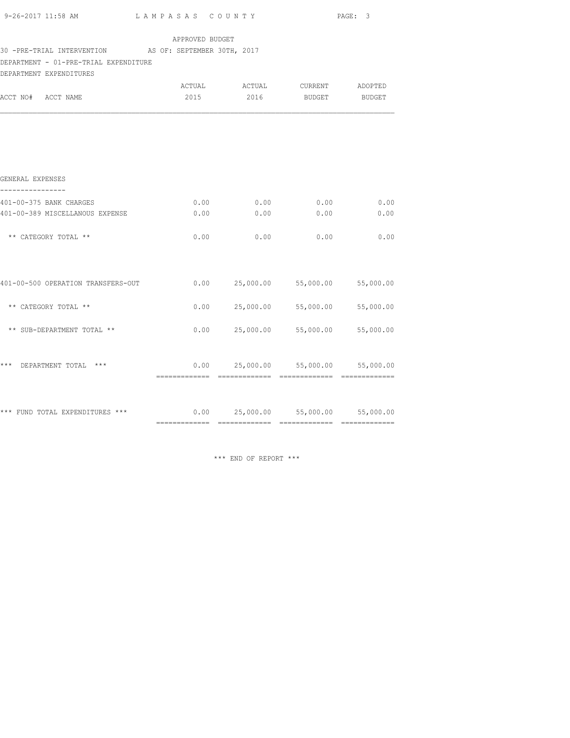| APPROVED BUDGET<br>30 -PRE-TRIAL INTERVENTION AS OF: SEPTEMBER 30TH, 2017                                    |      |
|--------------------------------------------------------------------------------------------------------------|------|
| DEPARTMENT - 01-PRE-TRIAL EXPENDITURE                                                                        |      |
| DEPARTMENT EXPENDITURES<br>ACTUAL ACTUAL CURRENT ADOPTED<br>2015<br>2016 BUDGET BUDGET<br>ACCT NO# ACCT NAME |      |
|                                                                                                              |      |
| GENERAL EXPENSES                                                                                             |      |
| 0.00<br>0.00<br>0.00<br>401-00-375 BANK CHARGES                                                              | 0.00 |
| 401-00-389 MISCELLANOUS EXPENSE<br>0.00<br>0.00<br>0.00                                                      | 0.00 |
| ** CATEGORY TOTAL **<br>0.00<br>0.00<br>0.00                                                                 | 0.00 |
| $0.00$ 25,000.00 55,000.00 55,000.00<br>401-00-500 OPERATION TRANSFERS-OUT                                   |      |
| $0.00$ 25,000.00 55,000.00 55,000.00<br>** CATEGORY TOTAL **                                                 |      |
| $0.00$ 25,000.00 55,000.00<br>** SUB-DEPARTMENT TOTAL **<br>55,000.00                                        |      |
| $0.00$ 25,000.00 55,000.00 55,000.00<br>*** DEPARTMENT TOTAL ***                                             |      |
|                                                                                                              |      |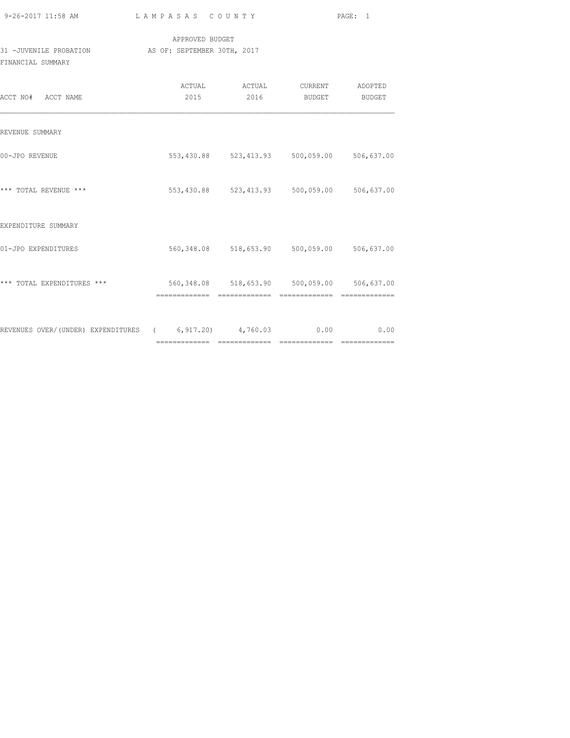| 9-26-2017 11:58 AM |  |
|--------------------|--|

|                        | APPROVED BUDGET             |
|------------------------|-----------------------------|
| 31 -JUVENILE PROBATION | AS OF: SEPTEMBER 30TH, 2017 |
| FINANCIAL SUMMARY      |                             |

| ACCT NO# ACCT NAME                                          | 2015 | ACTUAL ACTUAL<br>2016 | CURRENT<br>BUDGET                           | ADOPTED<br>BUDGET |
|-------------------------------------------------------------|------|-----------------------|---------------------------------------------|-------------------|
| REVENUE SUMMARY                                             |      |                       |                                             |                   |
| 00-JPO REVENUE                                              |      |                       | 553,430.88 523,413.93 500,059.00 506,637.00 |                   |
| *** TOTAL REVENUE ***                                       |      |                       | 553,430.88 523,413.93 500,059.00 506,637.00 |                   |
| EXPENDITURE SUMMARY                                         |      |                       |                                             |                   |
| 01-JPO EXPENDITURES                                         |      |                       | 560,348.08 518,653.90 500,059.00 506,637.00 |                   |
| *** TOTAL EXPENDITURES ***                                  |      |                       | 560,348.08 518,653.90 500,059.00 506,637.00 |                   |
| REVENUES OVER/(UNDER) EXPENDITURES (6,917.20) 4,760.03 0.00 |      |                       |                                             | 0.00              |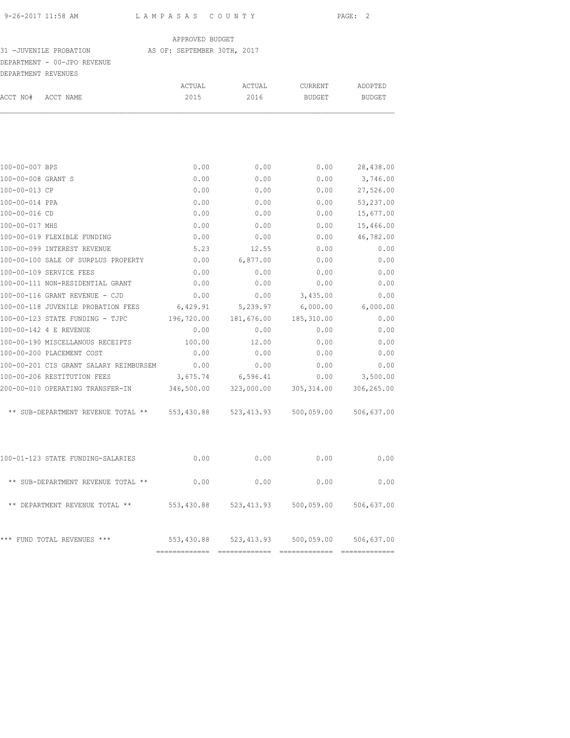#### 31 -JUVENILE PROBATION AS OF: SEPTEMBER 30TH, 2017

### DEPARTMENT - 00-JPO REVENUE

| DEPARTMENT REVENUES | DEPARTMENT - 00-JPO REVENUE                          |            |             |               |                       |
|---------------------|------------------------------------------------------|------------|-------------|---------------|-----------------------|
|                     |                                                      | ACTUAL     | ACTUAL      | CURRENT       | ADOPTED               |
| ACCT NO#            | ACCT NAME                                            | 2015       | 2016        | <b>BUDGET</b> | <b>BUDGET</b>         |
|                     |                                                      |            |             |               |                       |
| 100-00-007 BPS      |                                                      | 0.00       | 0.00        | 0.00          | 28,438.00             |
| 100-00-008 GRANT S  |                                                      | 0.00       | 0.00        | 0.00          | 3,746.00              |
| 100-00-013 CP       |                                                      | 0.00       | 0.00        | 0.00          | 27,526.00             |
| 100-00-014 PPA      |                                                      | 0.00       | 0.00        | 0.00          | 53,237.00             |
| 100-00-016 CD       |                                                      | 0.00       | 0.00        | 0.00          | 15,677.00             |
| 100-00-017 MHS      |                                                      | 0.00       | 0.00        | 0.00          | 15,466.00             |
|                     | 100-00-019 FLEXIBLE FUNDING                          | 0.00       | 0.00        | 0.00          | 46,782.00             |
|                     | 100-00-099 INTEREST REVENUE                          | 5.23       | 12.55       | 0.00          | 0.00                  |
|                     | 100-00-100 SALE OF SURPLUS PROPERTY                  | 0.00       | 6,877.00    | 0.00          | 0.00                  |
|                     | 100-00-109 SERVICE FEES                              | 0.00       | 0.00        | 0.00          | 0.00                  |
|                     | 100-00-111 NON-RESIDENTIAL GRANT                     | 0.00       | 0.00        | 0.00          | 0.00                  |
|                     | 100-00-116 GRANT REVENUE - CJD                       | 0.00       | 0.00        | 3,435.00      | 0.00                  |
|                     | 100-00-118 JUVENILE PROBATION FEES                   | 6,429.91   | 5,239.97    | 6,000.00      | 6,000.00              |
|                     | 100-00-123 STATE FUNDING - TJPC                      | 196,720.00 | 181,676.00  | 185,310.00    | 0.00                  |
|                     | 100-00-142 4 E REVENUE                               | 0.00       | 0.00        | 0.00          | 0.00                  |
|                     | 100-00-190 MISCELLANOUS RECEIPTS                     | 100.00     | 12.00       | 0.00          | 0.00                  |
|                     | 100-00-200 PLACEMENT COST                            | 0.00       | 0.00        | 0.00          | 0.00                  |
|                     | 100-00-201 CIS GRANT SALARY REIMBURSEM               | 0.00       | 0.00        | 0.00          | 0.00                  |
|                     | 100-00-206 RESTITUTION FEES                          | 3,675.74   | 6,596.41    | 0.00          | 3,500.00              |
|                     | 200-00-010 OPERATING TRANSFER-IN                     | 346,500.00 | 323,000.00  | 305, 314.00   | 306,265.00            |
|                     | ** SUB-DEPARTMENT REVENUE TOTAL **                   | 553,430.88 | 523, 413.93 | 500,059.00    | 506,637.00            |
|                     | 100-01-123 STATE FUNDING-SALARIES                    | 0.00       | 0.00        | 0.00          | 0.00                  |
|                     | ** SUB-DEPARTMENT REVENUE TOTAL **                   | 0.00       | 0.00        | 0.00          | 0.00                  |
|                     | ** DEPARTMENT REVENUE TOTAL ** 553,430.88 523,413.93 |            |             |               | 500,059.00 506,637.00 |
|                     | *** FUND TOTAL REVENUES ***                          | 553,430.88 | 523, 413.93 | 500,059.00    | 506,637.00            |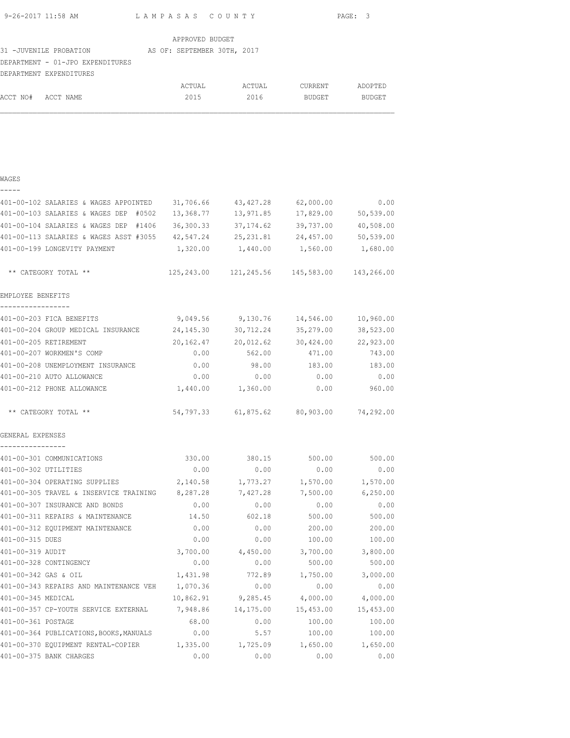| 9-26-2017 11:58 AM | LAMPASAS COUNTY | PAGE: 3 |
|--------------------|-----------------|---------|

|                                  | APPROVED BUDGET             |        |                |               |
|----------------------------------|-----------------------------|--------|----------------|---------------|
| 31 -JUVENILE PROBATION           | AS OF: SEPTEMBER 30TH, 2017 |        |                |               |
| DEPARTMENT - 01-JPO EXPENDITURES |                             |        |                |               |
| DEPARTMENT EXPENDITURES          |                             |        |                |               |
|                                  | ACTUAL                      | ACTUAL | <b>CURRENT</b> | ADOPTED       |
| ACCT NO#<br>ACCT NAME            | 2015                        | 2016   | <b>BUDGET</b>  | <b>BUDGET</b> |

|  | ۰. | ۰. |  |
|--|----|----|--|
|  |    |    |  |
|  |    |    |  |

| 401-00-102 SALARIES & WAGES APPOINTED                                  | 31,706.66 | 43, 427.28                                  | 62,000.00 | 0.00      |
|------------------------------------------------------------------------|-----------|---------------------------------------------|-----------|-----------|
| 401-00-103 SALARIES & WAGES DEP #0502                                  | 13,368.77 | 13,971.85                                   | 17,829.00 | 50,539.00 |
| 401-00-104 SALARIES & WAGES DEP #1406                                  | 36,300.33 | 37,174.62                                   | 39,737.00 | 40,508.00 |
| 401-00-113 SALARIES & WAGES ASST #3055                                 | 42,547.24 | 25,231.81                                   | 24,457.00 | 50,539.00 |
| 401-00-199 LONGEVITY PAYMENT                                           | 1,320.00  | 1,440.00                                    | 1,560.00  | 1,680.00  |
| ** CATEGORY TOTAL **                                                   |           | 125,243.00 121,245.56 145,583.00 143,266.00 |           |           |
| EMPLOYEE BENEFITS                                                      |           |                                             |           |           |
| -----------------<br>401-00-203 FICA BENEFITS                          | 9,049.56  | 9,130.76                                    | 14,546.00 | 10,960.00 |
| 401-00-204 GROUP MEDICAL INSURANCE                                     | 24,145.30 | 30,712.24                                   | 35,279.00 | 38,523.00 |
| 401-00-205 RETIREMENT                                                  | 20,162.47 | 20,012.62                                   | 30,424.00 | 22,923.00 |
| 401-00-207 WORKMEN'S COMP                                              | 0.00      | 562.00                                      | 471.00    | 743.00    |
| 401-00-208 UNEMPLOYMENT INSURANCE                                      | 0.00      | 98.00                                       | 183.00    | 183.00    |
| 401-00-210 AUTO ALLOWANCE                                              | 0.00      | 0.00                                        | 0.00      | 0.00      |
| 401-00-212 PHONE ALLOWANCE                                             |           | 1,440.00 1,360.00                           | 0.00      | 960.00    |
| ** CATEGORY TOTAL **                                                   |           | 54,797.33 61,875.62 80,903.00 74,292.00     |           |           |
| GENERAL EXPENSES<br>----------------                                   |           |                                             |           |           |
| 401-00-301 COMMUNICATIONS                                              | 330.00    | 380.15                                      | 500.00    | 500.00    |
| 401-00-302 UTILITIES                                                   | 0.00      | 0.00                                        | 0.00      | 0.00      |
| 401-00-304 OPERATING SUPPLIES                                          |           | 2,140.58 1,773.27 1,570.00                  |           | 1,570.00  |
| 401-00-305 TRAVEL & INSERVICE TRAINING 8,287.28                        |           | 7,427.28                                    | 7,500.00  | 6,250.00  |
| 401-00-307 INSURANCE AND BONDS                                         | 0.00      | 0.00                                        | 0.00      | 0.00      |
| 401-00-311 REPAIRS & MAINTENANCE                                       | 14.50     | 602.18                                      | 500.00    | 500.00    |
| 401-00-312 EQUIPMENT MAINTENANCE                                       | 0.00      | 0.00                                        | 200.00    | 200.00    |
| 401-00-315 DUES                                                        | 0.00      | 0.00                                        | 100.00    | 100.00    |
| 401-00-319 AUDIT                                                       |           | 3,700.00 4,450.00                           | 3,700.00  | 3,800.00  |
| 401-00-328 CONTINGENCY                                                 | 0.00      | 0.00                                        | 500.00    | 500.00    |
| 401-00-342 GAS & OIL                                                   | 1,431.98  | 772.89                                      | 1,750.00  | 3,000.00  |
| 401-00-343 REPAIRS AND MAINTENANCE VEH                                 | 1,070.36  | 0.00                                        | 0.00      | 0.00      |
| 401-00-345 MEDICAL                                                     | 10,862.91 | 9,285.45                                    | 4,000.00  | 4,000.00  |
| 401-00-357 CP-YOUTH SERVICE EXTERNAL                                   | 7,948.86  | 14,175.00                                   | 15,453.00 | 15,453.00 |
| 401-00-361 POSTAGE                                                     | 68.00     | 0.00                                        | 100.00    | 100.00    |
| 401-00-364 PUBLICATIONS, BOOKS, MANUALS                                | 0.00      | 5.57                                        | 100.00    | 100.00    |
| 401-00-370 EQUIPMENT RENTAL-COPIER 1,335.00 1,725.09 1,650.00 1,650.00 |           |                                             |           |           |
| 401-00-375 BANK CHARGES                                                | 0.00      | 0.00                                        | 0.00      | 0.00      |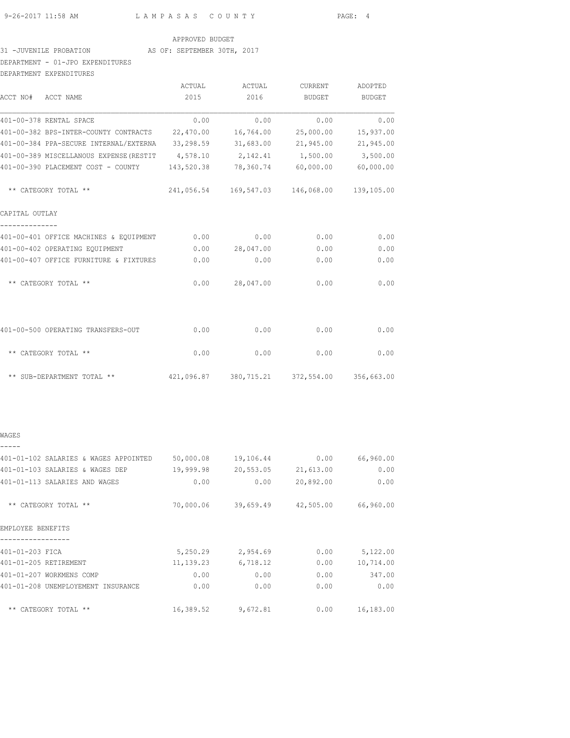#### 31 -JUVENILE PROBATION AS OF: SEPTEMBER 30TH, 2017

### DEPARTMENT - 01-JPO EXPENDITURES

| DEPARTMENT EXPENDITURES                         |            |                                             |           |            |
|-------------------------------------------------|------------|---------------------------------------------|-----------|------------|
|                                                 | ACTUAL     | ACTUAL                                      | CURRENT   | ADOPTED    |
| ACCT NO# ACCT NAME                              | 2015       | 2016                                        | BUDGET    | BUDGET     |
| 401-00-378 RENTAL SPACE                         | 0.00       | 0.00                                        | 0.00      | 0.00       |
| 401-00-382 BPS-INTER-COUNTY CONTRACTS 22,470.00 |            | 16,764.00                                   | 25,000.00 | 15,937.00  |
| 401-00-384 PPA-SECURE INTERNAL/EXTERNA          | 33,298.59  | 31,683.00                                   | 21,945.00 | 21,945.00  |
| 401-00-389 MISCELLANOUS EXPENSE (RESTIT         |            | 4,578.10 2,142.41 1,500.00                  |           | 3,500.00   |
| 401-00-390 PLACEMENT COST - COUNTY              | 143,520.38 | 78,360.74                                   | 60,000.00 | 60,000.00  |
| ** CATEGORY TOTAL **                            |            | 241,056.54 169,547.03 146,068.00 139,105.00 |           |            |
| CAPITAL OUTLAY                                  |            |                                             |           |            |
| 401-00-401 OFFICE MACHINES & EQUIPMENT          | 0.00       | 0.00                                        | 0.00      | 0.00       |
| 401-00-402 OPERATING EQUIPMENT                  | 0.00       | 28,047.00                                   | 0.00      | 0.00       |
| 401-00-407 OFFICE FURNITURE & FIXTURES          | 0.00       | 0.00                                        | 0.00      | 0.00       |
| ** CATEGORY TOTAL **                            | 0.00       | 28,047.00                                   | 0.00      | 0.00       |
| 401-00-500 OPERATING TRANSFERS-OUT              | 0.00       | 0.00                                        | 0.00      | 0.00       |
| ** CATEGORY TOTAL **                            | 0.00       | 0.00                                        | 0.00      | 0.00       |
| ** SUB-DEPARTMENT TOTAL **                      |            | 421,096.87 380,715.21 372,554.00            |           | 356,663.00 |

#### WAGES

| 50,000.08 | 19,106.44 | 0.00      | 66,960.00 |
|-----------|-----------|-----------|-----------|
| 19,999.98 | 20,553.05 | 21,613.00 | 0.00      |
| 0.00      | 0.00      | 20,892.00 | 0.00      |
| 70,000.06 | 39,659.49 | 42,505.00 | 66,960.00 |
|           |           |           |           |
| 5,250.29  | 2,954.69  | 0.00      | 5,122.00  |
| 11,139.23 | 6,718.12  | 0.00      | 10,714.00 |
| 0.00      | 0.00      | 0.00      | 347.00    |
| 0.00      | 0.00      | 0.00      | 0.00      |
| 16,389.52 | 9,672.81  | 0.00      | 16,183.00 |
|           |           |           |           |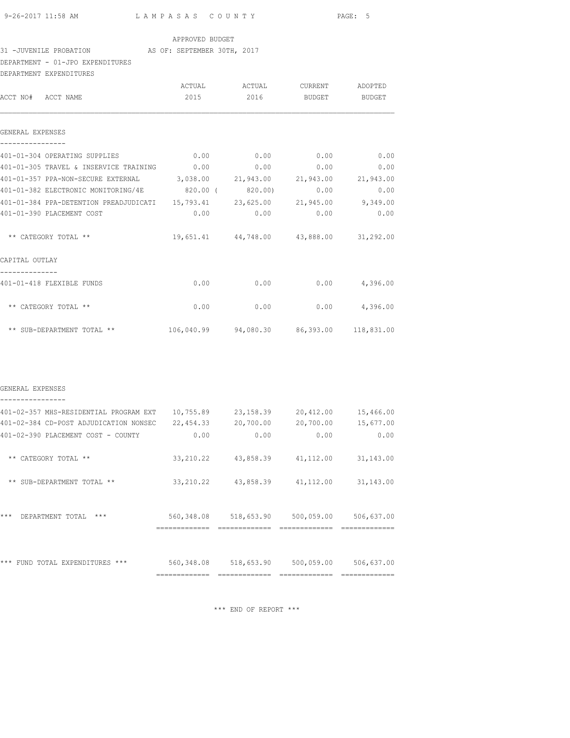#### 31 -JUVENILE PROBATION AS OF: SEPTEMBER 30TH, 2017

### DEPARTMENT - 01-JPO EXPENDITURES

| DEPARTMENT EXPENDITURES                                                   |      |                                         |               |                 |
|---------------------------------------------------------------------------|------|-----------------------------------------|---------------|-----------------|
|                                                                           |      | ACTUAL ACTUAL CURRENT ADOPTED           |               |                 |
| ACCT NO# ACCT NAME                                                        | 2015 | 2016                                    | <b>BUDGET</b> | BUDGET          |
| GENERAL EXPENSES                                                          |      |                                         |               |                 |
|                                                                           |      |                                         |               |                 |
| 401-01-304 OPERATING SUPPLIES                                             |      | $0.00$ 0.00 0.00                        |               | 0.00            |
| 401-01-305 TRAVEL & INSERVICE TRAINING 0.00                               |      | 0.00                                    | 0.00          | 0.00            |
| 401-01-357 PPA-NON-SECURE EXTERNAL 3,038.00 21,943.00 21,943.00 21,943.00 |      |                                         |               |                 |
| 401-01-382 ELECTRONIC MONITORING/4E 820.00 (820.00)                       |      |                                         | 0.00          | 0.00            |
| 401-01-384 PPA-DETENTION PREADJUDICATI 15,793.41 23,625.00 21,945.00      |      |                                         |               | 9,349.00        |
| 401-01-390 PLACEMENT COST                                                 | 0.00 |                                         | $0.00$ 0.00   | 0.00            |
| ** CATEGORY TOTAL **                                                      |      | 19,651.41 44,748.00 43,888.00 31,292.00 |               |                 |
| CAPITAL OUTLAY                                                            |      |                                         |               |                 |
| 401-01-418 FLEXIBLE FUNDS                                                 | 0.00 | 0.00                                    |               | $0.00$ 4,396.00 |
| ** CATEGORY TOTAL **                                                      | 0.00 | 0.00                                    |               | $0.00$ 4,396.00 |
|                                                                           |      |                                         |               |                 |

| GENERAL EXPENSES |
|------------------|
|                  |

| 401-02-357 MHS-RESIDENTIAL PROGRAM EXT            | 10,755.89  | 23, 158.39 | 20,412.00   | 15,466.00  |
|---------------------------------------------------|------------|------------|-------------|------------|
| 401-02-384 CD-POST ADJUDICATION NONSEC            | 22, 454.33 | 20,700.00  | 20,700.00   | 15,677.00  |
| 401-02-390 PLACEMENT COST - COUNTY                | 0.00       | 0.00       | 0.00        | 0.00       |
|                                                   |            |            |             |            |
| $***$<br>CATEGORY TOTAL **                        | 33, 210.22 | 43,858.39  | 41, 112, 00 | 31, 143.00 |
|                                                   |            |            |             |            |
| $\star\star$<br>SUB-DEPARTMENT TOTAL **           | 33, 210.22 | 43,858.39  | 41, 112, 00 | 31, 143.00 |
|                                                   |            |            |             |            |
|                                                   |            |            |             |            |
| $***$<br>$***$<br>DEPARTMENT TOTAL                | 560,348.08 | 518,653.90 | 500,059.00  | 506,637.00 |
|                                                   |            |            |             |            |
|                                                   |            |            |             |            |
|                                                   |            |            |             |            |
| ***<br>$***$<br>TOTAL EXPENDITURES<br><b>FUND</b> | 560,348.08 | 518,653.90 | 500,059.00  | 506,637.00 |
|                                                   |            |            |             |            |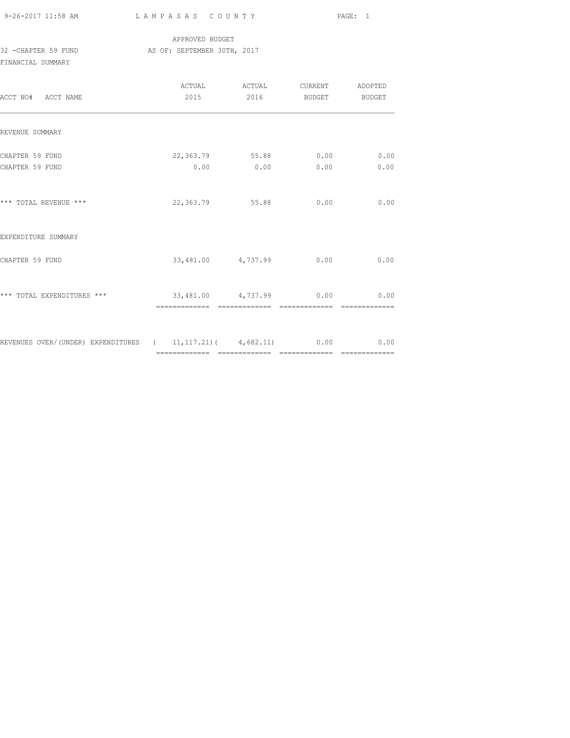9-26-2017 11:58 AM L A M P A S A S C O U N T Y PAGE: 1

### APPROVED BUDGET 32 -CHAPTER 59 FUND AS OF: SEPTEMBER 30TH, 2017 FINANCIAL SUMMARY

| ACCT NO# ACCT NAME                                                   | ACTUAL<br>2015 | ACTUAL<br>2016                      | CURRENT ADOPTED<br><b>BUDGET</b> | <b>BUDGET</b>          |
|----------------------------------------------------------------------|----------------|-------------------------------------|----------------------------------|------------------------|
| REVENUE SUMMARY                                                      |                |                                     |                                  |                        |
| CHAPTER 59 FUND<br>CHAPTER 59 FUND                                   |                | 22,363.79 55.88 0.00<br>$0.00$ 0.00 | 0.00                             | 0.00<br>0.00           |
| *** TOTAL REVENUE ***                                                |                | 22,363.79 55.88                     | 0.00                             | 0.00                   |
| EXPENDITURE SUMMARY                                                  |                |                                     |                                  |                        |
| CHAPTER 59 FUND                                                      |                | 33,481.00 4,737.99                  | 0.00                             | 0.00                   |
| *** TOTAL EXPENDITURES ***                                           |                | 33,481.00 4,737.99 0.00             |                                  | 0.00<br>-------------- |
| REVENUES OVER/(UNDER) EXPENDITURES ( 11,117.21)( 4,682.11) 0.00 0.00 |                |                                     |                                  |                        |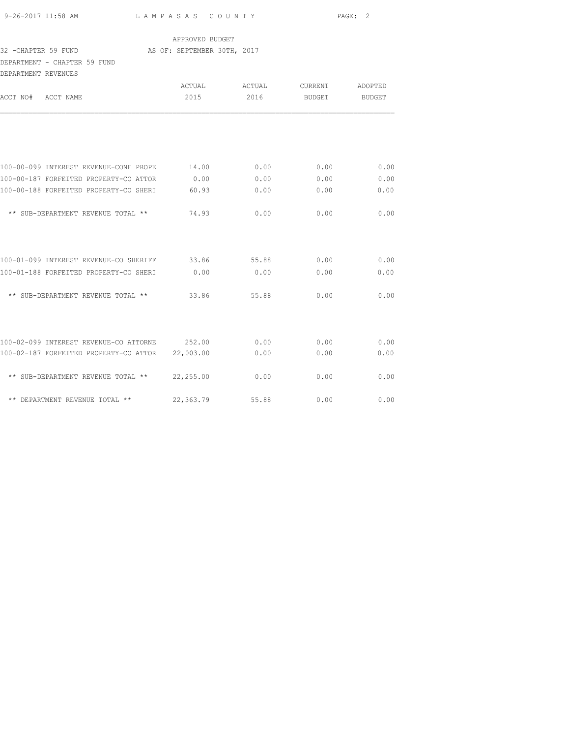| 9-26-2017 11:58 AM |  |
|--------------------|--|

### APPROVED BUDGET

#### 32 -CHAPTER 59 FUND AS OF: SEPTEMBER 30TH, 2017

### DEPARTMENT - CHAPTER 59 FUND

| DEPARTMENT REVENUES                    |           |        |                |               |
|----------------------------------------|-----------|--------|----------------|---------------|
|                                        | ACTUAL    | ACTUAL | <b>CURRENT</b> | ADOPTED       |
| ACCT NO#<br>ACCT NAME                  | 2015      | 2016   | <b>BUDGET</b>  | <b>BUDGET</b> |
|                                        |           |        |                |               |
| 100-00-099 INTEREST REVENUE-CONF PROPE | 14.00     | 0.00   | 0.00           | 0.00          |
| 100-00-187 FORFEITED PROPERTY-CO ATTOR | 0.00      | 0.00   | 0.00           | 0.00          |
| 100-00-188 FORFEITED PROPERTY-CO SHERI | 60.93     | 0.00   | 0.00           | 0.00          |
| ** SUB-DEPARTMENT REVENUE TOTAL **     | 74.93     | 0.00   | 0.00           | 0.00          |
| 100-01-099 INTEREST REVENUE-CO SHERIFF | 33.86     | 55.88  | 0.00           | 0.00          |
| 100-01-188 FORFEITED PROPERTY-CO SHERI | 0.00      | 0.00   | 0.00           | 0.00          |
| ** SUB-DEPARTMENT REVENUE TOTAL **     | 33.86     | 55.88  | 0.00           | 0.00          |
| 100-02-099 INTEREST REVENUE-CO ATTORNE | 252.00    | 0.00   | 0.00           | 0.00          |
| 100-02-187 FORFEITED PROPERTY-CO ATTOR | 22,003.00 | 0.00   | 0.00           | 0.00          |
| ** SUB-DEPARTMENT REVENUE TOTAL **     | 22,255.00 | 0.00   | 0.00           | 0.00          |
| ** DEPARTMENT REVENUE TOTAL **         | 22,363.79 | 55.88  | 0.00           | 0.00          |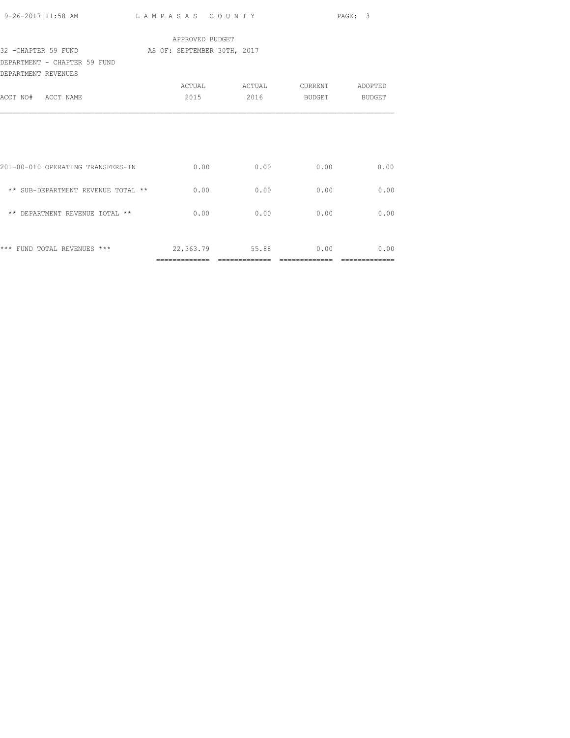| 9-26-2017 11:58 AM LAMPASAS COUNTY               |                 | PAGE: 3                       |            |      |
|--------------------------------------------------|-----------------|-------------------------------|------------|------|
|                                                  | APPROVED BUDGET |                               |            |      |
| 32 - CHAPTER 59 FUND AS OF: SEPTEMBER 30TH, 2017 |                 |                               |            |      |
| DEPARTMENT - CHAPTER 59 FUND                     |                 |                               |            |      |
| DEPARTMENT REVENUES                              |                 |                               |            |      |
|                                                  |                 | ACTUAL ACTUAL CURRENT ADOPTED |            |      |
| ACCT NO# ACCT NAME                               |                 | 2015 2016 BUDGET BUDGET       |            |      |
|                                                  |                 |                               |            |      |
| 201-00-010 OPERATING TRANSFERS-IN                |                 | $0.00$ 0.00                   | 0.00       | 0.00 |
| ** SUB-DEPARTMENT REVENUE TOTAL **               | 0.00            | 0.00                          | 0.00       | 0.00 |
| ** DEPARTMENT REVENUE TOTAL **                   | 0.00            | 0.00                          | 0.00       | 0.00 |
| *** FUND TOTAL REVENUES ***                      | 22,363.79       |                               | 55.88 0.00 | 0.00 |
|                                                  |                 |                               |            |      |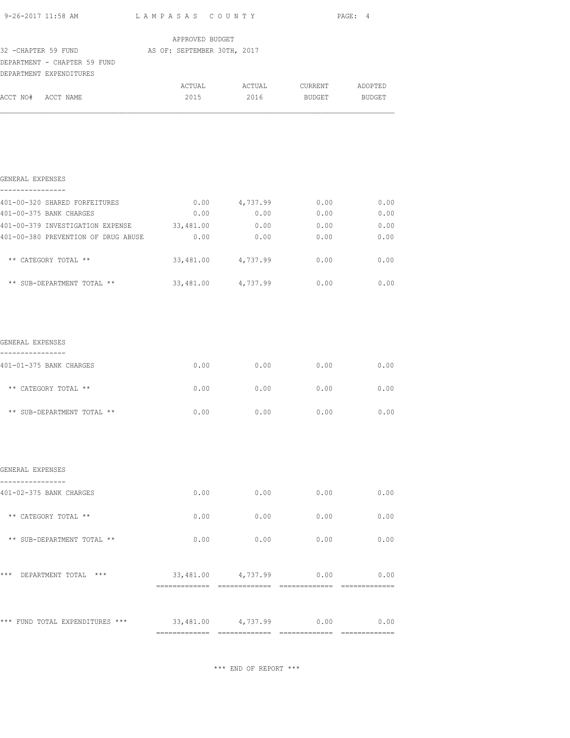|                                                                                                             |                                  |                               | PAGE: 4            |      |
|-------------------------------------------------------------------------------------------------------------|----------------------------------|-------------------------------|--------------------|------|
| 32 - CHAPTER 59 FUND AS OF: SEPTEMBER 30TH, 2017<br>DEPARTMENT - CHAPTER 59 FUND<br>DEPARTMENT EXPENDITURES | APPROVED BUDGET                  |                               |                    |      |
| ACCT NO# ACCT NAME                                                                                          | 2015                             | ACTUAL ACTUAL CURRENT ADOPTED | 2016 BUDGET BUDGET |      |
|                                                                                                             |                                  |                               |                    |      |
|                                                                                                             |                                  |                               |                    |      |
|                                                                                                             |                                  |                               |                    |      |
| GENERAL EXPENSES<br>----------------                                                                        |                                  |                               |                    |      |
| 401-00-320 SHARED FORFEITURES                                                                               |                                  | $0.00$ $4,737.99$             | 0.00               | 0.00 |
| 401-00-375 BANK CHARGES                                                                                     | 0.00                             | 0.00                          | 0.00               | 0.00 |
| 401-00-379 INVESTIGATION EXPENSE 33,481.00                                                                  |                                  | 0.00                          | 0.00               | 0.00 |
| 401-00-380 PREVENTION OF DRUG ABUSE                                                                         | 0.00                             | 0.00                          | 0.00               | 0.00 |
| ** CATEGORY TOTAL **                                                                                        |                                  | 33,481.00 4,737.99 0.00       |                    | 0.00 |
| ** SUB-DEPARTMENT TOTAL **                                                                                  | 33,481.00 4,737.99 0.00          |                               |                    | 0.00 |
|                                                                                                             |                                  |                               |                    |      |
| GENERAL EXPENSES                                                                                            |                                  |                               |                    |      |
| ----------------<br>401-01-375 BANK CHARGES                                                                 | 0.00                             | 0.00                          | 0.00               | 0.00 |
| ** CATEGORY TOTAL **                                                                                        | 0.00                             | 0.00                          | 0.00               | 0.00 |
|                                                                                                             |                                  |                               |                    |      |
| ** SUB-DEPARTMENT TOTAL **                                                                                  | 0.00                             | 0.00                          | 0.00               | 0.00 |
|                                                                                                             |                                  |                               |                    |      |
| GENERAL EXPENSES                                                                                            |                                  |                               |                    |      |
| ----------------<br>401-02-375 BANK CHARGES                                                                 | 0.00                             | 0.00                          | 0.00               | 0.00 |
| ** CATEGORY TOTAL **                                                                                        | 0.00                             | 0.00                          | 0.00               | 0.00 |
| ** SUB-DEPARTMENT TOTAL **                                                                                  | 0.00                             | 0.00                          | 0.00               | 0.00 |
|                                                                                                             |                                  |                               |                    |      |
| *** DEPARTMENT TOTAL ***                                                                                    | $33,481.00$ $4,737.99$ 0.00 0.00 |                               |                    |      |
|                                                                                                             |                                  |                               |                    |      |
| *** FUND TOTAL EXPENDITURES *** $33,481.00$ $4,737.99$ 0.00                                                 |                                  |                               |                    | 0.00 |
|                                                                                                             |                                  |                               |                    |      |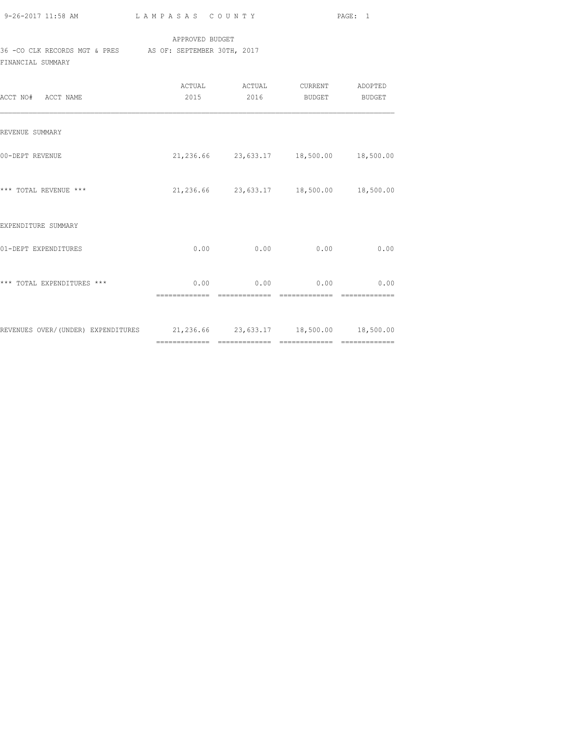| 9-26-2017 11:58 AM |  |
|--------------------|--|
|                    |  |

### APPROVED BUDGET

# 36 -CO CLK RECORDS MGT & PRES AS OF: SEPTEMBER 30TH, 2017

FINANCIAL SUMMARY

| ACCT NO# ACCT NAME                                                         | 2015 | 2016        | BUDGET                                      | BUDGET |
|----------------------------------------------------------------------------|------|-------------|---------------------------------------------|--------|
| REVENUE SUMMARY                                                            |      |             |                                             |        |
| 00-DEPT REVENUE                                                            |      |             | 21, 236.66 23, 633.17 18, 500.00 18, 500.00 |        |
| *** TOTAL REVENUE ***                                                      |      |             | 21,236.66 23,633.17 18,500.00 18,500.00     |        |
| EXPENDITURE SUMMARY                                                        |      |             |                                             |        |
| 01-DEPT EXPENDITURES                                                       | 0.00 | 0.00        | 0.00                                        | 0.00   |
| *** TOTAL EXPENDITURES ***                                                 |      | $0.00$ 0.00 | 0.00                                        | 0.00   |
| REVENUES OVER/(UNDER) EXPENDITURES 21,236.66 23,633.17 18,500.00 18,500.00 |      |             |                                             |        |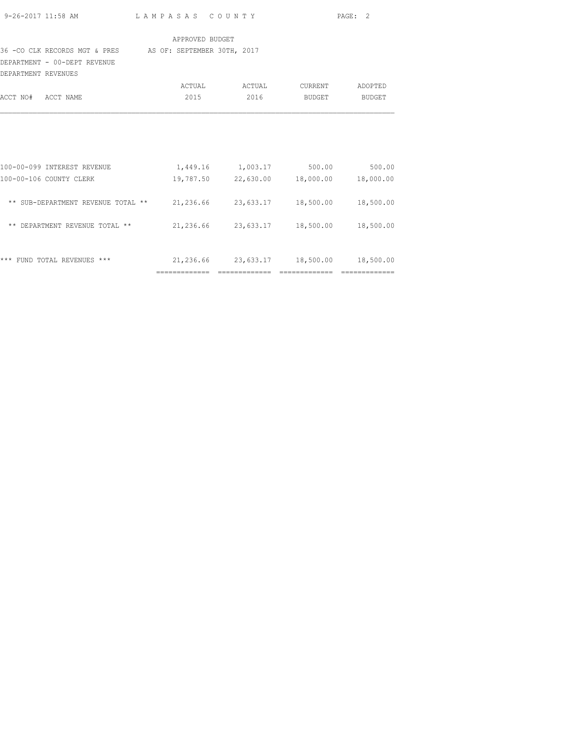|                     | 9-26-2017 11:58 AM                                                             | LAMPASAS COUNTY                                 |                                                 |        | PAGE: 2       |
|---------------------|--------------------------------------------------------------------------------|-------------------------------------------------|-------------------------------------------------|--------|---------------|
|                     |                                                                                | APPROVED BUDGET                                 |                                                 |        |               |
|                     | 36 - CO CLK RECORDS MGT & PRES AS OF: SEPTEMBER 30TH, 2017                     |                                                 |                                                 |        |               |
|                     | DEPARTMENT - 00-DEPT REVENUE                                                   |                                                 |                                                 |        |               |
| DEPARTMENT REVENUES |                                                                                |                                                 |                                                 |        |               |
|                     |                                                                                |                                                 | ACTUAL ACTUAL CURRENT                           |        | ADOPTED       |
| ACCT NO# ACCT NAME  |                                                                                |                                                 | 2015 2016                                       | BUDGET | <b>BUDGET</b> |
|                     | 100-00-099 INTEREST REVENUE                                                    | $1,449.16$ $1,003.17$ $500.00$ $500.00$         |                                                 |        |               |
|                     | 100-00-106 COUNTY CLERK                                                        |                                                 | $19,787.50$ $22,630.00$ $18,000.00$ $18,000.00$ |        |               |
|                     | ** SUB-DEPARTMENT REVENUE TOTAL ** 21,236.66 23,633.17 18,500.00 18,500.00     |                                                 |                                                 |        |               |
|                     | ** DEPARTMENT REVENUE TOTAL ** $21,236.66$ $23,633.17$ $18,500.00$ $18,500.00$ |                                                 |                                                 |        |               |
|                     | *** FUND TOTAL REVENUES ***                                                    | $21,236.66$ $23,633.17$ $18,500.00$ $18,500.00$ |                                                 |        |               |

============= ============= ============= =============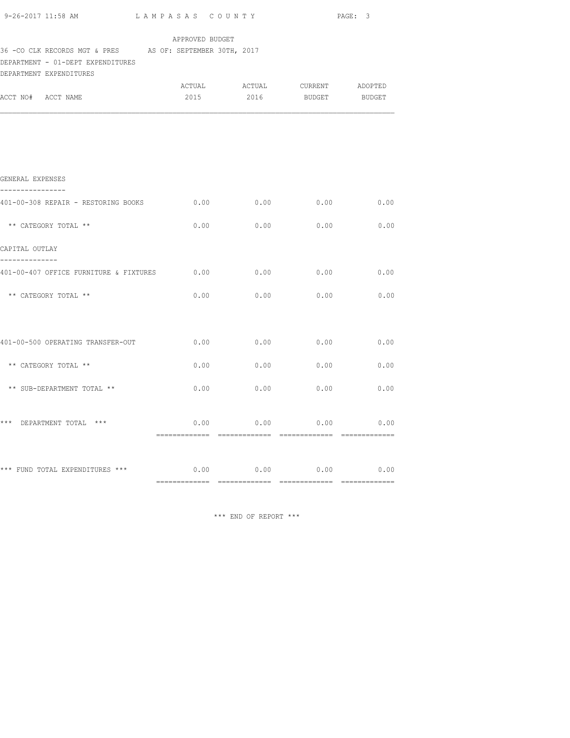|                                                                                                                                               |      |                  | PAGE: 3                                                  |      |  |  |  |
|-----------------------------------------------------------------------------------------------------------------------------------------------|------|------------------|----------------------------------------------------------|------|--|--|--|
| APPROVED BUDGET<br>36 - CO CLK RECORDS MGT & PRES AS OF: SEPTEMBER 30TH, 2017<br>DEPARTMENT - 01-DEPT EXPENDITURES<br>DEPARTMENT EXPENDITURES |      |                  |                                                          |      |  |  |  |
| ACCT NO# ACCT NAME                                                                                                                            |      |                  | ACTUAL ACTUAL CURRENT ADOPTED<br>2015 2016 BUDGET BUDGET |      |  |  |  |
|                                                                                                                                               |      |                  |                                                          |      |  |  |  |
| GENERAL EXPENSES                                                                                                                              |      |                  |                                                          |      |  |  |  |
| ----------------<br>401-00-308 REPAIR - RESTORING BOOKS                                                                                       | 0.00 | 0.00             | 0.00                                                     | 0.00 |  |  |  |
| ** CATEGORY TOTAL **                                                                                                                          |      |                  | $0.00$ 0.00 0.00 0.00                                    |      |  |  |  |
| CAPITAL OUTLAY                                                                                                                                |      |                  |                                                          |      |  |  |  |
| --------------<br>401-00-407 OFFICE FURNITURE & FIXTURES 0.00                                                                                 |      | 0.00             | 0.00                                                     | 0.00 |  |  |  |
| ** CATEGORY TOTAL **                                                                                                                          | 0.00 |                  | $0.00$ $0.00$ $0.00$ $0.00$                              |      |  |  |  |
|                                                                                                                                               |      |                  |                                                          |      |  |  |  |
| 401-00-500 OPERATING TRANSFER-OUT 6.00 0.00 0.00 0.00 0.00                                                                                    |      |                  |                                                          | 0.00 |  |  |  |
| ** CATEGORY TOTAL **                                                                                                                          | 0.00 | 0.00             | 0.00                                                     | 0.00 |  |  |  |
| ** SUB-DEPARTMENT TOTAL **                                                                                                                    | 0.00 | 0.00             | 0.00                                                     | 0.00 |  |  |  |
| *** DEPARTMENT TOTAL ***                                                                                                                      |      | $0.00$ 0.00 0.00 |                                                          | 0.00 |  |  |  |
| *** FUND TOTAL EXPENDITURES *** $0.00$ $0.00$ $0.00$ $0.00$ $0.00$ $0.00$                                                                     |      |                  |                                                          |      |  |  |  |
|                                                                                                                                               |      |                  |                                                          |      |  |  |  |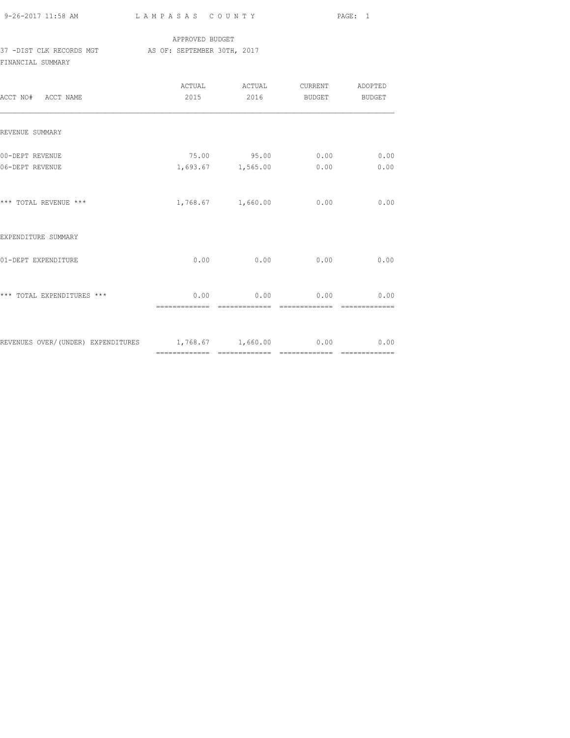9-26-2017 11:58 AM L A M P A S A S C O U N T Y PAGE: 1

## APPROVED BUDGET 37 -DIST CLK RECORDS MGT AS OF: SEPTEMBER 30TH, 2017 FINANCIAL SUMMARY

| ACCT NO# ACCT NAME                                        | ACTUAL<br>2015         | ACTUAL<br>2016                   | <b>CURRENT</b><br>BUDGET | ADOPTED<br><b>BUDGET</b> |
|-----------------------------------------------------------|------------------------|----------------------------------|--------------------------|--------------------------|
| REVENUE SUMMARY                                           |                        |                                  |                          |                          |
| 00-DEPT REVENUE<br>06-DEPT REVENUE                        |                        | 75.00 95.00<br>1,693.67 1,565.00 | 0.00<br>0.00             | 0.00<br>0.00             |
| *** TOTAL REVENUE ***                                     |                        | 1,768.67 1,660.00                | 0.00                     | 0.00                     |
| EXPENDITURE SUMMARY                                       |                        |                                  |                          |                          |
| 01-DEPT EXPENDITURE                                       | 0.00                   | 0.00                             | 0.00                     | 0.00                     |
| *** TOTAL EXPENDITURES ***                                | 0.00<br>-------------- | 0.00<br>--------------           | 0.00<br>-------------    | 0.00                     |
| REVENUES OVER/(UNDER) EXPENDITURES 1,768.67 1,660.00 0.00 |                        |                                  |                          | 0.00                     |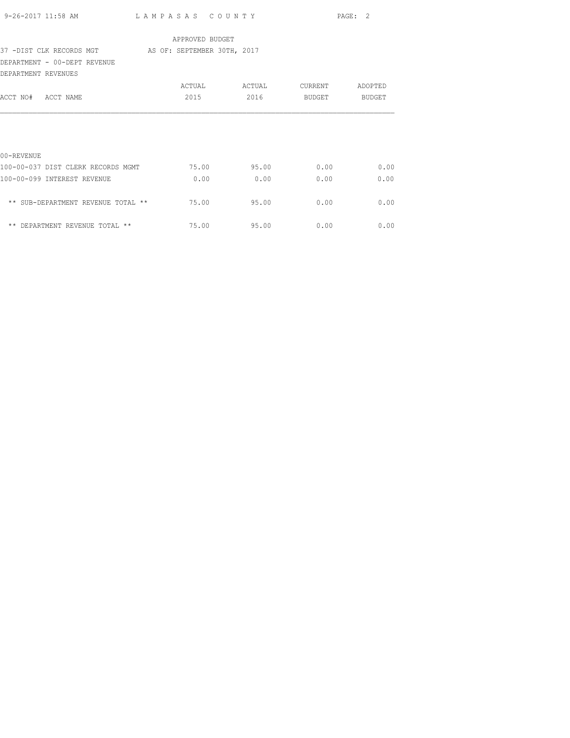| 9-26-2017 11:58 AM                                   | LAMPASAS COUNTY |        | PAGE: 2 |               |
|------------------------------------------------------|-----------------|--------|---------|---------------|
|                                                      | APPROVED BUDGET |        |         |               |
| 37 -DIST CLK RECORDS MGT AS OF: SEPTEMBER 30TH, 2017 |                 |        |         |               |
| DEPARTMENT - 00-DEPT REVENUE                         |                 |        |         |               |
| DEPARTMENT REVENUES                                  |                 |        |         |               |
|                                                      | ACTUAL          | ACTUAL | CURRENT | ADOPTED       |
| ACCT NO# ACCT NAME                                   | 2015            | 2016   | BUDGET  | <b>BUDGET</b> |
|                                                      |                 |        |         |               |
|                                                      |                 |        |         |               |
|                                                      |                 |        |         |               |
| $00 -$ REVENUE                                       |                 |        |         |               |
| 100-00-037 DIST CLERK RECORDS MGMT                   | 75.00           | 95.00  | 0.00    | 0.00          |
| 100-00-099 INTEREST REVENUE                          | 0.00            | 0.00   | 0.00    | 0.00          |
|                                                      |                 |        |         |               |
| ** SUB-DEPARTMENT REVENUE TOTAL **                   | 75.00           | 95.00  | 0.00    | 0.00          |
|                                                      |                 |        |         |               |
| ** DEPARTMENT REVENUE TOTAL **                       | 75.00           | 95.00  | 0.00    | 0.00          |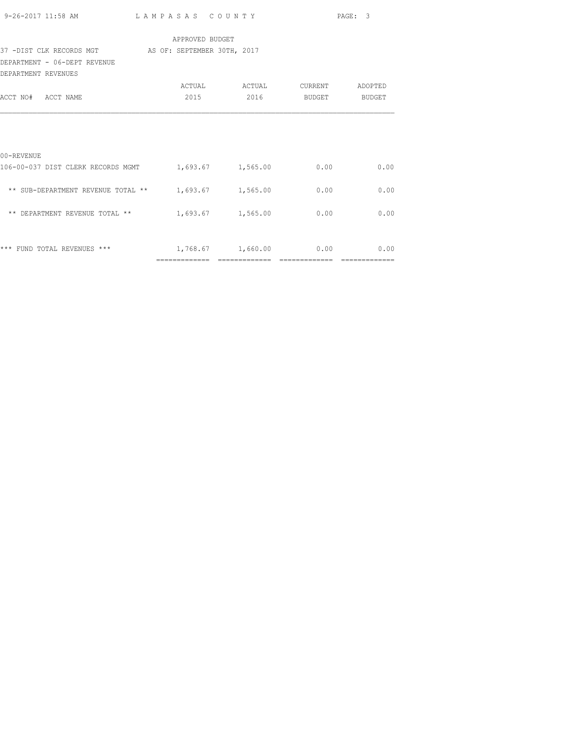|                                                                         |                 |                               |      | PAGE: 3 |
|-------------------------------------------------------------------------|-----------------|-------------------------------|------|---------|
|                                                                         | APPROVED BUDGET |                               |      |         |
| 37 -DIST CLK RECORDS MGT AS OF: SEPTEMBER 30TH, 2017                    |                 |                               |      |         |
| DEPARTMENT - 06-DEPT REVENUE                                            |                 |                               |      |         |
| DEPARTMENT REVENUES                                                     |                 |                               |      |         |
|                                                                         |                 | ACTUAL ACTUAL CURRENT ADOPTED |      |         |
| ACCT NO# ACCT NAME                                                      |                 | 2015 2016 BUDGET BUDGET       |      |         |
| 00-REVENUE<br>106-00-037 DIST CLERK RECORDS MGMT 1,693.67 1,565.00 0.00 |                 |                               |      | 0.00    |
| ** SUB-DEPARTMENT REVENUE TOTAL ** $1,693.67$ $1,565.00$                |                 |                               | 0.00 | 0.00    |
| ** DEPARTMENT REVENUE TOTAL ** $1,693.67$ 1,565.00                      |                 |                               | 0.00 | 0.00    |
| *** FUND TOTAL REVENUES ***                                             |                 | 1,768.67 1,660.00             | 0.00 | 0.00    |
|                                                                         |                 |                               |      |         |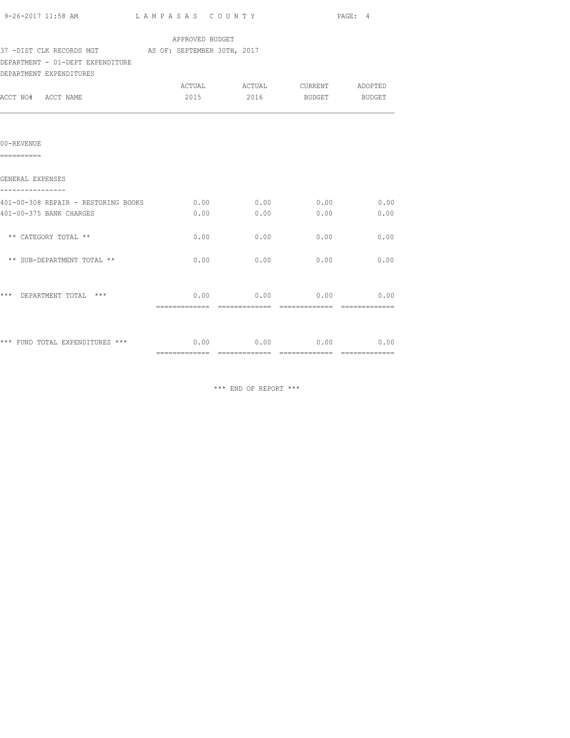| 9-26-2017 11:58 AM                                   | LAMPASAS COUNTY | PAGE: 4                                   |                  |      |
|------------------------------------------------------|-----------------|-------------------------------------------|------------------|------|
|                                                      | APPROVED BUDGET |                                           |                  |      |
| 37 -DIST CLK RECORDS MGT AS OF: SEPTEMBER 30TH, 2017 |                 |                                           |                  |      |
| DEPARTMENT - 01-DEPT EXPENDITURE                     |                 |                                           |                  |      |
| DEPARTMENT EXPENDITURES                              |                 |                                           |                  |      |
|                                                      |                 |                                           |                  |      |
| ACCT NO# ACCT NAME                                   |                 | 2015 2016                                 | BUDGET BUDGET    |      |
|                                                      |                 |                                           |                  |      |
| 00-REVENUE<br>==========                             |                 |                                           |                  |      |
| GENERAL EXPENSES                                     |                 |                                           |                  |      |
| 401-00-308 REPAIR - RESTORING BOOKS                  | 0.00            |                                           | $0.00$ $0.00$    | 0.00 |
| 401-00-375 BANK CHARGES                              | 0.00            | 0.00                                      | 0.00             | 0.00 |
| ** CATEGORY TOTAL **                                 | 0.00            | 0.00                                      | 0.00             | 0.00 |
| ** SUB-DEPARTMENT TOTAL **                           | 0.00            | 0.00                                      | 0.00             | 0.00 |
| *** DEPARTMENT TOTAL ***                             |                 | 0.00                                      | $0.00$ 0.00 0.00 |      |
|                                                      |                 |                                           |                  |      |
| *** FUND TOTAL EXPENDITURES ***                      |                 | $0.00$ $0.00$ $0.00$ $0.00$ $0.00$ $0.00$ |                  |      |
|                                                      |                 |                                           |                  |      |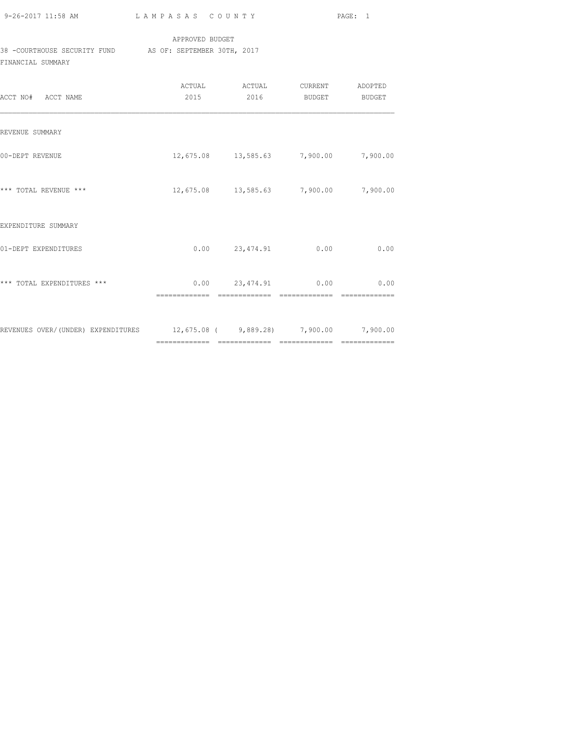| 9-26-2017 11:58 AM |  |
|--------------------|--|

L A M P A S A S C O U N T Y PAGE: 1

## APPROVED BUDGET

38 -COURTHOUSE SECURITY FUND AS OF: SEPTEMBER 30TH, 2017

FINANCIAL SUMMARY

| ACCT NO# ACCT NAME                                                        | 2015 | 2016                                  | BUDGET                 | BUDGET   |
|---------------------------------------------------------------------------|------|---------------------------------------|------------------------|----------|
| REVENUE SUMMARY                                                           |      |                                       |                        |          |
| 00-DEPT REVENUE                                                           |      | 12,675.08 13,585.63 7,900.00 7,900.00 |                        |          |
| *** TOTAL REVENUE ***                                                     |      | 12,675.08 13,585.63 7,900.00          |                        | 7,900.00 |
| EXPENDITURE SUMMARY                                                       |      |                                       |                        |          |
| 01-DEPT EXPENDITURES                                                      |      | $0.00$ 23,474.91                      | 0.00                   | 0.00     |
| *** TOTAL EXPENDITURES ***                                                |      | $0.00$ 23,474.91                      | 0.00<br>-------------- | 0.00     |
| REVENUES OVER/(UNDER) EXPENDITURES 12,675.08 (9,889.28) 7,900.00 7,900.00 |      |                                       |                        |          |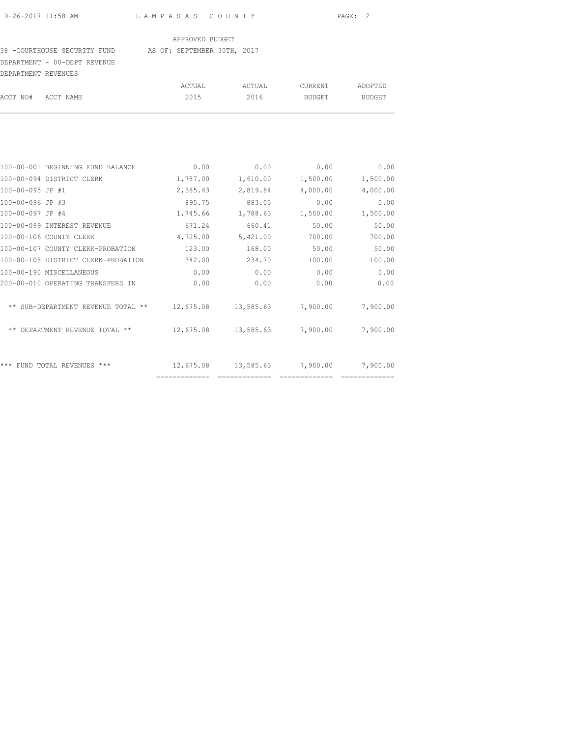#### 38 -COURTHOUSE SECURITY FUND AS OF: SEPTEMBER 30TH, 2017

DEPARTMENT - 00-DEPT REVENUE

| DEPARTMENT REVENUES    |                                   |          |          |               |          |
|------------------------|-----------------------------------|----------|----------|---------------|----------|
|                        |                                   | ACTUAL   | ACTUAL   | CURRENT       | ADOPTED  |
| ACCT NO#               | ACCT NAME                         | 2015     | 2016     | <b>BUDGET</b> | BUDGET   |
|                        |                                   |          |          |               |          |
|                        | 100-00-001 BEGINNING FUND BALANCE | 0.00     | 0.00     | 0.00          | 0.00     |
|                        | 100-00-094 DISTRICT CLERK         | 1,787.00 | 1,610.00 | 1,500.00      | 1,500.00 |
| 100-00-095 JP #1       |                                   | 2,385.43 | 2,819.84 | 4,000.00      | 4,000.00 |
| 100-00-096 JP #3       |                                   | 895.75   | 883.05   | 0.00          | 0.00     |
| $100 - 00 - 097$ JP #4 |                                   | 1,745.66 | 1,788.63 | 1,500.00      | 1,500.00 |

| 100-00-096 JP #3                       | 895.75    | 883.05    | 0.00     | 0.00     |
|----------------------------------------|-----------|-----------|----------|----------|
| 100-00-097 JP #4                       | 1,745.66  | 1,788.63  | 1,500.00 | 1,500.00 |
| 100-00-099 INTEREST REVENUE            | 671.24    | 660.41    | 50.00    | 50.00    |
| 100-00-106 COUNTY CLERK                | 4,725.00  | 5,421.00  | 700.00   | 700.00   |
| 100-00-107 COUNTY CLERK-PROBATION      | 123.00    | 168.00    | 50.00    | 50.00    |
| 100-00-108 DISTRICT CLERK-PROBATION    | 342.00    | 234.70    | 100.00   | 100.00   |
| 100-00-190 MISCELLANEOUS               | 0.00      | 0.00      | 0.00     | 0.00     |
| 200-00-010 OPERATING TRANSFERS IN      | 0.00      | 0.00      | 0.00     | 0.00     |
| SUB-DEPARTMENT REVENUE TOTAL **        | 12,675.08 | 13,585.63 | 7,900.00 | 7,900.00 |
| DEPARTMENT REVENUE TOTAL **            | 12,675.08 | 13,585.63 | 7,900.00 | 7,900.00 |
| ***<br>$***$<br>TOTAL REVENUES<br>FUND | 12,675.08 | 13,585.63 | 7,900.00 | 7,900.00 |
|                                        |           |           |          |          |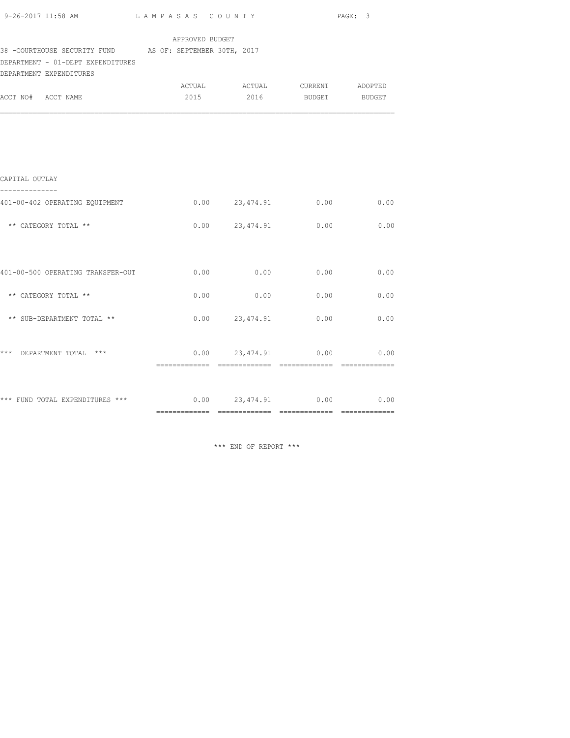| APPROVED BUDGET<br>38 - COURTHOUSE SECURITY FUND AS OF: SEPTEMBER 30TH, 2017<br>DEPARTMENT - 01-DEPT EXPENDITURES<br>DEPARTMENT EXPENDITURES<br>ACTUAL ACTUAL CURRENT ADOPTED<br>2016 BUDGET BUDGET<br>2015<br>--------------<br>$0.00$ 23,474.91 0.00 0.00<br>** CATEGORY TOTAL **<br>** CATEGORY TOTAL **<br>$0.00$ 0.00 0.00 0.00<br>** SUB-DEPARTMENT TOTAL **<br>$0.00$ 23,474.91 0.00 0.00<br>*** DEPARTMENT TOTAL *** | $9-26-2017$ 11:58 AM LAMPASAS COUNTY PAGE: 3 |  |  |
|------------------------------------------------------------------------------------------------------------------------------------------------------------------------------------------------------------------------------------------------------------------------------------------------------------------------------------------------------------------------------------------------------------------------------|----------------------------------------------|--|--|
| ACCT NO# ACCT NAME<br>CAPITAL OUTLAY<br>401-00-402 OPERATING EQUIPMENT<br>$0.00$ 23,474.91 0.00 0.00<br>$0.00$ 23,474.91 0.00 0.00<br>*** FUND TOTAL EXPENDITURES *** $0.00$ $23,474.91$ $0.00$ $0.00$ $0.00$                                                                                                                                                                                                                |                                              |  |  |
|                                                                                                                                                                                                                                                                                                                                                                                                                              |                                              |  |  |
|                                                                                                                                                                                                                                                                                                                                                                                                                              |                                              |  |  |
|                                                                                                                                                                                                                                                                                                                                                                                                                              |                                              |  |  |
|                                                                                                                                                                                                                                                                                                                                                                                                                              |                                              |  |  |
|                                                                                                                                                                                                                                                                                                                                                                                                                              |                                              |  |  |
|                                                                                                                                                                                                                                                                                                                                                                                                                              |                                              |  |  |
|                                                                                                                                                                                                                                                                                                                                                                                                                              |                                              |  |  |
|                                                                                                                                                                                                                                                                                                                                                                                                                              |                                              |  |  |
|                                                                                                                                                                                                                                                                                                                                                                                                                              |                                              |  |  |
|                                                                                                                                                                                                                                                                                                                                                                                                                              |                                              |  |  |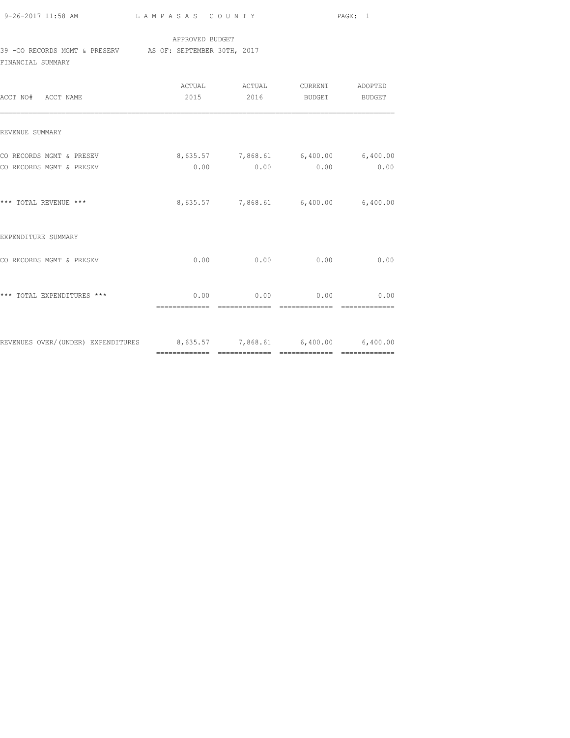9-26-2017 11:58 AM L A M P A S A S C O U N T Y PAGE: 1

#### APPROVED BUDGET

39 -CO RECORDS MGMT & PRESERV AS OF: SEPTEMBER 30TH, 2017

FINANCIAL SUMMARY

| ACCT NO# ACCT NAME                                                     |                                             |               | ACTUAL ACTUAL CURRENT ADOPTED<br>2015 2016 BUDGET BUDGET |      |
|------------------------------------------------------------------------|---------------------------------------------|---------------|----------------------------------------------------------|------|
| REVENUE SUMMARY                                                        |                                             |               |                                                          |      |
| CO RECORDS MGMT & PRESEV<br>CO RECORDS MGMT & PRESEV                   | $8,635.57$ $7,868.61$ $6,400.00$ $6,400.00$ |               | $0.00$ $0.00$ $0.00$ $0.00$                              | 0.00 |
| *** TOTAL REVENUE ***                                                  |                                             |               | 8,635.57 7,868.61 6,400.00 6,400.00                      |      |
| EXPENDITURE SUMMARY                                                    |                                             |               |                                                          |      |
| CO RECORDS MGMT & PRESEV                                               |                                             |               | $0.00$ 0.00 0.00                                         | 0.00 |
| *** TOTAL EXPENDITURES ***                                             |                                             | ============= | $0.00$ 0.00 0.00 0.00                                    |      |
| REVENUES OVER/(UNDER) EXPENDITURES 8,635.57 7,868.61 6,400.00 6,400.00 |                                             |               |                                                          |      |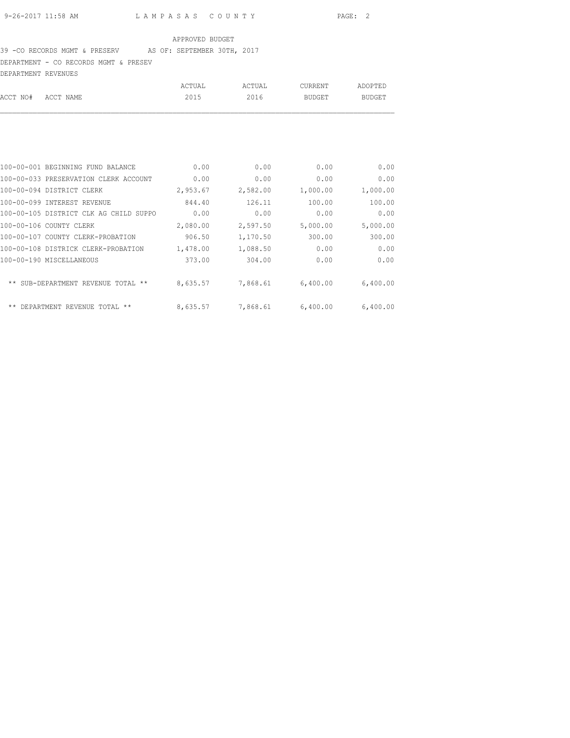#### 39 -CO RECORDS MGMT & PRESERV AS OF: SEPTEMBER 30TH, 2017

DEPARTMENT - CO RECORDS MGMT & PRESEV

| DEPARTMENT REVENUES |        |        |         |         |
|---------------------|--------|--------|---------|---------|
|                     | ACTUAL | ACTUAL | CURRENT | ADOPTED |
| ACCT NO# ACCT NAME  | 2015   | 2016   | BUDGET  | BUDGET  |
|                     |        |        |         |         |

| 100-00-001 BEGINNING FUND BALANCE      | 0.00                     | 0.00     | 0.00     | 0.00     |
|----------------------------------------|--------------------------|----------|----------|----------|
| 100-00-033 PRESERVATION CLERK ACCOUNT  | 0.00                     | 0.00     | 0.00     | 0.00     |
| 100-00-094 DISTRICT CLERK              | 2,953.67                 | 2,582.00 | 1,000.00 | 1,000.00 |
| 100-00-099 INTEREST REVENUE            | 844.40                   | 126.11   | 100.00   | 100.00   |
| 100-00-105 DISTRICT CLK AG CHILD SUPPO | 0.00                     | 0.00     | 0.00     | 0.00     |
| 100-00-106 COUNTY CLERK                | 2,080.00                 | 2,597.50 | 5,000.00 | 5,000.00 |
| 100-00-107 COUNTY CLERK-PROBATION      | 906.50                   | 1,170.50 | 300.00   | 300.00   |
| 100-00-108 DISTRICK CLERK-PROBATION    | 1,478.00                 | 1,088.50 | 0.00     | 0.00     |
| 100-00-190 MISCELLANEOUS               | 373.00                   | 304.00   | 0.00     | 0.00     |
| ** SUB-DEPARTMENT REVENUE<br>TOTAL     | 8,635.57<br>$\star\star$ | 7,868.61 | 6,400.00 | 6,400.00 |
| DEPARTMENT REVENUE TOTAL               | 8,635.57                 | 7,868.61 | 6,400.00 | 6,400.00 |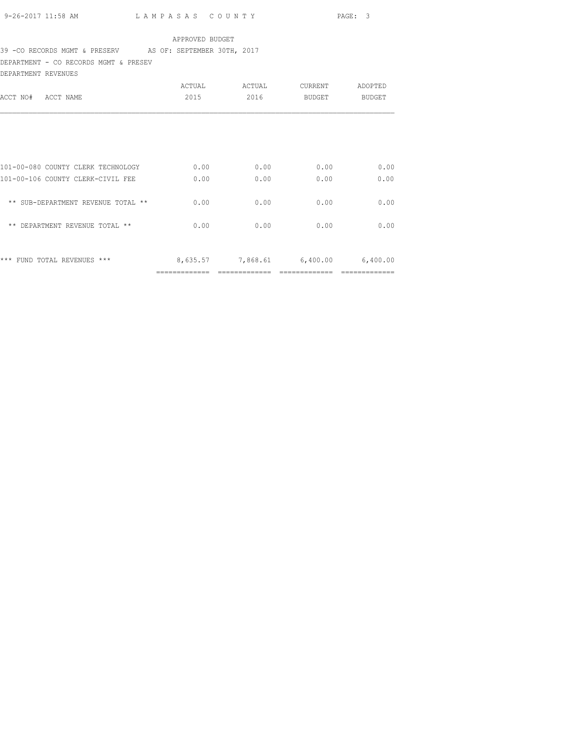# 39 -CO RECORDS MGMT & PRESERV AS OF: SEPTEMBER 30TH, 2017

DEPARTMENT - CO RECORDS MGMT & PRESEV

| DEPARTMENT REVENUES                |        |                            |         |          |
|------------------------------------|--------|----------------------------|---------|----------|
|                                    | ACTUAL | ACTUAL                     | CURRENT | ADOPTED  |
| ACCT NAME<br>ACCT NO#              | 2015   | 2016                       | BUDGET  | BUDGET   |
|                                    |        |                            |         |          |
|                                    |        |                            |         |          |
| 101-00-080 COUNTY CLERK TECHNOLOGY | 0.00   | 0.00                       | 0.00    | 0.00     |
| 101-00-106 COUNTY CLERK-CIVIL FEE  | 0.00   | 0.00                       | 0.00    | 0.00     |
| ** SUB-DEPARTMENT REVENUE TOTAL ** | 0.00   | 0.00                       | 0.00    | 0.00     |
| ** DEPARTMENT REVENUE TOTAL **     | 0.00   | 0.00                       | 0.00    | 0.00     |
| *** FUND TOTAL REVENUES ***        |        | 8,635.57 7,868.61 6,400.00 |         | 6,400.00 |
|                                    |        |                            |         |          |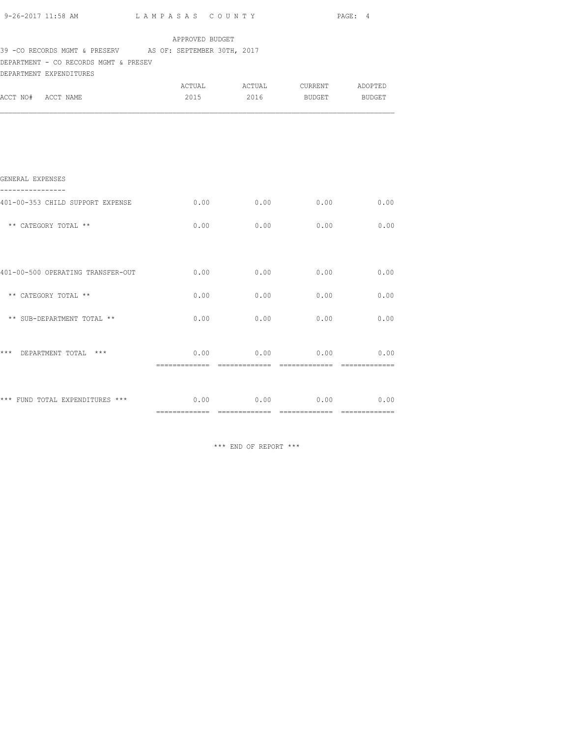| $9-26-2017$ 11:58 AM $L$ AMPASAS COUNTY PAGE: 4                                                     |                 |                                    |      |             |
|-----------------------------------------------------------------------------------------------------|-----------------|------------------------------------|------|-------------|
| 39 - CO RECORDS MGMT & PRESERV AS OF: SEPTEMBER 30TH, 2017<br>DEPARTMENT - CO RECORDS MGMT & PRESEV | APPROVED BUDGET |                                    |      |             |
| DEPARTMENT EXPENDITURES                                                                             |                 |                                    |      |             |
| ACCT NO# ACCT NAME                                                                                  |                 | 2015 2016 BUDGET BUDGET            |      |             |
|                                                                                                     |                 |                                    |      |             |
|                                                                                                     |                 |                                    |      |             |
| GENERAL EXPENSES                                                                                    |                 |                                    |      |             |
| 401-00-353 CHILD SUPPORT EXPENSE                                                                    | 0.00            | 0.00                               |      | $0.00$ 0.00 |
| ** CATEGORY TOTAL **                                                                                | 0.00            | 0.00                               | 0.00 | 0.00        |
|                                                                                                     |                 |                                    |      |             |
| 401-00-500 OPERATING TRANSFER-OUT 0.00                                                              |                 | 0.00                               | 0.00 | 0.00        |
| ** CATEGORY TOTAL **                                                                                | 0.00            | 0.00                               | 0.00 | 0.00        |
| ** SUB-DEPARTMENT TOTAL **                                                                          |                 | $0.00$ $0.00$ $0.00$ $0.00$ $0.00$ |      |             |
| *** DEPARTMENT TOTAL ***                                                                            |                 | $0.00$ 0.00 0.00 0.00 0.00         |      |             |
|                                                                                                     |                 |                                    |      |             |
| *** FUND TOTAL EXPENDITURES *** $0.00$ $0.00$ $0.00$ $0.00$ $0.00$ $0.00$                           |                 |                                    |      |             |
|                                                                                                     |                 |                                    |      |             |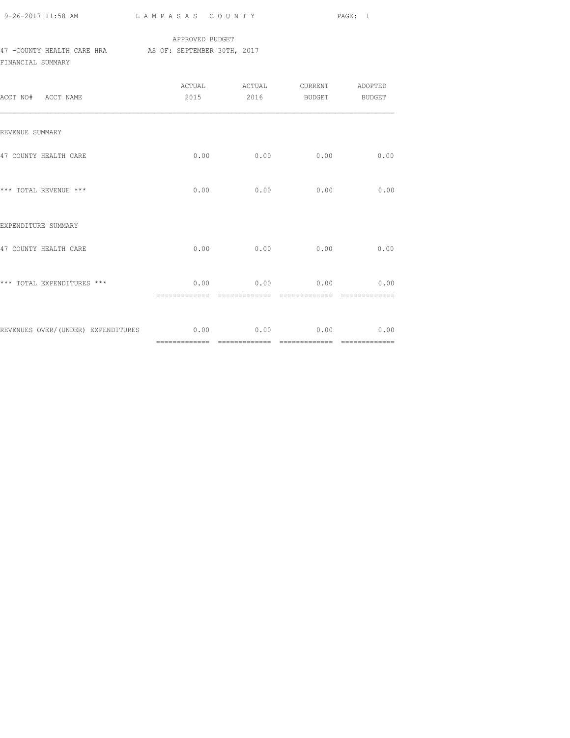9-26-2017 11:58 AM L A M P A S A S C O U N T Y PAGE: 1

## APPROVED BUDGET 47 -COUNTY HEALTH CARE HRA AS OF: SEPTEMBER 30TH, 2017 FINANCIAL SUMMARY

| ACCT NO# ACCT NAME                                                    |      | 2015 2016 BUDGET BUDGET                     |      |      |
|-----------------------------------------------------------------------|------|---------------------------------------------|------|------|
| REVENUE SUMMARY                                                       |      |                                             |      |      |
| 47 COUNTY HEALTH CARE                                                 |      | $0.00$ 0.00                                 | 0.00 | 0.00 |
| *** TOTAL REVENUE ***                                                 | 0.00 | 0.00                                        | 0.00 | 0.00 |
| EXPENDITURE SUMMARY                                                   |      |                                             |      |      |
| 47 COUNTY HEALTH CARE                                                 |      | $0.00$ 0.00                                 | 0.00 | 0.00 |
| *** TOTAL EXPENDITURES ***                                            |      | $0.00$ 0.00 0.00 0.00 0.00<br>------------- |      |      |
| REVENUES OVER/(UNDER) EXPENDITURES $0.00$ $0.00$ $0.00$ $0.00$ $0.00$ |      |                                             |      |      |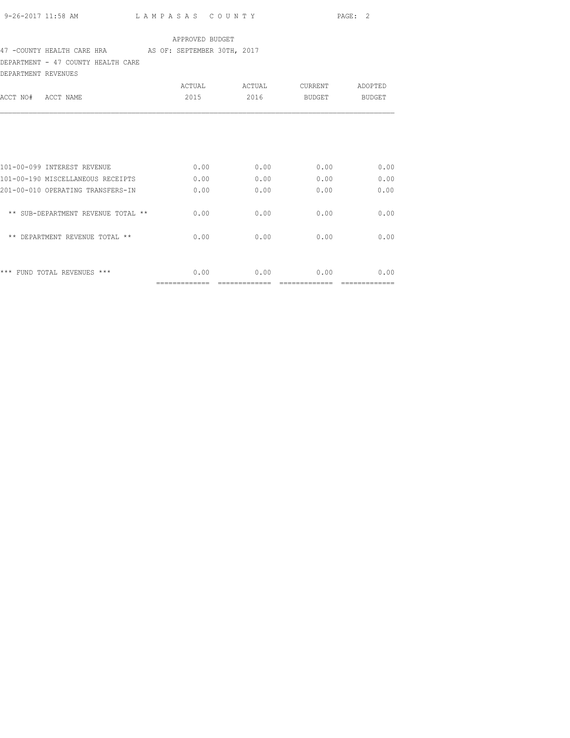# 47 -COUNTY HEALTH CARE HRA AS OF: SEPTEMBER 30TH, 2017

DEPARTMENT - 47 COUNTY HEALTH CARE

| DEPARTMENT REVENUES                |        |        |                |               |
|------------------------------------|--------|--------|----------------|---------------|
|                                    | ACTUAL | ACTUAL | <b>CURRENT</b> | ADOPTED       |
| ACCT NO#<br>ACCT NAME              | 2015   | 2016   | BUDGET         | <b>BUDGET</b> |
|                                    |        |        |                |               |
| 101-00-099 INTEREST REVENUE        | 0.00   | 0.00   | 0.00           | 0.00          |
| 101-00-190 MISCELLANEOUS RECEIPTS  | 0.00   | 0.00   | 0.00           | 0.00          |
| 201-00-010 OPERATING TRANSFERS-IN  | 0.00   | 0.00   | 0.00           | 0.00          |
| ** SUB-DEPARTMENT REVENUE TOTAL ** | 0.00   | 0.00   | 0.00           | 0.00          |
| ** DEPARTMENT REVENUE TOTAL **     | 0.00   | 0.00   | 0.00           | 0.00          |
|                                    |        |        |                |               |
| FUND TOTAL REVENUES ***<br>***     | 0.00   | 0.00   | 0.00           | 0.00          |
|                                    |        |        |                |               |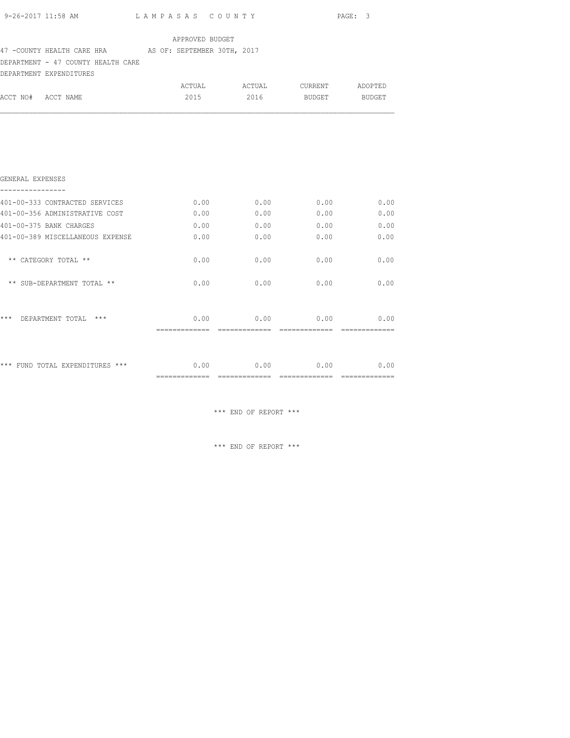|                    |                                    | 9-26-2017 11:58 AM LAMPASAS COUNTY                      |             |                               | PAGE: 3 |
|--------------------|------------------------------------|---------------------------------------------------------|-------------|-------------------------------|---------|
|                    |                                    | APPROVED BUDGET                                         |             |                               |         |
|                    |                                    | 47 - COUNTY HEALTH CARE HRA AS OF: SEPTEMBER 30TH, 2017 |             |                               |         |
|                    | DEPARTMENT - 47 COUNTY HEALTH CARE |                                                         |             |                               |         |
|                    | DEPARTMENT EXPENDITURES            |                                                         |             |                               |         |
|                    |                                    |                                                         |             | ACTUAL ACTUAL CURRENT ADOPTED |         |
| ACCT NO# ACCT NAME |                                    | 2015                                                    |             | 2016 BUDGET BUDGET            |         |
|                    |                                    |                                                         |             |                               |         |
|                    |                                    |                                                         |             |                               |         |
|                    |                                    |                                                         |             |                               |         |
| GENERAL EXPENSES   |                                    |                                                         |             |                               |         |
| ----------------   | 401-00-333 CONTRACTED SERVICES     |                                                         |             | $0.00$ $0.00$ $0.00$ $0.00$   | 0.00    |
|                    | 401-00-356 ADMINISTRATIVE COST     | 0.00                                                    | 0.00        | 0.00                          | 0.00    |
|                    | 401-00-375 BANK CHARGES            |                                                         |             | $0.00$ 0.00 0.00 0.00 0.00    |         |
|                    | 401-00-389 MISCELLANEOUS EXPENSE   | 0.00                                                    | 0.00        | 0.00                          | 0.00    |
|                    | ** CATEGORY TOTAL **               | 0.00                                                    | 0.00        | 0.00                          | 0.00    |
|                    | ** SUB-DEPARTMENT TOTAL **         | 0.00                                                    | $0.00$ 0.00 |                               | 0.00    |
|                    |                                    |                                                         |             |                               |         |
|                    | *** DEPARTMENT TOTAL ***           |                                                         |             | $0.00$ 0.00 0.00              | 0.00    |
|                    |                                    |                                                         |             |                               |         |
|                    | *** FUND TOTAL EXPENDITURES ***    | 0.00                                                    |             | $0.00$ $0.00$ $0.00$ $0.00$   |         |

============= ============= ============= =============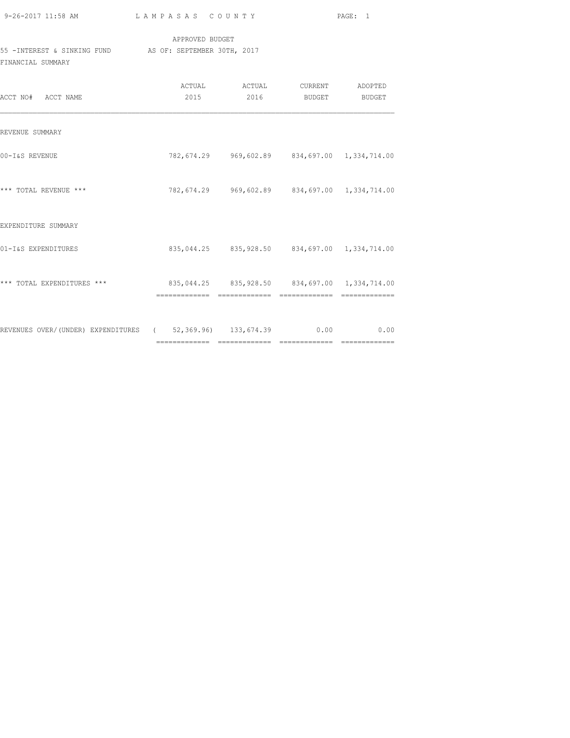| 9-26-2017 11:58 AM |  |
|--------------------|--|

L A M P A S A S C O U N T Y PAGE: 1

## APPROVED BUDGET 55 -INTEREST & SINKING FUND AS OF: SEPTEMBER 30TH, 2017 FINANCIAL SUMMARY

| ACCT NO# ACCT NAME                                             | ACTUAL<br>2015 | ACTUAL<br>2016 | <b>CURRENT</b><br>BUDGET                                         | ADOPTED<br>BUDGET |
|----------------------------------------------------------------|----------------|----------------|------------------------------------------------------------------|-------------------|
| REVENUE SUMMARY                                                |                |                |                                                                  |                   |
| 00-I&S REVENUE                                                 |                |                | 782,674.29 969,602.89 834,697.00 1,334,714.00                    |                   |
| *** TOTAL REVENUE ***                                          |                |                | 782,674.29 969,602.89 834,697.00 1,334,714.00                    |                   |
| EXPENDITURE SUMMARY                                            |                |                |                                                                  |                   |
| 01-I&S EXPENDITURES                                            |                |                | 835,044.25 835,928.50 834,697.00 1,334,714.00                    |                   |
| *** TOTAL EXPENDITURES ***                                     |                | -------------  | 835,044.25 835,928.50 834,697.00 1,334,714.00<br>- ============= |                   |
| REVENUES OVER/(UNDER) EXPENDITURES (52,369.96) 133,674.39 0.00 |                |                |                                                                  | 0.00              |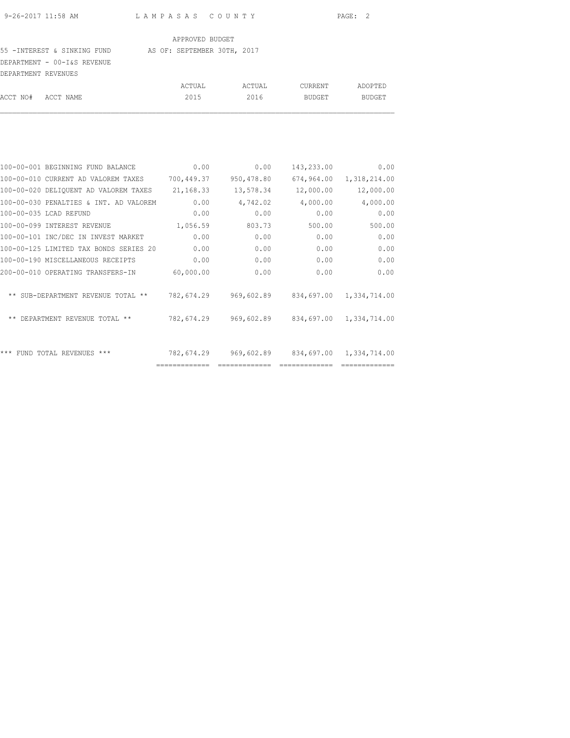#### 55 -INTEREST & SINKING FUND AS OF: SEPTEMBER 30TH, 2017

DEPARTMENT - 00-I&S REVENUE

| DEPARTMENT REVENUES |        |        |         |               |
|---------------------|--------|--------|---------|---------------|
|                     | ACTUAL | ACTUAL | CURRENT | ADOPTED       |
| ACCT NO# ACCT NAME  | 2015   | 2016   | BUDGET  | <b>BUDGET</b> |

| 100-00-001 BEGINNING FUND BALANCE      | 0.00          | 0.00         | 143,233.00    | 0.00         |
|----------------------------------------|---------------|--------------|---------------|--------------|
| 100-00-010 CURRENT AD VALOREM TAXES    | 700,449.37    | 950,478.80   | 674,964.00    | 1,318,214.00 |
| 100-00-020 DELIQUENT AD VALOREM TAXES  | 21,168.33     | 13,578.34    | 12,000.00     | 12,000.00    |
| 100-00-030 PENALTIES & INT. AD VALOREM | 0.00          | 4,742.02     | 4,000.00      | 4,000.00     |
| 100-00-035 LCAD REFUND                 | 0.00          | 0.00         | 0.00          | 0.00         |
| 100-00-099 INTEREST REVENUE            | 1,056.59      | 803.73       | 500.00        | 500.00       |
| 100-00-101 INC/DEC IN INVEST MARKET    | 0.00          | 0.00         | 0.00          | 0.00         |
| 100-00-125 LIMITED TAX BONDS SERIES 20 | 0.00          | 0.00         | 0.00          | 0.00         |
| 100-00-190 MISCELLANEOUS RECEIPTS      | 0.00          | 0.00         | 0.00          | 0.00         |
| 200-00-010 OPERATING TRANSFERS-IN      | 60,000.00     | 0.00         | 0.00          | 0.00         |
| ** SUB-DEPARTMENT REVENUE TOTAL **     | 782,674.29    | 969,602.89   | 834,697.00    | 1,334,714.00 |
| ** DEPARTMENT REVENUE TOTAL **         | 782,674.29    | 969,602.89   | 834,697.00    | 1,334,714.00 |
| ***<br>FUND TOTAL REVENUES ***         | 782,674.29    | 969,602.89   | 834,697.00    | 1,334,714.00 |
|                                        | ============= | ============ | ============= |              |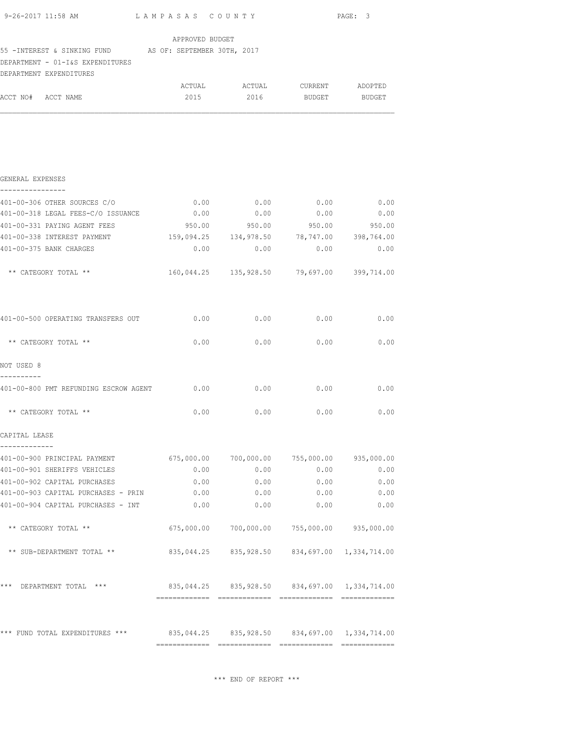| APPROVED BUDGET<br>55 - INTEREST & SINKING FUND AS OF: SEPTEMBER 30TH, 2017<br>DEPARTMENT - 01-I&S EXPENDITURES<br>DEPARTMENT EXPENDITURES<br>ACTUAL ACTUAL CURRENT ADOPTED<br>ACCT NO# ACCT NAME<br>2015 2016 BUDGET BUDGET<br>GENERAL EXPENSES<br>----------------<br>0.00<br>0.00<br>401-00-306 OTHER SOURCES C/O<br>0.00<br>0.00<br>401-00-318 LEGAL FEES-C/O ISSUANCE<br>0.00<br>0.00<br>401-00-331 PAYING AGENT FEES<br>950.00 950.00 950.00 950.00<br>401-00-338 INTEREST PAYMENT 459,094.25 134,978.50 78,747.00 398,764.00<br>401-00-375 BANK CHARGES<br>0.00<br>0.00<br>0.00<br>160,044.25 135,928.50 79,697.00 399,714.00<br>** CATEGORY TOTAL **<br>401-00-500 OPERATING TRANSFERS OUT 0.00<br>0.00<br>0.00<br>** CATEGORY TOTAL **<br>0.00<br>0.00<br>0.00<br>NOT USED 8<br>401-00-800 PMT REFUNDING ESCROW AGENT 0.00<br>$0.00$ $0.00$<br>** CATEGORY TOTAL **<br>0.00<br>0.00<br>$0.00$ 0.00<br>CAPITAL LEASE<br>-------------<br>401-00-900 PRINCIPAL PAYMENT 675,000.00 700,000.00 755,000.00 935,000.00<br>401-00-901 SHERIFFS VEHICLES<br>0.00<br>0.00<br>0.00<br>401-00-902 CAPITAL PURCHASES<br>0.00<br>0.00<br>0.00<br>401-00-903 CAPITAL PURCHASES - PRIN<br>0.00<br>0.00<br>0.00 | 9-26-2017 11:58 AM LAMPASAS COUNTY |      |      |      | PAGE: 3 |
|----------------------------------------------------------------------------------------------------------------------------------------------------------------------------------------------------------------------------------------------------------------------------------------------------------------------------------------------------------------------------------------------------------------------------------------------------------------------------------------------------------------------------------------------------------------------------------------------------------------------------------------------------------------------------------------------------------------------------------------------------------------------------------------------------------------------------------------------------------------------------------------------------------------------------------------------------------------------------------------------------------------------------------------------------------------------------------------------------------------------------------------------------------------------------------------------------------|------------------------------------|------|------|------|---------|
|                                                                                                                                                                                                                                                                                                                                                                                                                                                                                                                                                                                                                                                                                                                                                                                                                                                                                                                                                                                                                                                                                                                                                                                                          |                                    |      |      |      |         |
|                                                                                                                                                                                                                                                                                                                                                                                                                                                                                                                                                                                                                                                                                                                                                                                                                                                                                                                                                                                                                                                                                                                                                                                                          |                                    |      |      |      |         |
|                                                                                                                                                                                                                                                                                                                                                                                                                                                                                                                                                                                                                                                                                                                                                                                                                                                                                                                                                                                                                                                                                                                                                                                                          |                                    |      |      |      |         |
|                                                                                                                                                                                                                                                                                                                                                                                                                                                                                                                                                                                                                                                                                                                                                                                                                                                                                                                                                                                                                                                                                                                                                                                                          |                                    |      |      |      |         |
|                                                                                                                                                                                                                                                                                                                                                                                                                                                                                                                                                                                                                                                                                                                                                                                                                                                                                                                                                                                                                                                                                                                                                                                                          |                                    |      |      |      |         |
|                                                                                                                                                                                                                                                                                                                                                                                                                                                                                                                                                                                                                                                                                                                                                                                                                                                                                                                                                                                                                                                                                                                                                                                                          |                                    |      |      |      |         |
|                                                                                                                                                                                                                                                                                                                                                                                                                                                                                                                                                                                                                                                                                                                                                                                                                                                                                                                                                                                                                                                                                                                                                                                                          |                                    |      |      |      | 0.00    |
|                                                                                                                                                                                                                                                                                                                                                                                                                                                                                                                                                                                                                                                                                                                                                                                                                                                                                                                                                                                                                                                                                                                                                                                                          |                                    |      |      |      | 0.00    |
|                                                                                                                                                                                                                                                                                                                                                                                                                                                                                                                                                                                                                                                                                                                                                                                                                                                                                                                                                                                                                                                                                                                                                                                                          |                                    |      |      |      |         |
|                                                                                                                                                                                                                                                                                                                                                                                                                                                                                                                                                                                                                                                                                                                                                                                                                                                                                                                                                                                                                                                                                                                                                                                                          |                                    |      |      |      |         |
|                                                                                                                                                                                                                                                                                                                                                                                                                                                                                                                                                                                                                                                                                                                                                                                                                                                                                                                                                                                                                                                                                                                                                                                                          |                                    |      |      |      | 0.00    |
|                                                                                                                                                                                                                                                                                                                                                                                                                                                                                                                                                                                                                                                                                                                                                                                                                                                                                                                                                                                                                                                                                                                                                                                                          |                                    |      |      |      |         |
|                                                                                                                                                                                                                                                                                                                                                                                                                                                                                                                                                                                                                                                                                                                                                                                                                                                                                                                                                                                                                                                                                                                                                                                                          |                                    |      |      |      |         |
|                                                                                                                                                                                                                                                                                                                                                                                                                                                                                                                                                                                                                                                                                                                                                                                                                                                                                                                                                                                                                                                                                                                                                                                                          |                                    |      |      |      | 0.00    |
|                                                                                                                                                                                                                                                                                                                                                                                                                                                                                                                                                                                                                                                                                                                                                                                                                                                                                                                                                                                                                                                                                                                                                                                                          |                                    |      |      |      | 0.00    |
|                                                                                                                                                                                                                                                                                                                                                                                                                                                                                                                                                                                                                                                                                                                                                                                                                                                                                                                                                                                                                                                                                                                                                                                                          |                                    |      |      |      |         |
|                                                                                                                                                                                                                                                                                                                                                                                                                                                                                                                                                                                                                                                                                                                                                                                                                                                                                                                                                                                                                                                                                                                                                                                                          |                                    |      |      |      | 0.00    |
|                                                                                                                                                                                                                                                                                                                                                                                                                                                                                                                                                                                                                                                                                                                                                                                                                                                                                                                                                                                                                                                                                                                                                                                                          |                                    |      |      |      |         |
|                                                                                                                                                                                                                                                                                                                                                                                                                                                                                                                                                                                                                                                                                                                                                                                                                                                                                                                                                                                                                                                                                                                                                                                                          |                                    |      |      |      |         |
|                                                                                                                                                                                                                                                                                                                                                                                                                                                                                                                                                                                                                                                                                                                                                                                                                                                                                                                                                                                                                                                                                                                                                                                                          |                                    |      |      |      |         |
|                                                                                                                                                                                                                                                                                                                                                                                                                                                                                                                                                                                                                                                                                                                                                                                                                                                                                                                                                                                                                                                                                                                                                                                                          |                                    |      |      |      | 0.00    |
|                                                                                                                                                                                                                                                                                                                                                                                                                                                                                                                                                                                                                                                                                                                                                                                                                                                                                                                                                                                                                                                                                                                                                                                                          |                                    |      |      |      | 0.00    |
|                                                                                                                                                                                                                                                                                                                                                                                                                                                                                                                                                                                                                                                                                                                                                                                                                                                                                                                                                                                                                                                                                                                                                                                                          |                                    |      |      |      | 0.00    |
|                                                                                                                                                                                                                                                                                                                                                                                                                                                                                                                                                                                                                                                                                                                                                                                                                                                                                                                                                                                                                                                                                                                                                                                                          | 401-00-904 CAPITAL PURCHASES - INT | 0.00 | 0.00 | 0.00 | 0.00    |
| ** CATEGORY TOTAL **<br>$675,000.00$ $700,000.00$ $755,000.00$ $935,000.00$                                                                                                                                                                                                                                                                                                                                                                                                                                                                                                                                                                                                                                                                                                                                                                                                                                                                                                                                                                                                                                                                                                                              |                                    |      |      |      |         |
| 835,044.25 835,928.50 834,697.00 1,334,714.00<br>** SUB-DEPARTMENT TOTAL **                                                                                                                                                                                                                                                                                                                                                                                                                                                                                                                                                                                                                                                                                                                                                                                                                                                                                                                                                                                                                                                                                                                              |                                    |      |      |      |         |
| 835,044.25 835,928.50 834,697.00 1,334,714.00<br>*** DEPARTMENT TOTAL ***                                                                                                                                                                                                                                                                                                                                                                                                                                                                                                                                                                                                                                                                                                                                                                                                                                                                                                                                                                                                                                                                                                                                |                                    |      |      |      |         |
|                                                                                                                                                                                                                                                                                                                                                                                                                                                                                                                                                                                                                                                                                                                                                                                                                                                                                                                                                                                                                                                                                                                                                                                                          |                                    |      |      |      |         |
| *** FUND TOTAL EXPENDITURES *** 835,044.25 835,928.50 834,697.00 1,334,714.00                                                                                                                                                                                                                                                                                                                                                                                                                                                                                                                                                                                                                                                                                                                                                                                                                                                                                                                                                                                                                                                                                                                            |                                    |      |      |      |         |

============= ============= ============= =============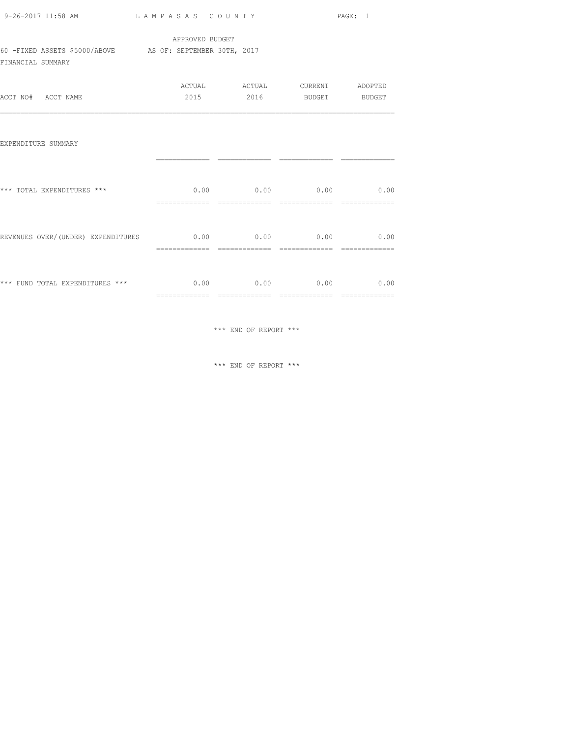| 9-26-2017 11:58 AM                                 | LAMPASAS COUNTY                                | PAGE: 1 |
|----------------------------------------------------|------------------------------------------------|---------|
| 60 -FIXED ASSETS \$5000/ABOVE<br>FINANCIAL SUMMARY | APPROVED BUDGET<br>AS OF: SEPTEMBER 30TH, 2017 |         |
|                                                    |                                                |         |

| ACCT NO# ACCT NAME                                                        |  | ACTUAL ACTUAL CURRENT ADOPTED<br>2015 2016 BUDGET BUDGET |  |
|---------------------------------------------------------------------------|--|----------------------------------------------------------|--|
| EXPENDITURE SUMMARY                                                       |  |                                                          |  |
| *** TOTAL EXPENDITURES ***                                                |  | $0.00$ $0.00$ $0.00$ $0.00$ $0.00$                       |  |
| REVENUES OVER/(UNDER) EXPENDITURES $0.00$ 0.00 0.00 0.00 0.00             |  |                                                          |  |
| *** FUND TOTAL EXPENDITURES *** $0.00$ $0.00$ $0.00$ $0.00$ $0.00$ $0.00$ |  |                                                          |  |

 $\hspace{0.1mm}^{\star\,\star\,\star}$  END OF REPORT  $\hspace{0.1mm}^{\star\,\star\,\star}$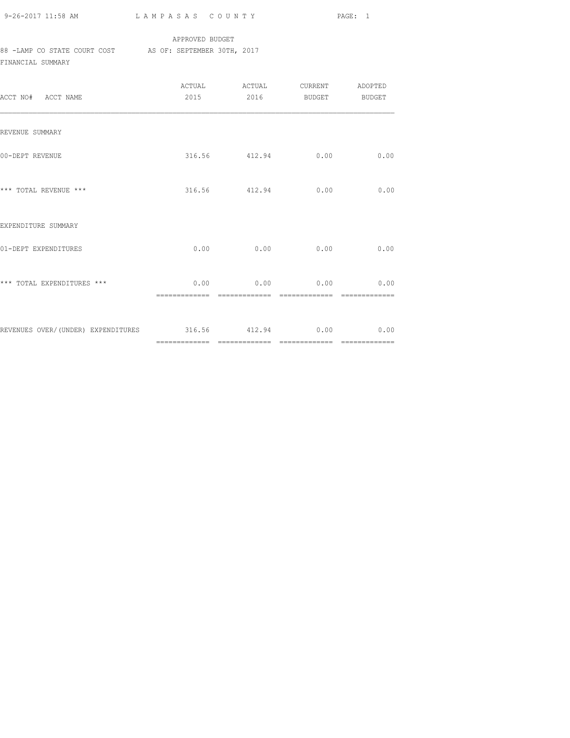| 9-26-2017 11:58 AM |  |  |
|--------------------|--|--|

L A M P A S A S C O U N T Y PAGE: 1

## APPROVED BUDGET

88 -LAMP CO STATE COURT COST AS OF: SEPTEMBER 30TH, 2017

FINANCIAL SUMMARY

| ACCT NO# ACCT NAME                                           |               |               | 2015 2016 BUDGET BUDGET |      |
|--------------------------------------------------------------|---------------|---------------|-------------------------|------|
| REVENUE SUMMARY                                              |               |               |                         |      |
| 00-DEPT REVENUE                                              |               |               | 316.56 412.94 0.00      | 0.00 |
| *** TOTAL REVENUE ***                                        |               |               | 316.56 412.94 0.00      | 0.00 |
| EXPENDITURE SUMMARY                                          |               |               |                         |      |
| 01-DEPT EXPENDITURES                                         |               | $0.00$ 0.00   | 0.00                    | 0.00 |
| *** TOTAL EXPENDITURES ***                                   | ============= | ------------- | $0.00$ 0.00 0.00 0.00   |      |
| REVENUES OVER/(UNDER) EXPENDITURES 6 316.56 412.94 0.00 0.00 |               |               |                         |      |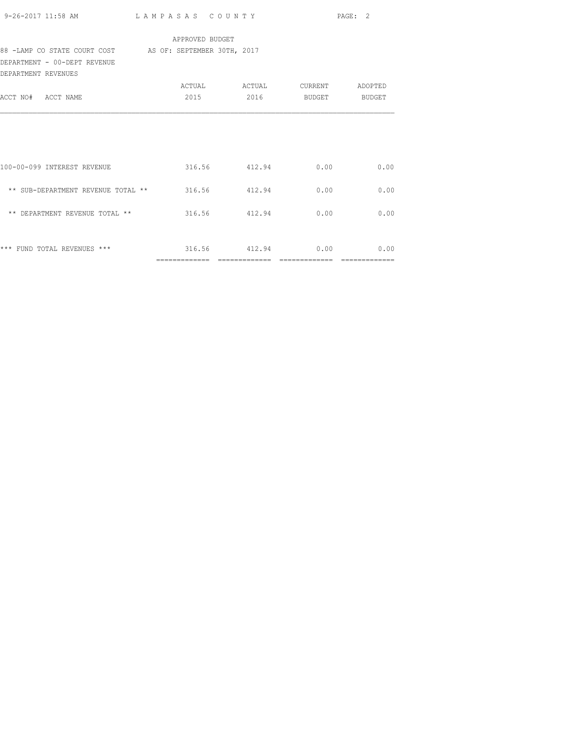|                                                          |                 |               |      | PAGE: 2       |
|----------------------------------------------------------|-----------------|---------------|------|---------------|
|                                                          | APPROVED BUDGET |               |      |               |
| 88 -LAMP CO STATE COURT COST AS OF: SEPTEMBER 30TH, 2017 |                 |               |      |               |
| DEPARTMENT - 00-DEPT REVENUE<br>DEPARTMENT REVENUES      |                 |               |      |               |
|                                                          |                 |               |      |               |
| ACCT NO# ACCT NAME                                       |                 | 2015 2016     |      | BUDGET BUDGET |
|                                                          |                 |               |      |               |
| 100-00-099 INTEREST REVENUE                              |                 | 316.56 412.94 | 0.00 | 0.00          |
| ** SUB-DEPARTMENT REVENUE TOTAL ** 316.56 412.94         |                 |               | 0.00 | 0.00          |
| ** DEPARTMENT REVENUE TOTAL ** 316.56 412.94             |                 |               | 0.00 | 0.00          |
|                                                          |                 |               | 0.00 | 0.00          |